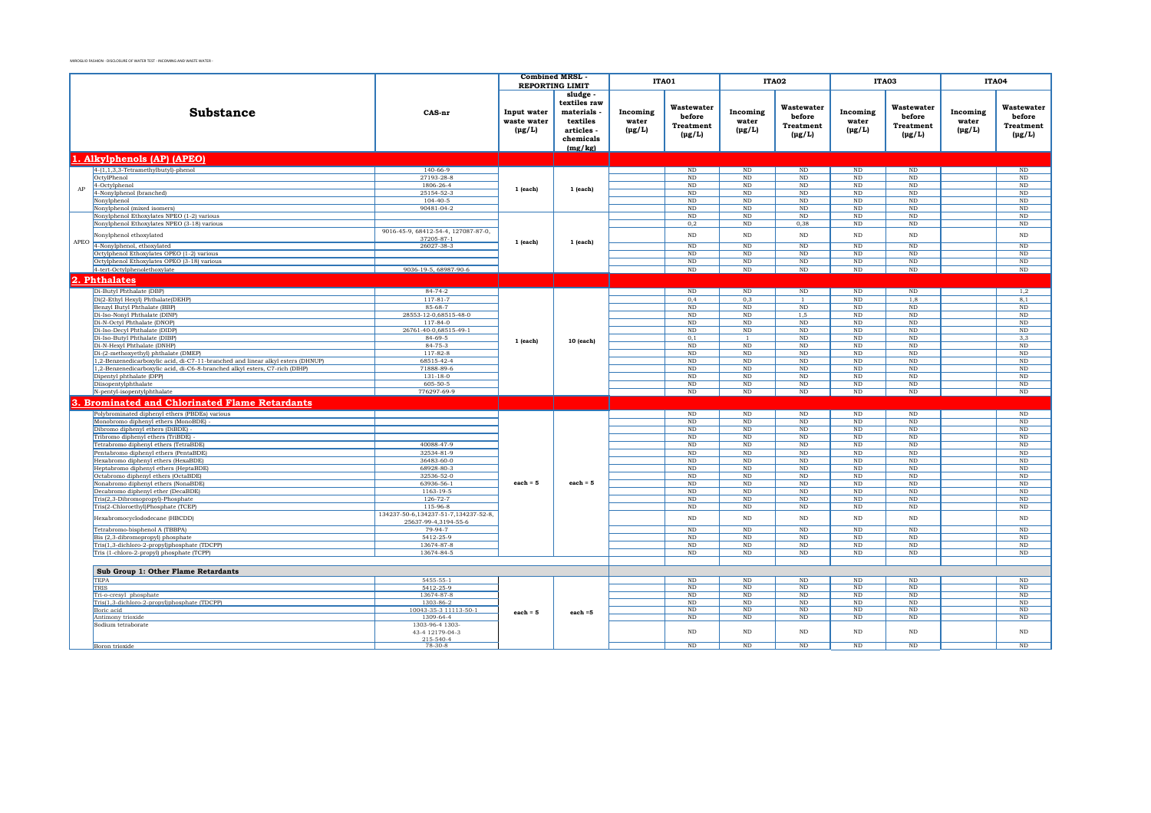|      |                                                                                           |                                        | <b>Combined MRSL</b>                      | <b>REPORTING LIMIT</b>                                                                |                                  | ITA01                                                   |                                  | ITA02                                            |                                                  | ITA03                                                |                                  | ITA04                                            |
|------|-------------------------------------------------------------------------------------------|----------------------------------------|-------------------------------------------|---------------------------------------------------------------------------------------|----------------------------------|---------------------------------------------------------|----------------------------------|--------------------------------------------------|--------------------------------------------------|------------------------------------------------------|----------------------------------|--------------------------------------------------|
|      | <b>Substance</b>                                                                          | CAS-nr                                 | Input water<br>waste water<br>$(\mu g/L)$ | sludge -<br>textiles raw<br>materials<br>textiles<br>articles<br>chemicals<br>(mg/kg) | Incoming<br>water<br>$(\mu g/L)$ | Wastewater<br>before<br><b>Treatment</b><br>$(\mu g/L)$ | Incoming<br>water<br>$(\mu g/L)$ | Wastewater<br>before<br>Treatment<br>$(\mu g/L)$ | Incoming<br>water<br>$(\mu g/L)$                 | Wastewater<br>before<br>Treatment<br>$(\text{pg/L})$ | Incoming<br>water<br>$(\mu g/L)$ | Wastewater<br>before<br>Treatment<br>$(\mu g/L)$ |
|      | 1. Alkylphenols (AP) (APEO)                                                               |                                        |                                           |                                                                                       |                                  |                                                         |                                  |                                                  |                                                  |                                                      |                                  |                                                  |
|      | $4-(1,1,3,3-Tetramethylbutyl)-phenol$                                                     | $140 - 66 - 9$                         |                                           |                                                                                       |                                  | $\rm ND$                                                | $\rm ND$                         | $\rm ND$                                         | $\rm ND$                                         | ND                                                   |                                  | ND                                               |
|      | OctylPhenol                                                                               | 27193-28-8                             |                                           |                                                                                       |                                  | ND                                                      | ND                               | ND.                                              | ND                                               | ND                                                   |                                  | ND                                               |
| AP   | 4-Octylphenol                                                                             | 1806-26-4                              | 1 (each)                                  | $1$ (each)                                                                            |                                  | $\rm ND$                                                | $\rm ND$                         | ND                                               | $\rm ND$                                         | $\rm ND$                                             |                                  | $\rm ND$                                         |
|      | 4-Nonylphenol (branched)                                                                  | 25154-52-3<br>$104 - 40 - 5$           |                                           |                                                                                       |                                  | $\rm ND$<br>$\rm ND$                                    | $\rm ND$<br>$\rm ND$             | $\rm ND$<br>$\rm ND$                             | $\rm ND$<br>$\rm ND$                             | $\rm ND$<br>$\rm ND$                                 |                                  | $\rm ND$<br>$\rm ND$                             |
|      | Nonylphenol<br>Nonylphenol (mixed isomers)                                                | 90481-04-2                             |                                           |                                                                                       |                                  | $\rm ND$                                                | $\rm ND$                         | $\rm ND$                                         | $\rm ND$                                         | $\rm ND$                                             |                                  | $\rm ND$                                         |
|      | Nonylphenol Ethoxylates NPEO (1-2) various                                                |                                        |                                           |                                                                                       |                                  | ND                                                      | ND                               | ND                                               | ND                                               | ND                                                   |                                  | ND                                               |
|      | Nonylphenol Ethoxylates NPEO (3-18) various                                               |                                        |                                           |                                                                                       |                                  | $_{0,2}$                                                | ND                               | 0,38                                             | $\rm ND$                                         | ND                                                   |                                  | ND                                               |
|      | Nonylphenol ethoxylated                                                                   | 9016-45-9, 68412-54-4, 127087-87-0,    |                                           |                                                                                       |                                  | $\rm ND$                                                | $\rm ND$                         | $\rm ND$                                         | $\rm ND$                                         | $\rm ND$                                             |                                  | ND                                               |
| APEO | 4-Nonylphenol, ethoxylated                                                                | 37205-87-1<br>26027-38-3               | 1 (each)                                  | $1$ (each)                                                                            |                                  | ND                                                      | ND                               | ND                                               | ND                                               | ND                                                   |                                  | ND                                               |
|      | Octylphenol Ethoxylates OPEO (1-2) various                                                |                                        |                                           |                                                                                       |                                  | ND                                                      | ND                               | ND                                               | ND                                               | ND                                                   |                                  | ND                                               |
|      | Octylphenol Ethoxylates OPEO (3-18) various                                               |                                        |                                           |                                                                                       |                                  | ND                                                      | ND                               | ND                                               | $\overline{\text{ND}}$                           | ND                                                   |                                  | $\rm ND$                                         |
|      | 4-tert-Octylphenolethoxylate                                                              | 9036-19-5, 68987-90-6                  |                                           |                                                                                       |                                  | $\rm ND$                                                | ND                               | ND                                               | ND                                               | ND                                                   |                                  | ND                                               |
| 2.   | <b>Phthalates</b>                                                                         |                                        |                                           |                                                                                       |                                  |                                                         |                                  |                                                  |                                                  |                                                      |                                  |                                                  |
|      | Di-Butyl Phthalate (DBP)                                                                  | $84 - 74 - 2$                          |                                           |                                                                                       |                                  | $\overline{\text{ND}}$                                  | $\overline{\text{ND}}$           | $\rm ND$                                         | $\overline{\text{ND}}$                           | $\overline{\text{ND}}$                               |                                  | 1,2                                              |
|      | Di(2-Ethyl Hexyl) Phthalate(DEHP)                                                         | $117 - 81 - 7$                         |                                           |                                                                                       |                                  | 0,4                                                     | 0,3                              | $\overline{1}$                                   | $\rm ND$                                         | 1,8                                                  |                                  | 8,1                                              |
|      | Benzyl Butyl Phthalate (BBP)                                                              | 85-68-7                                |                                           |                                                                                       |                                  | $\rm ND$                                                | $\rm ND$                         | $\rm ND$                                         | $\rm ND$                                         | $\rm ND$                                             |                                  | ND                                               |
|      | Di-Iso-Nonyl Phthalate (DINP)                                                             | 28553-12-0,68515-48-0                  |                                           |                                                                                       |                                  | ND                                                      | $\rm ND$                         | 1,5                                              | $\rm ND$                                         | ND                                                   |                                  | ND                                               |
|      | Di-N-Octyl Phthalate (DNOP)<br>Di-Iso-Decyl Phthalate (DIDP)                              | 117-84-0<br>26761-40-0,68515-49-1      |                                           |                                                                                       |                                  | ND                                                      | $\rm ND$                         | ND                                               | $\rm ND$                                         | ND                                                   |                                  | ND                                               |
|      | Di-Iso-Butyl Phthalate (DIBP)                                                             | 84-69-5                                |                                           |                                                                                       |                                  | ND<br>0,1                                               | $\rm ND$<br>$\overline{1}$       | $\rm ND$<br>$\rm ND$                             | $\rm ND$<br>$\rm ND$                             | $\rm ND$<br>$\rm ND$                                 |                                  | $\rm ND$<br>3,3                                  |
|      | Di-N-Hexyl Phthalate (DNHP)                                                               | $84 - 75 - 3$                          | 1 (each)                                  | 10 (each)                                                                             |                                  | $\rm ND$                                                | ND                               | ND                                               | ND                                               | $\rm ND$                                             |                                  | $\rm ND$                                         |
|      | Di-(2-methoxyethyl) phthalate (DMEP)                                                      | $117 - 82 - 8$                         |                                           |                                                                                       |                                  | $_{\rm ND}$                                             | ND                               | ND                                               | $\mathbf{ND}$                                    | $_{\rm ND}$                                          |                                  | $\rm ND$                                         |
|      | 1,2-Benzenedicarboxylic acid, di-C7-11-branched and linear alkyl esters (DHNUP)           | 68515-42-4                             |                                           |                                                                                       |                                  | $\rm ND$                                                | $\overline{\text{ND}}$           | ND                                               | $\mathbf{ND}$                                    | $_{\rm ND}$                                          |                                  | $\rm ND$                                         |
|      | 1,2-Benzenedicarboxylic acid, di-C6-8-branched alkyl esters, C7-rich (DIHP)               | 71888-89-6                             |                                           |                                                                                       |                                  | $\rm ND$                                                | ND                               | ND                                               | ND                                               | $\rm ND$                                             |                                  | $\rm ND$                                         |
|      | Dipentyl phthalate (DPP)<br>Diisopentylphthalate                                          | $131 - 18 - 0$<br>605-50-5             |                                           |                                                                                       |                                  | ND<br>ND                                                | ND<br>ND                         | ND<br>ND                                         | $\overline{\text{ND}}$<br>$\overline{\text{ND}}$ | ND<br>ND                                             |                                  | $\overline{\text{ND}}$<br>ND                     |
|      | N-pentyl-isopentylphthalate                                                               | 776297-69-9                            |                                           |                                                                                       |                                  | ND                                                      | ND                               | ND                                               | ND                                               | ND                                                   |                                  | ND                                               |
|      | <b>Brominated and Chlorinated Flame Retardants</b>                                        |                                        |                                           |                                                                                       |                                  |                                                         |                                  |                                                  |                                                  |                                                      |                                  |                                                  |
|      | Polybrominated diphenyl ethers (PBDEs) various                                            |                                        |                                           |                                                                                       |                                  | $\rm ND$                                                | $\rm ND$                         | $\rm ND$                                         | ND                                               | ND                                                   |                                  | ND                                               |
|      | Monobromo diphenyl ethers (MonoBDE) -                                                     |                                        |                                           |                                                                                       |                                  | $\rm ND$                                                | $\rm ND$                         | ND                                               | $\rm ND$                                         | $_{\rm ND}$                                          |                                  | $\rm ND$                                         |
|      | Dibromo diphenyl ethers (DiBDE)                                                           |                                        |                                           |                                                                                       |                                  | $\rm ND$                                                | ND                               | ND                                               | $\rm ND$                                         | $_{\rm ND}$                                          |                                  | $\rm ND$                                         |
|      | Tribromo diphenyl ethers (TriBDE)                                                         |                                        |                                           |                                                                                       |                                  | $\rm ND$                                                | $\rm ND$                         | ND                                               | $\rm ND$                                         | $_{\rm ND}$                                          |                                  | $\rm ND$                                         |
|      | Tetrabromo diphenyl ethers (TetraBDE)                                                     | 40088-47-9                             |                                           |                                                                                       |                                  | ND                                                      | ND                               | ND                                               | ND                                               | $_{\rm ND}$                                          |                                  | ND                                               |
|      | Pentabromo diphenyl ethers (PentaBDE)<br>Hexabromo diphenyl ethers (HexaBDE)              | 32534-81-9<br>36483-60-0               |                                           |                                                                                       |                                  | $\rm ND$<br>$\rm ND$                                    | $\rm ND$<br>$\rm ND$             | $\rm ND$<br>$\rm ND$                             | $\rm ND$<br>$\rm ND$                             | $_{\rm ND}$<br>$\rm ND$                              |                                  | $\rm ND$<br>$\rm ND$                             |
|      | Heptabromo diphenyl ethers (HeptaBDE)                                                     | 68928-80-3                             |                                           |                                                                                       |                                  | $\rm ND$                                                | $\rm ND$                         | $\rm ND$                                         | $\rm ND$                                         | $\rm ND$                                             |                                  | $\rm ND$                                         |
|      | Octabromo diphenyl ethers (OctaBDE)                                                       | 32536-52-0                             |                                           |                                                                                       |                                  | ND                                                      | ND                               | ND                                               | ND                                               | ND                                                   |                                  | ND                                               |
|      | Nonabromo diphenyl ethers (NonaBDE)                                                       | 63936-56-1                             | each = $5$                                | each $=$ 5                                                                            |                                  | ND                                                      | $\rm ND$                         | ND                                               | ND                                               | ND                                                   |                                  | ND                                               |
|      | Decabromo diphenyl ether (DecaBDE)                                                        | 1163-19-5                              |                                           |                                                                                       |                                  | ND                                                      | ND                               | ND                                               | ND                                               | N <sub>D</sub>                                       |                                  | ND                                               |
|      | Tris(2,3-Dibromopropyl)-Phosphate<br>Tris(2-Chloroethyl)Phosphate (TCEP)                  | $126 - 72 - 7$<br>115-96-8             |                                           |                                                                                       |                                  | ND<br>ND                                                | ND<br>ND                         | $\rm ND$<br>$\rm ND$                             | ND<br>$\rm ND$                                   | ND<br>$\rm ND$                                       |                                  | $\rm ND$<br>ND                                   |
|      |                                                                                           | 134237-50-6, 134237-51-7, 134237-52-8, |                                           |                                                                                       |                                  |                                                         |                                  |                                                  |                                                  |                                                      |                                  |                                                  |
|      | Hexabromocyclododecane (HBCDD)                                                            | 25637-99-4,3194-55-6                   |                                           |                                                                                       |                                  | $\rm ND$                                                | ND                               | ND                                               | $\rm ND$                                         | $\rm ND$                                             |                                  | $\rm ND$                                         |
|      | Tetrabromo-bisphenol A (TBBPA)                                                            | 79-94-7                                |                                           |                                                                                       |                                  | ND                                                      | $\rm ND$                         | ND                                               | ND                                               | ND                                                   |                                  | $\rm ND$                                         |
|      | Bis (2,3-dibromopropyl) phosphate                                                         | 5412-25-9<br>13674-87-8                |                                           |                                                                                       |                                  | ND<br>$\rm ND$                                          | ND<br>ND                         | ND<br>ND                                         | ND<br>$\overline{\text{ND}}$                     | ND<br>ND                                             |                                  | $\overline{\text{ND}}$<br>$\overline{\text{ND}}$ |
|      | Tris(1,3-dichloro-2-propyl)phosphate (TDCPP)<br>Tris (1-chloro-2-propyl) phosphate (TCPP) | 13674-84-5                             |                                           |                                                                                       |                                  | ND                                                      | ND                               | ND                                               | ND                                               | ND                                                   |                                  | ND                                               |
|      |                                                                                           |                                        |                                           |                                                                                       |                                  |                                                         |                                  |                                                  |                                                  |                                                      |                                  |                                                  |
|      | Sub Group 1: Other Flame Retardants                                                       |                                        |                                           |                                                                                       |                                  |                                                         |                                  |                                                  |                                                  |                                                      |                                  |                                                  |
|      | <b>TEPA</b>                                                                               | 5455-55-1                              |                                           |                                                                                       |                                  | ND                                                      | ND                               | ND                                               | $\rm ND$                                         | $\rm ND$                                             |                                  | $\rm ND$                                         |
|      | TRIS                                                                                      | 5412-25-9                              |                                           |                                                                                       |                                  | ND                                                      | ND                               | ND                                               | ND                                               | ND                                                   |                                  | $\overline{\mathrm{ND}}$                         |
|      | Tri-o-cresyl phosphate<br>Tris(1,3-dichloro-2-propyl)phosphate (TDCPP)                    | 13674-87-8<br>1303-86-2                |                                           |                                                                                       |                                  | ND<br>ND                                                | $\mathop{\rm ND}\nolimits$<br>ND | ND<br>ND                                         | ND<br>ND                                         | ND<br>ND                                             |                                  | $\overline{\mathrm{ND}}$<br>ND                   |
|      | Boric acid                                                                                | 10043-35-3 11113-50-1                  |                                           |                                                                                       |                                  | ND                                                      | ND                               | ND                                               | ND                                               | ND                                                   |                                  | ND                                               |
|      | Antimony trioxide                                                                         | 1309-64-4                              | $each = 5$                                | each $=5$                                                                             |                                  | ND                                                      | ND                               | $\rm ND$                                         | $\rm ND$                                         | $\rm ND$                                             |                                  | $\rm ND$                                         |
|      | Sodium tetraborate                                                                        | 1303-96-4 1303-                        |                                           |                                                                                       |                                  |                                                         |                                  |                                                  |                                                  |                                                      |                                  |                                                  |
|      |                                                                                           | 43-4 12179-04-3<br>$215 - 540 - 4$     |                                           |                                                                                       |                                  | $\rm ND$                                                | N <sub>D</sub>                   | $\rm ND$                                         | $\rm ND$                                         | $_{\rm ND}$                                          |                                  | $\rm ND$                                         |
|      | Boron trioxide                                                                            | 78-30-8                                |                                           |                                                                                       |                                  | $\rm ND$                                                | $\rm ND$                         | ND                                               | $\rm ND$                                         | ND                                                   |                                  | ND                                               |
|      |                                                                                           |                                        |                                           |                                                                                       |                                  |                                                         |                                  |                                                  |                                                  |                                                      |                                  |                                                  |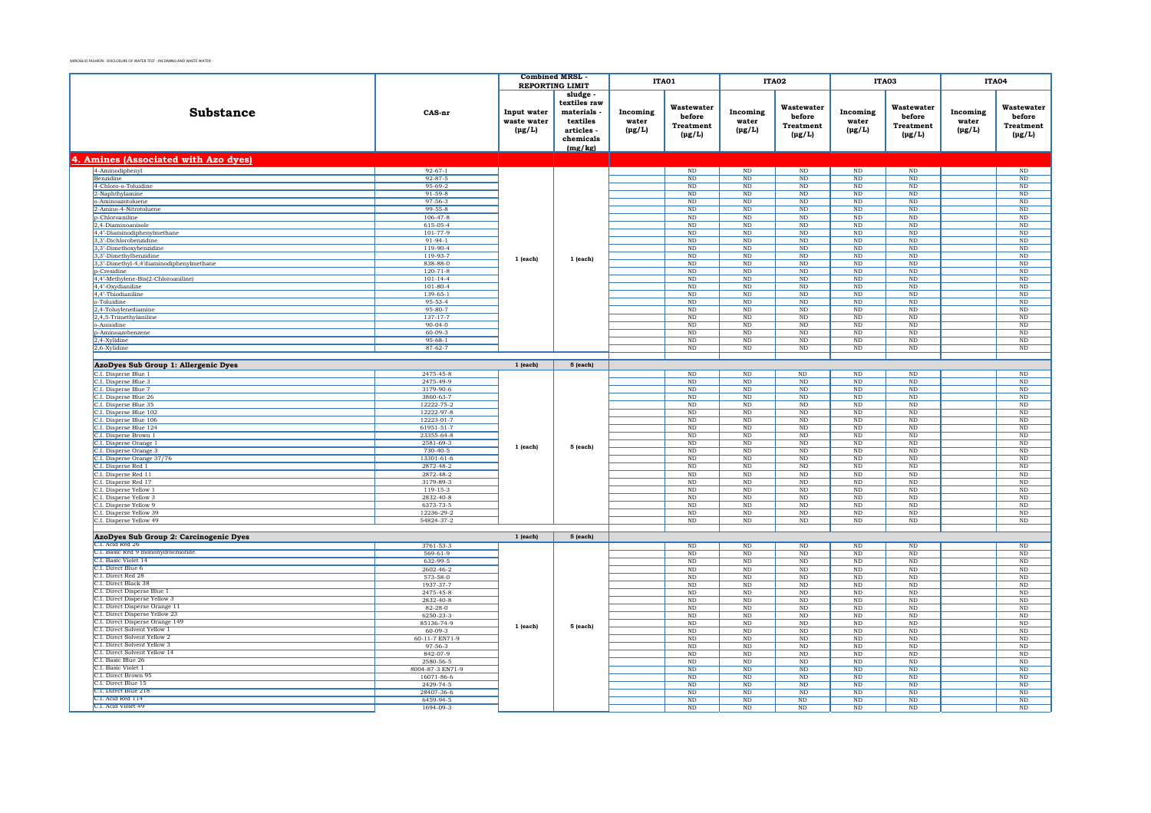|                                                   |                           | <b>Combined MRSL</b>                      |                                                                                       | ITA01                            |                                                         | ITA02                                 |                                                         | ITA03                            |                                                         | <b>ITA04</b>                     |                                                  |
|---------------------------------------------------|---------------------------|-------------------------------------------|---------------------------------------------------------------------------------------|----------------------------------|---------------------------------------------------------|---------------------------------------|---------------------------------------------------------|----------------------------------|---------------------------------------------------------|----------------------------------|--------------------------------------------------|
|                                                   |                           | <b>REPORTING LIMIT</b>                    |                                                                                       |                                  |                                                         |                                       |                                                         |                                  |                                                         |                                  |                                                  |
| Substance                                         | CAS-nr                    | Input water<br>waste water<br>$(\mu g/L)$ | sludge<br>textiles raw<br>materials<br>textiles<br>articles -<br>chemicals<br>(mg/kg) | Incoming<br>water<br>$(\mu g/L)$ | Wastewater<br>before<br><b>Treatment</b><br>$(\mu g/L)$ | Incoming<br>water<br>$(\mu g/L)$      | Wastewater<br>before<br><b>Treatment</b><br>$(\mu g/L)$ | Incoming<br>water<br>$(\mu g/L)$ | Wastewater<br>before<br><b>Treatment</b><br>$(\mu g/L)$ | Incoming<br>water<br>$(\mu g/L)$ | Wastewater<br>before<br>Treatment<br>$(\mu g/L)$ |
| 4. Amines (Associated with Azo dyes)              |                           |                                           |                                                                                       |                                  |                                                         |                                       |                                                         |                                  |                                                         |                                  |                                                  |
| 4-Aminodiphenyl                                   | $92 - 67 - 1$             |                                           |                                                                                       |                                  | $\rm ND$                                                | $\rm ND$                              | $\rm ND$                                                | $\rm ND$                         | $\rm ND$                                                |                                  | $\rm ND$                                         |
| Benzidine                                         | $92 - 87 - 5$             |                                           |                                                                                       |                                  | ND                                                      | $\rm ND$                              | $\rm ND$                                                | $_{\rm ND}$                      | ND                                                      |                                  | ND                                               |
| 4-Chloro-o-Toluidine                              | 95-69-2                   |                                           |                                                                                       |                                  | $_{\rm ND}$                                             | $\rm ND$                              | $_{\rm ND}$                                             | $_{\rm ND}$                      | $_{\rm ND}$                                             |                                  | $\rm ND$                                         |
| 2-Naphthylamine                                   | $91 - 59 - 8$             |                                           |                                                                                       |                                  | ND                                                      | ND.                                   | ND                                                      | ND                               | ND                                                      |                                  | ND                                               |
| o-Aminoazotoluene                                 | $97 - 56 - 3$             |                                           |                                                                                       |                                  | ND                                                      | $\rm ND$                              | $\rm ND$                                                | $_{\rm ND}$                      | $\rm ND$                                                |                                  | $\rm ND$                                         |
| 2-Amino-4-Nitrotoluene                            | $99 - 55 - 8$             |                                           |                                                                                       |                                  | N <sub>D</sub>                                          | ND                                    | N <sub>D</sub>                                          | ND                               | ND                                                      |                                  | ND                                               |
| p-Chloroaniline                                   | $106 - 47 - 8$            |                                           |                                                                                       |                                  | $\overline{\text{ND}}$                                  | $\rm ND$                              | ND                                                      | ND                               | ND                                                      |                                  | $\overline{\text{ND}}$                           |
| 2,4-Diaminoanisole<br>4,4'-Diaminodiphenylmethane | 615-05-4<br>101-77-9      |                                           |                                                                                       |                                  | ND<br>ND                                                | $_{\rm ND}$<br>$\overline{\text{ND}}$ | ND<br>ND                                                | ND<br>ND                         | ND<br>ND                                                |                                  | ND<br>$\overline{\text{ND}}$                     |
| 3,3'-Dichlorobenzidine                            | $91-94-1$                 |                                           |                                                                                       |                                  | $\rm ND$                                                | $\rm ND$                              | $\rm ND$                                                | $\rm ND$                         | $\rm ND$                                                |                                  | $\rm ND$                                         |
| 3.3'-Dimethoxybenzidine                           | $119-90-4$                |                                           |                                                                                       |                                  | ND                                                      | ND.                                   | ND                                                      | ND                               | ND                                                      |                                  | ND                                               |
| 3,3'-Dimethylbenzidine                            | 119-93-7                  |                                           |                                                                                       |                                  | $\rm ND$                                                | $\rm ND$                              | $\rm ND$                                                | $\rm ND$                         | $\rm ND$                                                |                                  | $\rm ND$                                         |
| 3,3'-Dimethyl-4,4'diaminodiphenylmethane          | 838-88-0                  | $1$ (each)                                | 1 (each)                                                                              |                                  | $_{\rm ND}$                                             | $\rm ND$                              | $_{\rm ND}$                                             | $_{\rm ND}$                      | $\rm ND$                                                |                                  | $\rm ND$                                         |
| <b>b-Cresidine</b>                                | $120 - 71 - 8$            |                                           |                                                                                       |                                  | N <sub>D</sub>                                          | $\rm ND$                              | N <sub>D</sub>                                          | ND                               | $\rm ND$                                                |                                  | $\rm ND$                                         |
| 4,4'-Methylene-Bis(2-Chloroaniline)               | $101 - 14 - 4$            |                                           |                                                                                       |                                  | $\rm ND$                                                | $\rm ND$                              | $\rm ND$                                                | $_{\rm ND}$                      | $_{\rm ND}$                                             |                                  | $\rm ND$                                         |
| 4.4'-Oxydianiline                                 | $101 - 80 - 4$            |                                           |                                                                                       |                                  | N <sub>D</sub>                                          | <b>ND</b>                             | N <sub>D</sub>                                          | ND.                              | ND.                                                     |                                  | $\rm ND$                                         |
| 4,4'-Thiodianiline                                | 139-65-1                  |                                           |                                                                                       |                                  | $\rm ND$                                                | $\rm ND$                              | $\rm ND$                                                | $_{\rm ND}$                      | $\rm ND$                                                |                                  | $\rm ND$                                         |
| o-Toluidine                                       | 95-53-4                   |                                           |                                                                                       |                                  | $_{\rm ND}$                                             | $\rm ND$                              | $_{\rm ND}$                                             | $_{\rm ND}$                      | $_{\rm ND}$                                             |                                  | $_{\rm ND}$                                      |
| 2,4-Toluylenediamine                              | 95-80-7                   |                                           |                                                                                       |                                  | $\overline{\text{ND}}$                                  | $\overline{\text{ND}}$                | ND                                                      | ND                               | ND                                                      |                                  | ND                                               |
| 2,4,5-Trimethylaniline<br>o-Anisidine             | 137-17-7<br>$90 - 04 - 0$ |                                           |                                                                                       |                                  | $\rm ND$<br>ND                                          | $\rm ND$<br>$\overline{\text{ND}}$    | $\rm ND$<br>ND                                          | $\rm ND$<br>ND                   | $\rm ND$<br>ND                                          |                                  | $\rm ND$<br>ND                                   |
| p-Aminoazobenzene                                 | $60 - 09 - 3$             |                                           |                                                                                       |                                  | $\rm ND$                                                | $\rm ND$                              | $\rm ND$                                                | $\rm ND$                         | $\rm ND$                                                |                                  | $\rm ND$                                         |
| 2,4-Xylidine                                      | $95 - 68 - 1$             |                                           |                                                                                       |                                  | ND                                                      | ND                                    | ND                                                      | ND                               | ND                                                      |                                  | ND                                               |
| 2,6-Xylidine                                      | $87 - 62 - 7$             |                                           |                                                                                       |                                  | ND                                                      | $\overline{\text{ND}}$                | ND                                                      | ND                               | ND                                                      |                                  | ND                                               |
|                                                   |                           |                                           |                                                                                       |                                  |                                                         |                                       |                                                         |                                  |                                                         |                                  |                                                  |
| AzoDyes Sub Group 1: Allergenic Dyes              |                           | $1$ (each)                                | 5 (each)                                                                              |                                  |                                                         |                                       |                                                         |                                  |                                                         |                                  |                                                  |
| C.I. Disperse Blue 1                              | 2475-45-8                 |                                           |                                                                                       |                                  | $\overline{\text{ND}}$                                  | $\rm ND$                              | $\rm ND$                                                | ND                               | $\rm ND$                                                |                                  | $\overline{\mathrm{ND}}$                         |
| C.I. Disperse Blue 3                              | 2475-49-9                 |                                           |                                                                                       |                                  | $_{\rm ND}$                                             | $\rm ND$                              | $_{\rm ND}$                                             | $_{\rm ND}$                      | $_{\rm ND}$                                             |                                  | $\rm ND$                                         |
| C.I. Disperse Blue 7                              | 3179-90-6                 |                                           |                                                                                       |                                  | ND                                                      | ND.                                   | ND                                                      | ND                               | ND                                                      |                                  | ND                                               |
| C.I. Disperse Blue 26                             | 3860-63-7                 |                                           |                                                                                       |                                  | ND                                                      | $\rm ND$                              | $\rm ND$                                                | $\rm ND$                         | $_{\rm ND}$                                             |                                  | $\rm ND$                                         |
| C.I. Disperse Blue 35                             | 12222-75-2                |                                           |                                                                                       |                                  | <b>ND</b>                                               | $\rm ND$                              | <b>ND</b>                                               | ND                               | $_{\rm ND}$                                             |                                  | $\rm ND$                                         |
| C.I. Disperse Blue 102                            | 12222-97-8                |                                           |                                                                                       |                                  | ND                                                      | $\rm ND$                              | $\rm ND$                                                | $_{\rm ND}$                      | $\rm ND$                                                |                                  | $\rm ND$                                         |
| C.I. Disperse Blue 106                            | 12223-01-7                |                                           |                                                                                       |                                  | ND                                                      | $_{\rm ND}$                           | <b>ND</b>                                               | ND                               | ND                                                      |                                  | ND                                               |
| C.I. Disperse Blue 124                            | 61951-51-7                |                                           |                                                                                       |                                  | ND                                                      | $\rm ND$                              | N <sub>D</sub>                                          | $\rm ND$                         | $_{\rm ND}$                                             |                                  | $\rm ND$                                         |
| C.I. Disperse Brown 1                             | 23355-64-8                |                                           |                                                                                       |                                  | $\rm ND$                                                | $\rm ND$                              | $\rm ND$                                                | $_{\rm ND}$                      | $_{\rm ND}$                                             |                                  | $\rm ND$                                         |
| C.I. Disperse Orange 1                            | 2581-69-3                 | $1$ (each)                                | 5 (each)                                                                              |                                  | ND                                                      | $_{\rm ND}$                           | <b>ND</b>                                               | ND                               | ND                                                      |                                  | ND                                               |
| C.I. Disperse Orange 3                            | $730 - 40 - 5$            |                                           |                                                                                       |                                  | $\rm ND$                                                | $\rm ND$                              | $\rm ND$                                                | $\rm ND$                         | $_{\rm ND}$                                             |                                  | $\rm ND$                                         |
| C.I. Disperse Orange 37/76<br>C.I. Disperse Red 1 | 13301-61-6<br>2872-48-2   |                                           |                                                                                       |                                  | $_{\rm ND}$<br>ND                                       | $\rm ND$<br>ND.                       | $_{\rm ND}$<br>ND                                       | $_{\rm ND}$<br>ND                | $_{\rm ND}$<br>ND                                       |                                  | $\rm ND$<br>ND                                   |
| C.I. Disperse Red 11                              | 2872-48-2                 |                                           |                                                                                       |                                  | $\rm ND$                                                | $\rm ND$                              | $\rm ND$                                                | $\rm ND$                         | $\rm ND$                                                |                                  | $\rm ND$                                         |
| C.I. Disperse Red 17                              | 3179-89-3                 |                                           |                                                                                       |                                  | N <sub>D</sub>                                          | <b>ND</b>                             | <b>ND</b>                                               | ND.                              | ND.                                                     |                                  | ND                                               |
| C.I. Disperse Yellow 1                            | 119-15-3                  |                                           |                                                                                       |                                  | $\rm ND$                                                | $\rm ND$                              | $\rm ND$                                                | $\rm ND$                         | $\rm ND$                                                |                                  | ND                                               |
| C.I. Disperse Yellow 3                            | 2832-40-8                 |                                           |                                                                                       |                                  | $_{\rm ND}$                                             | $\rm ND$                              | $_{\rm ND}$                                             | $_{\rm ND}$                      | $\rm ND$                                                |                                  | $_{\rm ND}$                                      |
| C.I. Disperse Yellow 9                            | 6373-73-5                 |                                           |                                                                                       |                                  | ND                                                      | ND                                    | ND                                                      | ND                               | ND                                                      |                                  | ND                                               |
| C.I. Disperse Yellow 39                           | 12236-29-2                |                                           |                                                                                       |                                  | $\rm ND$                                                | $\rm ND$                              | $\rm ND$                                                | $\rm ND$                         | $\rm ND$                                                |                                  | $\rm ND$                                         |
| C.I. Disperse Yellow 49                           | 54824-37-2                |                                           |                                                                                       |                                  | ND                                                      | $\overline{\text{ND}}$                | ND                                                      | ND                               | ND                                                      |                                  | <b>ND</b>                                        |
|                                                   |                           |                                           |                                                                                       |                                  |                                                         |                                       |                                                         |                                  |                                                         |                                  |                                                  |
| AzoDyes Sub Group 2: Carcinogenic Dyes            |                           | $1$ (each)                                | 5 (each)                                                                              |                                  |                                                         |                                       |                                                         |                                  |                                                         |                                  |                                                  |
| C.I. Acid Red 26                                  | 3761-53-3                 |                                           |                                                                                       |                                  | ND                                                      | ND.                                   | ND                                                      | ND                               | $\rm ND$                                                |                                  | ND                                               |
| C.I. Basic Red 9 monohydrochloride                | $569 - 61 - 9$            |                                           |                                                                                       |                                  | $\rm ND$                                                | $\rm ND$                              | $\rm ND$                                                | $_{\rm ND}$                      | $\rm ND$                                                |                                  | $\rm ND$                                         |
| C.I. Basic Violet 14<br>C.I. Direct Blue 6        | 632-99-5                  |                                           |                                                                                       |                                  | N <sub>D</sub>                                          | <b>ND</b>                             | <b>ND</b>                                               | ND.                              | <b>ND</b>                                               |                                  | ND                                               |
| C.I. Direct Red 28                                | 2602-46-2                 |                                           |                                                                                       |                                  | $\rm ND$                                                | $\rm ND$                              | $\rm ND$                                                | $_{\rm ND}$                      | $\rm ND$                                                |                                  | $\rm ND$                                         |
| C.I. Direct Black 38                              | 573-58-0<br>1937-37-7     |                                           |                                                                                       |                                  | $_{\rm ND}$<br>N <sub>D</sub>                           | $\rm ND$<br><b>ND</b>                 | $_{\rm ND}$<br>N <sub>D</sub>                           | $_{\rm ND}$<br>$\rm ND$          | $_{\rm ND}$<br>$\rm ND$                                 |                                  | $\rm ND$<br>$\rm ND$                             |
| C.I. Direct Disperse Blue 1                       | 2475-45-8                 |                                           |                                                                                       |                                  | $\rm ND$                                                | $\rm ND$                              | $\rm ND$                                                | ND                               | $\rm ND$                                                |                                  | $\rm ND$                                         |
| C.I. Direct Disperse Yellow 3                     | 2832-40-8                 |                                           |                                                                                       |                                  | $_{\rm ND}$                                             | $\rm ND$                              | $_{\rm ND}$                                             | $_{\rm ND}$                      | $_{\rm ND}$                                             |                                  | $\rm ND$                                         |
| C.I. Direct Disperse Orange 11                    | $82 - 28 - 0$             |                                           |                                                                                       |                                  | ND                                                      | ND                                    | <b>ND</b>                                               | ND                               | ND                                                      |                                  | ND                                               |
| C.I. Direct Disperse Yellow 23                    | 6250-23-3                 |                                           |                                                                                       |                                  | $\rm ND$                                                | $\rm ND$                              | $\rm ND$                                                | $\rm ND$                         | $_{\rm ND}$                                             |                                  | $\rm ND$                                         |
| C.I. Direct Disperse Orange 149                   | 85136-74-9                | 1 (each)                                  | 5 (each)                                                                              |                                  | <b>ND</b>                                               | <b>ND</b>                             | N <sub>D</sub>                                          | ND                               | ND                                                      |                                  | <b>ND</b>                                        |
| C.I. Direct Solvent Yellow 1                      | $60 - 09 - 3$             |                                           |                                                                                       |                                  | $\rm ND$                                                | $\rm ND$                              | $\rm ND$                                                | $_{\rm ND}$                      | $\rm ND$                                                |                                  | $\rm ND$                                         |
| C.I. Direct Solvent Yellow 2                      | 60-11-7 EN71-9            |                                           |                                                                                       |                                  | <b>ND</b>                                               | $_{\rm ND}$                           | <b>ND</b>                                               | ND                               | ND                                                      |                                  | ND                                               |
| C.I. Direct Solvent Yellow 3                      | 97-56-3                   |                                           |                                                                                       |                                  | ND                                                      | $\overline{\text{ND}}$                | ND                                                      | ND                               | ND                                                      |                                  | $\overline{\text{ND}}$                           |
| C.I. Direct Solvent Yellow 14                     | 842-07-9                  |                                           |                                                                                       |                                  | $_{\rm ND}$                                             | $\rm ND$                              | $_{\rm ND}$                                             | $_{\rm ND}$                      | $_{\rm ND}$                                             |                                  | $\rm ND$                                         |
| C.I. Basic Blue 26<br>C.I. Basic Violet 1         | 2580-56-5                 |                                           |                                                                                       |                                  | N <sub>D</sub>                                          | ND.                                   | N <sub>D</sub>                                          | ND.                              | ND.                                                     |                                  | N <sub>D</sub>                                   |
| C.I. Direct Brown 95                              | 8004-87-3 EN71-9          |                                           |                                                                                       |                                  | ND                                                      | $\rm ND$                              | $\rm ND$                                                | $_{\rm ND}$                      | $\rm ND$                                                |                                  | $\rm ND$                                         |
| C.I. Direct Blue 15                               | 16071-86-6<br>2429-74-5   |                                           |                                                                                       |                                  | <b>ND</b><br>$\rm ND$                                   | <b>ND</b><br>$\rm ND$                 | <b>ND</b><br>$\rm ND$                                   | ND<br>$_{\rm ND}$                | $_{\rm ND}$<br>ND                                       |                                  | ND<br>$\rm ND$                                   |
| C.I. Direct Blue 218                              | 28407-36-6                |                                           |                                                                                       |                                  | $_{\rm ND}$                                             | $\rm ND$                              | $_{\rm ND}$                                             | $_{\rm ND}$                      | $_{\rm ND}$                                             |                                  | $\rm ND$                                         |
| C.L. Acid Red 114                                 | 6459-94-5                 |                                           |                                                                                       |                                  | ND                                                      | ND.                                   | ND                                                      | ND                               | ND                                                      |                                  | ND                                               |
| C.I. Acid Violet 49                               | 1694-09-3                 |                                           |                                                                                       |                                  | $\rm ND$                                                | $\rm ND$                              | $_{\rm ND}$                                             | $_{\rm ND}$                      | $\rm ND$                                                |                                  | $\rm ND$                                         |
|                                                   |                           |                                           |                                                                                       |                                  |                                                         |                                       |                                                         |                                  |                                                         |                                  |                                                  |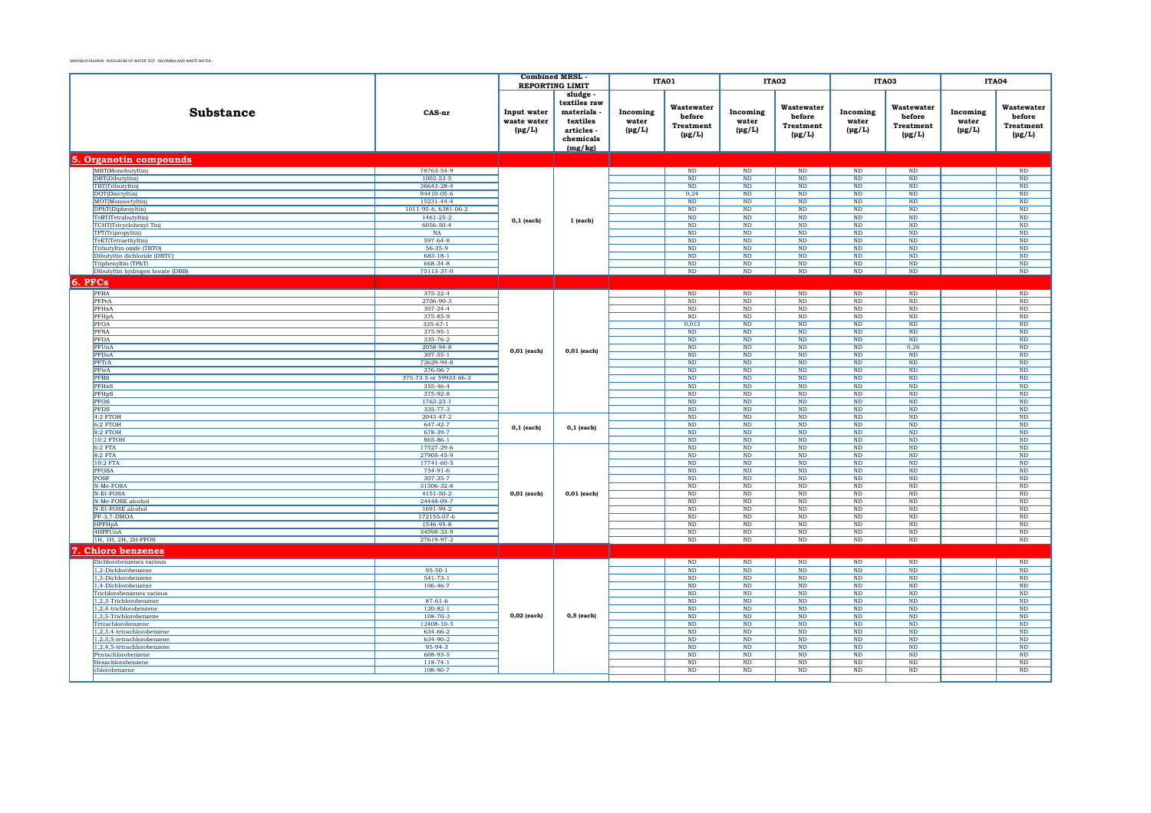|                                                     |                            | <b>Combined MRSL</b><br><b>REPORTING LIMIT</b> |                                                                                     |                                  | ITA01                                                   |                                  | ITA02                                                   |                                    | ITA03                                                   |                                  | ITA04                                            |
|-----------------------------------------------------|----------------------------|------------------------------------------------|-------------------------------------------------------------------------------------|----------------------------------|---------------------------------------------------------|----------------------------------|---------------------------------------------------------|------------------------------------|---------------------------------------------------------|----------------------------------|--------------------------------------------------|
|                                                     |                            |                                                |                                                                                     |                                  |                                                         |                                  |                                                         |                                    |                                                         |                                  |                                                  |
| <b>Substance</b>                                    | CAS-nr                     | Input water<br>waste water<br>$(\mu g/L)$      | sludge<br>textiles raw<br>materials<br>textiles<br>articles<br>chemicals<br>(mg/kg) | Incoming<br>water<br>$(\mu g/L)$ | Wastewater<br>before<br><b>Treatment</b><br>$(\mu g/L)$ | Incoming<br>water<br>$(\mu g/L)$ | Wastewater<br>before<br><b>Treatment</b><br>$(\mu g/L)$ | Incoming<br>water<br>$(\mu g/L)$   | Wastewater<br>before<br><b>Treatment</b><br>$(\mu g/L)$ | Incoming<br>water<br>$(\mu g/L)$ | Wastewater<br>before<br>Treatment<br>$(\mu g/L)$ |
| 5. Organotin compounds                              |                            |                                                |                                                                                     |                                  |                                                         |                                  |                                                         |                                    |                                                         |                                  |                                                  |
| MBT(Monobutyltin)                                   | 78763-54-9                 |                                                |                                                                                     |                                  | ND                                                      | $\rm ND$                         | $\rm ND$                                                | $\rm ND$                           | $\rm ND$                                                |                                  | $\rm ND$                                         |
| DBT(Dibutyltin)                                     | $1002 - 53 - 5$            |                                                |                                                                                     |                                  | ND                                                      | ND                               | ND                                                      | ND                                 | ND                                                      |                                  | ND                                               |
| TBT(Tributyltin)                                    | 36643-28-4                 |                                                |                                                                                     |                                  | ND                                                      | ND                               | ND                                                      | $\overline{\text{ND}}$             | ND                                                      |                                  | $\overline{\text{ND}}$                           |
| DOT(Dioctyltin)                                     | 94410-05-6<br>15231-44-4   |                                                |                                                                                     |                                  | 0,24<br>ND                                              | $\rm ND$<br>ND                   | $\rm ND$<br>ND                                          | $\rm ND$<br>$_{\rm ND}$            | $_{\rm ND}$<br>ND                                       |                                  | $\rm ND$<br>ND                                   |
| MOT(Monooctyltin)<br>DPhT(Diphenyltin)              | 1011-95-6, 6381-06-2       |                                                |                                                                                     |                                  | $\rm ND$                                                | ND                               | <b>ND</b>                                               | ND                                 | ND                                                      |                                  | $\overline{\mathrm{ND}}$                         |
| TeBT(Tetrabutyltin)                                 | $1461 - 25 - 2$            |                                                |                                                                                     |                                  | ND                                                      | ND                               | ND                                                      | ND                                 | ND                                                      |                                  | ND                                               |
| TCHT(Tricyclohexyl Tin)                             | 6056-50-4                  | $0,1$ (each)                                   | $1$ (each)                                                                          |                                  | ND                                                      | ND                               | ND                                                      | ND                                 | ND                                                      |                                  | ND                                               |
| TPT(Tripropyltin)                                   | NA                         |                                                |                                                                                     |                                  | $_{\rm ND}$                                             | $\rm ND$                         | $_{\rm ND}$                                             | $\rm ND$                           | $_{\rm ND}$                                             |                                  | $_{\rm ND}$                                      |
| TeET(Tetraethyltin)                                 | $597 - 64 - 8$             |                                                |                                                                                     |                                  | ND                                                      | ND                               | ND                                                      | $_{\rm ND}$                        | ND                                                      |                                  | ND                                               |
| Tributyltin oxide (TBTO)                            | $56-35-9$                  |                                                |                                                                                     |                                  | $\rm ND$                                                | $\rm ND$                         | $\rm ND$                                                | $\rm ND$                           | $\rm ND$                                                |                                  | $\rm ND$                                         |
| Dibutyltin dichloride (DBTC)                        | $683 - 18 - 1$             |                                                |                                                                                     |                                  | ND                                                      | <b>ND</b>                        | <b>ND</b>                                               | ND                                 | ND                                                      |                                  | ND                                               |
| Triphenyltin (TPhT)                                 | 668-34-8                   |                                                |                                                                                     |                                  | ND                                                      | ND                               | <b>ND</b>                                               | $\rm ND$                           | ND                                                      |                                  | $\rm ND$                                         |
| Dibutyltin hydrogen borate (DBB)                    | 75113-37-0                 |                                                |                                                                                     |                                  | $\rm ND$                                                | $\rm ND$                         | $\rm ND$                                                | $\rm ND$                           | $\rm ND$                                                |                                  | $\rm ND$                                         |
| 6. PFCs                                             |                            |                                                |                                                                                     |                                  |                                                         |                                  |                                                         |                                    |                                                         |                                  |                                                  |
| PFBA                                                | 375-22-4                   |                                                |                                                                                     |                                  | $\rm ND$                                                | $\rm ND$                         | $\rm ND$                                                | $\rm ND$                           | $\rm ND$                                                |                                  | $\rm ND$                                         |
| PFPeA                                               | 2706-90-3                  |                                                |                                                                                     |                                  | ND                                                      | ND                               | ND                                                      | $_{\rm ND}$                        | ND                                                      |                                  | ND                                               |
| PFHxA                                               | $307 - 24 - 4$             |                                                |                                                                                     |                                  | ND                                                      | $\overline{\text{ND}}$           | $\rm ND$                                                | ND                                 | ND                                                      |                                  | $\rm ND$                                         |
| PFHpA                                               | 375-85-9                   |                                                |                                                                                     |                                  | ND                                                      | ND                               | ND                                                      | ND                                 | ND                                                      |                                  | ND                                               |
| PFOA<br>PFNA                                        | $335 - 67 - 1$<br>375-95-1 |                                                |                                                                                     |                                  | 0,013<br>$_{\rm ND}$                                    | ND<br>$\rm ND$                   | $\rm ND$<br>$\rm ND$                                    | $\overline{\text{ND}}$<br>$\rm ND$ | ND<br>$_{\rm ND}$                                       |                                  | $\overline{\text{ND}}$<br>$\rm ND$               |
| <b>PFDA</b>                                         | 335-76-2                   |                                                |                                                                                     |                                  | ND                                                      | ND                               | ND                                                      | $_{\rm ND}$                        | ND                                                      |                                  | ND                                               |
| PFUnA                                               | 2058-94-8                  |                                                |                                                                                     |                                  | $\rm ND$                                                | ND                               | $\rm ND$                                                | $\rm ND$                           | 0,26                                                    |                                  | $\overline{\mathrm{ND}}$                         |
| PFDoA                                               | $307 - 55 - 1$             | $0,01$ (each)                                  | $0,01$ (each)                                                                       |                                  | ND                                                      | ND                               | ND                                                      | ND                                 | ND                                                      |                                  | ND                                               |
| PFTrA                                               | 72629-94-8                 |                                                |                                                                                     |                                  | ND                                                      | ND                               | ND                                                      | ND                                 | ND                                                      |                                  | ND                                               |
| PFteA                                               | 376-06-7                   |                                                |                                                                                     |                                  | $\rm ND$                                                | $\rm ND$                         | $\rm ND$                                                | $\rm ND$                           | $\rm ND$                                                |                                  | $\rm ND$                                         |
| <b>PFBS</b>                                         | 375-73-5 or 59933-66-3     |                                                |                                                                                     |                                  | $\rm ND$                                                | $\rm ND$                         | $\rm ND$                                                | $\rm ND$                           | $\rm ND$                                                |                                  | $\rm ND$                                         |
| PFHxS                                               | 355-46-4                   |                                                |                                                                                     |                                  | ND                                                      | $\rm ND$                         | ND                                                      | $_{\rm ND}$                        | ND                                                      |                                  | $\rm ND$                                         |
| PFHpS                                               | 375-92-8                   |                                                |                                                                                     |                                  | $\rm ND$                                                | $\rm ND$                         | $\rm ND$                                                | $\rm ND$                           | $\rm ND$                                                |                                  | $\rm ND$                                         |
| <b>PFOS</b>                                         | 1763-23-1                  |                                                |                                                                                     |                                  | ND                                                      | ND                               | ND                                                      | ND                                 | ND                                                      |                                  | ND                                               |
| <b>PFDS</b>                                         | 335-77-3                   |                                                |                                                                                     |                                  | ND                                                      | ND                               | ND                                                      | ND                                 | ND                                                      |                                  | $\overline{\text{ND}}$                           |
| 4:2 FTOH                                            | 2043-47-2<br>647-42-7      |                                                |                                                                                     |                                  | $\rm ND$<br>$_{\rm ND}$                                 | $\rm ND$<br>$\rm ND$             | $\rm ND$<br>$\rm ND$                                    | $\rm ND$<br>$_{\rm ND}$            | $\rm ND$<br>$_{\rm ND}$                                 |                                  | $\rm ND$<br>$\rm ND$                             |
| 6:2 FTOH<br>$8:2$ FTOH                              | 678-39-7                   | $0,1$ (each)                                   | $0,1$ (each)                                                                        |                                  | ND                                                      | $\rm ND$                         | ND                                                      | ND                                 | ND                                                      |                                  | $\overline{\mathrm{ND}}$                         |
| 10:2 FTOH                                           | 865-86-1                   |                                                |                                                                                     |                                  | $\rm ND$                                                | ND                               | ND                                                      | ND                                 | ND                                                      |                                  | ND                                               |
| 6:2 FTA                                             | 17527-29-6                 |                                                |                                                                                     |                                  | $\rm ND$                                                | $\rm ND$                         | $\rm ND$                                                | $\rm ND$                           | $\rm ND$                                                |                                  | $\rm ND$                                         |
| 8:2 FTA                                             | 27905-45-9                 |                                                |                                                                                     |                                  | $\rm ND$                                                | $\rm ND$                         | $\rm ND$                                                | $\rm ND$                           | $\rm ND$                                                |                                  | $\rm ND$                                         |
| 10:2 FTA                                            | 17741-60-5                 |                                                |                                                                                     |                                  | $\rm ND$                                                | $\rm ND$                         | $\rm ND$                                                | $_{\rm ND}$                        | $_{\rm ND}$                                             |                                  | $\rm ND$                                         |
| <b>PFOSA</b>                                        | 754-91-6                   |                                                |                                                                                     |                                  | ND                                                      | ND                               | ND                                                      | ND                                 | ND                                                      |                                  | $\overline{\text{ND}}$                           |
| POSF                                                | 307-35-7                   |                                                |                                                                                     |                                  | $\rm ND$                                                | ND                               | $\rm ND$                                                | $\rm ND$                           | $\rm ND$                                                |                                  | $\overline{\text{ND}}$                           |
| N-Me-FOSA                                           | 31506-32-8                 |                                                |                                                                                     |                                  | $_{\rm ND}$                                             | $\rm ND$                         | $_{\rm ND}$                                             | $_{\rm ND}$                        | $_{\rm ND}$                                             |                                  | $\rm ND$                                         |
| N-Et-FOSA                                           | 4151-50-2<br>24448-09-7    | 0,01 (each)                                    | 0,01 (each)                                                                         |                                  | ND                                                      | ND<br>ND                         | ND<br>ND                                                | ND                                 | ND<br>ND                                                |                                  | ND<br>ND                                         |
| N-Me-FOSE alcohol<br>N-Et-FOSE alcohol              | 1691-99-2                  |                                                |                                                                                     |                                  | $\rm ND$<br>ND                                          | ND                               | ND                                                      | $\rm ND$<br>ND                     | ND                                                      |                                  | ND                                               |
| PF-3,7-DMOA                                         | 172155-07-6                |                                                |                                                                                     |                                  | ND                                                      | ND                               | ND                                                      | ND                                 | ND                                                      |                                  | ND                                               |
| <b>HPFHpA</b>                                       | 1546-95-8                  |                                                |                                                                                     |                                  | $_{\rm ND}$                                             | $\rm ND$                         | $_{\rm ND}$                                             | $_{\rm ND}$                        | $_{\rm ND}$                                             |                                  | $_{\rm ND}$                                      |
| 4HPFUnA                                             | 34598-33-9                 |                                                |                                                                                     |                                  | ND                                                      | $\rm ND$                         | ND                                                      | $_{\rm ND}$                        | ND                                                      |                                  | ND                                               |
| 1H, 1H, 2H, 2H-PFOS                                 | 27619-97-2                 |                                                |                                                                                     |                                  | ND                                                      | $\rm ND$                         | $\rm ND$                                                | $\rm ND$                           | $\rm ND$                                                |                                  | $\rm ND$                                         |
| Chloro benzenes                                     |                            |                                                |                                                                                     |                                  |                                                         |                                  |                                                         |                                    |                                                         |                                  |                                                  |
| Dichlorobenzenes various                            |                            |                                                |                                                                                     |                                  | ND                                                      | $\rm ND$                         | $\rm ND$                                                | $\rm ND$                           | $\rm ND$                                                |                                  | $\rm ND$                                         |
| 1,2-Dichlorobenzene                                 | $95 - 50 - 1$              |                                                |                                                                                     |                                  | ND                                                      | ND                               | ND                                                      | ND                                 | ND                                                      |                                  | $\overline{\mathrm{ND}}$                         |
| 1,3-Dichlorobenzene                                 | $541 - 73 - 1$             |                                                |                                                                                     |                                  | $\rm ND$                                                | ND                               | ND                                                      | ND                                 | ND                                                      |                                  | $\overline{\mathrm{ND}}$                         |
| 1,4-Dichlorobenzene                                 | $106 - 46 - 7$             |                                                |                                                                                     |                                  | $\rm ND$                                                | $\rm ND$                         | $\rm ND$                                                | $\rm ND$                           | $\rm ND$                                                |                                  | $\rm ND$                                         |
| Trichlorobenzenes various                           |                            |                                                |                                                                                     |                                  | $\rm ND$                                                | $\rm ND$                         | $\rm ND$                                                | $\rm ND$                           | $\rm ND$                                                |                                  | $\rm ND$                                         |
| 1,2,3-Trichlorobenzene                              | $87 - 61 - 6$              | 0,02 (each)                                    |                                                                                     |                                  | $\rm ND$                                                | $\rm ND$                         | $_{\rm ND}$                                             | $_{\rm ND}$                        | $_{\rm ND}$                                             |                                  | $\rm ND$                                         |
| 1.2.4-trichlorobenzene                              | $120 - 82 - 1$             |                                                |                                                                                     |                                  | ND                                                      | ND                               | ND                                                      | ND                                 | ND                                                      |                                  | ND                                               |
| 1,3,5-Trichlorobenzene                              | $108 - 70 - 3$             |                                                | $0,5$ (each)                                                                        |                                  | $\rm ND$                                                | ND                               | $\rm ND$                                                | $\overline{\text{ND}}$             | ND                                                      |                                  | $\overline{\text{ND}}$                           |
| Tetrachlorobenzene<br>$1,2,3,4$ -tetrachlorobenzene | 12408-10-5<br>634-66-2     |                                                |                                                                                     |                                  | $_{\rm ND}$<br>ND                                       | $\rm ND$<br>ND                   | $_{\rm ND}$<br>ND                                       | $_{\rm ND}$<br>ND                  | $_{\rm ND}$<br>ND                                       |                                  | $\rm ND$<br>ND                                   |
| 1,2,3,5-tetrachlorobenzene                          | 634-90-2                   |                                                |                                                                                     |                                  | $\rm ND$                                                | $\rm ND$                         | ND                                                      | $\rm ND$                           | ND                                                      |                                  | $\rm ND$                                         |
| 1.2.4.5-tetrachlorobenzene                          | $95-94-3$                  |                                                |                                                                                     |                                  | ND                                                      | ND                               | ND                                                      | ND                                 | ND                                                      |                                  | ND                                               |
| Pentachlorobenzene                                  | 608-93-5                   |                                                |                                                                                     |                                  | ND                                                      | $\rm ND$                         | <b>ND</b>                                               | ND                                 | ND                                                      |                                  | $\rm ND$                                         |
| Hexachlorobenzene                                   | $118 - 74 - 1$             |                                                |                                                                                     |                                  | $\rm ND$                                                | $\rm ND$                         | $\rm ND$                                                | $\rm ND$                           | $\rm ND$                                                |                                  | $\rm ND$                                         |
| chlorobenzene                                       | 108-90-7                   |                                                |                                                                                     |                                  | $_{\rm ND}$                                             | $\rm ND$                         | $_{\rm ND}$                                             | $_{\rm ND}$                        | $_{\rm ND}$                                             |                                  | $\rm ND$                                         |
|                                                     |                            |                                                |                                                                                     |                                  |                                                         |                                  |                                                         |                                    |                                                         |                                  |                                                  |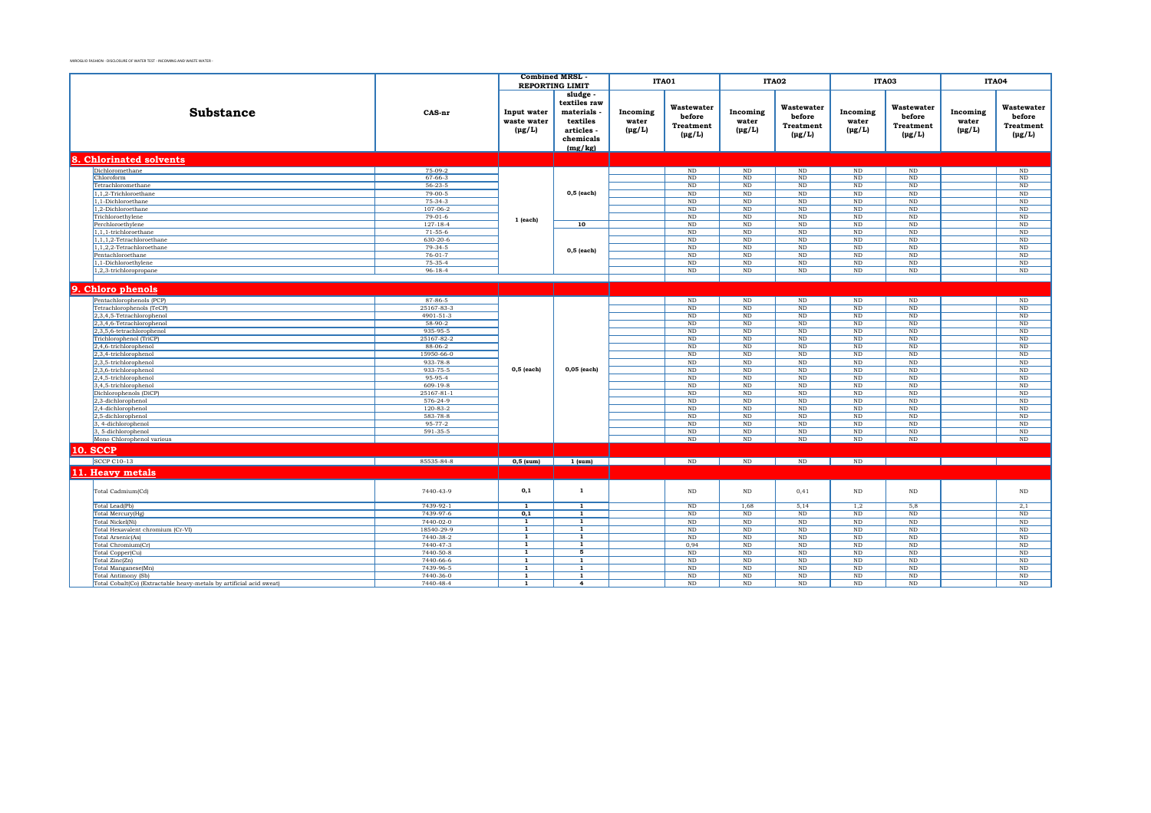|                                                                      |                             | <b>Combined MRSL</b>                      | <b>REPORTING LIMIT</b>                                                              |                                  | ITA01                                                   |                                  | ITA02                                                   |                                  | ITA03                                                       |                                  | <b>ITA04</b>                                     |
|----------------------------------------------------------------------|-----------------------------|-------------------------------------------|-------------------------------------------------------------------------------------|----------------------------------|---------------------------------------------------------|----------------------------------|---------------------------------------------------------|----------------------------------|-------------------------------------------------------------|----------------------------------|--------------------------------------------------|
| <b>Substance</b>                                                     | CAS-nr                      | Input water<br>waste water<br>$(\mu g/L)$ | sludge<br>textiles raw<br>materials<br>textiles<br>articles<br>chemicals<br>(mg/kg) | Incoming<br>water<br>$(\mu g/L)$ | Wastewater<br>before<br><b>Treatment</b><br>$(\mu g/L)$ | Incoming<br>water<br>$(\mu g/L)$ | Wastewater<br>before<br><b>Treatment</b><br>$(\mu g/L)$ | Incoming<br>water<br>$(\mu g/L)$ | Wastewater<br>before<br><b>Treatment</b><br>$(\text{pg/L})$ | Incoming<br>water<br>$(\mu g/L)$ | Wastewater<br>before<br>Treatment<br>$(\mu g/L)$ |
| 8. Chlorinated solvents                                              |                             |                                           |                                                                                     |                                  |                                                         |                                  |                                                         |                                  |                                                             |                                  |                                                  |
| Dichloromethane                                                      | $75-09-2$                   |                                           |                                                                                     |                                  | $\rm ND$                                                | $\mathop{\rm ND}\nolimits$       | $\mathbf{ND}$                                           | $\rm ND$                         | $\rm ND$                                                    |                                  | $\rm ND$                                         |
| Chloroform                                                           | $67 - 66 - 3$               |                                           |                                                                                     |                                  | $\rm ND$                                                | ND                               | $\rm ND$                                                | $\rm ND$                         | $\rm ND$                                                    |                                  | ND                                               |
| Tetrachloromethane                                                   | $56 - 23 - 5$               |                                           |                                                                                     |                                  | ND                                                      | ND                               | ND                                                      | ND                               | ND                                                          |                                  | ND                                               |
| 1,1,2-Trichloroethane                                                | $79 - 00 - 5$               |                                           | $0,5$ (each)                                                                        |                                  | ND                                                      | ND                               | ND                                                      | ND                               | ND                                                          |                                  | ND                                               |
| 1.1-Dichloroethane                                                   | 75-34-3                     |                                           |                                                                                     |                                  | ND                                                      | $\rm ND$                         | <b>ND</b>                                               | $\rm ND$                         | ND                                                          |                                  | $\rm ND$                                         |
| 1,2-Dichloroethane                                                   | $107 - 06 - 2$<br>$79-01-6$ |                                           |                                                                                     |                                  | $\rm ND$                                                | ND                               | ND                                                      | ND                               | ND                                                          |                                  | $\overline{\text{ND}}$                           |
| Trichloroethylene<br>Perchloroethylene                               | $127 - 18 - 4$              | 1 (each)                                  | 10                                                                                  |                                  | ND<br>ND                                                | ND<br>ND                         | <b>ND</b><br>ND                                         | ND<br>ND                         | ND<br>ND                                                    |                                  | ND<br>ND                                         |
| 1,1,1-trichloroethane                                                | $71-55-6$                   |                                           |                                                                                     |                                  | $\rm ND$                                                | $\rm ND$                         | $\rm ND$                                                | $\rm ND$                         | $\rm ND$                                                    |                                  | ND                                               |
| 1,1,1,2-Tetrachloroethane                                            | 630-20-6                    |                                           |                                                                                     |                                  | $\rm ND$                                                | ND                               | $\rm ND$                                                | $_{\rm ND}$                      | $\rm ND$                                                    |                                  | $_{\rm ND}$                                      |
| 1,1,2,2-Tetrachloroethane                                            | $79-34-5$                   |                                           |                                                                                     |                                  | $\rm ND$                                                | ND                               | $\rm ND$                                                | $\rm ND$                         | $\rm ND$                                                    |                                  | ND                                               |
| Pentachloroethane                                                    | $76-01-7$                   |                                           | 0,5 (each)                                                                          |                                  | ND                                                      | ND                               | ND                                                      | ND                               | ND                                                          |                                  | ND                                               |
| 1,1-Dichloroethylene                                                 | $75-35-4$                   |                                           |                                                                                     |                                  | $\rm ND$                                                | $\rm ND$                         | $\rm ND$                                                | $\rm ND$                         | ND                                                          |                                  | ND                                               |
| 1,2,3-trichloropropane                                               | $96 - 18 - 4$               |                                           |                                                                                     |                                  | ND                                                      | $\rm ND$                         | $\rm ND$                                                | ND                               | $\rm ND$                                                    |                                  | ND                                               |
|                                                                      |                             |                                           |                                                                                     |                                  |                                                         |                                  |                                                         |                                  |                                                             |                                  |                                                  |
| 9. Chloro phenols                                                    |                             |                                           |                                                                                     |                                  |                                                         |                                  |                                                         |                                  |                                                             |                                  |                                                  |
|                                                                      |                             |                                           |                                                                                     |                                  |                                                         |                                  |                                                         |                                  |                                                             |                                  |                                                  |
| Pentachlorophenols (PCP)                                             | 87-86-5                     |                                           |                                                                                     |                                  | $\rm ND$                                                | $\rm ND$                         | $\rm ND$                                                | $\rm ND$                         | $\rm ND$                                                    |                                  | $\rm ND$                                         |
| Tetrachlorophenols (TeCP)                                            | 25167-83-3                  |                                           |                                                                                     |                                  | ND                                                      | $\rm ND$                         | $\rm ND$                                                | ND                               | ND                                                          |                                  | $\rm ND$                                         |
| 2,3,4,5-Tetrachlorophenol                                            | 4901-51-3                   |                                           |                                                                                     |                                  | ND                                                      | ND                               | ND                                                      | ND                               | ND                                                          |                                  | ND                                               |
| 2,3,4,6-Tetrachlorophenol                                            | $58-90-2$<br>935-95-5       |                                           |                                                                                     |                                  | $\rm ND$                                                | $\rm ND$                         | $\rm ND$                                                | $\rm ND$                         | $\rm ND$<br>ND                                              |                                  | $\rm ND$<br>ND                                   |
| 2,3,5,6-tetrachlorophenol<br>Trichlorophenol (TriCP)                 | 25167-82-2                  |                                           |                                                                                     |                                  | $\rm ND$<br>$\rm ND$                                    | $\rm ND$<br>$\rm ND$             | $\rm ND$<br>$\rm ND$                                    | $\rm ND$<br>$\rm ND$             | $\rm ND$                                                    |                                  | ND                                               |
| 2,4,6-trichlorophenol                                                | $88-06-2$                   |                                           |                                                                                     |                                  | ND                                                      | $\rm ND$                         | <b>ND</b>                                               | ND                               | ND                                                          |                                  | $\rm ND$                                         |
| 2,3,4-trichlorophenol                                                | 15950-66-0                  |                                           |                                                                                     |                                  | ND                                                      | ND                               | <b>ND</b>                                               | ND                               | $\rm ND$                                                    |                                  | $\rm ND$                                         |
| 2,3,5-trichlorophenol                                                | 933-78-8                    |                                           |                                                                                     |                                  | ND                                                      | ND                               | <b>ND</b>                                               | ND                               | ND                                                          |                                  | ND                                               |
| 2,3,6-trichlorophenol                                                | 933-75-5                    | $0,5$ (each)                              | 0,05 (each)                                                                         |                                  | $\rm ND$                                                | ND                               | ND                                                      | ND                               | ND                                                          |                                  | ND                                               |
| 2,4,5-trichlorophenol                                                | 95-95-4                     |                                           |                                                                                     |                                  | ND                                                      | <b>ND</b>                        | <b>ND</b>                                               | ND                               | ND                                                          |                                  | ND                                               |
| 3,4,5-trichlorophenol                                                | $609 - 19 - 8$              |                                           |                                                                                     |                                  | ND                                                      | ND                               | ND                                                      | ND                               | ND                                                          |                                  | ND                                               |
| Dichlorophenols (DiCP)                                               | 25167-81-1                  |                                           |                                                                                     |                                  | $\rm ND$                                                | $\rm ND$                         | $\rm ND$                                                | $\rm ND$                         | $\rm ND$                                                    |                                  | $\rm ND$                                         |
| 2,3-dichlorophenol                                                   | 576-24-9                    |                                           |                                                                                     |                                  | $\rm ND$                                                | ND                               | $\rm ND$                                                | $\rm ND$                         | ND                                                          |                                  | $\overline{\mathrm{ND}}$                         |
| 2,4-dichlorophenol                                                   | $120 - 83 - 2$              |                                           |                                                                                     |                                  | ND                                                      | $\rm ND$                         | <b>ND</b>                                               | $\rm ND$                         | $\rm ND$                                                    |                                  | ND                                               |
| 2,5-dichlorophenol                                                   | 583-78-8                    |                                           |                                                                                     |                                  | ND                                                      | ND                               | ND                                                      | ND                               | ND                                                          |                                  | ND                                               |
| 3, 4-dichlorophenol                                                  | $95 - 77 - 2$               |                                           |                                                                                     |                                  | ND                                                      | N <sub>D</sub>                   | <b>ND</b>                                               | ND                               | ND                                                          |                                  | ND                                               |
| 3, 5-dichlorophenol                                                  | 591-35-5                    |                                           |                                                                                     |                                  | $\rm ND$                                                | $\rm ND$                         | $\rm ND$                                                | $\rm ND$                         | $\rm ND$                                                    |                                  | $\rm ND$                                         |
| Mono Chlorophenol various                                            |                             |                                           |                                                                                     |                                  | ND                                                      | ND                               | $\rm ND$                                                | $\rm ND$                         | $\rm ND$                                                    |                                  | ND                                               |
| <b>10. SCCP</b>                                                      |                             |                                           |                                                                                     |                                  |                                                         |                                  |                                                         |                                  |                                                             |                                  |                                                  |
| <b>SCCP C10-13</b>                                                   | 85535-84-8                  | $0,5$ (sum)                               | $1$ (sum)                                                                           |                                  | $\rm ND$                                                | ND                               | ND                                                      | ND                               |                                                             |                                  |                                                  |
| 11. Hea <del>vy</del> metals                                         |                             |                                           |                                                                                     |                                  |                                                         |                                  |                                                         |                                  |                                                             |                                  |                                                  |
|                                                                      |                             |                                           |                                                                                     |                                  |                                                         |                                  |                                                         |                                  |                                                             |                                  |                                                  |
| Total Cadmium(Cd)                                                    | 7440-43-9                   | 0,1                                       | $\mathbf{1}$                                                                        |                                  | $\rm ND$                                                | $\rm ND$                         | 0,41                                                    | $\rm ND$                         | $\rm ND$                                                    |                                  | $\rm ND$                                         |
| Total Lead(Pb)                                                       | 7439-92-1                   | $\overline{1}$                            | $\overline{1}$                                                                      |                                  | $\rm ND$                                                | 1,68                             | 5,14                                                    | 1,2                              | 5,8                                                         |                                  | 2,1                                              |
| Total Mercury(Hg)                                                    | 7439-97-6                   | 0,1                                       | $\mathbf{1}$                                                                        |                                  | ND                                                      | ND                               | ND                                                      | ND                               | ND                                                          |                                  | ND                                               |
| Total Nickel(Ni)                                                     | 7440-02-0                   | $\overline{1}$                            | $\overline{1}$                                                                      |                                  | $\rm ND$                                                | $\rm ND$                         | $\rm ND$                                                | $\rm ND$                         | $\rm ND$                                                    |                                  | $\rm ND$                                         |
| Total Hexavalent chromium (Cr-VI)                                    | 18540-29-9                  | 1<br>$\mathbf{1}$                         | $\mathbf{1}$<br>1                                                                   |                                  | ND                                                      | <b>ND</b>                        | <b>ND</b>                                               | ND                               | ND                                                          |                                  | ND                                               |
| Total Arsenic(As)                                                    | 7440-38-2<br>7440-47-3      | <b>1</b>                                  | $\overline{1}$                                                                      |                                  | $\rm ND$                                                | $\rm ND$<br>$\rm ND$             | $\rm ND$<br>$\rm ND$                                    | $\rm ND$<br>$\rm ND$             | $\rm ND$                                                    |                                  | $\rm ND$<br>$\rm ND$                             |
| Total Chromium(Cr)<br>Total Copper(Cu)                               | 7440-50-8                   | $\overline{1}$                            | $\overline{5}$                                                                      |                                  | 0,94<br>ND                                              | ND                               | <b>ND</b>                                               | ND                               | ND<br>ND                                                    |                                  | ND                                               |
| Total Zinc(Zn)                                                       | 7440-66-6                   | $\mathbf{1}$                              | $\mathbf{1}$                                                                        |                                  | ND                                                      | ND                               | <b>ND</b>                                               | ND                               | ND                                                          |                                  | ND                                               |
| Total Manganese(Mn)                                                  | 7439-96-5                   | $\mathbf{1}$                              | $\mathbf{1}$                                                                        |                                  | $\rm ND$                                                | $\rm ND$                         | $\rm ND$                                                | $\rm ND$                         | $\rm ND$                                                    |                                  | $\rm ND$                                         |
| Total Antimony (Sb)                                                  | 7440-36-0                   | $\mathbf{1}$                              | $\overline{1}$                                                                      |                                  | $\rm ND$                                                | $\rm ND$                         | $\rm ND$                                                | $\rm ND$                         | $\rm ND$                                                    |                                  | $\rm ND$                                         |
| Total Cobalt(Co) (Extractable heavy-metals by artificial acid sweat) | 7440-48-4                   | $\mathbf{1}$                              | $\overline{4}$                                                                      |                                  | ND                                                      | N <sub>D</sub>                   | ND                                                      | ND                               | ND                                                          |                                  | ND                                               |
|                                                                      |                             |                                           |                                                                                     |                                  |                                                         |                                  |                                                         |                                  |                                                             |                                  |                                                  |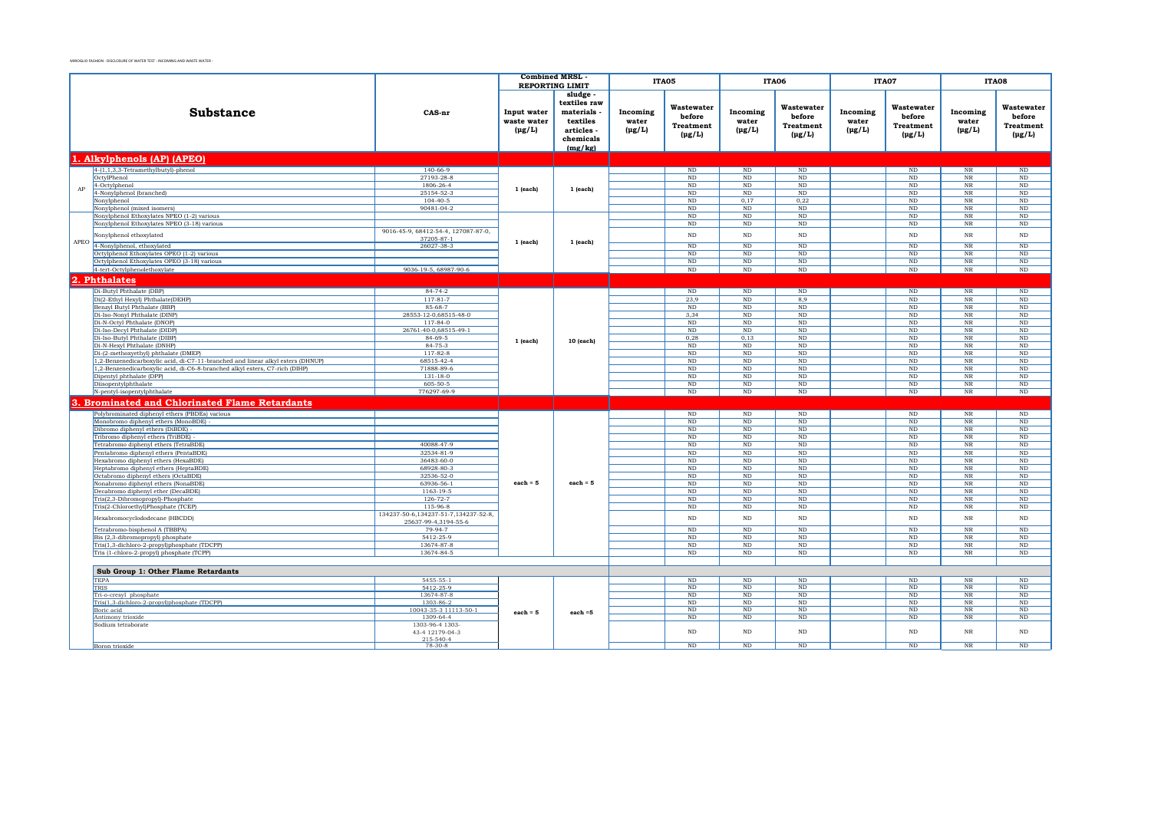|      |                                                                                                         |                                                   | <b>Combined MRSL</b>                      |                                                                                                     |                                  | ITA05                                                   |                                  | ITA06                                                   |                                  | ITA07                                            |                                  | ITA08                                                   |
|------|---------------------------------------------------------------------------------------------------------|---------------------------------------------------|-------------------------------------------|-----------------------------------------------------------------------------------------------------|----------------------------------|---------------------------------------------------------|----------------------------------|---------------------------------------------------------|----------------------------------|--------------------------------------------------|----------------------------------|---------------------------------------------------------|
|      | <b>Substance</b>                                                                                        | CAS-nr                                            | Input water<br>waste water<br>$(\mu g/L)$ | <b>REPORTING LIMIT</b><br>sludge.<br>textiles raw<br>materials<br>textiles<br>articles<br>chemicals | Incoming<br>water<br>$(\mu g/L)$ | Wastewater<br>before<br><b>Treatment</b><br>$(\mu g/L)$ | Incoming<br>water<br>$(\mu g/L)$ | Wastewater<br>before<br><b>Treatment</b><br>$(\mu g/L)$ | Incoming<br>water<br>$(\mu g/L)$ | Wastewater<br>before<br>Treatment<br>$(\mu g/L)$ | Incoming<br>water<br>$(\mu g/L)$ | Wastewater<br>before<br><b>Treatment</b><br>$(\mu g/L)$ |
|      |                                                                                                         |                                                   |                                           | (mg/kg)                                                                                             |                                  |                                                         |                                  |                                                         |                                  |                                                  |                                  |                                                         |
|      | 1. Alkylphenols (AP) (APEO)                                                                             |                                                   |                                           |                                                                                                     |                                  |                                                         |                                  |                                                         |                                  |                                                  |                                  |                                                         |
|      | $4-(1,1,3,3-Tetramethylbutyl)-phenol$                                                                   | $140 - 66 - 9$                                    |                                           |                                                                                                     |                                  | ND                                                      | ND                               | ND                                                      |                                  | ND                                               | $_{\rm NR}$                      | ND                                                      |
|      | OctylPhenol                                                                                             | 27193-28-8                                        |                                           |                                                                                                     |                                  | $\rm ND$                                                | ND                               | $\rm ND$                                                |                                  | $\rm ND$                                         | $_{\rm NR}$                      | $\overline{\text{ND}}$                                  |
| AP   | 4-Octylphenol                                                                                           | 1806-26-4                                         | $1$ (each)                                | $1$ (each)                                                                                          |                                  | ND                                                      | ND                               | $\rm ND$                                                |                                  | $\rm ND$                                         | $_{\rm NR}$                      | $\overline{\text{ND}}$                                  |
|      | 4-Nonylphenol (branched)<br>Nonylphenol                                                                 | 25154-52-3<br>$104 - 40 - 5$                      |                                           |                                                                                                     |                                  | $\rm ND$<br>$\rm ND$                                    | $\rm ND$<br>0,17                 | ND<br>0,22                                              |                                  | ND<br>$\rm ND$                                   | $_{\rm NR}$<br>$_{\rm NR}$       | $\rm ND$<br>$\rm ND$                                    |
|      | Nonylphenol (mixed isomers)                                                                             | 90481-04-2                                        |                                           |                                                                                                     |                                  | $\rm ND$                                                | $\rm ND$                         | ND                                                      |                                  | ND                                               | $_{\rm NR}$                      | $\rm ND$                                                |
|      | Nonylphenol Ethoxylates NPEO (1-2) various                                                              |                                                   |                                           |                                                                                                     |                                  | <b>ND</b>                                               | ND                               | ND                                                      |                                  | ND                                               | $_{\rm NR}$                      | ND                                                      |
|      | Nonylphenol Ethoxylates NPEO (3-18) various                                                             |                                                   |                                           |                                                                                                     |                                  | ND                                                      | ND                               | ND                                                      |                                  | ND.                                              | $_{\rm NR}$                      | ND                                                      |
|      | Nonylphenol ethoxylated                                                                                 | 9016-45-9, 68412-54-4, 127087-87-0,<br>37205-87-1 |                                           |                                                                                                     |                                  | $\rm ND$                                                | $\rm ND$                         | $\rm ND$                                                |                                  | $\rm ND$                                         | $_{\rm NR}$                      | $\rm ND$                                                |
| APEO | 4-Nonylphenol, ethoxylated                                                                              | 26027-38-3                                        | 1 (each)                                  | $1$ (each)                                                                                          |                                  | $\overline{\text{ND}}$                                  | $\overline{\text{ND}}$           | $_{\rm ND}$                                             |                                  | ND                                               | $\overline{\text{NR}}$           | ND                                                      |
|      | Octylphenol Ethoxylates OPEO (1-2) various                                                              |                                                   |                                           |                                                                                                     |                                  | $\overline{\text{ND}}$                                  | $\overline{\text{ND}}$           | ND                                                      |                                  | $\overline{\text{ND}}$                           | $\overline{\text{NR}}$           | ND                                                      |
|      | Octylphenol Ethoxylates OPEO (3-18) various                                                             |                                                   |                                           |                                                                                                     |                                  | ND                                                      | $\rm ND$                         | ND                                                      |                                  | ND                                               | $_{\rm NR}$                      | ND                                                      |
|      | 4-tert-Octylphenolethoxylate                                                                            | 9036-19-5, 68987-90-6                             |                                           |                                                                                                     |                                  | $\overline{\text{ND}}$                                  | $\rm ND$                         | $\rm ND$                                                |                                  | ND                                               | $_{\rm NR}$                      | $\rm ND$                                                |
|      | 2. Phthalates                                                                                           |                                                   |                                           |                                                                                                     |                                  |                                                         |                                  |                                                         |                                  |                                                  |                                  |                                                         |
|      | Di-Butyl Phthalate (DBP)                                                                                | $84 - 74 - 2$                                     |                                           |                                                                                                     |                                  | ND                                                      | ND                               | ND                                                      |                                  | ND                                               | $\overline{\text{NR}}$           | ND                                                      |
|      | Di(2-Ethyl Hexyl) Phthalate(DEHP)                                                                       | $117 - 81 - 7$                                    |                                           |                                                                                                     |                                  | 23,9                                                    | ND                               | 8.9                                                     |                                  | ND                                               | $_{\rm NR}$                      | ND                                                      |
|      | Benzyl Butyl Phthalate (BBP)                                                                            | 85-68-7                                           |                                           |                                                                                                     |                                  | $\rm ND$                                                | $\rm ND$                         | $\rm ND$                                                |                                  | $_{\rm ND}$                                      | $_{\rm NR}$                      | $\rm ND$                                                |
|      | Di-Iso-Nonyl Phthalate (DINP)<br>Di-N-Octyl Phthalate (DNOP)                                            | 28553-12-0,68515-48-0<br>$117 - 84 - 0$           |                                           |                                                                                                     |                                  | 3,34<br>ND                                              | ND<br>ND                         | ND<br>ND                                                |                                  | ND<br>ND                                         | $_{\rm NR}$<br>$_{\rm NR}$       | ND<br>ND                                                |
|      | Di-Iso-Decyl Phthalate (DIDP)                                                                           | 26761-40-0,68515-49-1                             |                                           |                                                                                                     |                                  | ND                                                      | ND                               | ND                                                      |                                  | ND                                               | $_{\rm NR}$                      | ND                                                      |
|      | Di-Iso-Butyl Phthalate (DIBP)                                                                           | 84-69-5                                           |                                           |                                                                                                     |                                  | 0,28                                                    | 0,13                             | $\rm ND$                                                |                                  | $\rm ND$                                         | $_{\rm NR}$                      | $\rm ND$                                                |
|      | Di-N-Hexyl Phthalate (DNHP)                                                                             | 84-75-3                                           | $1$ (each)                                | 10 (each)                                                                                           |                                  | $\rm ND$                                                | $\rm ND$                         | $\rm ND$                                                |                                  | $\rm ND$                                         | $_{\rm NR}$                      | $\rm ND$                                                |
|      | Di-(2-methoxyethyl) phthalate (DMEP)                                                                    | 117-82-8                                          |                                           |                                                                                                     |                                  | $\rm ND$                                                | $\rm ND$                         | $\rm ND$                                                |                                  | $\rm ND$                                         | $_{\rm NR}$                      | ND                                                      |
|      | 1,2-Benzenedicarboxylic acid, di-C7-11-branched and linear alkyl esters (DHNUP)                         | 68515-42-4                                        |                                           |                                                                                                     |                                  | $\rm ND$                                                | $\rm ND$                         | $\rm ND$                                                |                                  | ND                                               | $_{\rm NR}$                      | ND                                                      |
|      | 1,2-Benzenedicarboxylic acid, di-C6-8-branched alkyl esters, C7-rich (DIHP)<br>Dipentyl phthalate (DPP) | 71888-89-6<br>$131 - 18 - 0$                      |                                           |                                                                                                     |                                  | $\rm ND$<br>$\rm ND$                                    | $\rm ND$<br>$\rm ND$             | $\rm ND$<br>$\rm ND$                                    |                                  | ND<br>$\rm ND$                                   | $_{\rm NR}$<br>$_{\rm NR}$       | $\rm ND$<br>ND                                          |
|      | Diisopentylphthalate                                                                                    | 605-50-5                                          |                                           |                                                                                                     |                                  | ND                                                      | ND                               | ND                                                      |                                  | ND                                               | $_{\rm NR}$                      | ND                                                      |
|      | N-pentyl-isopentylphthalate                                                                             | 776297-69-9                                       |                                           |                                                                                                     |                                  | $\rm ND$                                                | $\rm ND$                         | $\rm ND$                                                |                                  | $\rm ND$                                         | $_{\rm NR}$                      | ND                                                      |
|      | <b>Brominated and Chlorinated Flame Retardants</b>                                                      |                                                   |                                           |                                                                                                     |                                  |                                                         |                                  |                                                         |                                  |                                                  |                                  |                                                         |
|      | Polybrominated diphenyl ethers (PBDEs) various                                                          |                                                   |                                           |                                                                                                     |                                  | ND                                                      | ND                               | ND                                                      |                                  | ND                                               | NR                               | ND                                                      |
|      | Monobromo diphenyl ethers (MonoBDE)                                                                     |                                                   |                                           |                                                                                                     |                                  | ND                                                      | ND                               | ND                                                      |                                  | ND                                               | $_{\rm NR}$                      | ND                                                      |
|      | Dibromo diphenyl ethers (DiBDE)                                                                         |                                                   |                                           |                                                                                                     |                                  | ND                                                      | ND                               | ND                                                      |                                  | ND                                               | $_{\rm NR}$                      | ND                                                      |
|      | Tribromo diphenyl ethers (TriBDE)                                                                       |                                                   |                                           |                                                                                                     |                                  | ND                                                      | ND                               | $\rm ND$                                                |                                  | ND                                               | $_{\rm NR}$                      | ND                                                      |
|      | Tetrabromo diphenyl ethers (TetraBDE)                                                                   | 40088-47-9                                        |                                           |                                                                                                     |                                  | ND                                                      | ND                               | ND                                                      |                                  | ND                                               | NR                               | ND                                                      |
|      | Pentabromo diphenyl ethers (PentaBDE)                                                                   | 32534-81-9                                        |                                           |                                                                                                     |                                  | ND                                                      | ND                               | ND                                                      |                                  | ND                                               | NR                               | ND                                                      |
|      | Hexabromo diphenyl ethers (HexaBDE)<br>Heptabromo diphenyl ethers (HeptaBDE)                            | 36483-60-0<br>68928-80-3                          |                                           |                                                                                                     |                                  | ND<br>ND                                                | ND<br>ND                         | ND<br>ND                                                |                                  | ND<br>ND                                         | $_{\rm NR}$<br>$_{\rm NR}$       | ND<br>ND                                                |
|      | Octabromo diphenyl ethers (OctaBDE)                                                                     | 32536-52-0                                        |                                           |                                                                                                     |                                  | ND                                                      | ND                               | ND                                                      |                                  | ND                                               | NR                               | ND                                                      |
|      | Nonabromo diphenyl ethers (NonaBDE)                                                                     | 63936-56-1                                        | $each = 5$                                | each = $5$                                                                                          |                                  | $\rm ND$                                                | $\rm ND$                         | $\rm ND$                                                |                                  | $\rm ND$                                         | $_{\rm NR}$                      | $\rm ND$                                                |
|      | Decabromo diphenyl ether (DecaBDE)                                                                      | 1163-19-5                                         |                                           |                                                                                                     |                                  | ND                                                      | ND                               | $\rm ND$                                                |                                  | ND                                               | $_{\rm NR}$                      | ND                                                      |
|      | Tris(2,3-Dibromopropyl)-Phosphate                                                                       | $126 - 72 - 7$                                    |                                           |                                                                                                     |                                  | ND                                                      | ND                               | <b>ND</b>                                               |                                  | ND                                               | $_{\rm NR}$                      | ND                                                      |
|      | Tris(2-Chloroethyl)Phosphate (TCEP)                                                                     | 115-96-8<br>134237-50-6.134237-51-7.134237-52-8.  |                                           |                                                                                                     |                                  | ND                                                      | ND                               | ND                                                      |                                  | ND                                               | NR                               | ND                                                      |
|      | Hexabromocyclododecane (HBCDD)                                                                          | 25637-99-4.3194-55-6                              |                                           |                                                                                                     |                                  | $\rm ND$                                                | $\rm ND$                         | $_{\rm ND}$                                             |                                  | $_{\rm ND}$                                      | $_{\rm NR}$                      | $\rm ND$                                                |
|      | Tetrabromo-bisphenol A (TBBPA)                                                                          | 79-94-7                                           |                                           |                                                                                                     |                                  | ND                                                      | ND                               | ND                                                      |                                  | ND                                               | $_{\rm NR}$                      | ND                                                      |
|      | Bis (2,3-dibromopropyl) phosphate<br>Tris(1,3-dichloro-2-propyl)phosphate (TDCPP)                       | 5412-25-9<br>13674-87-8                           |                                           |                                                                                                     |                                  | ND<br>ND                                                | ND<br>ND                         | ND<br>ND                                                |                                  | ND<br>$\rm ND$                                   | $_{\rm NR}$<br>$_{\rm NR}$       | $\overline{\text{ND}}$<br>ND                            |
|      | Tris (1-chloro-2-propyl) phosphate (TCPP)                                                               | 13674-84-5                                        |                                           |                                                                                                     |                                  | ND                                                      | ND                               | ND                                                      |                                  | ND                                               | $_{\rm NR}$                      | ND                                                      |
|      |                                                                                                         |                                                   |                                           |                                                                                                     |                                  |                                                         |                                  |                                                         |                                  |                                                  |                                  |                                                         |
|      | Sub Group 1: Other Flame Retardants                                                                     |                                                   |                                           |                                                                                                     |                                  |                                                         |                                  |                                                         |                                  |                                                  |                                  |                                                         |
|      | <b>TEPA</b>                                                                                             | $5455 - 55 - 1$                                   |                                           |                                                                                                     |                                  | ND                                                      | ND                               | ND                                                      |                                  | ND                                               | $_{\rm NR}$                      | ND                                                      |
|      | TRIS                                                                                                    | 5412-25-9                                         |                                           |                                                                                                     |                                  | $\rm ND$                                                | ND                               | ND                                                      |                                  | $\rm ND$                                         | $_{\rm NR}$                      | $\rm ND$                                                |
|      | Tri-o-cresyl phosphate<br>Tris(1,3-dichloro-2-propyl)phosphate (TDCPP)                                  | 13674-87-8<br>1303-86-2                           |                                           |                                                                                                     |                                  | ND<br>ND                                                | ND<br>ND                         | ND<br>ND                                                |                                  | ND<br>ND                                         | $_{\rm NR}$<br>$_{\rm NR}$       | ND<br>ND                                                |
|      | Boric acid                                                                                              | 10043-35-3 11113-50-1                             |                                           |                                                                                                     |                                  | ND                                                      | ND                               | ND                                                      |                                  | ND                                               | $\overline{\text{NR}}$           | ND                                                      |
|      | Antimony trioxide                                                                                       | 1309-64-4                                         | $each = 5$                                | $each = 5$                                                                                          |                                  | ND                                                      | ND                               | ND                                                      |                                  | ND                                               | $_{\rm NR}$                      | ND                                                      |
|      | Sodium tetraborate                                                                                      | 1303-96-4 1303-                                   |                                           |                                                                                                     |                                  |                                                         |                                  |                                                         |                                  |                                                  |                                  |                                                         |
|      |                                                                                                         | 43-4 12179-04-3<br>215-540-4                      |                                           |                                                                                                     |                                  | $\rm ND$                                                | ND                               | ND                                                      |                                  | ND                                               | $_{\rm NR}$                      | $\rm ND$                                                |
|      | Boron trioxide                                                                                          | $78-30-8$                                         |                                           |                                                                                                     |                                  | ND                                                      | ND                               | ND                                                      |                                  | ND                                               | NR                               | ND                                                      |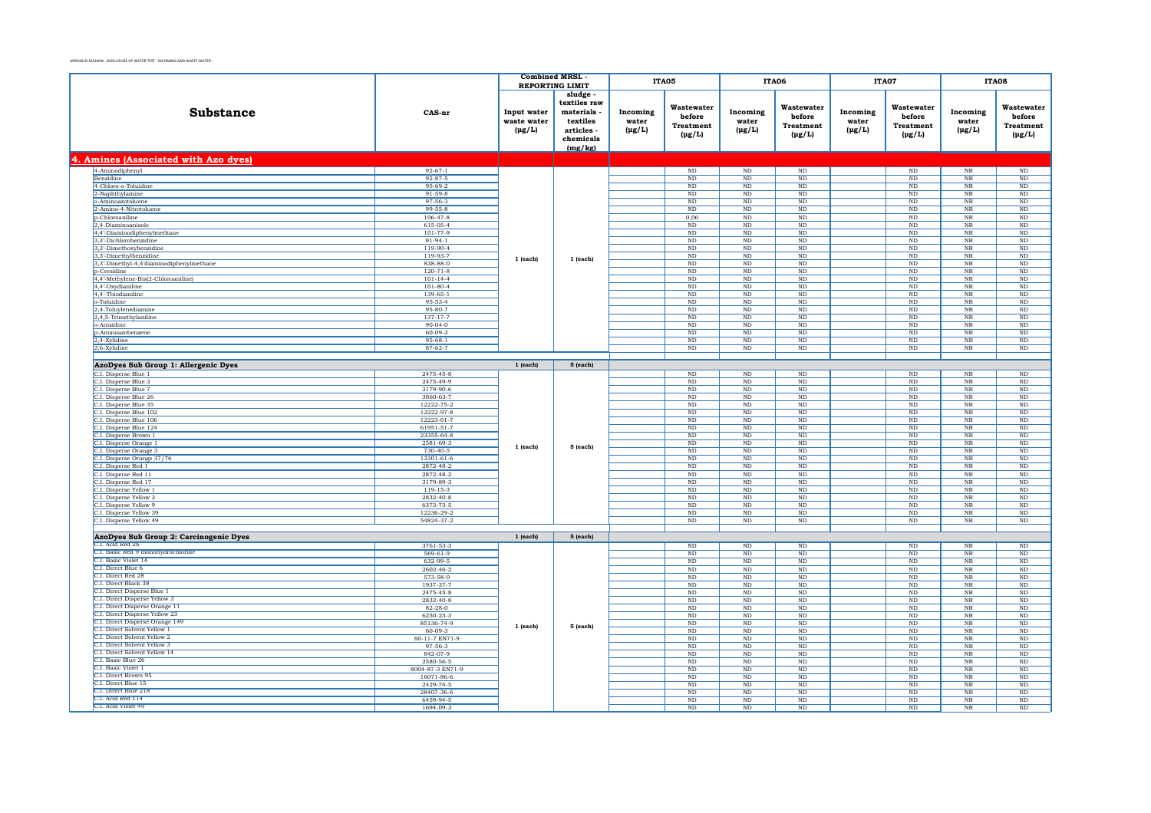|                                                              |                                | <b>Combined MRSL</b>                      |                                                                                       |                                  | ITA05                                                   | ITA06                                 |                                                         | ITA07                            |                                                         | ITA08                            |                                                  |
|--------------------------------------------------------------|--------------------------------|-------------------------------------------|---------------------------------------------------------------------------------------|----------------------------------|---------------------------------------------------------|---------------------------------------|---------------------------------------------------------|----------------------------------|---------------------------------------------------------|----------------------------------|--------------------------------------------------|
|                                                              |                                | <b>REPORTING LIMIT</b>                    |                                                                                       |                                  |                                                         |                                       |                                                         |                                  |                                                         |                                  |                                                  |
| Substance                                                    | CAS-nr                         | Input water<br>waste water<br>$(\mu g/L)$ | sludge<br>textiles raw<br>materials<br>textiles<br>articles -<br>chemicals<br>(mg/kg) | Incoming<br>water<br>$(\mu g/L)$ | Wastewater<br>before<br><b>Treatment</b><br>$(\mu g/L)$ | Incoming<br>water<br>$(\mu g/L)$      | Wastewater<br>before<br><b>Treatment</b><br>$(\mu g/L)$ | Incoming<br>water<br>$(\mu g/L)$ | Wastewater<br>before<br><b>Treatment</b><br>$(\mu g/L)$ | Incoming<br>water<br>$(\mu g/L)$ | Wastewater<br>before<br>Treatment<br>$(\mu g/L)$ |
| 4. Amines (Associated with Azo dyes)                         |                                |                                           |                                                                                       |                                  |                                                         |                                       |                                                         |                                  |                                                         |                                  |                                                  |
| 4-Aminodiphenyl                                              | $92 - 67 - 1$                  |                                           |                                                                                       |                                  | $\rm ND$                                                | $\rm ND$                              | $\rm ND$                                                |                                  | $\rm ND$                                                | $_{\rm NR}$                      | $\rm ND$                                         |
| Benzidine                                                    | $92 - 87 - 5$                  |                                           |                                                                                       |                                  | ND                                                      | $\rm ND$                              | ND                                                      |                                  | ND                                                      | $_{\rm NR}$                      | ND                                               |
| 4-Chloro-o-Toluidine                                         | 95-69-2                        |                                           |                                                                                       |                                  | $_{\rm ND}$                                             | $\rm ND$                              | $_{\rm ND}$                                             |                                  | $_{\rm ND}$                                             | $_{\rm NR}$                      | $\rm ND$                                         |
| 2-Naphthylamine                                              | $91 - 59 - 8$                  |                                           |                                                                                       |                                  | ND                                                      | ND.                                   | ND                                                      |                                  | ND                                                      | NR                               | ND                                               |
| o-Aminoazotoluene                                            | 97-56-3                        |                                           |                                                                                       |                                  | ND                                                      | $\rm ND$                              | $\rm ND$                                                |                                  | $\rm ND$                                                | $_{\rm NR}$                      | $\rm ND$                                         |
| 2-Amino-4-Nitrotoluene                                       | $99 - 55 - 8$                  |                                           |                                                                                       |                                  | N <sub>D</sub>                                          | <b>ND</b>                             | ND                                                      |                                  | ND                                                      | <b>NR</b>                        | ND                                               |
| p-Chloroaniline                                              | $106 - 47 - 8$                 |                                           |                                                                                       |                                  | 0,06                                                    | $\rm ND$                              | ND                                                      |                                  | ND                                                      | $_{\rm NR}$                      | $\overline{\text{ND}}$                           |
| 2,4-Diaminoanisole<br>4,4'-Diaminodiphenylmethane            | 615-05-4<br>101-77-9           |                                           |                                                                                       |                                  | ND<br>ND                                                | $_{\rm ND}$<br>$\overline{\text{ND}}$ | ND<br>ND                                                |                                  | ND<br>ND                                                | NR<br>$_{\rm NR}$                | ND<br>$\overline{\mathrm{ND}}$                   |
| 3,3'-Dichlorobenzidine                                       | $91-94-1$                      |                                           |                                                                                       |                                  | $\rm ND$                                                | $\rm ND$                              | $\rm ND$                                                |                                  | $\rm ND$                                                | $_{\rm NR}$                      | $\rm ND$                                         |
| 3.3'-Dimethoxybenzidine                                      | $119-90-4$                     |                                           |                                                                                       |                                  | ND                                                      | ND.                                   | ND                                                      |                                  | ND                                                      | NR                               | ND                                               |
| 3,3'-Dimethylbenzidine                                       | 119-93-7                       |                                           |                                                                                       |                                  | $\rm ND$                                                | $\rm ND$                              | $\rm ND$                                                |                                  | $\rm ND$                                                | $\overline{\text{NR}}$           | $\rm ND$                                         |
| 3,3'-Dimethyl-4,4'diaminodiphenylmethane                     | 838-88-0                       | $1$ (each)                                | 1 (each)                                                                              |                                  | $_{\rm ND}$                                             | $\rm ND$                              | $_{\rm ND}$                                             |                                  | $\rm ND$                                                | $_{\rm NR}$                      | $\rm ND$                                         |
| <b>p-Cresidine</b>                                           | $120 - 71 - 8$                 |                                           |                                                                                       |                                  | N <sub>D</sub>                                          | $\rm ND$                              | $\rm ND$                                                |                                  | $\rm ND$                                                | <b>NR</b>                        | $\rm ND$                                         |
| 4,4'-Methylene-Bis(2-Chloroaniline)                          | $101 - 14 - 4$                 |                                           |                                                                                       |                                  | $\rm ND$                                                | $\rm ND$                              | $\rm ND$                                                |                                  | $_{\rm ND}$                                             | $\rm NR$                         | $\rm ND$                                         |
| 4,4'-Oxydianiline                                            | $101 - 80 - 4$                 |                                           |                                                                                       |                                  | N <sub>D</sub>                                          | <b>ND</b>                             | N <sub>D</sub>                                          |                                  | ND.                                                     | <b>NR</b>                        | ND                                               |
| 4,4'-Thiodianiline                                           | 139-65-1                       |                                           |                                                                                       |                                  | $\rm ND$                                                | $\rm ND$                              | $\rm ND$                                                |                                  | $\rm ND$                                                | $_{\rm NR}$                      | $\rm ND$                                         |
| o-Toluidine                                                  | 95-53-4                        |                                           |                                                                                       |                                  | $_{\rm ND}$                                             | $_{\rm ND}$                           | $_{\rm ND}$                                             |                                  | $_{\rm ND}$                                             | $_{\rm NR}$                      | $\rm ND$                                         |
| 2,4-Toluylenediamine                                         | 95-80-7                        |                                           |                                                                                       |                                  | ND                                                      | ND                                    | ND                                                      |                                  | ND                                                      | $_{\rm NR}$                      | $\overline{\mathrm{ND}}$                         |
| 2,4,5-Trimethylaniline                                       | 137-17-7                       |                                           |                                                                                       |                                  | $\rm ND$                                                | $\rm ND$                              | $\rm ND$                                                |                                  | $\rm ND$                                                | $_{\rm NR}$                      | $\rm ND$                                         |
| o-Anisidine                                                  | $90 - 04 - 0$                  |                                           |                                                                                       |                                  | ND                                                      | ND                                    | ND                                                      |                                  | $\overline{\text{ND}}$                                  | $_{\rm NR}$                      | $\overline{\mathrm{ND}}$                         |
| p-Aminoazobenzene                                            | $60 - 09 - 3$<br>$95 - 68 - 1$ |                                           |                                                                                       |                                  | $\rm ND$                                                | $\rm ND$                              | $\rm ND$                                                |                                  | $\rm ND$                                                | $\overline{\text{NR}}$           | $\rm ND$                                         |
| 2,4-Xylidine<br>2,6-Xylidine                                 | $87 - 62 - 7$                  |                                           |                                                                                       |                                  | ND<br>ND                                                | ND<br>ND                              | $_{\rm ND}$<br>ND                                       |                                  | ND<br>ND                                                | NR<br>$_{\rm NR}$                | ND<br>$\overline{\mathrm{ND}}$                   |
|                                                              |                                |                                           |                                                                                       |                                  |                                                         |                                       |                                                         |                                  |                                                         |                                  |                                                  |
| AzoDyes Sub Group 1: Allergenic Dyes                         |                                | $1$ (each)                                | 5 (each)                                                                              |                                  |                                                         |                                       |                                                         |                                  |                                                         |                                  |                                                  |
|                                                              | 2475-45-8                      |                                           |                                                                                       |                                  | $\rm ND$                                                | $\rm ND$                              | $\rm ND$                                                |                                  | ND                                                      | $_{\rm NR}$                      | ND                                               |
| C.I. Disperse Blue 1<br>C.I. Disperse Blue 3                 | 2475-49-9                      |                                           |                                                                                       |                                  | $_{\rm ND}$                                             | $\rm ND$                              | $_{\rm ND}$                                             |                                  | $_{\rm ND}$                                             | $_{\rm NR}$                      | $\rm ND$                                         |
| C.I. Disperse Blue 7                                         | 3179-90-6                      |                                           |                                                                                       |                                  | ND                                                      | ND.                                   | ND                                                      |                                  | ND                                                      | NR                               | ND                                               |
| C.I. Disperse Blue 26                                        | 3860-63-7                      |                                           |                                                                                       |                                  | ND                                                      | $\rm ND$                              | $\rm ND$                                                |                                  | $_{\rm ND}$                                             | $_{\rm NR}$                      | $\rm ND$                                         |
| C.I. Disperse Blue 35                                        | 12222-75-2                     |                                           |                                                                                       |                                  | <b>ND</b>                                               | $\rm ND$                              | <b>ND</b>                                               |                                  | $_{\rm ND}$                                             | $_{\rm NR}$                      | $\rm ND$                                         |
| C.I. Disperse Blue 102                                       | 12222-97-8                     |                                           |                                                                                       |                                  | ND                                                      | $\rm ND$                              | $\rm ND$                                                |                                  | $\rm ND$                                                | $_{\rm NR}$                      | $\rm ND$                                         |
| C.I. Disperse Blue 106                                       | 12223-01-7                     |                                           |                                                                                       |                                  | ND                                                      | $_{\rm ND}$                           | ND                                                      |                                  | ND                                                      | NR                               | ND                                               |
| C.I. Disperse Blue 124                                       | 61951-51-7                     |                                           |                                                                                       |                                  | ND                                                      | $\rm ND$                              | ND                                                      |                                  | $_{\rm ND}$                                             | $_{\rm NR}$                      | $\rm ND$                                         |
| C.I. Disperse Brown 1                                        | 23355-64-8                     |                                           |                                                                                       |                                  | $\rm ND$                                                | $_{\rm ND}$                           | $\rm ND$                                                |                                  | $_{\rm ND}$                                             | $\rm NR$                         | $\rm ND$                                         |
| C.I. Disperse Orange 1                                       | 2581-69-3                      | $1$ (each)                                | 5 (each)                                                                              |                                  | ND                                                      | ND                                    | ND                                                      |                                  | ND                                                      | NR                               | ND                                               |
| C.I. Disperse Orange 3                                       | $730 - 40 - 5$                 |                                           |                                                                                       |                                  | $\rm ND$                                                | $\rm ND$                              | $\rm ND$                                                |                                  | $_{\rm ND}$                                             | $_{\rm NR}$                      | $\rm ND$                                         |
| C.I. Disperse Orange 37/76                                   | 13301-61-6                     |                                           |                                                                                       |                                  | $_{\rm ND}$                                             | $_{\rm ND}$                           | $_{\rm ND}$                                             |                                  | $_{\rm ND}$                                             | $_{\rm NR}$                      | $\rm ND$                                         |
| C.I. Disperse Red 1                                          | 2872-48-2                      |                                           |                                                                                       |                                  | ND                                                      | ND.                                   | ND                                                      |                                  | ND                                                      | <b>NR</b>                        | ND                                               |
| C.I. Disperse Red 11                                         | 2872-48-2<br>3179-89-3         |                                           |                                                                                       |                                  | $\rm ND$<br>N <sub>D</sub>                              | $\rm ND$                              | $\mathbf{ND}$                                           |                                  | $\rm ND$                                                | $\overline{\text{NR}}$           | $\rm ND$                                         |
| C.I. Disperse Red 17<br>C.I. Disperse Yellow 1               | 119-15-3                       |                                           |                                                                                       |                                  | $\rm ND$                                                | <b>ND</b><br>$\rm ND$                 | ND.<br>$\rm ND$                                         |                                  | <b>ND</b><br>$\rm ND$                                   | NR<br>$_{\rm NR}$                | <b>ND</b><br>$\rm ND$                            |
| C.I. Disperse Yellow 3                                       | 2832-40-8                      |                                           |                                                                                       |                                  | $_{\rm ND}$                                             | $_{\rm ND}$                           | $_{\rm ND}$                                             |                                  | $_{\rm ND}$                                             | $_{\rm NR}$                      | $\rm ND$                                         |
| C.I. Disperse Yellow 9                                       | 6373-73-5                      |                                           |                                                                                       |                                  | ND                                                      | ND                                    | ND                                                      |                                  | ND                                                      | NR                               | ND                                               |
| C.I. Disperse Yellow 39                                      | 12236-29-2                     |                                           |                                                                                       |                                  | $\rm ND$                                                | $\rm ND$                              | $\rm ND$                                                |                                  | $_{\rm ND}$                                             | $_{\rm NR}$                      | $\rm ND$                                         |
| C.I. Disperse Yellow 49                                      | 54824-37-2                     |                                           |                                                                                       |                                  | ND                                                      | ND                                    | ND                                                      |                                  | ND                                                      | $_{\rm NR}$                      | $\overline{\mathrm{ND}}$                         |
|                                                              |                                |                                           |                                                                                       |                                  |                                                         |                                       |                                                         |                                  |                                                         |                                  |                                                  |
| AzoDyes Sub Group 2: Carcinogenic Dyes                       |                                | $1$ (each)                                | 5 (each)                                                                              |                                  |                                                         |                                       |                                                         |                                  |                                                         |                                  |                                                  |
| C.I. Acid Red 26                                             | 3761-53-3                      |                                           |                                                                                       |                                  | ND                                                      | ND                                    | ND                                                      |                                  | $\rm ND$                                                | NR                               | ND                                               |
| C.I. Basic Red 9 monohydrochloride                           | $569 - 61 - 9$                 |                                           |                                                                                       |                                  | $\rm ND$                                                | $\rm ND$                              | $\rm ND$                                                |                                  | $\rm ND$                                                | $\overline{\text{NR}}$           | $\rm ND$                                         |
| C.I. Basic Violet 14                                         | 632-99-5                       |                                           |                                                                                       |                                  | <b>ND</b>                                               | <b>ND</b>                             | $\rm ND$                                                |                                  | <b>ND</b>                                               | <b>NR</b>                        | ND                                               |
| C.I. Direct Blue 6                                           | 2602-46-2                      |                                           |                                                                                       |                                  | $\rm ND$                                                | $\rm ND$                              | $\rm ND$                                                |                                  | $\rm ND$                                                | $_{\rm NR}$                      | $\rm ND$                                         |
| C.I. Direct Red 28                                           | 573-58-0                       |                                           |                                                                                       |                                  | $_{\rm ND}$                                             | $\rm ND$                              | $_{\rm ND}$                                             |                                  | $_{\rm ND}$                                             | $_{\rm NR}$                      | $\rm ND$                                         |
| C.I. Direct Black 38                                         | 1937-37-7                      |                                           |                                                                                       |                                  | N <sub>D</sub>                                          | $\rm ND$                              | $_{\rm ND}$                                             |                                  | $\rm ND$                                                | $_{\rm NR}$                      | $\rm ND$                                         |
| C.I. Direct Disperse Blue 1<br>C.I. Direct Disperse Yellow 3 | 2475-45-8                      |                                           |                                                                                       |                                  | $\rm ND$                                                | $\rm ND$                              | $\rm ND$                                                |                                  | $\rm ND$                                                | $_{\rm NR}$                      | $\rm ND$                                         |
| C.I. Direct Disperse Orange 11                               | 2832-40-8                      |                                           |                                                                                       |                                  | $_{\rm ND}$                                             | $\rm ND$                              | $_{\rm ND}$                                             |                                  | $_{\rm ND}$                                             | $_{\rm NR}$                      | $\rm ND$                                         |
| C.I. Direct Disperse Yellow 23                               | $82 - 28 - 0$                  |                                           |                                                                                       |                                  | ND                                                      | ND                                    | ND                                                      |                                  | ND                                                      | NR                               | ND                                               |
| C.I. Direct Disperse Orange 149                              | 6250-23-3<br>85136-74-9        | 1 (each)                                  |                                                                                       |                                  | $\rm ND$<br><b>ND</b>                                   | $\rm ND$<br><b>ND</b>                 | $\rm ND$<br>ND                                          |                                  | $_{\rm ND}$<br>ND                                       | $_{\rm NR}$<br>NR                | $\rm ND$<br>ND                                   |
| C.I. Direct Solvent Yellow 1                                 | $60 - 09 - 3$                  |                                           | 5 (each)                                                                              |                                  | $\rm ND$                                                | $\rm ND$                              | $_{\rm ND}$                                             |                                  | $\rm ND$                                                | $\overline{\text{NR}}$           | $\rm ND$                                         |
| C.I. Direct Solvent Yellow 2                                 | 60-11-7 EN71-9                 |                                           |                                                                                       |                                  | <b>ND</b>                                               | $_{\rm ND}$                           | <b>ND</b>                                               |                                  | ND                                                      | NR                               | ND                                               |
| C.I. Direct Solvent Yellow 3                                 | 97-56-3                        |                                           |                                                                                       |                                  | ND                                                      | $\overline{\text{ND}}$                | ND                                                      |                                  | ND                                                      | $_{\rm NR}$                      | $\overline{\mathrm{ND}}$                         |
| C.I. Direct Solvent Yellow 14                                | 842-07-9                       |                                           |                                                                                       |                                  | $_{\rm ND}$                                             | $\rm ND$                              | $_{\rm ND}$                                             |                                  | $\rm ND$                                                | $_{\rm NR}$                      | $\rm ND$                                         |
| C.I. Basic Blue 26                                           | 2580-56-5                      |                                           |                                                                                       |                                  | N <sub>D</sub>                                          | ND.                                   | N <sub>D</sub>                                          |                                  | ND.                                                     | <b>NR</b>                        | N <sub>D</sub>                                   |
| C.I. Basic Violet 1                                          | 8004-87-3 EN71-9               |                                           |                                                                                       |                                  | ND                                                      | $\rm ND$                              | $\rm ND$                                                |                                  | $\rm ND$                                                | $\overline{\text{NR}}$           | $\rm ND$                                         |
| C.I. Direct Brown 95                                         | 16071-86-6                     |                                           |                                                                                       |                                  | <b>ND</b>                                               | <b>ND</b>                             | ND.                                                     |                                  | $_{\rm ND}$                                             | NR                               | ND                                               |
| C.I. Direct Blue 15                                          | 2429-74-5                      |                                           |                                                                                       |                                  | $\rm ND$                                                | $\rm ND$                              | $\rm ND$                                                |                                  | ND                                                      | $_{\rm NR}$                      | $\rm ND$                                         |
| C.I. Direct Blue 218<br>C.L. Acid Red 114                    | 28407-36-6                     |                                           |                                                                                       |                                  | $_{\rm ND}$                                             | $\rm ND$                              | $_{\rm ND}$                                             |                                  | $_{\rm ND}$                                             | $_{\rm NR}$                      | $\rm ND$                                         |
| C.I. Acid Violet 49                                          | 6459-94-5                      |                                           |                                                                                       |                                  | ND                                                      | N <sub>D</sub>                        | ND                                                      |                                  | ND                                                      | NR                               | ND                                               |
|                                                              | 1694-09-3                      |                                           |                                                                                       |                                  | $\rm ND$                                                | $\rm ND$                              | $_{\rm ND}$                                             |                                  | $\rm ND$                                                | $_{\rm NR}$                      | $\rm ND$                                         |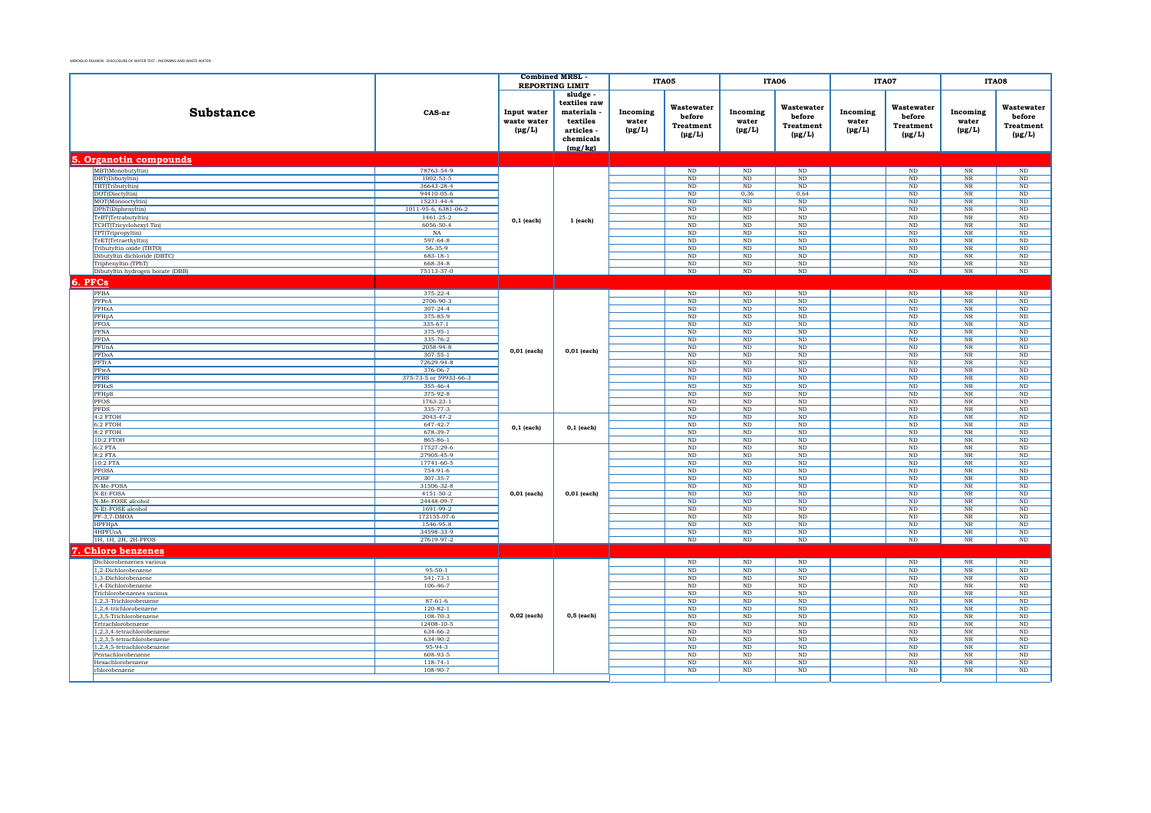|                                                          |                                 | <b>Combined MRSL</b>                      |                                                                                       |                                  | ITA05                                                   |                                  | <b>ITA06</b>                                            |                                  | ITA07                                                   |                                  | ITA08                                            |
|----------------------------------------------------------|---------------------------------|-------------------------------------------|---------------------------------------------------------------------------------------|----------------------------------|---------------------------------------------------------|----------------------------------|---------------------------------------------------------|----------------------------------|---------------------------------------------------------|----------------------------------|--------------------------------------------------|
|                                                          |                                 |                                           | <b>REPORTING LIMIT</b>                                                                |                                  |                                                         |                                  |                                                         |                                  |                                                         |                                  |                                                  |
| Substance                                                | CAS-nr                          | Input water<br>waste water<br>$(\mu g/L)$ | sludge<br>textiles raw<br>materials<br>textiles<br>articles -<br>chemicals<br>(mg/kg) | Incoming<br>water<br>$(\mu g/L)$ | Wastewater<br>before<br><b>Treatment</b><br>$(\mu g/L)$ | Incoming<br>water<br>$(\mu g/L)$ | Wastewater<br>before<br><b>Treatment</b><br>$(\mu g/L)$ | Incoming<br>water<br>$(\mu g/L)$ | Wastewater<br>before<br><b>Treatment</b><br>$(\mu g/L)$ | Incoming<br>water<br>$(\mu g/L)$ | Wastewater<br>before<br>Treatment<br>$(\mu g/L)$ |
| <b>5. Organotin compounds</b>                            |                                 |                                           |                                                                                       |                                  |                                                         |                                  |                                                         |                                  |                                                         |                                  |                                                  |
| MBT(Monobutyltin)                                        | 78763-54-9                      |                                           |                                                                                       |                                  | $\rm ND$                                                | $\rm ND$                         | $\mathop{\rm ND}\nolimits$                              |                                  | $\rm ND$                                                | $\ensuremath{\text{NR}}\xspace$  | $\rm ND$                                         |
| DBT(Dibutyltin)                                          | $1002 - 53 - 5$                 |                                           |                                                                                       |                                  | ND                                                      | $\overline{\text{ND}}$           | ND                                                      |                                  | ND                                                      | $_{\rm NR}$                      | ND                                               |
| TBT(Tributyltin)<br>DOT(Dioctyltin)                      | 36643-28-4<br>94410-05-6        |                                           |                                                                                       |                                  | $\rm ND$<br>$_{\rm ND}$                                 | ND<br>0,36                       | ND<br>0,64                                              |                                  | ND<br>$_{\rm ND}$                                       | $_{\rm NR}$<br>$_{\rm NR}$       | ND<br>$\rm ND$                                   |
| MOT(Monooctyltin)                                        | 15231-44-4                      |                                           |                                                                                       |                                  | ND                                                      | ND                               | ND                                                      |                                  | ND                                                      | NR                               | ND                                               |
| DPhT(Diphenyltin)                                        | 1011-95-6, 6381-06-2            |                                           |                                                                                       |                                  | $\rm ND$                                                | $\overline{\text{ND}}$           | ND                                                      |                                  | ND                                                      | $_{\rm NR}$                      | $\rm ND$                                         |
| TeBT(Tetrabutyltin)                                      | 1461-25-2                       | $0,1$ (each)                              | 1 (each)                                                                              |                                  | ND                                                      | ND                               | ND                                                      |                                  | ND                                                      | NR                               | ND                                               |
| TCHT(Tricyclohexyl Tin)                                  | 6056-50-4                       |                                           |                                                                                       |                                  | $\rm ND$                                                | ND                               | ND                                                      |                                  | ND                                                      | $_{\rm NR}$                      | ND                                               |
| TPT(Tripropyltin)                                        | NA                              |                                           |                                                                                       |                                  | $_{\rm ND}$                                             | $_{\rm ND}$                      | $_{\rm ND}$                                             |                                  | $_{\rm ND}$                                             | $_{\rm NR}$                      | $\rm ND$                                         |
| TeET(Tetraethyltin)                                      | 597-64-8<br>56-35-9             |                                           |                                                                                       |                                  | ND                                                      | ND                               | ND                                                      |                                  | ND                                                      | NR                               | ND                                               |
| Tributyltin oxide (TBTO)<br>Dibutyltin dichloride (DBTC) | $683 - 18 - 1$                  |                                           |                                                                                       |                                  | $\rm ND$<br>ND                                          | $_{\rm ND}$<br>ND                | ND<br>ND                                                |                                  | $_{\rm ND}$<br>ND                                       | $_{\rm NR}$<br>NR                | $\rm ND$<br>ND                                   |
| Triphenyltin (TPhT)                                      | 668-34-8                        |                                           |                                                                                       |                                  | $\rm ND$                                                | $\rm ND$                         | ND                                                      |                                  | $\rm ND$                                                | $\rm NR$                         | $\rm ND$                                         |
| Dibutyltin hydrogen borate (DBB)                         | 75113-37-0                      |                                           |                                                                                       |                                  | $\rm ND$                                                | $\rm ND$                         | $\rm ND$                                                |                                  | $\rm ND$                                                | $_{\rm NR}$                      | $\rm ND$                                         |
| 6. PFCs                                                  |                                 |                                           |                                                                                       |                                  |                                                         |                                  |                                                         |                                  |                                                         |                                  |                                                  |
| PFBA                                                     | $375 - 22 - 4$                  |                                           |                                                                                       |                                  | ND                                                      | ND                               | ND                                                      |                                  | ND                                                      | $\overline{\text{NR}}$           | $\overline{\text{ND}}$                           |
| PFPeA                                                    | 2706-90-3                       |                                           |                                                                                       |                                  | $\rm ND$                                                | $\rm ND$                         | ND                                                      |                                  | $\rm ND$                                                | $_{\rm NR}$                      | $\rm ND$                                         |
| PFHxA                                                    | $307 - 24 - 4$                  |                                           |                                                                                       |                                  | $_{\rm ND}$                                             | $\rm ND$                         | $\rm ND$                                                |                                  | $_{\rm ND}$                                             | $_{\rm NR}$                      | $\rm ND$                                         |
| PFHpA                                                    | 375-85-9                        |                                           |                                                                                       |                                  | ND                                                      | ND                               | ND                                                      |                                  | ND                                                      | $_{\rm NR}$                      | ND                                               |
| PFOA                                                     | $335 - 67 - 1$                  |                                           |                                                                                       |                                  | $\rm ND$                                                | ND                               | $\rm ND$                                                |                                  | $\rm ND$                                                | $_{\rm NR}$                      | $\rm ND$                                         |
| PFNA                                                     | 375-95-1                        |                                           |                                                                                       |                                  | $\rm ND$                                                | $\rm ND$                         | $\rm ND$                                                |                                  | $\rm ND$                                                | $_{\rm NR}$                      | $\rm ND$                                         |
| PFDA                                                     | 335-76-2                        |                                           |                                                                                       |                                  | $\rm ND$                                                | $\rm ND$                         | ND                                                      |                                  | $\rm ND$                                                | $_{\rm NR}$                      | $\rm ND$                                         |
| PFUnA                                                    | 2058-94-8                       | $0,01$ (each)                             | $0,01$ (each)                                                                         |                                  | ND                                                      | $\rm ND$                         | ND                                                      |                                  | $_{\rm ND}$                                             | $_{\rm NR}$                      | $\rm ND$                                         |
| <b>PFDoA</b><br>PFTrA                                    | $307 - 55 - 1$<br>72629-94-8    |                                           |                                                                                       |                                  | ND<br>$\rm ND$                                          | ND<br>ND                         | ND<br>ND                                                |                                  | ND<br>ND                                                | <b>NR</b><br>$_{\rm NR}$         | ND<br>ND                                         |
| PFteA                                                    | 376-06-7                        |                                           |                                                                                       |                                  | $\rm ND$                                                | $\rm ND$                         | $\rm ND$                                                |                                  | $\rm ND$                                                | $_{\rm NR}$                      | $\rm ND$                                         |
| <b>PFBS</b>                                              | 375-73-5 or 59933-66-3          |                                           |                                                                                       |                                  | $\rm ND$                                                | $\rm ND$                         | $\rm ND$                                                |                                  | $\rm ND$                                                | $\rm NR$                         | $\rm ND$                                         |
| PFHxS                                                    | 355-46-4                        |                                           |                                                                                       |                                  | $_{\rm ND}$                                             | $\rm ND$                         | ND                                                      |                                  | $_{\rm ND}$                                             | $_{\rm NR}$                      | $\rm ND$                                         |
| PFHpS                                                    | 375-92-8                        |                                           |                                                                                       |                                  | $_{\rm ND}$                                             | $_{\rm ND}$                      | ND                                                      |                                  | $_{\rm ND}$                                             | $_{\rm NR}$                      | $\rm ND$                                         |
| <b>PFOS</b>                                              | 1763-23-1                       |                                           |                                                                                       |                                  | $\rm ND$                                                | $_{\rm ND}$                      | ND                                                      |                                  | $\rm ND$                                                | $_{\rm NR}$                      | $\rm ND$                                         |
| <b>PFDS</b>                                              | 335-77-3                        |                                           |                                                                                       |                                  | $\rm ND$                                                | $_{\rm ND}$                      | $\rm ND$                                                |                                  | $\rm ND$                                                | $_{\rm NR}$                      | $\rm ND$                                         |
| 4:2 FTOH                                                 | 2043-47-2<br>647-42-7           |                                           |                                                                                       |                                  | $\rm ND$                                                | $\rm ND$                         | $\rm ND$                                                |                                  | $\rm ND$                                                | $_{\rm NR}$                      | $\rm ND$                                         |
| $6:2$ FTOH<br>$8:2$ FTOH                                 | 678-39-7                        | $0,1$ (each)                              | $0,1$ (each)                                                                          |                                  | $\rm ND$<br>$\rm ND$                                    | ND<br>$\rm ND$                   | ND<br>ND                                                |                                  | $\rm ND$<br>$\rm ND$                                    | $_{\rm NR}$<br>$_{\rm NR}$       | $\rm ND$<br>ND                                   |
| 10:2 FTOH                                                | 865-86-1                        |                                           |                                                                                       |                                  | ND                                                      | ND                               | ND                                                      |                                  | ND                                                      | $_{\rm NR}$                      | ND                                               |
| $6:2$ FTA                                                | 17527-29-6                      |                                           |                                                                                       |                                  | ND                                                      | ND                               | ND                                                      |                                  | ND                                                      | $_{\rm NR}$                      | ND                                               |
| 8:2 FTA                                                  | 27905-45-9                      |                                           |                                                                                       |                                  | $_{\rm ND}$                                             | $\rm ND$                         | ND                                                      |                                  | $_{\rm ND}$                                             | $_{\rm NR}$                      | $_{\rm ND}$                                      |
| 10:2 FTA                                                 | 17741-60-5                      |                                           |                                                                                       |                                  | ND                                                      | ND                               | ND                                                      |                                  | ND                                                      | NR                               | ND                                               |
| PFOSA                                                    | 754-91-6                        |                                           |                                                                                       |                                  | ND                                                      | $\rm ND$                         | ND                                                      |                                  | $\rm ND$                                                | $_{\rm NR}$                      | $\rm ND$                                         |
| POSF<br>N-Me-FOSA                                        | $307 - 35 - 7$<br>31506-32-8    |                                           |                                                                                       |                                  | ND<br>$\rm ND$                                          | ND<br>ND                         | ND<br>ND                                                |                                  | ND<br>ND                                                | NR<br>$_{\rm NR}$                | ND<br>ND                                         |
| N-Et-FOSA                                                | 4151-50-2                       | 0,01 (each)                               | $0,01$ (each)                                                                         |                                  | $_{\rm ND}$                                             | $_{\rm ND}$                      | ND                                                      |                                  | $_{\rm ND}$                                             | $_{\rm NR}$                      | $_{\rm ND}$                                      |
| N-Me-FOSE alcohol                                        | 24448-09-7                      |                                           |                                                                                       |                                  | ND                                                      | ND                               | ND                                                      |                                  | ND                                                      | NR                               | ND                                               |
| N-Et-FOSE alcohol                                        | 1691-99-2                       |                                           |                                                                                       |                                  | $\rm ND$                                                | $\overline{\text{ND}}$           | ND                                                      |                                  | ND                                                      | $_{\rm NR}$                      | $\overline{\text{ND}}$                           |
| PF-3.7-DMOA                                              | 172155-07-6                     |                                           |                                                                                       |                                  | ND                                                      | ND                               | ND                                                      |                                  | ND                                                      | NR                               | ND                                               |
| <b>HPFHpA</b><br>4HPFUnA                                 | 1546-95-8<br>34598-33-9         |                                           |                                                                                       |                                  | ND<br>$_{\rm ND}$                                       | ND<br>$_{\rm ND}$                | ND<br>$_{\rm ND}$                                       |                                  | ND<br>$_{\rm ND}$                                       | $_{\rm NR}$<br>$_{\rm NR}$       | ND<br>$_{\rm ND}$                                |
| 1H, 1H, 2H, 2H-PFOS                                      | 27619-97-2                      |                                           |                                                                                       |                                  | ND                                                      | ND                               | ND                                                      |                                  | ND                                                      | NR                               | ND                                               |
| <b>Chloro benzenes</b>                                   |                                 |                                           |                                                                                       |                                  |                                                         |                                  |                                                         |                                  |                                                         |                                  |                                                  |
| Dichlorobenzenes various                                 |                                 |                                           |                                                                                       |                                  | $\rm ND$                                                | $\rm ND$                         | $\rm ND$                                                |                                  | $\rm ND$                                                | $_{\rm NR}$                      | $\rm ND$                                         |
| 1,2-Dichlorobenzene                                      | $95 - 50 - 1$                   |                                           |                                                                                       |                                  | $_{\rm ND}$                                             | $\rm ND$                         | ND                                                      |                                  | $\rm ND$                                                | $_{\rm NR}$                      | $\rm ND$                                         |
| 1,3-Dichlorobenzene                                      | $541 - 73 - 1$                  |                                           |                                                                                       |                                  | ND                                                      | ND                               | ND                                                      |                                  | ND                                                      | $_{\rm NR}$                      | ND                                               |
| 1,4-Dichlorobenzene                                      | $106 - 46 - 7$                  |                                           |                                                                                       |                                  | $\rm ND$                                                | ND                               | ND                                                      |                                  | ND                                                      | $_{\rm NR}$                      | ND                                               |
| Trichlorobenzenes various                                |                                 |                                           |                                                                                       |                                  | $\rm ND$                                                | ${\rm ND}$                       | $\rm ND$                                                |                                  | $\rm ND$                                                | $_{\rm NR}$                      | $\rm ND$                                         |
| 1,2,3-Trichlorobenzene<br>$1,2,4$ -trichlorobenzene      | $87 - 61 - 6$<br>$120 - 82 - 1$ | $0,02$ (each)                             |                                                                                       |                                  | $\rm ND$<br>$_{\rm ND}$                                 | $\rm ND$<br>$\rm ND$             | ND<br>$\rm ND$                                          |                                  | $\rm ND$<br>$_{\rm ND}$                                 | $_{\rm NR}$<br>$_{\rm NR}$       | $\rm ND$<br>$\rm ND$                             |
| 1,3,5-Trichlorobenzene                                   | $108 - 70 - 3$                  |                                           | $0,5$ (each)                                                                          |                                  | ND                                                      | ND                               | ND                                                      |                                  | ND                                                      | NR                               | ND                                               |
| Tetrachlorobenzene                                       | 12408-10-5                      |                                           |                                                                                       |                                  | $\rm ND$                                                | ND                               | ND                                                      |                                  | $\rm ND$                                                | $_{\rm NR}$                      | $\rm ND$                                         |
| 1,2,3,4-tetrachlorobenzene                               | 634-66-2                        |                                           |                                                                                       |                                  | $_{\rm ND}$                                             | $_{\rm ND}$                      | $_{\rm ND}$                                             |                                  | $_{\rm ND}$                                             | $_{\rm NR}$                      | $\rm ND$                                         |
| 1,2,3,5-tetrachlorobenzene                               | 634-90-2                        |                                           |                                                                                       |                                  | $\rm ND$                                                | $\rm ND$                         | ND                                                      |                                  | $\rm ND$                                                | $_{\rm NR}$                      | $\rm ND$                                         |
| 1,2,4,5-tetrachlorobenzene                               | 95-94-3                         |                                           |                                                                                       |                                  | $_{\rm ND}$                                             | $\rm ND$                         | ND                                                      |                                  | $_{\rm ND}$                                             | $_{\rm NR}$                      | $\rm ND$                                         |
| Pentachlorobenzene                                       | 608-93-5<br>$118 - 74 - 1$      |                                           |                                                                                       |                                  | $_{\rm ND}$                                             | $\rm ND$                         | $\rm ND$                                                |                                  | $_{\rm ND}$                                             | $_{\rm NR}$                      | $\rm ND$                                         |
| Hexachlorobenzene<br>chlorobenzene                       | 108-90-7                        |                                           |                                                                                       |                                  | $\rm ND$<br>$\rm ND$                                    | $\rm ND$<br>$\rm ND$             | $\rm ND$<br>$\rm ND$                                    |                                  | $\rm ND$<br>$\rm ND$                                    | $_{\rm NR}$<br>$_{\rm NR}$       | $\rm ND$<br>$\rm ND$                             |
|                                                          |                                 |                                           |                                                                                       |                                  |                                                         |                                  |                                                         |                                  |                                                         |                                  |                                                  |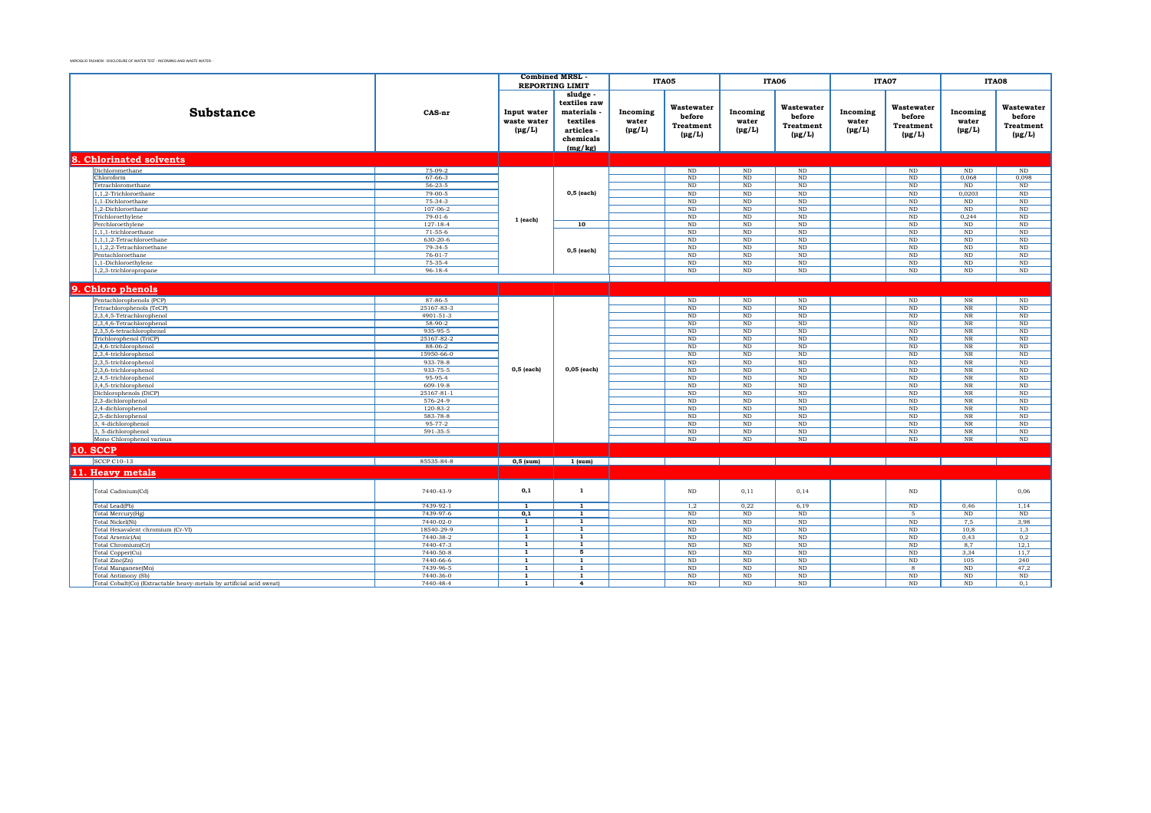|                                                                      |                          | <b>Combined MRSL</b>                      | <b>REPORTING LIMIT</b>                                                              |                                  | ITA05                                                   |                                  | ITA06                                                   | ITA07                            |                                                         |                                  | <b>ITA08</b>                                     |
|----------------------------------------------------------------------|--------------------------|-------------------------------------------|-------------------------------------------------------------------------------------|----------------------------------|---------------------------------------------------------|----------------------------------|---------------------------------------------------------|----------------------------------|---------------------------------------------------------|----------------------------------|--------------------------------------------------|
| <b>Substance</b>                                                     | CAS-nr                   | Input water<br>waste water<br>$(\mu g/L)$ | sludge<br>textiles raw<br>materials<br>textiles<br>articles<br>chemicals<br>(mg/kg) | Incoming<br>water<br>$(\mu g/L)$ | Wastewater<br>before<br><b>Treatment</b><br>$(\mu g/L)$ | Incoming<br>water<br>$(\mu g/L)$ | Wastewater<br>before<br><b>Treatment</b><br>$(\mu g/L)$ | Incoming<br>water<br>$(\mu g/L)$ | Wastewater<br>before<br><b>Treatment</b><br>$(\mu g/L)$ | Incoming<br>water<br>$(\mu g/L)$ | Wastewater<br>before<br>Treatment<br>$(\mu g/L)$ |
| 8. Chlorinated solvents                                              |                          |                                           |                                                                                     |                                  |                                                         |                                  |                                                         |                                  |                                                         |                                  |                                                  |
| Dichloromethane                                                      | $75-09-2$                |                                           |                                                                                     |                                  | $\rm ND$                                                | $\mathop{\rm ND}\nolimits$       | $\mathop{\rm ND}\nolimits$                              |                                  | $\rm ND$                                                | $\rm ND$                         | $\mathop{\rm ND}\nolimits$                       |
| Chloroform                                                           | $67 - 66 - 3$            |                                           |                                                                                     |                                  | $\rm ND$                                                | $\overline{\text{ND}}$           | <b>ND</b>                                               |                                  | $\rm ND$                                                | 0,068                            | 0,098                                            |
| Tetrachloromethane                                                   | $56 - 23 - 5$            |                                           |                                                                                     |                                  | ND                                                      | ND                               | <b>ND</b>                                               |                                  | ND                                                      | ND                               | ND                                               |
| 1,1,2-Trichloroethane<br>1.1-Dichloroethane                          | $79 - 00 - 5$<br>75-34-3 |                                           | $0,5$ (each)                                                                        |                                  | ND<br>ND                                                | ND<br>$\rm ND$                   | ND<br><b>ND</b>                                         |                                  | ND<br>$\rm ND$                                          | 0,0203<br>ND                     | ND<br>$\rm ND$                                   |
| 1,2-Dichloroethane                                                   | $107 - 06 - 2$           |                                           |                                                                                     |                                  | $\rm ND$                                                | ND                               | ND                                                      |                                  | ND                                                      | $\rm ND$                         | $\rm ND$                                         |
| Trichloroethylene                                                    | $79-01-6$                |                                           |                                                                                     |                                  | ND                                                      | N <sub>D</sub>                   | ND                                                      |                                  | ND                                                      | 0.244                            | ND                                               |
| Perchloroethylene                                                    | $127 - 18 - 4$           | 1 (each)                                  | 10                                                                                  |                                  | ND                                                      | ND                               | <b>ND</b>                                               |                                  | ND                                                      | ND                               | ND                                               |
| 1,1,1-trichloroethane                                                | $71 - 55 - 6$            |                                           |                                                                                     |                                  | $\rm ND$                                                | $\rm ND$                         | $\rm ND$                                                |                                  | $\rm ND$                                                | $\rm ND$                         | $\rm ND$                                         |
| 1,1,1,2-Tetrachloroethane                                            | 630-20-6                 |                                           |                                                                                     |                                  | $\rm ND$                                                | $\rm ND$                         | $\rm ND$                                                |                                  | $_{\rm ND}$                                             | $\rm ND$                         | $\rm ND$                                         |
| 1,1,2,2-Tetrachloroethane                                            | $79-34-5$                |                                           | 0,5 (each)                                                                          |                                  | $\rm ND$                                                | ND                               | $\rm ND$                                                |                                  | $\rm ND$                                                | $\rm ND$                         | $\rm ND$                                         |
| Pentachloroethane                                                    | $76-01-7$                |                                           |                                                                                     |                                  | ND                                                      | ND                               | <b>ND</b>                                               |                                  | ND                                                      | ND                               | ND                                               |
| 1,1-Dichloroethylene                                                 | 75-35-4                  |                                           |                                                                                     |                                  | $\rm ND$                                                | $\rm ND$                         | $\rm ND$                                                |                                  | $\rm ND$                                                | $\rm ND$                         | $\rm ND$                                         |
| 1,2,3-trichloropropane                                               | $96 - 18 - 4$            |                                           |                                                                                     |                                  | ND                                                      | $\rm ND$                         | ND                                                      |                                  | $\rm ND$                                                | $\rm ND$                         | $\rm ND$                                         |
|                                                                      |                          |                                           |                                                                                     |                                  |                                                         |                                  |                                                         |                                  |                                                         |                                  |                                                  |
| 9. Chloro phenols                                                    |                          |                                           |                                                                                     |                                  |                                                         |                                  |                                                         |                                  |                                                         |                                  |                                                  |
| Pentachlorophenols (PCP)                                             | 87-86-5                  |                                           |                                                                                     |                                  | ND                                                      | ND                               | $\rm ND$                                                |                                  | $\rm ND$                                                | $_{\rm NR}$                      | $\rm ND$                                         |
| Tetrachlorophenols (TeCP)                                            | 25167-83-3               |                                           |                                                                                     |                                  | ND                                                      | $\rm ND$                         | ND                                                      |                                  | ND                                                      | $_{\rm NR}$                      | $\rm ND$                                         |
| 2,3,4,5-Tetrachlorophenol                                            | 4901-51-3                |                                           |                                                                                     |                                  | ND                                                      | ND                               | ND                                                      |                                  | ND                                                      | $_{\rm NR}$                      | ND                                               |
| 2,3,4,6-Tetrachlorophenol                                            | 58-90-2                  |                                           |                                                                                     |                                  | $\rm ND$                                                | $\rm ND$                         | $\rm ND$                                                |                                  | $\rm ND$                                                | $_{\rm NR}$                      | $\rm ND$                                         |
| 2,3,5,6-tetrachlorophenol                                            | 935-95-5                 |                                           |                                                                                     |                                  | $\rm ND$                                                | $\rm ND$                         | $\rm ND$                                                |                                  | $\rm ND$                                                | $_{\rm NR}$                      | $\rm ND$                                         |
| Trichlorophenol (TriCP)                                              | 25167-82-2               |                                           |                                                                                     |                                  | $\rm ND$                                                | $\rm ND$                         | ND                                                      |                                  | $\rm ND$                                                | $_{\rm NR}$                      | $\rm ND$                                         |
| 2,4,6-trichlorophenol                                                | 88-06-2                  |                                           |                                                                                     |                                  | ND                                                      | $\rm ND$                         | ND                                                      |                                  | $\rm ND$                                                | $_{\rm NR}$                      | $\rm ND$                                         |
| 2,3,4-trichlorophenol                                                | 15950-66-0<br>933-78-8   |                                           |                                                                                     |                                  | ND<br>ND                                                | ND<br><b>ND</b>                  | ND<br><b>ND</b>                                         |                                  | $\rm ND$<br>ND                                          | <b>NR</b><br>NR                  | $\rm ND$<br>ND                                   |
| 2,3,5-trichlorophenol<br>2,3,6-trichlorophenol                       | 933-75-5                 | $0,5$ (each)                              | 0,05 (each)                                                                         |                                  | $\rm ND$                                                | ND                               | <b>ND</b>                                               |                                  | ND                                                      | $_{\rm NR}$                      | ND                                               |
| 2,4,5-trichlorophenol                                                | 95-95-4                  |                                           |                                                                                     |                                  | ND                                                      | <b>ND</b>                        | ND                                                      |                                  | ND                                                      | NR                               | ND                                               |
| 3,4,5-trichlorophenol                                                | $609-19-8$               |                                           |                                                                                     |                                  | ND                                                      | ND                               | ND                                                      |                                  | ND                                                      | $_{\rm NR}$                      | ND                                               |
| Dichlorophenols (DiCP)                                               | 25167-81-1               |                                           |                                                                                     |                                  | $\rm ND$                                                | $\rm ND$                         | ND                                                      |                                  | $\rm ND$                                                | $_{\rm NR}$                      | $\rm ND$                                         |
| 2,3-dichlorophenol                                                   | $576 - 24 - 9$           |                                           |                                                                                     |                                  | $\rm ND$                                                | ND                               | $\rm ND$                                                |                                  | $\rm ND$                                                | $_{\rm NR}$                      | $\rm ND$                                         |
| 2,4-dichlorophenol                                                   | $120 - 83 - 2$           |                                           |                                                                                     |                                  | ND                                                      | $\rm ND$                         | ND                                                      |                                  | $\rm ND$                                                | NR                               | $\rm ND$                                         |
| 2,5-dichlorophenol                                                   | 583-78-8                 |                                           |                                                                                     |                                  | ND                                                      | ND                               | ND                                                      |                                  | ND                                                      | $_{\rm NR}$                      | $\rm ND$                                         |
| 3, 4-dichlorophenol                                                  | $95 - 77 - 2$            |                                           |                                                                                     |                                  | ND                                                      | N <sub>D</sub>                   | <b>ND</b>                                               |                                  | ND                                                      | <b>NR</b>                        | ND                                               |
| 3, 5-dichlorophenol                                                  | 591-35-5                 |                                           |                                                                                     |                                  | $\rm ND$                                                | $\rm ND$                         | <b>ND</b>                                               |                                  | $\rm ND$                                                | $_{\rm NR}$                      | $\rm ND$                                         |
| Mono Chlorophenol various                                            |                          |                                           |                                                                                     |                                  | $\rm ND$                                                | ND                               | ND                                                      |                                  | $\rm ND$                                                | $_{\rm NR}$                      | $\rm ND$                                         |
| <b>10. SCCP</b>                                                      |                          |                                           |                                                                                     |                                  |                                                         |                                  |                                                         |                                  |                                                         |                                  |                                                  |
| <b>SCCP C10-13</b>                                                   | 85535-84-8               | $0,5$ (sum)                               | $1$ (sum)                                                                           | and the property                 |                                                         |                                  |                                                         |                                  |                                                         |                                  |                                                  |
| 11. Heavy metals                                                     |                          |                                           |                                                                                     |                                  |                                                         |                                  |                                                         |                                  |                                                         |                                  |                                                  |
|                                                                      |                          |                                           |                                                                                     |                                  |                                                         |                                  |                                                         |                                  |                                                         |                                  |                                                  |
| Total Cadmium(Cd)                                                    | 7440-43-9                | 0,1                                       | $\mathbf{1}$                                                                        |                                  | $\rm ND$                                                | 0,11                             | 0,14                                                    |                                  | $\rm ND$                                                |                                  | 0,06                                             |
| Total Lead(Pb)                                                       | 7439-92-1                | $\overline{1}$                            | $\overline{1}$                                                                      |                                  | 1,2                                                     | 0,22                             | 6,19                                                    |                                  | $\rm ND$                                                | 0,46                             | 1,14                                             |
| Total Mercury(Hg)                                                    | 7439-97-6                | 0,1<br>$\overline{1}$                     | $\mathbf{1}$<br>$\overline{1}$                                                      |                                  | ND                                                      | ND                               | ND                                                      |                                  | $\overline{5}$                                          | ND                               | ND                                               |
| Total Nickel(Ni)<br>Total Hexavalent chromium (Cr-VI)                | 7440-02-0<br>18540-29-9  | 1                                         | $\mathbf{1}$                                                                        |                                  | $\rm ND$<br>ND                                          | $\rm ND$<br><b>ND</b>            | $\rm ND$<br>ND                                          |                                  | $\rm ND$<br>ND                                          | 7,5<br>10.8                      | 3,98<br>1.3                                      |
| Total Arsenic(As)                                                    | 7440-38-2                | $\mathbf{1}$                              | 1                                                                                   |                                  | $\rm ND$                                                | $\rm ND$                         | ND                                                      |                                  | $\rm ND$                                                | 0,43                             | 0,2                                              |
| Total Chromium(Cr)                                                   | 7440-47-3                | 1                                         | $\overline{1}$                                                                      |                                  | ND                                                      | $\rm ND$                         | ND                                                      |                                  | ND                                                      | 8,7                              | 12,1                                             |
| Total Copper(Cu)                                                     | 7440-50-8                | $\overline{1}$                            | $\overline{5}$                                                                      |                                  | ND                                                      | ND                               | ND                                                      |                                  | ND                                                      | 3,34                             | 11,7                                             |
| Total Zinc(Zn)                                                       | 7440-66-6                | $\mathbf{1}$                              | $\mathbf{1}$                                                                        |                                  | ND                                                      | ND                               | ND                                                      |                                  | ND                                                      | 105                              | 240                                              |
| Total Manganese(Mn)                                                  | 7439-96-5                | $\mathbf{1}$                              | $\mathbf{1}$                                                                        |                                  | $\rm ND$                                                | <b>ND</b>                        | ND                                                      |                                  | 8                                                       | $\rm ND$                         | 47,2                                             |
| Total Antimony (Sb)                                                  | 7440-36-0                | $\mathbf{1}$                              | $\overline{1}$                                                                      |                                  | $\rm ND$                                                | $\rm ND$                         | $\rm ND$                                                |                                  | $\rm ND$                                                | $\rm ND$                         | $\rm ND$                                         |
| Total Cobalt(Co) (Extractable heavy-metals by artificial acid sweat) | 7440-48-4                | $\mathbf{1}$                              | $\overline{4}$                                                                      |                                  | ND                                                      | ND                               | ND                                                      |                                  | ND                                                      | ND                               | 0,1                                              |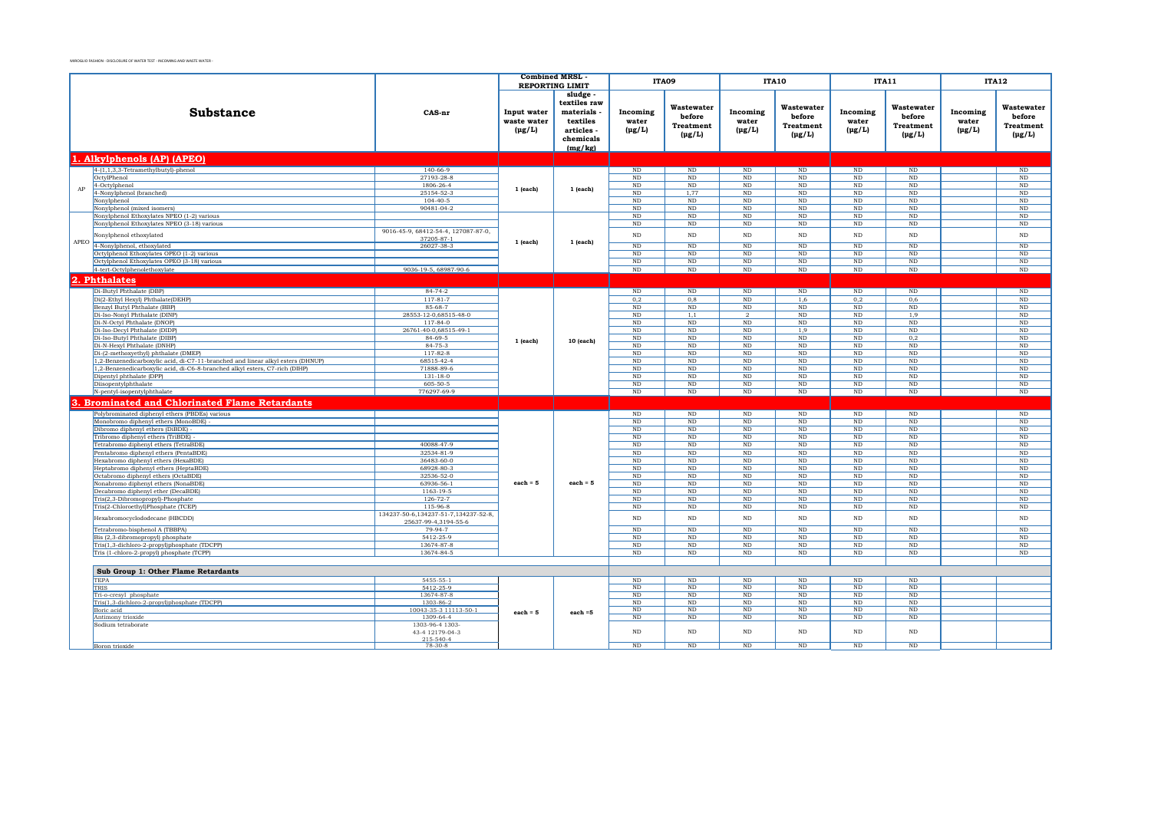|      |                                                                                 |                                                   | <b>Combined MRSL</b>                      |                                                                                     |                                  | ITA09                                                   |                                  | <b>ITA10</b>                                            |                                  | <b>ITA11</b>                                                |                                  | <b>ITA12</b>                                     |
|------|---------------------------------------------------------------------------------|---------------------------------------------------|-------------------------------------------|-------------------------------------------------------------------------------------|----------------------------------|---------------------------------------------------------|----------------------------------|---------------------------------------------------------|----------------------------------|-------------------------------------------------------------|----------------------------------|--------------------------------------------------|
|      |                                                                                 |                                                   |                                           | <b>REPORTING LIMIT</b>                                                              |                                  |                                                         |                                  |                                                         |                                  |                                                             |                                  |                                                  |
|      | Substance                                                                       | CAS-nr                                            | Input water<br>waste water<br>$(\mu g/L)$ | sludge<br>textiles raw<br>materials<br>textiles<br>articles<br>chemicals<br>(mg/kg) | Incoming<br>water<br>$(\mu g/L)$ | Wastewater<br>before<br><b>Treatment</b><br>$(\mu g/L)$ | Incoming<br>water<br>$(\mu g/L)$ | Wastewater<br>before<br><b>Treatment</b><br>$(\mu g/L)$ | Incoming<br>water<br>$(\mu g/L)$ | Wastewater<br>before<br><b>Treatment</b><br>$(\text{pg/L})$ | Incoming<br>water<br>$(\mu g/L)$ | Wastewater<br>before<br>Treatment<br>$(\mu g/L)$ |
|      |                                                                                 |                                                   |                                           |                                                                                     |                                  |                                                         |                                  |                                                         |                                  |                                                             |                                  |                                                  |
|      | 1. Alkylphenols (AP) (APEO)                                                     |                                                   |                                           |                                                                                     |                                  |                                                         |                                  |                                                         |                                  |                                                             |                                  |                                                  |
|      | 4-(1,1,3,3-Tetramethylbutyl)-phenol                                             | $140 - 66 - 9$                                    |                                           |                                                                                     | ND                               | ND                                                      | ND                               | ND                                                      | ND                               | ND                                                          |                                  | ND                                               |
|      | OctylPhenol                                                                     | 27193-28-8                                        |                                           |                                                                                     | $_{\rm ND}$                      | $_{\rm ND}$                                             | ND                               | $_{\rm ND}$                                             | $_{\rm ND}$                      | ND                                                          |                                  | $\rm ND$                                         |
| AP   | 4-Octylphenol<br>4-Nonylphenol (branched)                                       | 1806-26-4<br>25154-52-3                           | $1$ (each)                                | $1$ (each)                                                                          | ND<br>ND                         | ND<br>1,77                                              | ND<br>$\rm ND$                   | ND<br>$_{\rm ND}$                                       | ND<br>$_{\rm ND}$                | ND<br>ND                                                    |                                  | $\overline{\text{ND}}$<br>$\rm ND$               |
|      | Nonylphenol                                                                     | $104 - 40 - 5$                                    |                                           |                                                                                     | $_{\rm ND}$                      | ND                                                      | ND                               | ND                                                      | ND                               | ND                                                          |                                  | ND                                               |
|      | Nonylphenol (mixed isomers)                                                     | 90481-04-2                                        |                                           |                                                                                     | $_{\rm ND}$                      | ND                                                      | ND                               | ND                                                      | ND                               | ND                                                          |                                  | $\rm ND$                                         |
|      | Nonylphenol Ethoxylates NPEO (1-2) various                                      |                                                   |                                           |                                                                                     | ND                               | $\rm ND$                                                | $\rm ND$                         | $_{\rm ND}$                                             | $_{\rm ND}$                      | ND                                                          |                                  | $\rm ND$                                         |
|      | Nonylphenol Ethoxylates NPEO (3-18) various                                     |                                                   |                                           |                                                                                     | ND                               | ND                                                      | ND                               | ND.                                                     | ND                               | ND                                                          |                                  | ND                                               |
|      | Nonylphenol ethoxylated                                                         | 9016-45-9, 68412-54-4, 127087-87-0,<br>37205-87-1 |                                           |                                                                                     | ND                               | ND                                                      | $\rm ND$                         | $\rm ND$                                                | $\rm ND$                         | ND                                                          |                                  | $\rm ND$                                         |
| APEO | 4-Nonylphenol, ethoxylated                                                      | 26027-38-3                                        | 1 (each)                                  | 1 (each)                                                                            | ND                               | $\overline{\text{ND}}$                                  | ND                               | ND                                                      | ND                               | $\overline{\text{ND}}$                                      |                                  | $\overline{\text{ND}}$                           |
|      | Octylphenol Ethoxylates OPEO (1-2) various                                      |                                                   |                                           |                                                                                     | ND                               | $\overline{\text{ND}}$                                  | $\overline{\text{ND}}$           | ND                                                      | ND                               | $\overline{\text{ND}}$                                      |                                  | $\overline{\text{ND}}$                           |
|      | Octylphenol Ethoxylates OPEO (3-18) various                                     |                                                   |                                           |                                                                                     | ND                               | ND                                                      | $\mathop{\rm ND}\nolimits$       | ND                                                      | ND                               | ND                                                          |                                  | $\rm ND$                                         |
|      | 4-tert-Octylphenolethoxylate                                                    | 9036-19-5, 68987-90-6                             |                                           |                                                                                     | ND                               | $\mathbf{ND}$                                           | $\mathbf{ND}$                    | ND                                                      | ND                               | ND                                                          |                                  | $\rm ND$                                         |
|      | 2. Phthalates                                                                   |                                                   |                                           |                                                                                     |                                  |                                                         |                                  |                                                         |                                  |                                                             |                                  |                                                  |
|      | Di-Butyl Phthalate (DBP)                                                        | $84 - 74 - 2$                                     |                                           |                                                                                     | ND                               | ND                                                      | ND                               | ND                                                      | ND                               | ND                                                          |                                  | ND                                               |
|      | Di(2-Ethyl Hexyl) Phthalate(DEHP)                                               | $117 - 81 - 7$                                    |                                           |                                                                                     | 0.2                              | 0.8                                                     | ND                               | 1.6                                                     | 0.2                              | 0.6                                                         |                                  | ND                                               |
|      | Benzyl Butyl Phthalate (BBP)                                                    | 85-68-7                                           |                                           |                                                                                     | $_{\rm ND}$                      | $\rm ND$                                                | $\rm ND$                         | $\rm ND$                                                | $\rm ND$                         | $\rm ND$                                                    |                                  | $\rm ND$                                         |
|      | Di-Iso-Nonyl Phthalate (DINP)                                                   | 28553-12-0,68515-48-0                             |                                           |                                                                                     | ND                               | 1,1                                                     | $\overline{2}$                   | ND                                                      | ND                               | 1,9                                                         |                                  | $\overline{\text{ND}}$                           |
|      | Di-N-Octyl Phthalate (DNOP)                                                     | $117 - 84 - 0$                                    |                                           |                                                                                     | ND                               | ND                                                      | ND                               | ND                                                      | ND                               | ND                                                          |                                  | $\overline{\text{ND}}$                           |
|      | Di-Iso-Decyl Phthalate (DIDP)                                                   | 26761-40-0,68515-49-1                             |                                           |                                                                                     | ND                               | ND                                                      | ND                               | 1,9                                                     | ND                               | ND                                                          |                                  | $\overline{\text{ND}}$                           |
|      | Di-Iso-Butyl Phthalate (DIBP)                                                   | 84-69-5                                           | 1 (each)                                  | 10 (each)                                                                           | ND                               | ND                                                      | $\rm ND$                         | $\rm ND$                                                | $\rm ND$                         | 0,2                                                         |                                  | $\rm ND$                                         |
|      | Di-N-Hexyl Phthalate (DNHP)<br>Di-(2-methoxyethyl) phthalate (DMEP)             | 84-75-3<br>117-82-8                               |                                           |                                                                                     | ND<br>ND                         | ND<br>ND                                                | $\rm ND$<br>$\rm ND$             | $\rm ND$<br>$\rm ND$                                    | $\rm ND$<br>$\rm ND$             | ND<br>ND                                                    |                                  | $\rm ND$<br>$\rm ND$                             |
|      | 1,2-Benzenedicarboxylic acid, di-C7-11-branched and linear alkyl esters (DHNUP) | 68515-42-4                                        |                                           |                                                                                     | ND                               | ND                                                      | $\rm ND$                         | ND                                                      | ND                               | ND                                                          |                                  | $\rm ND$                                         |
|      | 1,2-Benzenedicarboxylic acid, di-C6-8-branched alkyl esters, C7-rich (DIHP)     | 71888-89-6                                        |                                           |                                                                                     | ND                               | ND                                                      | $\rm ND$                         | $\rm ND$                                                | ND                               | ND                                                          |                                  | $\rm ND$                                         |
|      | Dipentyl phthalate (DPP)                                                        | 131-18-0                                          |                                           |                                                                                     | ND                               | ND                                                      | $\rm ND$                         | $\rm ND$                                                | ND                               | ND                                                          |                                  | $\rm ND$                                         |
|      | Diisopentylphthalate                                                            | 605-50-5                                          |                                           |                                                                                     | ND                               | ND                                                      | ND                               | ND                                                      | ND                               | ND                                                          |                                  | $\rm ND$                                         |
|      | N-pentyl-isopentylphthalate                                                     | 776297-69-9                                       |                                           |                                                                                     | ND                               | ND                                                      | ND                               | $\rm ND$                                                | $\rm ND$                         | ND                                                          |                                  | $\rm ND$                                         |
|      | <b>Brominated and Chlorinated Flame Retardants</b>                              |                                                   |                                           |                                                                                     |                                  |                                                         |                                  |                                                         |                                  |                                                             |                                  |                                                  |
|      | Polybrominated diphenyl ethers (PBDEs) various                                  |                                                   |                                           |                                                                                     | ND                               | ND                                                      | ND                               | ND                                                      | ND                               | ND                                                          |                                  | $\overline{\text{ND}}$                           |
|      | Monobromo diphenyl ethers (MonoBDE)                                             |                                                   |                                           |                                                                                     | ND                               | ND                                                      | ND                               | ND                                                      | ND                               | ND                                                          |                                  | $\overline{\text{ND}}$                           |
|      | Dibromo diphenyl ethers (DiBDE)                                                 |                                                   |                                           |                                                                                     | ND                               | ND                                                      | ND                               | ND                                                      | ND                               | ND                                                          |                                  | $\rm ND$                                         |
|      | Tribromo diphenyl ethers (TriBDE)                                               |                                                   |                                           |                                                                                     | ND                               | ND                                                      | ND                               | ND                                                      | ND                               | ND                                                          |                                  | $\overline{\text{ND}}$                           |
|      | Tetrabromo diphenyl ethers (TetraBDE)                                           | 40088-47-9                                        |                                           |                                                                                     | ND                               | ND                                                      | ND                               | ND                                                      | ND                               | ND                                                          |                                  | $\overline{\text{ND}}$                           |
|      | Pentabromo diphenyl ethers (PentaBDE)<br>Hexabromo diphenyl ethers (HexaBDE)    | 32534-81-9<br>36483-60-0                          |                                           |                                                                                     | ND<br>ND                         | ND<br>ND                                                | ND<br>ND                         | ND<br>ND                                                | ND<br>ND                         | ND<br>ND                                                    |                                  | $\overline{\text{ND}}$<br>$\overline{\text{ND}}$ |
|      | Heptabromo diphenyl ethers (HeptaBDE)                                           | 68928-80-3                                        |                                           |                                                                                     | ND                               | ND                                                      | ND                               | ND                                                      | ND                               | ND                                                          |                                  | $\overline{\text{ND}}$                           |
|      | Octabromo diphenyl ethers (OctaBDE)                                             | 32536-52-0                                        |                                           |                                                                                     | ND                               | ND                                                      | ND                               | ND                                                      | ND                               | ND                                                          |                                  | $\overline{\text{ND}}$                           |
|      | Nonabromo diphenyl ethers (NonaBDE)                                             | 63936-56-1                                        | $each = 5$                                | $\mathbf{each} = 5$                                                                 | ND                               | ND                                                      | ND                               | <b>ND</b>                                               | ND                               | ND                                                          |                                  | ND                                               |
|      | Decabromo diphenyl ether (DecaBDE)                                              | 1163-19-5                                         |                                           |                                                                                     | ND                               | ND                                                      | ND                               | ND                                                      | ND                               | ND.                                                         |                                  | ND                                               |
|      | Tris(2,3-Dibromopropyl)-Phosphate                                               | $126 - 72 - 7$                                    |                                           |                                                                                     | ND                               | ND                                                      | ND                               | ND                                                      | ND                               | ND                                                          |                                  | ND                                               |
|      | Tris(2-ChloroethyllPhosphate (TCEP)                                             | 115-96-8<br>134237-50-6.134237-51-7.134237-52-8.  |                                           |                                                                                     | ND                               | ND                                                      | ND                               | <b>ND</b>                                               | ND                               | ND.                                                         |                                  | ND                                               |
|      | Hexabromocyclododecane (HBCDD)<br>Tetrabromo-bisphenol A (TBBPA)                | 25637-99-4.3194-55-6<br>79-94-7                   |                                           |                                                                                     | N <sub>D</sub><br>N <sub>D</sub> | <b>ND</b><br>ND                                         | <b>ND</b><br>ND                  | ND<br>ND                                                | ND<br>ND                         | $_{\rm ND}$<br>ND                                           |                                  | $\rm ND$<br>ND                                   |
|      | Bis (2,3-dibromopropyl) phosphate                                               | 5412-25-9                                         |                                           |                                                                                     | $_{\rm ND}$                      | $_{\rm ND}$                                             | <b>ND</b>                        | ND                                                      | $_{\rm ND}$                      | ND                                                          |                                  | $\rm ND$                                         |
|      | Tris(1,3-dichloro-2-propyl)phosphate (TDCPP)                                    | 13674-87-8                                        |                                           |                                                                                     | ND                               | ND                                                      | <b>ND</b>                        | ND                                                      | ND                               | ND                                                          |                                  | $\rm ND$                                         |
|      | Tris (1-chloro-2-propyl) phosphate (TCPP)                                       | 13674-84-5                                        |                                           |                                                                                     | ND                               | ND                                                      | <b>ND</b>                        | ND                                                      | ND                               | ND                                                          |                                  | $\rm ND$                                         |
|      |                                                                                 |                                                   |                                           |                                                                                     |                                  |                                                         |                                  |                                                         |                                  |                                                             |                                  |                                                  |
|      | Sub Group 1: Other Flame Retardants                                             |                                                   |                                           |                                                                                     |                                  |                                                         |                                  |                                                         |                                  |                                                             |                                  |                                                  |
|      | <b>TEPA</b>                                                                     | $5455 - 55 - 1$                                   |                                           |                                                                                     | ND<br>ND                         | ND<br>$_{\rm ND}$                                       | ND<br>ND                         | ND<br>$_{\rm ND}$                                       | ND<br>$_{\rm ND}$                | ND<br>ND                                                    |                                  |                                                  |
|      | TRIS<br>Tri-o-cresyl phosphate                                                  | 5412-25-9<br>13674-87-8                           |                                           |                                                                                     | ND                               | ND                                                      | ND                               | ND                                                      | ND                               | ND                                                          |                                  |                                                  |
|      | Tris(1,3-dichloro-2-propyl)phosphate (TDCPP)                                    | 1303-86-2                                         |                                           |                                                                                     | ND                               | ND                                                      | ND                               | ND                                                      | ND                               | ND                                                          |                                  |                                                  |
|      | Boric acid                                                                      | 10043-35-3 11113-50-1                             | $each = 5$                                | each $=5$                                                                           | ND                               | ND                                                      | ND                               | ND                                                      | ND                               | ND                                                          |                                  |                                                  |
|      | Antimony trioxide                                                               | 1309-64-4                                         |                                           |                                                                                     | ND                               | ND                                                      | ND                               | ND                                                      | ND                               | ND                                                          |                                  |                                                  |
|      | Sodium tetraborate                                                              | 1303-96-4 1303-<br>43-4 12179-04-3                |                                           |                                                                                     | ND                               | ND                                                      | <b>ND</b>                        | ND                                                      | ND                               | ND                                                          |                                  |                                                  |
|      |                                                                                 | 215-540-4                                         |                                           |                                                                                     |                                  |                                                         |                                  |                                                         |                                  |                                                             |                                  |                                                  |
|      | Boron trioxide                                                                  | $78-30-8$                                         |                                           |                                                                                     | ND                               | ND                                                      | ND                               | ND                                                      | ND                               | ND                                                          |                                  |                                                  |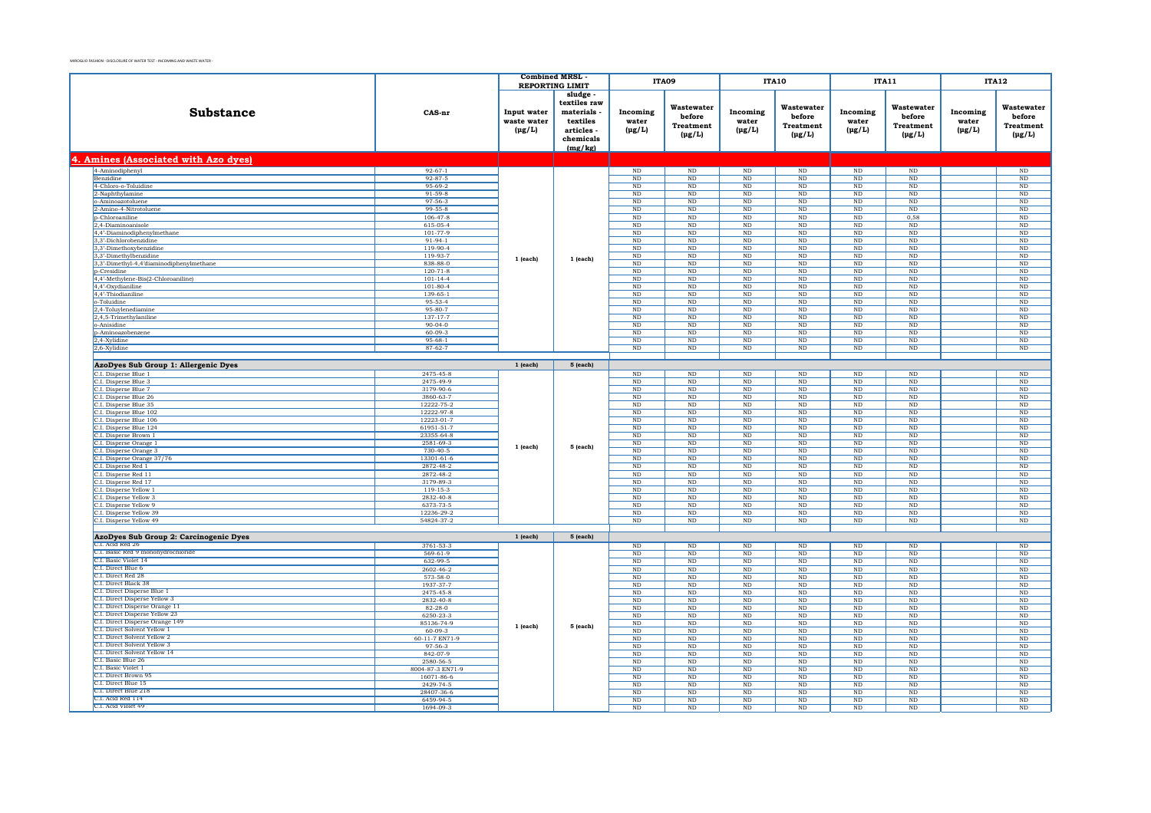|                                                               |                          | <b>Combined MRSL</b>                      |                                                                                       |                                  | ITA09                                                   |                                       | <b>ITA10</b>                                            | <b>ITA11</b>                     |                                                         | <b>ITA12</b>                     |                                                  |
|---------------------------------------------------------------|--------------------------|-------------------------------------------|---------------------------------------------------------------------------------------|----------------------------------|---------------------------------------------------------|---------------------------------------|---------------------------------------------------------|----------------------------------|---------------------------------------------------------|----------------------------------|--------------------------------------------------|
|                                                               |                          | <b>REPORTING LIMIT</b>                    |                                                                                       |                                  |                                                         |                                       |                                                         |                                  |                                                         |                                  |                                                  |
| Substance                                                     | CAS-nr                   | Input water<br>waste water<br>$(\mu g/L)$ | sludge<br>textiles raw<br>materials<br>textiles<br>articles -<br>chemicals<br>(mg/kg) | Incoming<br>water<br>$(\mu g/L)$ | Wastewater<br>before<br><b>Treatment</b><br>$(\mu g/L)$ | Incoming<br>water<br>$(\mu g/L)$      | Wastewater<br>before<br><b>Treatment</b><br>$(\mu g/L)$ | Incoming<br>water<br>$(\mu g/L)$ | Wastewater<br>before<br><b>Treatment</b><br>$(\mu g/L)$ | Incoming<br>water<br>$(\mu g/L)$ | Wastewater<br>before<br>Treatment<br>$(\mu g/L)$ |
| 4. Amines (Associated with Azo dyes)                          |                          |                                           |                                                                                       |                                  |                                                         |                                       |                                                         |                                  |                                                         |                                  |                                                  |
| 4-Aminodiphenyl                                               | $92 - 67 - 1$            |                                           |                                                                                       | $\rm ND$                         | $\rm ND$                                                | $\rm ND$                              | $\rm ND$                                                | $\rm ND$                         | $\rm ND$                                                |                                  | $\rm ND$                                         |
| Benzidine                                                     | $92 - 87 - 5$            |                                           |                                                                                       | $\rm ND$                         | ND                                                      | $\rm ND$                              | $\rm ND$                                                | $_{\rm ND}$                      | ND                                                      |                                  | ND                                               |
| 4-Chloro-o-Toluidine                                          | 95-69-2                  |                                           |                                                                                       | $_{\rm ND}$                      | $_{\rm ND}$                                             | $\rm ND$                              | $_{\rm ND}$                                             | $_{\rm ND}$                      | $_{\rm ND}$                                             |                                  | $\rm ND$                                         |
| 2-Naphthylamine                                               | $91 - 59 - 8$            |                                           |                                                                                       | ND                               | ND                                                      | ND.                                   | ND                                                      | ND                               | ND                                                      |                                  | ND                                               |
| o-Aminoazotoluene                                             | $97 - 56 - 3$            |                                           |                                                                                       | ND                               | ND                                                      | $\rm ND$                              | $\rm ND$                                                | $_{\rm ND}$                      | $\rm ND$                                                |                                  | $\rm ND$                                         |
| 2-Amino-4-Nitrotoluene                                        | $99 - 55 - 8$            |                                           |                                                                                       | <b>ND</b>                        | <b>ND</b>                                               | ND                                    | ND                                                      | ND                               | ND.                                                     |                                  | ND                                               |
| p-Chloroaniline                                               | $106 - 47 - 8$           |                                           |                                                                                       | <b>ND</b>                        | ND                                                      | $\rm ND$                              | ND                                                      | ND                               | 0,58                                                    |                                  | $\overline{\text{ND}}$                           |
| 2,4-Diaminoanisole<br>4,4'-Diaminodiphenylmethane             | 615-05-4<br>101-77-9     |                                           |                                                                                       | ND<br>ND                         | ND<br>$\overline{\text{ND}}$                            | $_{\rm ND}$<br>$\overline{\text{ND}}$ | ND<br>ND                                                | ND<br>ND                         | ND<br>ND                                                |                                  | ND<br>$\overline{\text{ND}}$                     |
| 3,3'-Dichlorobenzidine                                        | $91-94-1$                |                                           |                                                                                       | $\rm ND$                         | $\rm ND$                                                | $\rm ND$                              | $\rm ND$                                                | $\rm ND$                         | $\rm ND$                                                |                                  | $\rm ND$                                         |
| 3.3'-Dimethoxybenzidine                                       | $119-90-4$               |                                           |                                                                                       | N <sub>D</sub>                   | ND                                                      | ND.                                   | ND                                                      | ND                               | ND                                                      |                                  | ND                                               |
| 3,3'-Dimethylbenzidine                                        | 119-93-7                 |                                           |                                                                                       | $_{\rm ND}$                      | $\rm ND$                                                | $\rm ND$                              | $\rm ND$                                                | $\rm ND$                         | $\rm ND$                                                |                                  | $\rm ND$                                         |
| 3,3'-Dimethyl-4,4'diaminodiphenylmethane                      | 838-88-0                 | $1$ (each)                                | 1 (each)                                                                              | $_{\rm ND}$                      | $_{\rm ND}$                                             | $\rm ND$                              | $_{\rm ND}$                                             | $_{\rm ND}$                      | $\rm ND$                                                |                                  | $\rm ND$                                         |
| <b>p-Cresidine</b>                                            | $120 - 71 - 8$           |                                           |                                                                                       | $\rm ND$                         | N <sub>D</sub>                                          | $\rm ND$                              | N <sub>D</sub>                                          | ND.                              | $\rm ND$                                                |                                  | $\rm ND$                                         |
| 4,4'-Methylene-Bis(2-Chloroaniline)                           | $101 - 14 - 4$           |                                           |                                                                                       | ND                               | $\rm ND$                                                | $\rm ND$                              | $_{\rm ND}$                                             | $_{\rm ND}$                      | $_{\rm ND}$                                             |                                  | $\rm ND$                                         |
| 4.4'-Oxydianiline                                             | $101 - 80 - 4$           |                                           |                                                                                       | <b>ND</b>                        | N <sub>D</sub>                                          | <b>ND</b>                             | ND.                                                     | ND.                              | ND.                                                     |                                  | $\rm ND$                                         |
| 4,4'-Thiodianiline                                            | 139-65-1                 |                                           |                                                                                       | ND                               | $\rm ND$                                                | $\rm ND$                              | $_{\rm ND}$                                             | $_{\rm ND}$                      | $\rm ND$                                                |                                  | $\rm ND$                                         |
| o-Toluidine                                                   | 95-53-4<br>$95 - 80 - 7$ |                                           |                                                                                       | $_{\rm ND}$<br>ND                | $_{\rm ND}$<br>ND                                       | $\rm ND$<br>$\overline{\text{ND}}$    | $_{\rm ND}$<br>ND                                       | $_{\rm ND}$<br>ND                | $\rm ND$<br>ND                                          |                                  | $_{\rm ND}$<br>ND                                |
| 2,4-Toluylenediamine<br>2,4,5-Trimethylaniline                | 137-17-7                 |                                           |                                                                                       | $\rm ND$                         | $\rm ND$                                                | $\rm ND$                              | $\rm ND$                                                | $\rm ND$                         | $\rm ND$                                                |                                  | $\rm ND$                                         |
| o-Anisidine                                                   | $90 - 04 - 0$            |                                           |                                                                                       | ND                               | ND                                                      | $\overline{\text{ND}}$                | ND                                                      | ND                               | ND                                                      |                                  | ND                                               |
| p-Aminoazobenzene                                             | $60 - 09 - 3$            |                                           |                                                                                       | $_{\rm ND}$                      | $\rm ND$                                                | $\rm ND$                              | $\rm ND$                                                | $\rm ND$                         | $\rm ND$                                                |                                  | $\rm ND$                                         |
| 2,4-Xylidine                                                  | $95 - 68 - 1$            |                                           |                                                                                       | ND                               | ND                                                      | $_{\rm ND}$                           | $_{\rm ND}$                                             | ND                               | ND                                                      |                                  | ND                                               |
| 2,6-Xylidine                                                  | $87 - 62 - 7$            |                                           |                                                                                       | ND                               | ND                                                      | $\overline{\text{ND}}$                | ND                                                      | ND                               | ND                                                      |                                  | ND                                               |
|                                                               |                          |                                           |                                                                                       |                                  |                                                         |                                       |                                                         |                                  |                                                         |                                  |                                                  |
| AzoDyes Sub Group 1: Allergenic Dyes                          |                          | $1$ (each)                                | 5 (each)                                                                              |                                  |                                                         |                                       |                                                         |                                  |                                                         |                                  |                                                  |
| C.I. Disperse Blue 1                                          | 2475-45-8                |                                           |                                                                                       | $\rm ND$                         | $\rm ND$                                                | $\rm ND$                              | $\rm ND$                                                | ND                               | $\rm ND$                                                |                                  | ND                                               |
| C.I. Disperse Blue 3                                          | 2475-49-9                |                                           |                                                                                       | ND                               | $_{\rm ND}$                                             | $\rm ND$                              | $_{\rm ND}$                                             | $_{\rm ND}$                      | $_{\rm ND}$                                             |                                  | $\rm ND$                                         |
| C.I. Disperse Blue 7                                          | 3179-90-6                |                                           |                                                                                       | ND                               | ND                                                      | ND.                                   | ND                                                      | ND                               | ND                                                      |                                  | ND                                               |
| C.I. Disperse Blue 26                                         | 3860-63-7                |                                           |                                                                                       | $\rm ND$                         | ND                                                      | $\rm ND$                              | $\rm ND$                                                | $\rm ND$                         | $_{\rm ND}$                                             |                                  | $\rm ND$                                         |
| C.I. Disperse Blue 35<br>C.I. Disperse Blue 102               | 12222-75-2<br>12222-97-8 |                                           |                                                                                       | $_{\rm ND}$                      | <b>ND</b>                                               | $\rm ND$                              | <b>ND</b>                                               | ND                               | $_{\rm ND}$                                             |                                  | $\rm ND$                                         |
| C.I. Disperse Blue 106                                        | 12223-01-7               |                                           |                                                                                       | $\rm ND$<br>ND                   | $\rm ND$<br>ND                                          | $\rm ND$<br>$_{\rm ND}$               | $_{\rm ND}$<br>ND                                       | $_{\rm ND}$<br>ND                | $\rm ND$<br>ND                                          |                                  | $\rm ND$<br>ND                                   |
| C.I. Disperse Blue 124                                        | 61951-51-7               |                                           |                                                                                       | $\rm ND$                         | ND                                                      | $\rm ND$                              | ND                                                      | $\rm ND$                         | $_{\rm ND}$                                             |                                  | $\rm ND$                                         |
| C.I. Disperse Brown 1                                         | 23355-64-8               |                                           |                                                                                       | $_{\rm ND}$                      | $\rm ND$                                                | $\rm ND$                              | $\rm ND$                                                | $_{\rm ND}$                      | $_{\rm ND}$                                             |                                  | $\rm ND$                                         |
| C.I. Disperse Orange 1                                        | 2581-69-3                |                                           |                                                                                       | ND                               | ND                                                      | $_{\rm ND}$                           | ND                                                      | ND                               | ND                                                      |                                  | ND                                               |
| C.I. Disperse Orange 3                                        | $730 - 40 - 5$           | $1$ (each)                                | 5 (each)                                                                              | $\rm ND$                         | $\rm ND$                                                | $\rm ND$                              | $\rm ND$                                                | $\rm ND$                         | $_{\rm ND}$                                             |                                  | $\rm ND$                                         |
| C.I. Disperse Orange 37/76                                    | 13301-61-6               |                                           |                                                                                       | $_{\rm ND}$                      | $_{\rm ND}$                                             | $\rm ND$                              | $_{\rm ND}$                                             | $_{\rm ND}$                      | $_{\rm ND}$                                             |                                  | $\rm ND$                                         |
| C.I. Disperse Red 1                                           | 2872-48-2                |                                           |                                                                                       | N <sub>D</sub>                   | N <sub>D</sub>                                          | ND.                                   | ND                                                      | ND                               | ND                                                      |                                  | ND                                               |
| C.I. Disperse Red 11                                          | 2872-48-2                |                                           |                                                                                       | $_{\rm ND}$                      | $\rm ND$                                                | $\rm ND$                              | $\rm ND$                                                | $\rm ND$                         | $\rm ND$                                                |                                  | $\rm ND$                                         |
| C.I. Disperse Red 17                                          | 3179-89-3                |                                           |                                                                                       | ND.                              | N <sub>D</sub>                                          | <b>ND</b>                             | N <sub>D</sub>                                          | ND.                              | <b>ND</b>                                               |                                  | <b>ND</b>                                        |
| C.I. Disperse Yellow 1                                        | 119-15-3                 |                                           |                                                                                       | $\rm ND$                         | $\rm ND$                                                | $\rm ND$                              | $\rm ND$                                                | ND                               | $\rm ND$                                                |                                  | ND                                               |
| C.I. Disperse Yellow 3<br>C.I. Disperse Yellow 9              | 2832-40-8<br>6373-73-5   |                                           |                                                                                       | $_{\rm ND}$<br>ND                | $_{\rm ND}$<br>ND                                       | $\rm ND$<br>ND                        | $_{\rm ND}$<br>ND                                       | $_{\rm ND}$<br>ND                | $\rm ND$<br>ND                                          |                                  | $_{\rm ND}$<br>ND                                |
| C.I. Disperse Yellow 39                                       | 12236-29-2               |                                           |                                                                                       | ND                               | $\rm ND$                                                | $\rm ND$                              | $\rm ND$                                                | $\rm ND$                         | $\rm ND$                                                |                                  | $\rm ND$                                         |
| C.I. Disperse Yellow 49                                       | 54824-37-2               |                                           |                                                                                       | ND                               | ND                                                      | ND                                    | ND                                                      | ND                               | ND                                                      |                                  | <b>ND</b>                                        |
|                                                               |                          |                                           |                                                                                       |                                  |                                                         |                                       |                                                         |                                  |                                                         |                                  |                                                  |
| AzoDyes Sub Group 2: Carcinogenic Dyes                        |                          | $1$ (each)                                | 5 (each)                                                                              |                                  |                                                         |                                       |                                                         |                                  |                                                         |                                  |                                                  |
| C.I. Acid Red 26                                              | 3761-53-3                |                                           |                                                                                       | ND                               | ND                                                      | ND.                                   | ND                                                      | ND                               | $\rm ND$                                                |                                  | ND                                               |
| C.I. Basic Red 9 monohydrochloride                            | 569-61-9                 |                                           |                                                                                       | ND                               | $\rm ND$                                                | $\rm ND$                              | $\rm ND$                                                | $_{\rm ND}$                      | $\rm ND$                                                |                                  | $\rm ND$                                         |
| C.I. Basic Violet 14                                          | 632-99-5                 |                                           |                                                                                       | <b>ND</b>                        | <b>ND</b>                                               | <b>ND</b>                             | $\rm ND$                                                | ND.                              | <b>ND</b>                                               |                                  | ND                                               |
| C.I. Direct Blue 6<br>C.I. Direct Red 28                      | 2602-46-2                |                                           |                                                                                       | ND                               | $\rm ND$                                                | $\rm ND$                              | $_{\rm ND}$                                             | $_{\rm ND}$                      | $\rm ND$                                                |                                  | $\rm ND$                                         |
| C.I. Direct Black 38                                          | 573-58-0                 |                                           |                                                                                       | $_{\rm ND}$                      | $_{\rm ND}$                                             | $\rm ND$                              | $_{\rm ND}$                                             | $_{\rm ND}$                      | $_{\rm ND}$                                             |                                  | $\rm ND$                                         |
| C.I. Direct Disperse Blue 1                                   | 1937-37-7<br>2475-45-8   |                                           |                                                                                       | ND<br>$\rm ND$                   | N <sub>D</sub><br>$\rm ND$                              | <b>ND</b><br>$\rm ND$                 | $_{\rm ND}$<br>$_{\rm ND}$                              | $\rm ND$<br>ND                   | $\rm ND$<br>$\rm ND$                                    |                                  | $\rm ND$<br>$\rm ND$                             |
| C.I. Direct Disperse Yellow 3                                 | 2832-40-8                |                                           |                                                                                       | $_{\rm ND}$                      | $_{\rm ND}$                                             | $\rm ND$                              | $_{\rm ND}$                                             | $_{\rm ND}$                      | $_{\rm ND}$                                             |                                  | $\rm ND$                                         |
| C.I. Direct Disperse Orange 11                                | $82 - 28 - 0$            |                                           |                                                                                       | ND                               | ND                                                      | ND.                                   | <b>ND</b>                                               | ND                               | ND                                                      |                                  | ND                                               |
| C.I. Direct Disperse Yellow 23                                | 6250-23-3                |                                           |                                                                                       | ND                               | $\rm ND$                                                | $\rm ND$                              | $\rm ND$                                                | $\rm ND$                         | $_{\rm ND}$                                             |                                  | $\rm ND$                                         |
| C.I. Direct Disperse Orange 149                               | 85136-74-9               | 1 (each)                                  | 5 (each)                                                                              | <b>ND</b>                        | N <sub>D</sub>                                          | ND                                    | ND                                                      | ND                               | ND                                                      |                                  | <b>ND</b>                                        |
| C.L. Direct Solvent Yellow 1                                  | $60 - 09 - 3$            |                                           |                                                                                       | ND                               | $\rm ND$                                                | $\rm ND$                              | $_{\rm ND}$                                             | $_{\rm ND}$                      | $_{\rm ND}$                                             |                                  | $\rm ND$                                         |
| C.I. Direct Solvent Yellow 2                                  | 60-11-7 EN71-9           |                                           |                                                                                       | ND                               | <b>ND</b>                                               | $_{\rm ND}$                           | <b>ND</b>                                               | ND                               | ND                                                      |                                  | ND                                               |
| C.I. Direct Solvent Yellow 3<br>C.I. Direct Solvent Yellow 14 | 97-56-3                  |                                           |                                                                                       | ND                               | ND                                                      | $\overline{\text{ND}}$                | ND                                                      | ND                               | ND                                                      |                                  | $\overline{\mathrm{ND}}$                         |
| C.I. Basic Blue 26                                            | 842-07-9<br>2580-56-5    |                                           |                                                                                       | $_{\rm ND}$<br>N <sub>D</sub>    | $_{\rm ND}$<br>N <sub>D</sub>                           | $\rm ND$<br>ND.                       | $_{\rm ND}$<br>N <sub>D</sub>                           | $_{\rm ND}$<br>N <sub>D</sub>    | $_{\rm ND}$<br>ND.                                      |                                  | $\rm ND$<br>ND.                                  |
| C.I. Basic Violet 1                                           | 8004-87-3 EN71-9         |                                           |                                                                                       | ND                               | ND                                                      | $\rm ND$                              | $\rm ND$                                                | $_{\rm ND}$                      | $\rm ND$                                                |                                  | $\rm ND$                                         |
| C.I. Direct Brown 95                                          | 16071-86-6               |                                           |                                                                                       | <b>ND</b>                        | N <sub>D</sub>                                          | <b>ND</b>                             | ND.                                                     | ND.                              | $_{\rm ND}$                                             |                                  | ND                                               |
| C.I. Direct Blue 15                                           | 2429-74-5                |                                           |                                                                                       | $\rm ND$                         | $\rm ND$                                                | $\rm ND$                              | $\rm ND$                                                | $_{\rm ND}$                      | ND                                                      |                                  | $\rm ND$                                         |
| C.I. Direct Blue 218                                          | 28407-36-6               |                                           |                                                                                       | $_{\rm ND}$                      | $_{\rm ND}$                                             | $\rm ND$                              | $_{\rm ND}$                                             | $_{\rm ND}$                      | $_{\rm ND}$                                             |                                  | $\rm ND$                                         |
| C.L. Acid Red 114                                             | 6459-94-5                |                                           |                                                                                       | N <sub>D</sub>                   | N <sub>D</sub>                                          | N <sub>D</sub>                        | ND                                                      | ND                               | ND                                                      |                                  | ND                                               |
| C.I. Acid Violet 49                                           | 1694-09-3                |                                           |                                                                                       | ND                               | $\rm ND$                                                | $\rm ND$                              | $_{\rm ND}$                                             | $_{\rm ND}$                      | $\rm ND$                                                |                                  | $\rm ND$                                         |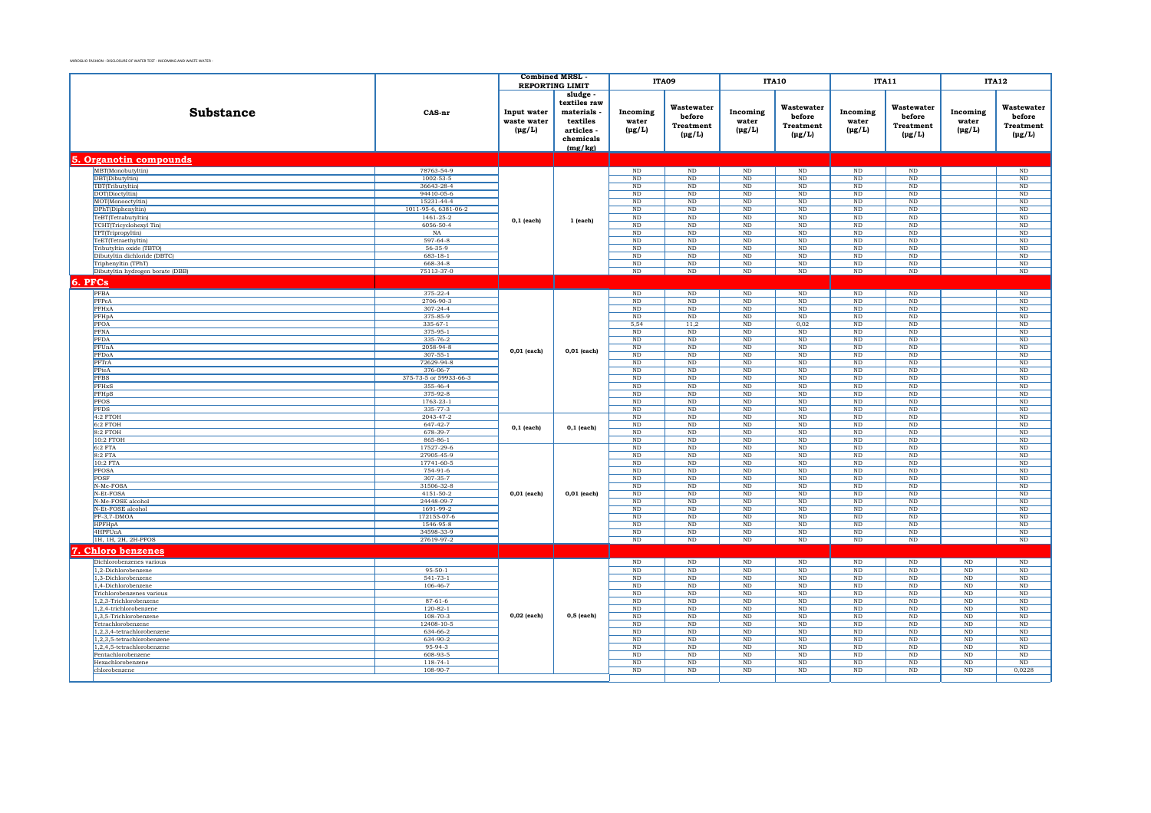|                                                          |                                    | <b>Combined MRSL</b>                      | <b>REPORTING LIMIT</b>                                                                  |                                  | ITA09                                                   |                                    | <b>ITA10</b>                                            |                                  | <b>ITA11</b>                                            |                                  | <b>ITA12</b>                                     |
|----------------------------------------------------------|------------------------------------|-------------------------------------------|-----------------------------------------------------------------------------------------|----------------------------------|---------------------------------------------------------|------------------------------------|---------------------------------------------------------|----------------------------------|---------------------------------------------------------|----------------------------------|--------------------------------------------------|
| Substance                                                | CAS-nr                             | Input water<br>waste water<br>$(\mu g/L)$ | sludge<br>textiles raw<br>materials -<br>textiles<br>articles -<br>chemicals<br>(mg/kg) | Incoming<br>water<br>$(\mu g/L)$ | Wastewater<br>before<br><b>Treatment</b><br>$(\mu g/L)$ | Incoming<br>water<br>$(\mu g/L)$   | Wastewater<br>before<br><b>Treatment</b><br>$(\mu g/L)$ | Incoming<br>water<br>$(\mu g/L)$ | Wastewater<br>before<br><b>Treatment</b><br>$(\mu g/L)$ | Incoming<br>water<br>$(\mu g/L)$ | Wastewater<br>before<br>Treatment<br>$(\mu g/L)$ |
| 5. Organotin compounds                                   |                                    |                                           |                                                                                         |                                  |                                                         |                                    |                                                         |                                  |                                                         |                                  |                                                  |
|                                                          | 78763-54-9                         |                                           |                                                                                         |                                  |                                                         |                                    |                                                         |                                  | ND                                                      |                                  |                                                  |
| MBT(Monobutyltin)<br>DBT(Dibutyltin)                     | 1002-53-5                          |                                           |                                                                                         | ND<br>$_{\rm ND}$                | $_{\rm ND}$<br>$\rm ND$                                 | $\overline{\text{ND}}$<br>$\rm ND$ | ND<br>$\rm ND$                                          | $_{\rm ND}$<br>$\rm ND$          | $\rm ND$                                                |                                  | ND<br>$\rm ND$                                   |
| TBT(Tributyltin)                                         | 36643-28-4                         |                                           |                                                                                         | $_{\rm ND}$                      | $_{\rm ND}$                                             | $\rm ND$                           | $\rm ND$                                                | $\rm ND$                         | $_{\rm ND}$                                             |                                  | $\rm ND$                                         |
| DOT(Dioctyltin)                                          | 94410-05-6                         |                                           |                                                                                         | ND                               | ND                                                      | ND                                 | ND                                                      | ND                               | ND                                                      |                                  | ND                                               |
| MOT(Monooctyltin)                                        | 15231-44-4                         |                                           |                                                                                         | ND                               | $_{\rm ND}$                                             | $\rm ND$                           | ND                                                      | $_{\rm ND}$                      | $\rm ND$                                                |                                  | $\rm ND$                                         |
| DPhT(Diphenyltin)                                        | 1011-95-6, 6381-06-2               |                                           |                                                                                         | ND                               | N <sub>D</sub>                                          | ND                                 | ND                                                      | ND                               | ND                                                      |                                  | ND                                               |
| TeBT(Tetrabutyltin)                                      | 1461-25-2                          | $0,1$ (each)                              | 1 (each)                                                                                | $\overline{\text{ND}}$           | $\rm ND$                                                | ND                                 | ND                                                      | ND                               | ND                                                      |                                  | ND                                               |
| TCHT(Tricyclohexyl Tin)                                  | 6056-50-4                          |                                           |                                                                                         | $_{\rm ND}$                      | $_{\rm ND}$                                             | $\rm ND$                           | $_{\rm ND}$                                             | $\rm ND$                         | $_{\rm ND}$                                             |                                  | $\rm ND$                                         |
| TPT(Tripropyltin)                                        | NA                                 |                                           |                                                                                         | ND                               | ND                                                      | ND                                 | ND                                                      | ND                               | ND                                                      |                                  | ND                                               |
| TeET(Tetraethyltin)                                      | 597-64-8<br>$56 - 35 - 9$          |                                           |                                                                                         | $\overline{\text{ND}}$<br>ND     | $_{\rm ND}$<br>ND                                       | $\rm ND$                           | $\rm ND$<br>ND                                          | $_{\rm ND}$                      | $_{\rm ND}$<br>N <sub>D</sub>                           |                                  | $\rm ND$                                         |
| Tributyltin oxide (TBTO)<br>Dibutyltin dichloride (DBTC) | $683 - 18 - 1$                     |                                           |                                                                                         | $\rm ND$                         | $\rm ND$                                                | ND<br>$\rm ND$                     | $\rm ND$                                                | ND<br>$\rm ND$                   | $\rm ND$                                                |                                  | $\rm ND$<br>$\rm ND$                             |
| Triphenyltin (TPhT)                                      | 668-34-8                           |                                           |                                                                                         | $\rm ND$                         | $\rm ND$                                                | $\rm ND$                           | $\rm ND$                                                | $\rm ND$                         | $\rm ND$                                                |                                  | $\rm ND$                                         |
| Dibutyltin hydrogen borate (DBB)                         | 75113-37-0                         |                                           |                                                                                         | $\rm ND$                         | ND                                                      | ND                                 | ND                                                      | ND                               | ND                                                      |                                  | $\rm ND$                                         |
| 6. PFCs                                                  |                                    |                                           |                                                                                         |                                  |                                                         |                                    |                                                         |                                  |                                                         |                                  |                                                  |
|                                                          |                                    |                                           |                                                                                         |                                  |                                                         |                                    |                                                         |                                  |                                                         |                                  |                                                  |
| PFBA<br>PFPeA                                            | 375-22-4<br>2706-90-3              |                                           |                                                                                         | $\rm ND$<br>$_{\rm ND}$          | $\rm ND$<br>$_{\rm ND}$                                 | $_{\rm ND}$<br>$\rm ND$            | $\rm ND$<br>$\rm ND$                                    | $\rm ND$<br>$_{\rm ND}$          | $\rm ND$<br>ND                                          |                                  | $\rm ND$<br>$\rm ND$                             |
| PFHxA                                                    | $307 - 24 - 4$                     |                                           |                                                                                         | ND                               | ND                                                      | $\rm ND$                           | ND                                                      | $_{\rm ND}$                      | $\rm ND$                                                |                                  | $\rm ND$                                         |
| PFHpA                                                    | 375-85-9                           |                                           |                                                                                         | ND                               | ND                                                      | ND                                 | ND                                                      | <b>ND</b>                        | ND                                                      |                                  | ND                                               |
| PFOA                                                     | $335-67-1$                         |                                           |                                                                                         | 5,54                             | 11,2                                                    | ND                                 | 0,02                                                    | ND                               | ND                                                      |                                  | ND                                               |
| PFNA                                                     | 375-95-1                           |                                           |                                                                                         | $\rm ND$                         | $\rm ND$                                                | $\rm ND$                           | $\rm ND$                                                | $\rm ND$                         | $\rm ND$                                                |                                  | $\rm ND$                                         |
| PFDA                                                     | 335-76-2                           |                                           |                                                                                         | ND                               | ND                                                      | $\rm ND$                           | $_{\rm ND}$                                             | ND                               | ND                                                      |                                  | $\rm ND$                                         |
| PFUnA                                                    | 2058-94-8                          | $0,01$ (each)                             | 0,01 (each)                                                                             | $\rm ND$                         | $\rm ND$                                                | $\rm ND$                           | ND                                                      | $\rm ND$                         | $\rm ND$                                                |                                  | $\rm ND$                                         |
| PFDoA                                                    | $307 - 55 - 1$                     |                                           |                                                                                         | ND                               | ND                                                      | ND                                 | ND                                                      | ND                               | ND                                                      |                                  | ND                                               |
| PFTrA                                                    | 72629-94-8                         |                                           |                                                                                         | $\overline{\text{ND}}$           | ND                                                      | ND                                 | ND                                                      | ND                               | ND                                                      |                                  | ND                                               |
| PFteA                                                    | 376-06-7                           |                                           |                                                                                         | $\rm ND$                         | $\rm ND$                                                | $\rm ND$                           | $\rm ND$                                                | $_{\rm ND}$                      | $\rm ND$                                                |                                  | $\rm ND$                                         |
| <b>PFBS</b><br>PFHxS                                     | 375-73-5 or 59933-66-3<br>355-46-4 |                                           |                                                                                         | $_{\rm ND}$<br>ND                | $_{\rm ND}$<br>ND                                       | $\rm ND$<br>ND                     | $_{\rm ND}$<br>ND                                       | $\rm ND$<br>$_{\rm ND}$          | $_{\rm ND}$<br>ND                                       |                                  | $\rm ND$<br>ND                                   |
| PFHpS                                                    | 375-92-8                           |                                           |                                                                                         | $\rm ND$                         | $\rm ND$                                                | $\rm ND$                           | $\rm ND$                                                | ND                               | ND                                                      |                                  | $\rm ND$                                         |
| <b>PFOS</b>                                              | 1763-23-1                          |                                           |                                                                                         | ND                               | ND                                                      | ND                                 | ND                                                      | ND                               | ND                                                      |                                  | ND                                               |
| <b>PFDS</b>                                              | 335-77-3                           |                                           |                                                                                         | ND                               | $\rm ND$                                                | $\rm ND$                           | $\rm ND$                                                | $\rm ND$                         | $\rm ND$                                                |                                  | $\rm ND$                                         |
| 4:2 FTOH                                                 | 2043-47-2                          |                                           |                                                                                         | $_{\rm ND}$                      | $_{\rm ND}$                                             | $\rm ND$                           | $\rm ND$                                                | $\rm ND$                         | $\rm ND$                                                |                                  | $\rm ND$                                         |
| $6:2$ FTOH                                               | 647-42-7                           | $0,1$ (each)                              | $0,1$ (each)                                                                            | $_{\rm ND}$                      | ND                                                      | $\rm ND$                           | ND                                                      | ND                               | ND                                                      |                                  | ND                                               |
| $8:2$ FTOH                                               | 678-39-7                           |                                           |                                                                                         | $\rm ND$                         | $\rm ND$                                                | $\mathop{\rm ND}\nolimits$         | ND                                                      | $\rm ND$                         | $\rm ND$                                                |                                  | ND                                               |
| 10:2 FTOH                                                | 865-86-1                           |                                           |                                                                                         | ND                               | ND                                                      | ND                                 | ND                                                      | ND                               | ND                                                      |                                  | ND                                               |
| 6:2 FTA<br>8:2 FTA                                       | 17527-29-6<br>27905-45-9           |                                           |                                                                                         | ND<br>$\rm ND$                   | ND<br>$_{\rm ND}$                                       | ND<br>$\rm ND$                     | ND<br>ND                                                | ND<br>$\rm ND$                   | ND<br>$_{\rm ND}$                                       |                                  | ND<br>$\rm ND$                                   |
| 10:2 FTA                                                 | 17741-60-5                         |                                           |                                                                                         | $_{\rm ND}$                      | ND                                                      | $\rm ND$                           | $_{\rm ND}$                                             | $\rm ND$                         | ND                                                      |                                  | ND                                               |
| <b>PFOSA</b>                                             | 754-91-6                           |                                           |                                                                                         | $\rm ND$                         | $\rm ND$                                                | $\rm ND$                           | ND                                                      | $_{\rm ND}$                      | $\rm ND$                                                |                                  | $\rm ND$                                         |
| POSF                                                     | 307-35-7                           |                                           |                                                                                         | ND                               | ND                                                      | ND                                 | ND                                                      | <b>ND</b>                        | ND                                                      |                                  | ND                                               |
| N-Me-FOSA                                                | 31506-32-8                         |                                           |                                                                                         | ND                               | ND                                                      | ND                                 | ND                                                      | ND                               | ND                                                      |                                  | ND                                               |
| N-Et-FOSA                                                | 4151-50-2                          | $0,01$ (each)                             | 0,01 (each)                                                                             | $\rm ND$                         | $\rm ND$                                                | $\rm ND$                           | ND                                                      | $\rm ND$                         | $\rm ND$                                                |                                  | $\rm ND$                                         |
| N-Me-FOSE alcohol                                        | 24448-09-7                         |                                           |                                                                                         | ND                               | ND                                                      | $\rm ND$                           | $_{\rm ND}$                                             | $_{\rm ND}$                      | ND                                                      |                                  | $\rm ND$                                         |
| N-Et-FOSE alcohol<br>PF-3.7-DMOA                         | 1691-99-2<br>172155-07-6           |                                           |                                                                                         | ND<br>ND                         | $\rm ND$<br>ND                                          | $\rm ND$<br>ND                     | ND<br>ND                                                | $\rm ND$<br>ND                   | $\rm ND$<br>ND                                          |                                  | ND<br>ND                                         |
| <b>HPFHpA</b>                                            | 1546-95-8                          |                                           |                                                                                         | ND                               | ND                                                      | ND                                 | ND                                                      | ND                               | ND                                                      |                                  | ND                                               |
| 4HPFUnA                                                  | 34598-33-9                         |                                           |                                                                                         | $\rm ND$                         | $\rm ND$                                                | $\rm ND$                           | ND                                                      | $\rm ND$                         | $\rm ND$                                                |                                  | $_{\rm ND}$                                      |
| 1H, 1H, 2H, 2H-PFOS                                      | 27619-97-2                         |                                           |                                                                                         | $_{\rm ND}$                      | $_{\rm ND}$                                             | $\rm ND$                           | $\rm ND$                                                | ND                               | ND                                                      |                                  | ND                                               |
| <b>Chloro benzenes</b>                                   |                                    |                                           |                                                                                         |                                  |                                                         |                                    |                                                         |                                  |                                                         |                                  |                                                  |
| Dichlorobenzenes various                                 |                                    |                                           |                                                                                         | $\rm ND$                         | $\rm ND$                                                | $\rm ND$                           | $\rm ND$                                                | $\rm ND$                         | $\rm ND$                                                | $\rm ND$                         | $_{\rm ND}$                                      |
| 1,2-Dichlorobenzene                                      | $95 - 50 - 1$                      |                                           |                                                                                         | ND                               | $\rm ND$                                                | $\mathop{\rm ND}\nolimits$         | ND                                                      | ND                               | $\rm ND$                                                | ND                               | ND                                               |
| 1.3-Dichlorobenzene                                      | $541 - 73 - 1$                     |                                           |                                                                                         | ND                               | ND                                                      | ND                                 | ND                                                      | ND                               | ND                                                      | ND                               | ND                                               |
| 1,4-Dichlorobenzene                                      | $106 - 46 - 7$                     |                                           |                                                                                         | ND                               | $\rm ND$                                                | ND                                 | ND                                                      | ND                               | ND                                                      | ND                               | ND                                               |
| Trichlorobenzenes various                                |                                    |                                           |                                                                                         | $_{\rm ND}$                      | $_{\rm ND}$                                             | $\rm ND$                           | ND                                                      | $_{\rm ND}$                      | $_{\rm ND}$                                             | $_{\rm ND}$                      | $_{\rm ND}$                                      |
| 1,2,3-Trichlorobenzene                                   | $87 - 61 - 6$                      | $0,02$ (each)                             |                                                                                         | $\rm ND$                         | $\rm ND$                                                | $\rm ND$                           | ND<br>ND                                                | $\rm ND$                         | $\rm ND$                                                | $\rm ND$                         | $_{\rm ND}$                                      |
| $1,2,4$ -trichlorobenzene<br>1,3,5-Trichlorobenzene      | $120 - 82 - 1$<br>$108 - 70 - 3$   |                                           | $0,5$ (each)                                                                            | $_{\rm ND}$<br>ND                | $_{\rm ND}$<br>ND                                       | $\rm ND$<br>ND                     | ND                                                      | $_{\rm ND}$<br>ND                | $_{\rm ND}$<br>N <sub>D</sub>                           | $_{\rm ND}$<br>ND                | $_{\rm ND}$<br>ND                                |
| Tetrachlorobenzene                                       | 12408-10-5                         |                                           |                                                                                         | $\rm ND$                         | $\rm ND$                                                | ND                                 | ND                                                      | $\rm ND$                         | $\rm ND$                                                | $\rm ND$                         | $\rm ND$                                         |
| 1,2,3,4-tetrachlorobenzene                               | 634-66-2                           |                                           |                                                                                         | $_{\rm ND}$                      | $_{\rm ND}$                                             | $\rm ND$                           | $_{\rm ND}$                                             | $\rm ND$                         | $_{\rm ND}$                                             | $_{\rm ND}$                      | $_{\rm ND}$                                      |
| 1,2,3,5-tetrachlorobenzene                               | 634-90-2                           |                                           |                                                                                         | ND                               | ND                                                      | ND                                 | ND                                                      | ND                               | ND                                                      | ND                               | ND                                               |
| 1,2,4,5-tetrachlorobenzene                               | 95-94-3                            |                                           |                                                                                         | $\rm ND$                         | $_{\rm ND}$                                             | $\rm ND$                           | ND                                                      | $_{\rm ND}$                      | $_{\rm ND}$                                             | $_{\rm ND}$                      | $\rm ND$                                         |
| Pentachlorobenzene                                       | 608-93-5                           |                                           |                                                                                         | $\rm ND$                         | $_{\rm ND}$                                             | $\rm ND$                           | $\rm ND$                                                | $\rm ND$                         | $_{\rm ND}$                                             | $_{\rm ND}$                      | $_{\rm ND}$                                      |
| Hexachlombenzene                                         | $118 - 74 - 1$                     |                                           |                                                                                         | $\rm ND$                         | $\rm ND$                                                | $\rm ND$                           | ND                                                      | $\rm ND$                         | $\rm ND$                                                | $\rm ND$                         | $_{\rm ND}$                                      |
| chlorobenzene                                            | 108-90-7                           |                                           |                                                                                         | $\rm ND$                         | $\rm ND$                                                | $\rm ND$                           | $\rm ND$                                                | $\rm ND$                         | $\rm ND$                                                | $\rm ND$                         | 0,0228                                           |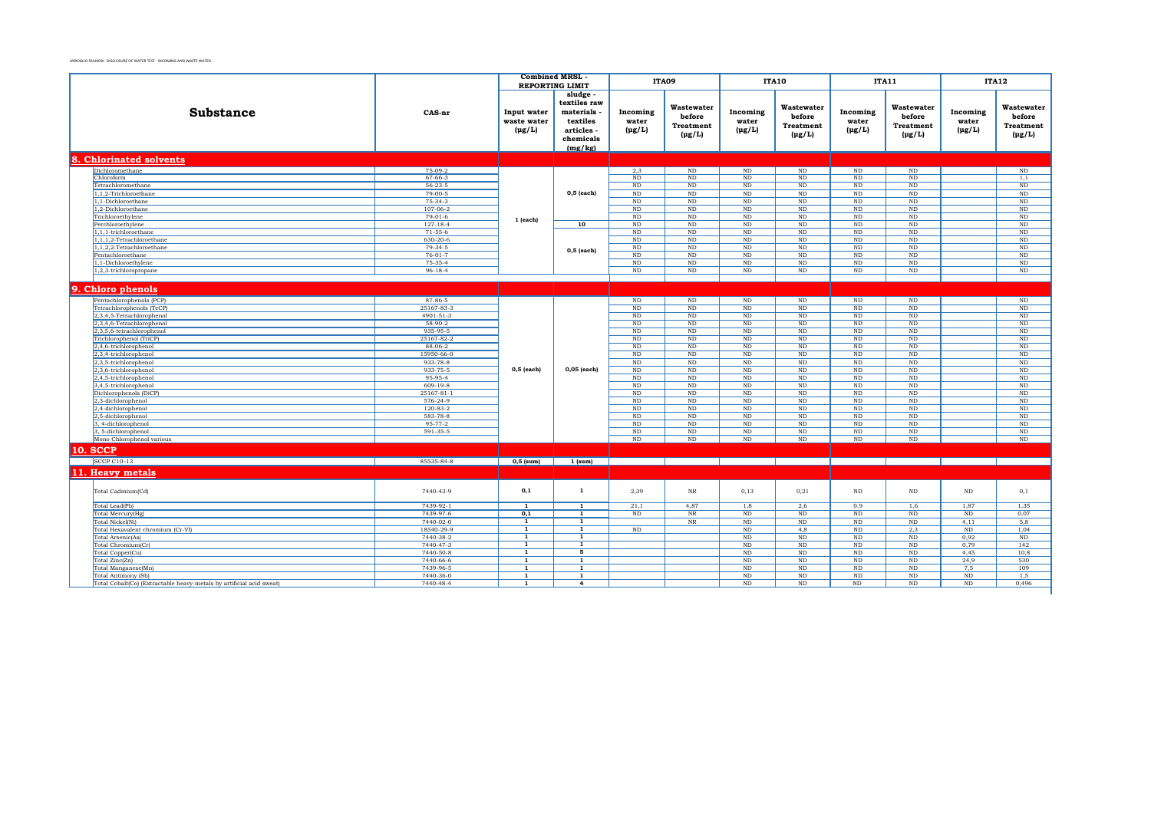|                                                                      | <b>Combined MRSL</b>       |                |                                  | <b>ITA09</b>    |                                    | <b>ITA10</b>                       |                       | <b>ITA11</b>         |                      | <b>ITA12</b>   |                  |
|----------------------------------------------------------------------|----------------------------|----------------|----------------------------------|-----------------|------------------------------------|------------------------------------|-----------------------|----------------------|----------------------|----------------|------------------|
|                                                                      |                            |                | <b>REPORTING LIMIT</b><br>sludge |                 |                                    |                                    |                       |                      |                      |                |                  |
|                                                                      |                            |                | textiles raw                     |                 |                                    |                                    |                       |                      |                      |                |                  |
| <b>Substance</b>                                                     | CAS-nr                     | Input water    | materials                        | Incoming        | Wastewater                         | Incoming                           | Wastewater            | Incoming             | Wastewater           | Incoming       | Wastewater       |
|                                                                      |                            | waste water    | textiles                         | water           | before                             | water                              | before                | water                | before               | water          | before           |
|                                                                      |                            | $(\mu g/L)$    | articles -                       | $(\mu g/L)$     | <b>Treatment</b>                   | $(\mu g/L)$                        | <b>Treatment</b>      | $(\mu g/L)$          | <b>Treatment</b>     | $(\mu g/L)$    | <b>Treatment</b> |
|                                                                      |                            |                | chemicals                        |                 | $(\mu g/L)$                        |                                    | $(\mu g/L)$           |                      | $(\mu g/L)$          |                | $(\mu g/L)$      |
|                                                                      |                            |                | (mg/kg)                          |                 |                                    |                                    |                       |                      |                      |                |                  |
|                                                                      |                            |                |                                  |                 |                                    |                                    |                       |                      |                      |                |                  |
| <b>Chlorinated solvents</b>                                          |                            |                |                                  |                 |                                    |                                    |                       |                      |                      |                |                  |
| Dichloromethane                                                      | $75-09-2$<br>$67 - 66 - 3$ |                |                                  | 2,3<br>ND       | ND<br>ND                           | ND<br>$\overline{\text{ND}}$       | ND                    | ND                   | ND<br>ND             |                | ND               |
| Chloroform<br>Tetrachloromethane                                     | $56 - 23 - 5$              |                |                                  | <b>ND</b>       | ND                                 | $\rm ND$                           | $\rm ND$<br><b>ND</b> | $\rm ND$<br>$\rm ND$ | ND                   |                | 1,1<br>$\rm ND$  |
| 1,1,2-Trichloroethane                                                | $79-00-5$                  |                | $0,5$ (each)                     | ND              | ND                                 | ND                                 | ND                    | ND                   | ND                   |                | ND               |
| 1.1-Dichloroethane                                                   | $75-34-3$                  |                |                                  | <b>ND</b>       | ND                                 | ND                                 | ND                    | $\rm ND$             | ND                   |                | ND               |
| 1,2-Dichloroethane                                                   | 107-06-2                   |                |                                  | <b>ND</b>       | $\rm ND$                           | $\rm ND$                           | $\rm ND$              | $\rm ND$             | $\rm ND$             |                | $\rm ND$         |
| Trichloroethylene                                                    | $79-01-6$                  | 1 (each)       |                                  | ND              | ND                                 | $\rm ND$                           | ND                    | ND                   | ND                   |                | ND               |
| Perchloroethylene                                                    | $127 - 18 - 4$             |                | 10                               | ND              | $\rm ND$                           | $\overline{\text{ND}}$             | $_{\rm ND}$           | $_{\rm ND}$          | $\rm ND$             |                | $\rm ND$         |
| 1,1,1-trichloroethane                                                | $71-55-6$                  |                |                                  | $\rm ND$        | $\rm ND$                           | ND                                 | ND                    | ND                   | $\rm ND$             |                | $\rm ND$         |
| 1,1,1,2-Tetrachloroethane                                            | $630 - 20 - 6$             |                |                                  | <b>ND</b>       | ND                                 | $\overline{\text{ND}}$             | ND                    | $\rm ND$             | ND                   |                | $\rm ND$         |
| 1,1,2,2-Tetrachloroethane                                            | $79-34-5$                  |                | $0,5$ (each)                     | $\rm ND$        | ND                                 | $\overline{\text{ND}}$             | ND                    | $\rm ND$             | ND                   |                | $\rm ND$         |
| Pentachloroethane                                                    | $76 - 01 - 7$              |                |                                  | <b>ND</b>       | ND                                 | ND                                 | <b>ND</b>             | $\rm ND$             | ND                   |                | ND               |
| 1,1-Dichloroethylene<br>1,2,3-trichloropropane                       | $75-35-4$<br>$96 - 18 - 4$ |                |                                  | ND<br><b>ND</b> | $\overline{\text{ND}}$<br>$\rm ND$ | ND<br>ND                           | ND<br>ND              | ND<br>$\rm ND$       | ND<br>ND             |                | ND<br>$\rm ND$   |
|                                                                      |                            |                |                                  |                 |                                    |                                    |                       |                      |                      |                |                  |
|                                                                      |                            |                |                                  |                 |                                    |                                    |                       |                      |                      |                |                  |
| 9. Chloro phenols                                                    |                            |                |                                  |                 |                                    |                                    |                       |                      |                      |                |                  |
| Pentachlorophenols (PCP)                                             | 87-86-5                    |                |                                  | $\rm ND$        | $\rm ND$                           | $\rm ND$                           | $\rm ND$              | $\rm ND$             | $\rm ND$             |                | $\rm ND$         |
| Tetrachlorophenols (TeCP)                                            | 25167-83-3                 |                |                                  | <b>ND</b>       | ND                                 | ND                                 | ND                    | <b>ND</b>            | ND                   |                | ND               |
| 2,3,4,5-Tetrachlorophenol<br>2,3,4,6-Tetrachlorophenol               | 4901-51-3<br>58-90-2       |                |                                  | ND<br>ND        | $\overline{\text{ND}}$<br>$\rm ND$ | $\overline{\text{ND}}$<br>$\rm ND$ | ND<br>$\rm ND$        | ND<br>$\rm ND$       | ND<br>$\rm ND$       |                | ND<br>$\rm ND$   |
| 2,3,5,6-tetrachlorophenol                                            | 935-95-5                   |                |                                  | <b>ND</b>       | $\rm ND$                           | $\rm ND$                           | ND                    | $\rm ND$             | $\rm ND$             |                | $\rm ND$         |
| Trichlorophenol (TriCP)                                              | 25167-82-2                 |                |                                  | ND              | $\rm ND$                           | $\rm ND$                           | ND                    | $\rm ND$             | $\rm ND$             |                | $\rm ND$         |
| 2,4,6-trichlorophenol                                                | $88-06-2$                  |                |                                  | ND              | $\rm ND$                           | $\overline{\text{ND}}$             | ND                    | $\rm ND$             | $\rm ND$             |                | $\rm ND$         |
| 2,3,4-trichlorophenol                                                | 15950-66-0                 |                |                                  | <b>ND</b>       | ND                                 | ND                                 | ND                    | ND                   | ND                   |                | ND               |
| 2,3,5-trichlorophenol                                                | 933-78-8                   |                |                                  | <b>ND</b>       | ND                                 | $\rm ND$                           | <b>ND</b>             | $_{\rm ND}$          | $\rm ND$             |                | $\rm ND$         |
| 2,3,6-trichlorophenol                                                | 933-75-5                   | 0,5 (each)     | $0,05$ (each)                    | ND              | ND                                 | $\overline{\text{ND}}$             | ND                    | ND                   | ND                   |                | ND               |
| 2,4,5-trichlorophenol                                                | 95-95-4                    |                |                                  | <b>ND</b>       | ND                                 | ND                                 | ND                    | <b>ND</b>            | ND                   |                | ND               |
| 3,4,5-trichlorophenol                                                | $609-19-8$                 |                |                                  | ND              | ND                                 | $\overline{\text{ND}}$             | ND                    | ND                   | ND                   |                | ND               |
| Dichlorophenols (DiCP)                                               | 25167-81-1                 |                |                                  | <b>ND</b>       | ND                                 | ND                                 | ND                    | ND                   | ND                   |                | ND               |
| 2,3-dichlorophenol<br>2,4-dichlorophenol                             | 576-24-9<br>$120 - 83 - 2$ |                |                                  | $\rm ND$<br>ND  | $\rm ND$<br>ND                     | $\rm ND$<br>$\rm ND$               | $\rm ND$<br>ND        | $\rm ND$<br>$\rm ND$ | $\rm ND$<br>$\rm ND$ |                | $\rm ND$<br>ND   |
| 2,5-dichlorophenol                                                   | 583-78-8                   |                |                                  | ND              | $\rm ND$                           | $\rm ND$                           | $\rm ND$              | $\rm ND$             | $\rm ND$             |                | $\rm ND$         |
| 3.4-dichlorophenol                                                   | $95 - 77 - 2$              |                |                                  | ND              | ND                                 | ND                                 | ND                    | ND                   | ND                   |                | ND               |
| 3, 5-dichlorophenol                                                  | 591-35-5                   |                |                                  | <b>ND</b>       | $\rm ND$                           | $\rm ND$                           | ND                    | $\rm ND$             | $\rm ND$             |                | $\rm ND$         |
| Mono Chlorophenol various                                            |                            |                |                                  | ND              | ND                                 | ND                                 | ND                    | ND                   | ND                   |                | ND               |
| <b>10. SCCP</b>                                                      |                            |                |                                  |                 |                                    |                                    |                       |                      |                      |                |                  |
| <b>SCCP C10-13</b>                                                   | 85535-84-8                 | $0,5$ (sum)    | $1$ (sum)                        |                 |                                    |                                    |                       |                      |                      |                |                  |
| 11. Heavy metals                                                     |                            |                |                                  |                 |                                    |                                    |                       |                      |                      |                |                  |
|                                                                      |                            |                |                                  |                 |                                    |                                    |                       |                      |                      |                |                  |
| Total Cadmium(Cd)                                                    | 7440-43-9                  | 0,1            | $\mathbf{1}$                     | 2.39            | $_{\rm NR}$                        | 0,13                               | 0,21                  | $\rm ND$             | $\rm ND$             | $\rm ND$       | 0,1              |
| Total Lead(Pb)                                                       | 7439-92-1                  | $\overline{1}$ | $\overline{1}$                   | 21,1            | 4,87                               | 1,8                                | 2.6                   | 0,9                  | 1,6                  | 1,87           | 1,35             |
| Total Mercury(Hg)                                                    | 7439-97-6                  | 0,1            | $\overline{1}$                   | $\rm ND$        | $_{\rm NR}$                        | $\rm ND$                           | $\rm ND$              | $\rm ND$             | $\rm ND$             | $\rm ND$       | 0,07             |
| Total Nickel(Ni)                                                     | 7440-02-0                  | 1              | $\mathbf{1}$                     |                 | NR                                 | ND                                 | ND                    | ND                   | ND                   | 4,11           | 5,8              |
| Total Hexavalent chromium (Cr-VI)                                    | 18540-29-9                 | $\overline{1}$ | $\overline{1}$                   | ND              |                                    | ND                                 | 4.8                   | $\rm ND$             | 2,3                  | ND             | 1,04             |
| Total Arsenic(As)                                                    | 7440-38-2                  | $\overline{1}$ | $\overline{1}$                   |                 |                                    | $\overline{\text{ND}}$             | ND                    | $\rm ND$             | $\rm ND$             | 0,92           | $\rm ND$         |
| Total Chromium(Cr)                                                   | 7440-47-3                  | 1              | $\mathbf{1}$                     |                 |                                    | ND                                 | ND                    | ND                   | ND                   | 0,79           | 142              |
| Total Copper(Cu)                                                     | 7440-50-8                  | $\overline{1}$ | 5                                |                 |                                    | $\overline{\text{ND}}$             | ND                    | ND                   | ND                   | 4,45           | 10,8             |
| Total Zinc(Zn)                                                       | 7440-66-6                  | $\mathbf{1}$   | $\mathbf{1}$                     |                 |                                    | ND                                 | ND                    | <b>ND</b>            | ND                   | 24.9           | 530              |
| Total Manganese(Mn)                                                  | 7439-96-5                  | $\mathbf{1}$   | $\overline{1}$                   |                 |                                    | $\overline{\text{ND}}$             | ND                    | ND                   | ND                   | 7,5            | 109              |
| Total Antimony (Sb)                                                  | 7440-36-0<br>7440-48-4     | $\mathbf{1}$   | $\mathbf{1}$                     |                 |                                    | $\rm ND$<br>ND                     | $\rm ND$<br>ND        | $\rm ND$             | $\rm ND$<br>ND       | $\rm ND$<br>ND | 1,5<br>0.496     |
| Total Cobalt(Co) (Extractable heavy-metals by artificial acid sweat) |                            | 1              | 4                                |                 |                                    |                                    |                       | $\rm ND$             |                      |                |                  |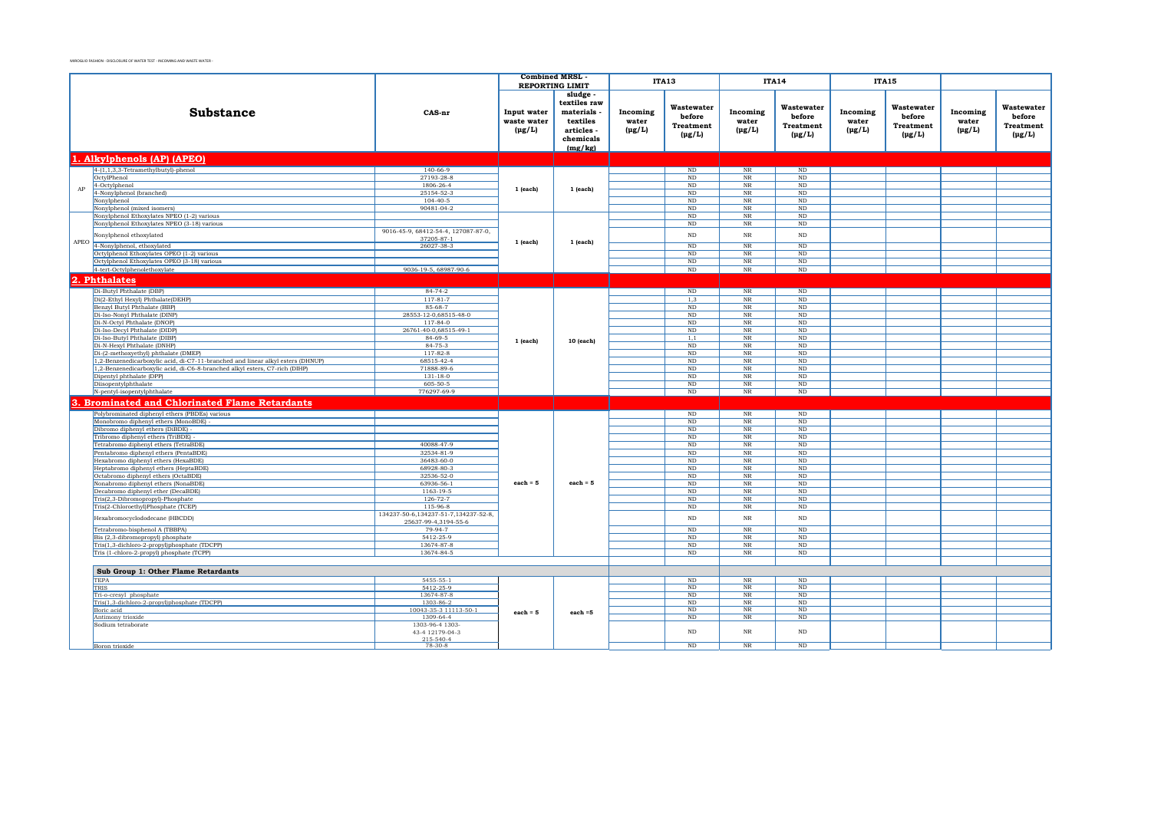|              |                                                                                                                                                                |                                                              | <b>Combined MRSL</b>                      | <b>REPORTING LIMIT</b>                                                              |                                  | <b>ITA13</b>                                            |                                       | <b>ITA14</b>                                            | <b>ITA15</b>                     |                                                         |                                  |                                                  |
|--------------|----------------------------------------------------------------------------------------------------------------------------------------------------------------|--------------------------------------------------------------|-------------------------------------------|-------------------------------------------------------------------------------------|----------------------------------|---------------------------------------------------------|---------------------------------------|---------------------------------------------------------|----------------------------------|---------------------------------------------------------|----------------------------------|--------------------------------------------------|
|              | Substance                                                                                                                                                      | CAS-nr                                                       | Input water<br>waste water<br>$(\mu g/L)$ | sludge<br>textiles raw<br>materials<br>textiles<br>articles<br>chemicals<br>(mg/kg) | Incoming<br>water<br>$(\mu g/L)$ | Wastewater<br>before<br><b>Treatment</b><br>$(\mu g/L)$ | Incoming<br>water<br>$(\mu g/L)$      | Wastewater<br>before<br><b>Treatment</b><br>$(\mu g/L)$ | Incoming<br>water<br>$(\mu g/L)$ | Wastewater<br>before<br><b>Treatment</b><br>$(\mu g/L)$ | Incoming<br>water<br>$(\mu g/L)$ | Wastewater<br>before<br>Treatment<br>$(\mu g/L)$ |
|              | 1. Alkylphenols (AP) (APEO)                                                                                                                                    |                                                              |                                           |                                                                                     |                                  |                                                         |                                       |                                                         |                                  |                                                         |                                  |                                                  |
|              | $4-(1,1,3,3-Tetramethylbutyl)-phenol$                                                                                                                          | 140-66-9                                                     |                                           |                                                                                     |                                  | ND                                                      | NR                                    | ND                                                      |                                  |                                                         |                                  |                                                  |
|              | OctvlPhenol                                                                                                                                                    | 27193-28-8                                                   |                                           |                                                                                     |                                  | ND                                                      | <b>NR</b>                             | ND                                                      |                                  |                                                         |                                  |                                                  |
| AP           | 4-Octylphenol                                                                                                                                                  | 1806-26-4                                                    | $1$ (each)                                | 1 (each)                                                                            |                                  | ND                                                      | <b>NR</b>                             | <b>ND</b>                                               |                                  |                                                         |                                  |                                                  |
|              | 4-Nonylphenol (branched)                                                                                                                                       | 25154-52-3                                                   |                                           |                                                                                     |                                  | ND                                                      | NR                                    | <b>ND</b>                                               |                                  |                                                         |                                  |                                                  |
|              | Nonylphenol<br>Nonylphenol (mixed isomers)                                                                                                                     | $104 - 40 - 5$<br>90481-04-2                                 |                                           |                                                                                     |                                  | $\rm ND$<br>$_{\rm ND}$                                 | $_{\rm NR}$<br>$_{\rm NR}$            | $_{\rm ND}$<br>$_{\rm ND}$                              |                                  |                                                         |                                  |                                                  |
|              | Nonylphenol Ethoxylates NPEO (1-2) various                                                                                                                     |                                                              |                                           |                                                                                     |                                  | ND                                                      | $\overline{\text{NR}}$                | ND                                                      |                                  |                                                         |                                  |                                                  |
|              | Nonylphenol Ethoxylates NPEO (3-18) various                                                                                                                    |                                                              |                                           |                                                                                     |                                  | ND                                                      | $_{\rm NR}$                           | $\rm ND$                                                |                                  |                                                         |                                  |                                                  |
|              | Nonylphenol ethoxylated                                                                                                                                        | 9016-45-9, 68412-54-4, 127087-87-0,<br>37205-87-1            |                                           |                                                                                     |                                  | $\rm ND$                                                | <b>NR</b>                             | $\rm ND$                                                |                                  |                                                         |                                  |                                                  |
|              | APEO 4-Nonylphenol, ethoxylated                                                                                                                                | 26027-38-3                                                   | 1 (each)                                  | 1 (each)                                                                            |                                  | $\rm ND$                                                | $_{\rm NR}$                           | $\rm ND$                                                |                                  |                                                         |                                  |                                                  |
|              | Octylphenol Ethoxylates OPEO (1-2) various                                                                                                                     |                                                              |                                           |                                                                                     |                                  | $\rm ND$                                                | $_{\rm NR}$                           | $_{\rm ND}$                                             |                                  |                                                         |                                  |                                                  |
|              | Octylphenol Ethoxylates OPEO (3-18) various<br>4-tert-Octylphenolethoxylate                                                                                    | 9036-19-5, 68987-90-6                                        |                                           |                                                                                     |                                  | ND<br>ND                                                | NR                                    | ND.<br>$\rm ND$                                         |                                  |                                                         |                                  |                                                  |
|              |                                                                                                                                                                |                                                              |                                           |                                                                                     |                                  |                                                         | NR                                    |                                                         |                                  |                                                         |                                  |                                                  |
| $\mathbf{a}$ | <b>Phthalates</b>                                                                                                                                              |                                                              |                                           |                                                                                     |                                  |                                                         |                                       |                                                         |                                  |                                                         |                                  |                                                  |
|              | Di-Butyl Phthalate (DBP)                                                                                                                                       | $84 - 74 - 2$                                                |                                           |                                                                                     |                                  | ND                                                      | NR                                    | ND                                                      |                                  |                                                         |                                  |                                                  |
|              | Di(2-Ethyl Hexyl) Phthalate(DEHP)                                                                                                                              | $117 - 81 - 7$                                               |                                           |                                                                                     |                                  | 1,3                                                     | $\rm NR$                              | ND                                                      |                                  |                                                         |                                  |                                                  |
|              | Benzyl Butyl Phthalate (BBP)<br>Di-Iso-Nonyl Phthalate (DINP)                                                                                                  | 85-68-7<br>28553-12-0,68515-48-0                             |                                           |                                                                                     |                                  | $\rm ND$                                                | $_{\rm NR}$                           | ND<br>ND                                                |                                  |                                                         |                                  |                                                  |
|              | Di-N-Octyl Phthalate (DNOP)                                                                                                                                    | $117 - 84 - 0$                                               |                                           |                                                                                     |                                  | ND<br>ND                                                | $\rm{NR}$<br>NR                       | ND                                                      |                                  |                                                         |                                  |                                                  |
|              | Di-Iso-Decyl Phthalate (DIDP)                                                                                                                                  | 26761-40-0,68515-49-1                                        |                                           |                                                                                     |                                  | ND                                                      | $_{\rm NR}$                           | ND                                                      |                                  |                                                         |                                  |                                                  |
|              | Di-Iso-Butyl Phthalate (DIBP)                                                                                                                                  | $84 - 69 - 5$                                                | $1$ (each)                                | 10 (each)                                                                           |                                  | 1,1                                                     | $_{\rm NR}$                           | ND                                                      |                                  |                                                         |                                  |                                                  |
|              | Di-N-Hexvl Phthalate (DNHP)                                                                                                                                    | $84 - 75 - 3$                                                |                                           |                                                                                     |                                  | ND                                                      | <b>NR</b>                             | ND                                                      |                                  |                                                         |                                  |                                                  |
|              | Di-(2-methoxyethyl) phthalate (DMEP)                                                                                                                           | $117 - 82 - 8$                                               |                                           |                                                                                     |                                  | ND                                                      | NR                                    | ND                                                      |                                  |                                                         |                                  |                                                  |
|              | 1,2-Benzenedicarboxylic acid, di-C7-11-branched and linear alkyl esters (DHNUP)<br>1,2-Benzenedicarboxylic acid, di-C6-8-branched alkyl esters, C7-rich (DIHP) | 68515-42-4<br>71888-89-6                                     |                                           |                                                                                     |                                  | ND<br>ND                                                | NR<br>NR                              | ND<br>ND                                                |                                  |                                                         |                                  |                                                  |
|              | Dipentyl phthalate (DPP)                                                                                                                                       | $131 - 18 - 0$                                               |                                           |                                                                                     |                                  | ND                                                      | NR                                    | ND                                                      |                                  |                                                         |                                  |                                                  |
|              | Diisopentylphthalate                                                                                                                                           | 605-50-5                                                     |                                           |                                                                                     |                                  | ND                                                      | NR                                    | ND                                                      |                                  |                                                         |                                  |                                                  |
|              | N-pentyl-isopentylphthalate                                                                                                                                    | 776297-69-9                                                  |                                           |                                                                                     |                                  | ND                                                      | NR                                    | ND                                                      |                                  |                                                         |                                  |                                                  |
|              | <b>Brominated and Chlorinated Flame Retardants</b>                                                                                                             |                                                              |                                           |                                                                                     |                                  |                                                         |                                       |                                                         |                                  |                                                         |                                  |                                                  |
|              | Polybrominated diphenyl ethers (PBDEs) various                                                                                                                 |                                                              |                                           |                                                                                     |                                  | $\overline{\text{ND}}$                                  | $_{\rm NR}$                           | $\overline{\text{ND}}$                                  |                                  |                                                         |                                  |                                                  |
|              | Monobromo diphenyl ethers (MonoBDE) -                                                                                                                          |                                                              |                                           |                                                                                     |                                  | ND                                                      | $_{\rm NR}$                           | ND                                                      |                                  |                                                         |                                  |                                                  |
|              | Dibromo diphenyl ethers (DiBDE) -<br>Tribromo diphenyl ethers (TriBDE) -                                                                                       |                                                              |                                           |                                                                                     |                                  | ND<br>ND                                                | $_{\rm NR}$<br>$_{\rm NR}$            | $\rm ND$<br>$\rm ND$                                    |                                  |                                                         |                                  |                                                  |
|              | Tetrabromo diphenyl ethers (TetraBDE)                                                                                                                          | 40088-47-9                                                   |                                           |                                                                                     |                                  | ND                                                      | $_{\rm NR}$                           | $\rm ND$                                                |                                  |                                                         |                                  |                                                  |
|              | Pentabromo diphenyl ethers (PentaBDE)                                                                                                                          | 32534-81-9                                                   |                                           |                                                                                     |                                  | ND                                                      | NR                                    | ND.                                                     |                                  |                                                         |                                  |                                                  |
|              | Hexabromo diphenyl ethers (HexaBDE)                                                                                                                            | 36483-60-0                                                   |                                           |                                                                                     |                                  | ND                                                      | $_{\rm NR}$                           | $\rm ND$                                                |                                  |                                                         |                                  |                                                  |
|              | Heptabromo diphenyl ethers (HeptaBDE)                                                                                                                          | 68928-80-3                                                   |                                           |                                                                                     |                                  | ND                                                      | $_{\rm NR}$                           | $\rm ND$                                                |                                  |                                                         |                                  |                                                  |
|              | Octabromo diphenyl ethers (OctaBDE)                                                                                                                            | 32536-52-0<br>63936-56-1                                     | $each = 5$                                | each $= 5$                                                                          |                                  | ND<br>ND                                                | $_{\rm NR}$<br>$_{\rm NR}$            | $\rm ND$<br>$\rm ND$                                    |                                  |                                                         |                                  |                                                  |
|              | Nonabromo diphenyl ethers (NonaBDE)<br>Decabromo diphenyl ether (DecaBDE)                                                                                      | 1163-19-5                                                    |                                           |                                                                                     |                                  | ND                                                      | $_{\rm NR}$                           | $\rm ND$                                                |                                  |                                                         |                                  |                                                  |
|              | Tris(2,3-Dibromopropyl)-Phosphate                                                                                                                              | $126 - 72 - 7$                                               |                                           |                                                                                     |                                  | ND                                                      | $_{\rm NR}$                           | $\rm ND$                                                |                                  |                                                         |                                  |                                                  |
|              | Tris(2-Chloroethyl)Phosphate (TCEP)                                                                                                                            | 115-96-8                                                     |                                           |                                                                                     |                                  | $\rm ND$                                                | $_{\rm NR}$                           | $\rm ND$                                                |                                  |                                                         |                                  |                                                  |
|              | Hexabromocyclododecane (HBCDD)                                                                                                                                 | 134237-50-6,134237-51-7,134237-52-8,<br>25637-99-4,3194-55-6 |                                           |                                                                                     |                                  | $\rm ND$                                                | NR                                    | $\rm ND$                                                |                                  |                                                         |                                  |                                                  |
|              | Tetrabromo-bisphenol A (TBBPA)                                                                                                                                 | 79-94-7                                                      |                                           |                                                                                     |                                  | ND                                                      | $_{\rm NR}$                           | ND                                                      |                                  |                                                         |                                  |                                                  |
|              | Bis (2,3-dibromopropyl) phosphate                                                                                                                              | 5412-25-9<br>13674-87-8                                      |                                           |                                                                                     |                                  | $\rm ND$                                                | $\rm NR$                              | $\rm ND$<br>ND                                          |                                  |                                                         |                                  |                                                  |
|              | Tris(1,3-dichloro-2-propyl)phosphate (TDCPP)<br>Tris (1-chloro-2-propyl) phosphate (TCPP)                                                                      | 13674-84-5                                                   |                                           |                                                                                     |                                  | $\rm ND$<br>ND                                          | $_{\rm NR}$<br>$\overline{\text{NR}}$ | ND                                                      |                                  |                                                         |                                  |                                                  |
|              |                                                                                                                                                                |                                                              |                                           |                                                                                     |                                  |                                                         |                                       |                                                         |                                  |                                                         |                                  |                                                  |
|              | Sub Group 1: Other Flame Retardants                                                                                                                            |                                                              |                                           |                                                                                     |                                  |                                                         |                                       |                                                         |                                  |                                                         |                                  |                                                  |
|              | <b>TEPA</b>                                                                                                                                                    | 5455-55-1                                                    |                                           |                                                                                     |                                  | ND                                                      | $_{\rm NR}$                           | $\rm ND$                                                |                                  |                                                         |                                  |                                                  |
|              | TRIS<br>Tri-o-cresyl phosphate                                                                                                                                 | 5412-25-9<br>13674-87-8                                      |                                           |                                                                                     |                                  | $\rm ND$<br>$_{\rm ND}$                                 | $\rm NR$<br>$\rm NR$                  | $_{\rm ND}$<br>$_{\rm ND}$                              |                                  |                                                         |                                  |                                                  |
|              | Tris(1,3-dichloro-2-propyl)phosphate (TDCPP)                                                                                                                   | 1303-86-2                                                    |                                           |                                                                                     |                                  | ND                                                      | <b>NR</b>                             | <b>ND</b>                                               |                                  |                                                         |                                  |                                                  |
|              | Boric acid                                                                                                                                                     | 10043-35-3 11113-50-1                                        | $each = 5$                                | $each = 5$                                                                          |                                  | ND                                                      | NR                                    | ND                                                      |                                  |                                                         |                                  |                                                  |
|              | Antimony trioxide                                                                                                                                              | 1309-64-4                                                    |                                           |                                                                                     |                                  | ND                                                      | $_{\rm NR}$                           | $\rm ND$                                                |                                  |                                                         |                                  |                                                  |
|              | Sodium tetraborate                                                                                                                                             | 1303-96-4 1303-<br>43-4 12179-04-3<br>215-540-4              |                                           |                                                                                     |                                  | ND                                                      | <b>NR</b>                             | N <sub>D</sub>                                          |                                  |                                                         |                                  |                                                  |
|              | Boron trioxide                                                                                                                                                 | 78-30-8                                                      |                                           |                                                                                     |                                  | $\rm ND$                                                | $_{\rm NR}$                           | $\rm ND$                                                |                                  |                                                         |                                  |                                                  |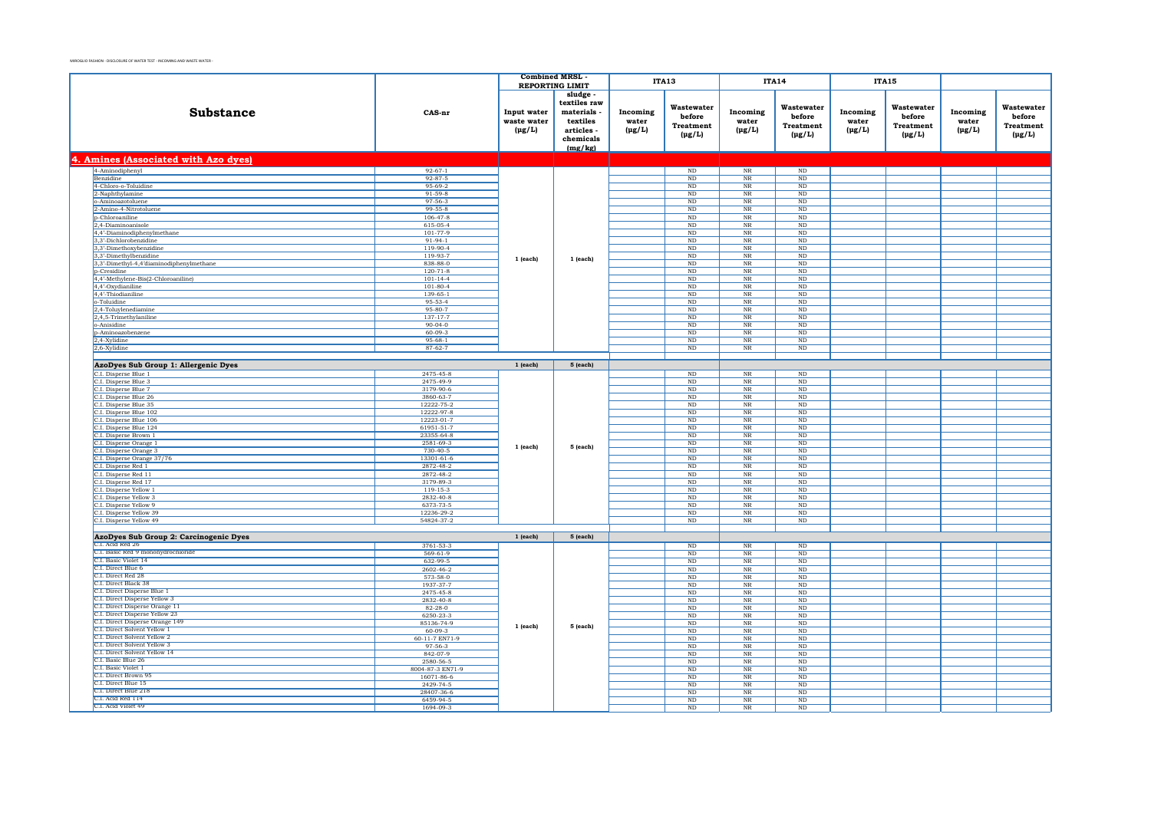|                                                                  |                                | <b>Combined MRSL</b>                      |                                                                                       | ITA13                            |                                                         | <b>ITA14</b>                     |                                                         | <b>ITA15</b>                     |                                                         |                                  |                                                  |
|------------------------------------------------------------------|--------------------------------|-------------------------------------------|---------------------------------------------------------------------------------------|----------------------------------|---------------------------------------------------------|----------------------------------|---------------------------------------------------------|----------------------------------|---------------------------------------------------------|----------------------------------|--------------------------------------------------|
|                                                                  |                                | <b>REPORTING LIMIT</b>                    |                                                                                       |                                  |                                                         |                                  |                                                         |                                  |                                                         |                                  |                                                  |
| <b>Substance</b>                                                 | CAS-nr                         | Input water<br>waste water<br>$(\mu g/L)$ | sludge<br>textiles raw<br>materials<br>textiles<br>articles -<br>chemicals<br>(mg/kg) | Incoming<br>water<br>$(\mu g/L)$ | Wastewater<br>before<br><b>Treatment</b><br>$(\mu g/L)$ | Incoming<br>water<br>$(\mu g/L)$ | Wastewater<br>before<br><b>Treatment</b><br>$(\mu g/L)$ | Incoming<br>water<br>$(\mu g/L)$ | Wastewater<br>before<br><b>Treatment</b><br>$(\mu g/L)$ | Incoming<br>water<br>$(\mu g/L)$ | Wastewater<br>before<br>Treatment<br>$(\mu g/L)$ |
| 4. Amines (Associated with Azo dyes)                             |                                |                                           |                                                                                       |                                  |                                                         |                                  |                                                         |                                  |                                                         |                                  |                                                  |
| 4-Aminodiphenyl                                                  | $92 - 67 - 1$                  |                                           |                                                                                       |                                  | $\rm ND$                                                | $_{\rm NR}$                      | $\rm ND$                                                |                                  |                                                         |                                  |                                                  |
| <b>Benzidine</b>                                                 | $92 - 87 - 5$                  |                                           |                                                                                       |                                  | ND                                                      | NR                               | ND                                                      |                                  |                                                         |                                  |                                                  |
| 4-Chloro-o-Toluidine                                             | $95 - 69 - 2$                  |                                           |                                                                                       |                                  | $\mathop{\rm ND}\nolimits$                              | $_{\rm NR}$                      | $\mathbf{ND}$                                           |                                  |                                                         |                                  |                                                  |
| 2-Naphthylamine                                                  | $91 - 59 - 8$                  |                                           |                                                                                       |                                  | $_{\rm ND}$                                             | $_{\rm NR}$                      | $\mathbf{ND}$                                           |                                  |                                                         |                                  |                                                  |
| o-Aminoazotoluene                                                | $97 - 56 - 3$                  |                                           |                                                                                       |                                  | $\rm ND$                                                | $_{\rm NR}$                      | $\rm ND$                                                |                                  |                                                         |                                  |                                                  |
| 2-Amino-4-Nitrotoluene                                           | 99-55-8                        |                                           |                                                                                       |                                  | ND                                                      | NR                               | ND                                                      |                                  |                                                         |                                  |                                                  |
| p-Chloroaniline                                                  | $106 - 47 - 8$                 |                                           |                                                                                       |                                  | ND                                                      | <b>NR</b>                        | ND                                                      |                                  |                                                         |                                  |                                                  |
| 2,4-Diaminoanisole                                               | 615-05-4<br>$101 - 77 - 9$     |                                           |                                                                                       |                                  | $\rm ND$<br><b>ND</b>                                   | $_{\rm NR}$<br><b>NR</b>         | $\rm ND$<br>ND.                                         |                                  |                                                         |                                  |                                                  |
| 4,4'-Diaminodiphenylmethane<br>3,3'-Dichlorobenzidine            | $91 - 94 - 1$                  |                                           |                                                                                       |                                  | $\rm ND$                                                | $\ensuremath{\text{NR}}\xspace$  | $\rm ND$                                                |                                  |                                                         |                                  |                                                  |
| 3,3'-Dimethoxybenzidine                                          | 119-90-4                       |                                           |                                                                                       |                                  | $\rm ND$                                                | NR                               | $\rm ND$                                                |                                  |                                                         |                                  |                                                  |
| 3,3'-Dimethylbenzidine                                           | 119-93-7                       |                                           |                                                                                       |                                  | ND                                                      | $\rm{NR}$                        | ND                                                      |                                  |                                                         |                                  |                                                  |
| 3,3'-Dimethyl-4,4'diaminodiphenylmethane                         | 838-88-0                       | 1 (each)                                  | 1 (each)                                                                              |                                  | $\rm ND$                                                | $\rm{NR}$                        | $\rm ND$                                                |                                  |                                                         |                                  |                                                  |
| p-Cresidine                                                      | $120 - 71 - 8$                 |                                           |                                                                                       |                                  | <b>ND</b>                                               | <b>NR</b>                        | ND.                                                     |                                  |                                                         |                                  |                                                  |
| 4,4'-Methylene-Bis(2-Chloroaniline)                              | $101 - 14 - 4$                 |                                           |                                                                                       |                                  | $\rm ND$                                                | $\rm{NR}$                        | $\rm ND$                                                |                                  |                                                         |                                  |                                                  |
| 4,4'-Oxydianiline                                                | 101-80-4                       |                                           |                                                                                       |                                  | $_{\rm ND}$                                             | $\rm{NR}$                        | $_{\rm ND}$                                             |                                  |                                                         |                                  |                                                  |
| 4.4'-Thiodianiline                                               | 139-65-1                       |                                           |                                                                                       |                                  | $\rm ND$                                                | $_{\rm NR}$                      | $\rm ND$                                                |                                  |                                                         |                                  |                                                  |
| o-Toluidine                                                      | 95-53-4                        |                                           |                                                                                       |                                  | $\rm ND$                                                | $\rm{NR}$                        | $\rm ND$                                                |                                  |                                                         |                                  |                                                  |
| $2,4$ -Toluylenediamine                                          | $95 - 80 - 7$                  |                                           |                                                                                       |                                  | <b>ND</b>                                               | N <sub>R</sub>                   | ND                                                      |                                  |                                                         |                                  |                                                  |
| 2,4,5-Trimethylaniline                                           | 137-17-7                       |                                           |                                                                                       |                                  | $\rm ND$                                                | $\overline{\text{NR}}$           | $\mathbf{ND}$                                           |                                  |                                                         |                                  |                                                  |
| o-Anisidine                                                      | $90-04-0$                      |                                           |                                                                                       |                                  | <b>ND</b>                                               | NR                               | <b>ND</b>                                               |                                  |                                                         |                                  |                                                  |
| p-Aminoazobenzene                                                | $60 - 09 - 3$                  |                                           |                                                                                       |                                  | ND                                                      | $_{\rm NR}$                      | $\overline{\text{ND}}$                                  |                                  |                                                         |                                  |                                                  |
| 2,4-Xylidine<br>2.6-Xvlidine                                     | $95 - 68 - 1$<br>$87 - 62 - 7$ |                                           |                                                                                       |                                  | $_{\rm ND}$<br>ND                                       | $\rm{NR}$<br>NR                  | $_{\rm ND}$<br>ND                                       |                                  |                                                         |                                  |                                                  |
|                                                                  |                                |                                           |                                                                                       |                                  |                                                         |                                  |                                                         |                                  |                                                         |                                  |                                                  |
|                                                                  |                                | $1$ (each)                                | 5 (each)                                                                              |                                  |                                                         |                                  |                                                         |                                  |                                                         |                                  |                                                  |
| AzoDyes Sub Group 1: Allergenic Dyes                             |                                |                                           |                                                                                       |                                  |                                                         |                                  |                                                         |                                  |                                                         |                                  |                                                  |
| C.I. Disperse Blue 1                                             | 2475-45-8                      |                                           |                                                                                       |                                  | ND                                                      | NR                               | ND                                                      |                                  |                                                         |                                  |                                                  |
| C.I. Disperse Blue 3<br>C.I. Disperse Blue 7                     | 2475-49-9<br>3179-90-6         |                                           |                                                                                       |                                  | $\rm ND$<br>ND                                          | $_{\rm NR}$<br>N <sub>R</sub>    | $\rm ND$<br>ND                                          |                                  |                                                         |                                  |                                                  |
| C.I. Disperse Blue 26                                            | 3860-63-7                      |                                           |                                                                                       |                                  | $\rm ND$                                                | $\ensuremath{\text{NR}}\xspace$  | $\rm ND$                                                |                                  |                                                         |                                  |                                                  |
| C.I. Disperse Blue 35                                            | 12222-75-2                     |                                           |                                                                                       |                                  | <b>ND</b>                                               | NR                               | <b>ND</b>                                               |                                  |                                                         |                                  |                                                  |
| C.I. Disperse Blue 102                                           | 12222-97-8                     |                                           |                                                                                       |                                  | ND                                                      | $_{\rm NR}$                      | ND                                                      |                                  |                                                         |                                  |                                                  |
| C.I. Disperse Blue 106                                           | 12223-01-7                     |                                           |                                                                                       |                                  | $_{\rm ND}$                                             | $_{\rm NR}$                      | $_{\rm ND}$                                             |                                  |                                                         |                                  |                                                  |
| C.I. Disperse Blue 124                                           | 61951-51-7                     |                                           |                                                                                       |                                  | <b>ND</b>                                               | $_{\rm NR}$                      | ND                                                      |                                  |                                                         |                                  |                                                  |
| C.I. Disperse Brown 1                                            | 23355-64-8                     |                                           |                                                                                       |                                  | $\rm ND$                                                | $_{\rm NR}$                      | $\rm ND$                                                |                                  |                                                         |                                  |                                                  |
| C.I. Disperse Orange 1                                           | 2581-69-3                      | 1 (each)                                  | 5 (each)                                                                              |                                  | $_{\rm ND}$                                             | $_{\rm NR}$                      | $_{\rm ND}$                                             |                                  |                                                         |                                  |                                                  |
| C.I. Disperse Orange 3                                           | $730 - 40 - 5$                 |                                           |                                                                                       |                                  | <b>ND</b>                                               | $_{\rm NR}$                      | ND                                                      |                                  |                                                         |                                  |                                                  |
| C.I. Disperse Orange 37/76                                       | 13301-61-6                     |                                           |                                                                                       |                                  | $\rm ND$                                                | $_{\rm NR}$                      | $\rm ND$                                                |                                  |                                                         |                                  |                                                  |
| C.I. Disperse Red 1                                              | 2872-48-2                      |                                           |                                                                                       |                                  | <b>ND</b>                                               | <b>NR</b>                        | ND                                                      |                                  |                                                         |                                  |                                                  |
| C.I. Disperse Red 11                                             | 2872-48-2                      |                                           |                                                                                       |                                  | $\rm ND$                                                | $\overline{\text{NR}}$           | $\rm ND$                                                |                                  |                                                         |                                  |                                                  |
| C.I. Disperse Red 17                                             | 3179-89-3                      |                                           |                                                                                       |                                  | ND                                                      | NR                               | ND                                                      |                                  |                                                         |                                  |                                                  |
| C.I. Disperse Yellow 1                                           | $119 - 15 - 3$                 |                                           |                                                                                       |                                  | ND                                                      | $_{\rm NR}$                      | ND                                                      |                                  |                                                         |                                  |                                                  |
| C.I. Disperse Yellow 3<br>C.I. Disperse Yellow 9                 | 2832-40-8<br>6373-73-5         |                                           |                                                                                       |                                  | $_{\rm ND}$<br>ND                                       | $\rm{NR}$<br>NR                  | $_{\rm ND}$<br>ND                                       |                                  |                                                         |                                  |                                                  |
| C.I. Disperse Yellow 39                                          | 12236-29-2                     |                                           |                                                                                       |                                  | $\mathop{\rm ND}\nolimits$                              | $\ensuremath{\text{NR}}\xspace$  | $\rm ND$                                                |                                  |                                                         |                                  |                                                  |
| C.I. Disperse Yellow 49                                          | 54824-37-2                     |                                           |                                                                                       |                                  | $_{\rm ND}$                                             | <b>NR</b>                        | $_{\rm ND}$                                             |                                  |                                                         |                                  |                                                  |
|                                                                  |                                |                                           |                                                                                       |                                  |                                                         |                                  |                                                         |                                  |                                                         |                                  |                                                  |
| AzoDyes Sub Group 2: Carcinogenic Dyes                           |                                | $1$ (each)                                | 5 (each)                                                                              |                                  |                                                         |                                  |                                                         |                                  |                                                         |                                  |                                                  |
| C.I. Acid Red 26                                                 | 3761-53-3                      |                                           |                                                                                       |                                  | ND                                                      | N <sub>R</sub>                   | ND                                                      |                                  |                                                         |                                  |                                                  |
| C.I. Basic Red 9 monohydrochloride                               | $569 - 61 - 9$                 |                                           |                                                                                       |                                  | $\rm ND$                                                | $\ensuremath{\text{NR}}\xspace$  | $\rm ND$                                                |                                  |                                                         |                                  |                                                  |
| C.I. Basic Violet 14                                             | 632-99-5                       |                                           |                                                                                       |                                  | <b>ND</b>                                               | NR                               | <b>ND</b>                                               |                                  |                                                         |                                  |                                                  |
| C.I. Direct Blue 6                                               | 2602-46-2                      |                                           |                                                                                       |                                  | ND                                                      | NR                               | ND                                                      |                                  |                                                         |                                  |                                                  |
| C.I. Direct Red 28                                               | 573-58-0                       |                                           |                                                                                       |                                  | $_{\rm ND}$                                             | $\rm NR$                         | $_{\rm ND}$                                             |                                  |                                                         |                                  |                                                  |
| C.I. Direct Black 38                                             | 1937-37-7                      |                                           |                                                                                       |                                  | ND                                                      | NR                               | ND                                                      |                                  |                                                         |                                  |                                                  |
| C.I. Direct Disperse Blue 1                                      | 2475-45-8                      |                                           |                                                                                       |                                  | $\rm ND$                                                | $_{\rm NR}$                      | $\rm ND$                                                |                                  |                                                         |                                  |                                                  |
| C.I. Direct Disperse Yellow 3                                    | 2832-40-8                      |                                           |                                                                                       |                                  | $\mathbf{ND}$                                           | $_{\rm NR}$                      | $\mathbf{ND}$                                           |                                  |                                                         |                                  |                                                  |
| C.I. Direct Disperse Orange 11<br>C.I. Direct Disperse Yellow 23 | $82 - 28 - 0$                  |                                           |                                                                                       |                                  | ND                                                      | <b>NR</b>                        | ND                                                      |                                  |                                                         |                                  |                                                  |
| C.I. Direct Disperse Orange 149                                  | 6250-23-3<br>85136-74-9        |                                           |                                                                                       |                                  | $\mathop{\rm ND}\nolimits$<br><b>ND</b>                 | $\rm{NR}$<br><b>NR</b>           | $\mathbf{ND}$<br><b>ND</b>                              |                                  |                                                         |                                  |                                                  |
| C.I. Direct Solvent Yellow 1                                     | 60-09-3                        | 1 (each)                                  | 5 (each)                                                                              |                                  | ND                                                      | $_{\rm NR}$                      | ND                                                      |                                  |                                                         |                                  |                                                  |
| C.I. Direct Solvent Yellow 2                                     | 60-11-7 EN71-9                 |                                           |                                                                                       |                                  | ND                                                      | NR                               | ND                                                      |                                  |                                                         |                                  |                                                  |
| C.I. Direct Solvent Yellow 3                                     | 97-56-3                        |                                           |                                                                                       |                                  | ND                                                      | NR                               | ND                                                      |                                  |                                                         |                                  |                                                  |
| C.I. Direct Solvent Yellow 14                                    | 842-07-9                       |                                           |                                                                                       |                                  | $\rm ND$                                                | $_{\rm NR}$                      | $\rm ND$                                                |                                  |                                                         |                                  |                                                  |
| C.I. Basic Blue 26                                               | 2580-56-5                      |                                           |                                                                                       |                                  | <b>ND</b>                                               | <b>NR</b>                        | ND.                                                     |                                  |                                                         |                                  |                                                  |
| C.I. Basic Violet 1                                              | 8004-87-3 EN71-9               |                                           |                                                                                       |                                  | $\rm ND$                                                | $\ensuremath{\text{NR}}\xspace$  | $\rm ND$                                                |                                  |                                                         |                                  |                                                  |
| C.I. Direct Brown 95                                             | 16071-86-6                     |                                           |                                                                                       |                                  | <b>ND</b>                                               | NR                               | <b>ND</b>                                               |                                  |                                                         |                                  |                                                  |
| C.I. Direct Blue 15                                              | 2429-74-5                      |                                           |                                                                                       |                                  | ND                                                      | $_{\rm NR}$                      | ND                                                      |                                  |                                                         |                                  |                                                  |
| C.I. Direct Blue 218<br>C.L. Acid Red 114                        | 28407-36-6                     |                                           |                                                                                       |                                  | $_{\rm ND}$                                             | $\rm NR$                         | $_{\rm ND}$                                             |                                  |                                                         |                                  |                                                  |
| C.I. Acid Violet 49                                              | 6459-94-5                      |                                           |                                                                                       |                                  | ND                                                      | NR                               | ND                                                      |                                  |                                                         |                                  |                                                  |
|                                                                  | 1694-09-3                      |                                           |                                                                                       |                                  | $\rm ND$                                                | $_{\rm NR}$                      | $\rm ND$                                                |                                  |                                                         |                                  |                                                  |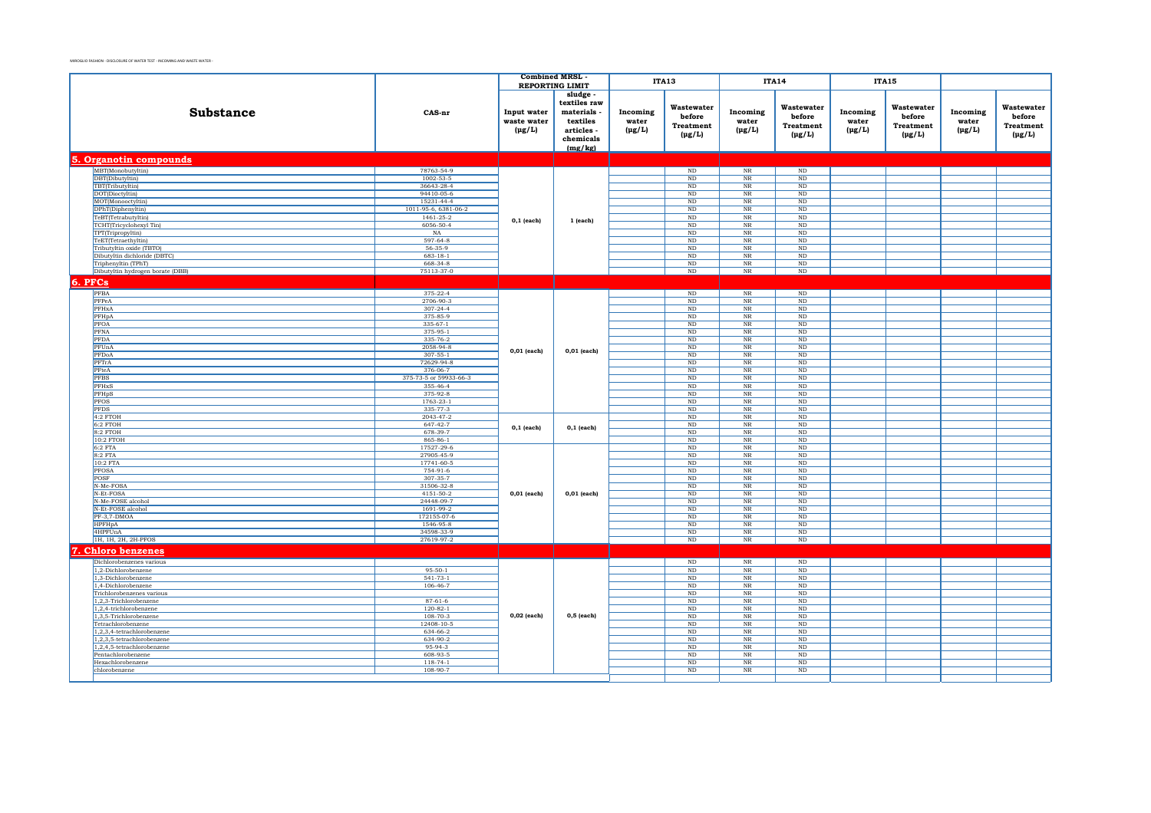|                                                          |                              | <b>Combined MRSL</b>                      |                                                                                         |                                  | <b>ITA13</b>                                            |                                       | <b>ITA14</b>                                            |                                  | <b>ITA15</b>                                            |                                  |                                                  |
|----------------------------------------------------------|------------------------------|-------------------------------------------|-----------------------------------------------------------------------------------------|----------------------------------|---------------------------------------------------------|---------------------------------------|---------------------------------------------------------|----------------------------------|---------------------------------------------------------|----------------------------------|--------------------------------------------------|
|                                                          |                              |                                           | <b>REPORTING LIMIT</b>                                                                  |                                  |                                                         |                                       |                                                         |                                  |                                                         |                                  |                                                  |
| <b>Substance</b>                                         | CAS-nr                       | Input water<br>waste water<br>$(\mu g/L)$ | sludge -<br>textiles raw<br>materials<br>textiles<br>articles -<br>chemicals<br>(mg/kg) | Incoming<br>water<br>$(\mu g/L)$ | Wastewater<br>before<br><b>Treatment</b><br>$(\mu g/L)$ | Incoming<br>water<br>$(\mu g/L)$      | Wastewater<br>before<br><b>Treatment</b><br>$(\mu g/L)$ | Incoming<br>water<br>$(\mu g/L)$ | Wastewater<br>before<br><b>Treatment</b><br>$(\mu g/L)$ | Incoming<br>water<br>$(\mu g/L)$ | Wastewater<br>before<br>Treatment<br>$(\mu g/L)$ |
| 5. Organotin compounds                                   |                              |                                           |                                                                                         |                                  |                                                         |                                       |                                                         |                                  |                                                         |                                  |                                                  |
| MBT(Monobutyltin)                                        | 78763-54-9                   |                                           |                                                                                         |                                  | $\rm ND$                                                | $\overline{\text{NR}}$                | $\mathop{\rm ND}$                                       |                                  |                                                         |                                  |                                                  |
| DBT(Dibutyltin)                                          | $1002 - 53 - 5$              |                                           |                                                                                         |                                  | ND                                                      | $_{\rm NR}$                           | ND                                                      |                                  |                                                         |                                  |                                                  |
| TBT(Tributyltin)<br>DOT(Dioctyltin)                      | 36643-28-4<br>94410-05-6     |                                           |                                                                                         |                                  | ND<br>$_{\rm ND}$                                       | $_{\rm NR}$<br>$\rm NR$               | ND<br>$\rm ND$                                          |                                  |                                                         |                                  |                                                  |
| MOT(Monooctyltin)                                        | 15231-44-4                   |                                           |                                                                                         |                                  | ND                                                      | NR                                    | ND                                                      |                                  |                                                         |                                  |                                                  |
| DPhT(Diphenyltin)                                        | 1011-95-6, 6381-06-2         |                                           |                                                                                         |                                  | $_{\rm ND}$                                             | $\overline{\text{NR}}$                | $\overline{\text{ND}}$                                  |                                  |                                                         |                                  |                                                  |
| TeBT(Tetrabutyltin)                                      | 1461-25-2                    | $0,1$ (each)                              | 1 (each)                                                                                |                                  | ND                                                      | NR                                    | ND                                                      |                                  |                                                         |                                  |                                                  |
| TCHT(Tricyclohexyl Tin)                                  | 6056-50-4                    |                                           |                                                                                         |                                  | ND                                                      | $_{\rm NR}$                           | ND                                                      |                                  |                                                         |                                  |                                                  |
| TPT(Tripropyltin)                                        | NA                           |                                           |                                                                                         |                                  | $_{\rm ND}$                                             | $\rm NR$                              | $\rm ND$                                                |                                  |                                                         |                                  |                                                  |
| TeET(Tetraethyltin)                                      | 597-64-8                     |                                           |                                                                                         |                                  | ND                                                      | NR                                    | ND                                                      |                                  |                                                         |                                  |                                                  |
| Tributyltin oxide (TBTO)<br>Dibutyltin dichloride (DBTC) | 56-35-9<br>$683 - 18 - 1$    |                                           |                                                                                         |                                  | $_{\rm ND}$<br>ND                                       | $\overline{\text{NR}}$<br>NR          | ND<br>ND                                                |                                  |                                                         |                                  |                                                  |
| Triphenyltin (TPhT)                                      | 668-34-8                     |                                           |                                                                                         |                                  | $\rm ND$                                                | $_{\rm NR}$                           | ND                                                      |                                  |                                                         |                                  |                                                  |
| Dibutyltin hydrogen borate (DBB)                         | 75113-37-0                   |                                           |                                                                                         |                                  | $\rm ND$                                                | $_{\rm NR}$                           | $\rm ND$                                                |                                  |                                                         |                                  |                                                  |
| 6. PFCs                                                  |                              |                                           |                                                                                         |                                  |                                                         |                                       |                                                         |                                  |                                                         |                                  |                                                  |
| PFBA                                                     | $375 - 22 - 4$               |                                           |                                                                                         |                                  | ND                                                      | $_{\rm NR}$                           | ND                                                      |                                  |                                                         |                                  |                                                  |
| PFPeA                                                    | 2706-90-3                    |                                           |                                                                                         |                                  | $_{\rm ND}$                                             | $\overline{\text{NR}}$                | ND                                                      |                                  |                                                         |                                  |                                                  |
| PFHxA                                                    | $307 - 24 - 4$               |                                           |                                                                                         |                                  | $_{\rm ND}$                                             | $\overline{\text{NR}}$                | $\rm ND$                                                |                                  |                                                         |                                  |                                                  |
| PFHpA                                                    | 375-85-9                     |                                           |                                                                                         |                                  | ND                                                      | $_{\rm NR}$                           | ND                                                      |                                  |                                                         |                                  |                                                  |
| <b>PFOA</b>                                              | $335-67-1$                   |                                           |                                                                                         |                                  | $\rm ND$                                                | $_{\rm NR}$                           | ND                                                      |                                  |                                                         |                                  |                                                  |
| PFNA                                                     | 375-95-1                     |                                           |                                                                                         |                                  | $\rm ND$                                                | $\rm NR$                              | $\rm ND$                                                |                                  |                                                         |                                  |                                                  |
| PFDA                                                     | 335-76-2                     |                                           |                                                                                         |                                  | $\rm ND$                                                | $_{\rm NR}$                           | ND                                                      |                                  |                                                         |                                  |                                                  |
| PFUnA                                                    | 2058-94-8                    | $0,01$ (each)                             | $0,01$ (each)                                                                           |                                  | $_{\rm ND}$                                             | $\overline{\text{NR}}$                | $\rm ND$<br>ND                                          |                                  |                                                         |                                  |                                                  |
| PFDoA<br>PFTrA                                           | $307 - 55 - 1$<br>72629-94-8 |                                           |                                                                                         |                                  | ND<br>ND                                                | $_{\rm NR}$<br>NR                     | ND                                                      |                                  |                                                         |                                  |                                                  |
| PFteA                                                    | 376-06-7                     |                                           |                                                                                         |                                  | $\rm ND$                                                | $_{\rm NR}$                           | $\rm ND$                                                |                                  |                                                         |                                  |                                                  |
| <b>PFBS</b>                                              | 375-73-5 or 59933-66-3       |                                           |                                                                                         |                                  | $\rm ND$                                                | $_{\rm NR}$                           | $\rm ND$                                                |                                  |                                                         |                                  |                                                  |
| PFHxS                                                    | 355-46-4                     |                                           |                                                                                         |                                  | $_{\rm ND}$                                             | $\rm NR$                              | $\rm ND$                                                |                                  |                                                         |                                  |                                                  |
| PFHpS                                                    | 375-92-8                     |                                           |                                                                                         |                                  | $_{\rm ND}$                                             | $\rm NR$                              | ND                                                      |                                  |                                                         |                                  |                                                  |
| PFOS                                                     | 1763-23-1                    |                                           |                                                                                         |                                  | ND                                                      | $\overline{\text{NR}}$                | ND                                                      |                                  |                                                         |                                  |                                                  |
| PFDS<br>4:2 FTOH                                         | 335-77-3<br>2043-47-2        |                                           |                                                                                         |                                  | $\rm ND$<br>$\rm ND$                                    | $_{\rm NR}$<br>$_{\rm NR}$            | $\rm ND$<br>ND                                          |                                  |                                                         |                                  |                                                  |
| $6:2$ FTOH                                               | $647 - 42 - 7$               |                                           |                                                                                         |                                  | $_{\rm ND}$                                             | $_{\rm NR}$                           | ND                                                      |                                  |                                                         |                                  |                                                  |
| 8:2 FTOH                                                 | 678-39-7                     | $0,1$ (each)                              | $0,1$ (each)                                                                            |                                  | $_{\rm ND}$                                             | $\overline{\text{NR}}$                | ND                                                      |                                  |                                                         |                                  |                                                  |
| 10:2 FTOH                                                | 865-86-1                     |                                           |                                                                                         |                                  | ND                                                      | $\overline{\text{NR}}$                | ND                                                      |                                  |                                                         |                                  |                                                  |
| $6:2$ FTA                                                | 17527-29-6                   |                                           |                                                                                         |                                  | ND                                                      | NR                                    | ND                                                      |                                  |                                                         |                                  |                                                  |
| 8:2 FTA                                                  | 27905-45-9                   |                                           |                                                                                         |                                  | $_{\rm ND}$                                             | $\rm NR$                              | $\rm ND$                                                |                                  |                                                         |                                  |                                                  |
| 10:2 FTA                                                 | 17741-60-5<br>754-91-6       |                                           |                                                                                         |                                  | ND                                                      | $\rm NR$                              | ND<br>ND                                                |                                  |                                                         |                                  |                                                  |
| <b>PFOSA</b><br>POSF                                     | $307 - 35 - 7$               |                                           |                                                                                         |                                  | $\rm ND$<br>ND                                          | $\overline{\text{NR}}$<br>NR          | ND                                                      |                                  |                                                         |                                  |                                                  |
| N-Me-FOSA                                                | 31506-32-8                   |                                           |                                                                                         |                                  | ND                                                      | $_{\rm NR}$                           | ND                                                      |                                  |                                                         |                                  |                                                  |
| N-Et-FOSA                                                | 4151-50-2                    | $0,01$ (each)                             | $0,01$ (each)                                                                           |                                  | $_{\rm ND}$                                             | $_{\rm NR}$                           | $\rm ND$                                                |                                  |                                                         |                                  |                                                  |
| N-Me-FOSE alcohol                                        | 24448-09-7                   |                                           |                                                                                         |                                  | ND                                                      | $_{\rm NR}$                           | ND                                                      |                                  |                                                         |                                  |                                                  |
| N-Et-FOSE alcohol                                        | 1691-99-2                    |                                           |                                                                                         |                                  | $\rm ND$                                                | $\overline{\text{NR}}$                | $\overline{\text{ND}}$                                  |                                  |                                                         |                                  |                                                  |
| PF-3,7-DMOA<br><b>HPFHpA</b>                             | 172155-07-6<br>1546-95-8     |                                           |                                                                                         |                                  | ND<br>ND                                                | NR<br>$\overline{\text{NR}}$          | ND<br>ND                                                |                                  |                                                         |                                  |                                                  |
| 4HPFUnA                                                  | 34598-33-9                   |                                           |                                                                                         |                                  | $_{\rm ND}$                                             | $\rm{NR}$                             | $_{\rm ND}$                                             |                                  |                                                         |                                  |                                                  |
| 1H, 1H, 2H, 2H-PFOS                                      | 27619-97-2                   |                                           |                                                                                         |                                  | ND                                                      | $\rm{NR}$                             | ND                                                      |                                  |                                                         |                                  |                                                  |
| <b>Chloro benzenes</b>                                   |                              |                                           |                                                                                         |                                  |                                                         |                                       |                                                         |                                  |                                                         |                                  |                                                  |
| Dichlorobenzenes various                                 |                              |                                           |                                                                                         |                                  | $_{\rm ND}$                                             | $\rm NR$                              | $\rm ND$                                                |                                  |                                                         |                                  |                                                  |
| 1,2-Dichlorobenzene                                      | $95 - 50 - 1$                |                                           |                                                                                         |                                  | $_{\rm ND}$                                             | $_{\rm NR}$                           | ND                                                      |                                  |                                                         |                                  |                                                  |
| 1,3-Dichlorobenzene                                      | $541 - 73 - 1$               |                                           |                                                                                         |                                  | ND                                                      | $\rm{NR}$                             | ND                                                      |                                  |                                                         |                                  |                                                  |
| 1,4-Dichlorobenzene                                      | $106 - 46 - 7$               |                                           |                                                                                         |                                  | ND                                                      | $\overline{\text{NR}}$                | ND                                                      |                                  |                                                         |                                  |                                                  |
| Trichlorobenzenes various<br>1,2,3-Trichlorobenzene      | $87 - 61 - 6$                |                                           |                                                                                         |                                  | $\rm ND$<br>$_{\rm ND}$                                 | $_{\rm NR}$<br>$_{\rm NR}$            | ND<br>$\rm ND$                                          |                                  |                                                         |                                  |                                                  |
| $1,2,4$ -trichlorobenzene                                | $120 - 82 - 1$               | $0,02$ (each)                             |                                                                                         |                                  | $_{\rm ND}$                                             | $_{\rm NR}$                           | $\mathop{\rm ND}\nolimits$                              |                                  |                                                         |                                  |                                                  |
| 1,3,5-Trichlorobenzene                                   | $108 - 70 - 3$               |                                           | 0,5 (each)                                                                              |                                  | ND                                                      | NR                                    | ND                                                      |                                  |                                                         |                                  |                                                  |
| Tetrachlorobenzene                                       | 12408-10-5                   |                                           |                                                                                         |                                  | $\rm ND$                                                | $_{\rm NR}$                           | ND                                                      |                                  |                                                         |                                  |                                                  |
| $1,2,3,4$ -tetrachlorobenzene                            | 634-66-2                     |                                           |                                                                                         |                                  | $_{\rm ND}$                                             | $\rm NR$                              | $_{\rm ND}$                                             |                                  |                                                         |                                  |                                                  |
| 1,2,3,5-tetrachlorobenzene<br>1,2,4,5-tetrachlorobenzene | 634-90-2<br>$95-94-3$        |                                           |                                                                                         |                                  | $\rm ND$<br>$_{\rm ND}$                                 | $_{\rm NR}$<br>$\overline{\text{NR}}$ | ND<br>$\rm ND$                                          |                                  |                                                         |                                  |                                                  |
| Pentachlorobenzene                                       | 608-93-5                     |                                           |                                                                                         |                                  | $_{\rm ND}$                                             | $\rm NR$                              | $\rm ND$                                                |                                  |                                                         |                                  |                                                  |
| Hexachlorobenzene                                        | $118 - 74 - 1$               |                                           |                                                                                         |                                  | $\rm ND$                                                | $_{\rm NR}$                           | $\rm ND$                                                |                                  |                                                         |                                  |                                                  |
| chlorobenzene                                            | 108-90-7                     |                                           |                                                                                         |                                  | $\rm ND$                                                | $_{\rm NR}$                           | $\rm ND$                                                |                                  |                                                         |                                  |                                                  |
|                                                          |                              |                                           |                                                                                         |                                  |                                                         |                                       |                                                         |                                  |                                                         |                                  |                                                  |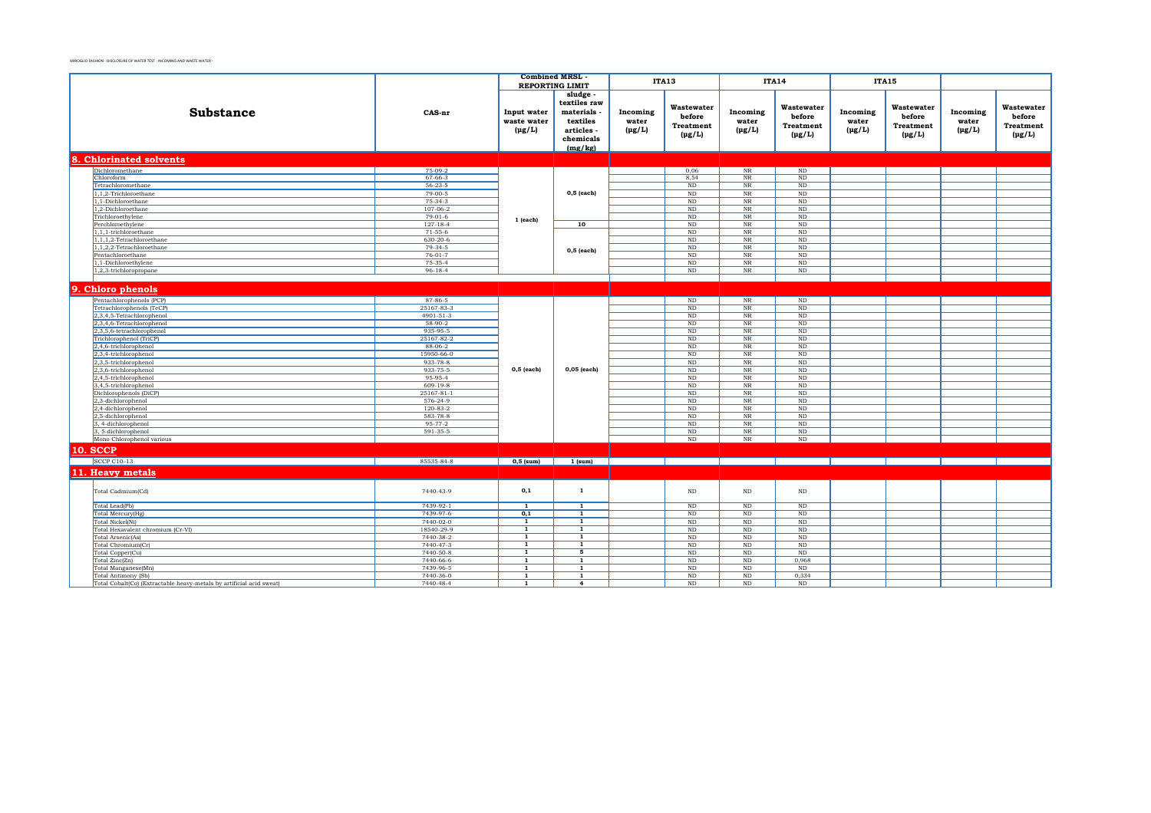|                                                                      |                        | <b>Combined MRSL</b>                      |                                                                             | ITA13                            |                                                         |                                              | <b>ITA14</b>                                            | <b>ITA15</b>                     |                                                  |                                  |                                                  |
|----------------------------------------------------------------------|------------------------|-------------------------------------------|-----------------------------------------------------------------------------|----------------------------------|---------------------------------------------------------|----------------------------------------------|---------------------------------------------------------|----------------------------------|--------------------------------------------------|----------------------------------|--------------------------------------------------|
|                                                                      |                        |                                           | <b>REPORTING LIMIT</b><br>sludge                                            |                                  |                                                         |                                              |                                                         |                                  |                                                  |                                  |                                                  |
| <b>Substance</b>                                                     | CAS-nr                 | Input water<br>waste water<br>$(\mu g/L)$ | textiles raw<br>materials<br>textiles<br>articles -<br>chemicals<br>(mg/kg) | Incoming<br>water<br>$(\mu g/L)$ | Wastewater<br>before<br><b>Treatment</b><br>$(\mu g/L)$ | Incoming<br>water<br>$(\mu g/L)$             | Wastewater<br>before<br><b>Treatment</b><br>$(\mu g/L)$ | Incoming<br>water<br>$(\mu g/L)$ | Wastewater<br>before<br>Treatment<br>$(\mu g/L)$ | Incoming<br>water<br>$(\mu g/L)$ | Wastewater<br>before<br>Treatment<br>$(\mu g/L)$ |
| 8. Chlorinated solvents                                              |                        |                                           |                                                                             |                                  |                                                         |                                              |                                                         |                                  |                                                  |                                  |                                                  |
| Dichloromethane                                                      | 75-09-2                |                                           |                                                                             |                                  | 0,06                                                    | NR                                           | ND                                                      |                                  |                                                  |                                  |                                                  |
| Chloroform                                                           | $67 - 66 - 3$          |                                           |                                                                             |                                  | 8,54                                                    | $_{\rm NR}$                                  | $\rm ND$                                                |                                  |                                                  |                                  |                                                  |
| Tetrachloromethane                                                   | $56 - 23 - 5$          |                                           |                                                                             |                                  | ND                                                      | $_{\rm NR}$                                  | ND                                                      |                                  |                                                  |                                  |                                                  |
| 1,1,2-Trichloroethane                                                | $79-00-5$              |                                           | $0,5$ (each)                                                                |                                  | $\rm ND$                                                | NR                                           | $\rm ND$                                                |                                  |                                                  |                                  |                                                  |
| 1.1-Dichloroethane                                                   | $75-34-3$              |                                           |                                                                             |                                  | ND                                                      | NR                                           | ND                                                      |                                  |                                                  |                                  |                                                  |
| 1,2-Dichloroethane                                                   | $107 - 06 - 2$         |                                           |                                                                             |                                  | $\rm ND$                                                | $_{\rm NR}$                                  | $_{\rm ND}$                                             |                                  |                                                  |                                  |                                                  |
| Trichloroethylene                                                    | $79-01-6$              | $1$ (each)                                |                                                                             |                                  | ND                                                      | NR                                           | ND                                                      |                                  |                                                  |                                  |                                                  |
| Perchloroethylene                                                    | $127 - 18 - 4$         |                                           | 10                                                                          |                                  | ND                                                      | $_{\rm NR}$                                  | ND                                                      |                                  |                                                  |                                  |                                                  |
| 1,1,1-trichloroethane                                                | $71 - 55 - 6$          |                                           |                                                                             |                                  | ND                                                      | NR                                           | <b>ND</b>                                               |                                  |                                                  |                                  |                                                  |
| $1, 1, 1, 2$ -Tetrachloroethane                                      | 630-20-6               |                                           |                                                                             |                                  | ND                                                      | $_{\rm NR}$                                  | ND                                                      |                                  |                                                  |                                  |                                                  |
| $1, 1, 2, 2$ -Tetrachloroethane<br>Pentachloroethane                 | 79-34-5<br>$76-01-7$   |                                           | $0,5$ (each)                                                                |                                  | $\rm ND$<br>ND                                          | $\rm{NR}$<br>$\ensuremath{\text{NR}}\xspace$ | $\rm ND$<br>ND                                          |                                  |                                                  |                                  |                                                  |
| 1,1-Dichloroethylene                                                 | 75-35-4                |                                           |                                                                             |                                  | $\rm ND$                                                | $\rm{NR}$                                    | $\rm ND$                                                |                                  |                                                  |                                  |                                                  |
| 1,2,3-trichloropropane                                               | $96 - 18 - 4$          |                                           |                                                                             |                                  | ND                                                      | NR                                           | ND                                                      |                                  |                                                  |                                  |                                                  |
|                                                                      |                        |                                           |                                                                             |                                  |                                                         |                                              |                                                         |                                  |                                                  |                                  |                                                  |
|                                                                      |                        |                                           |                                                                             |                                  |                                                         |                                              |                                                         |                                  |                                                  |                                  |                                                  |
| 9. Chloro phenols                                                    |                        |                                           |                                                                             |                                  |                                                         |                                              |                                                         |                                  |                                                  |                                  |                                                  |
| Pentachlorophenols (PCP)                                             | 87-86-5                |                                           |                                                                             |                                  | $\rm ND$                                                | NR                                           | $\rm ND$                                                |                                  |                                                  |                                  |                                                  |
| Tetrachlorophenols (TeCP)                                            | 25167-83-3             |                                           |                                                                             |                                  | $\rm ND$                                                | $_{\rm NR}$                                  | $_{\rm ND}$                                             |                                  |                                                  |                                  |                                                  |
| 2,3,4,5-Tetrachlorophenol                                            | 4901-51-3              |                                           |                                                                             |                                  | $_{\rm ND}$                                             | $\rm{NR}$                                    | $\rm ND$                                                |                                  |                                                  |                                  |                                                  |
| 2,3,4,6-Tetrachlorophenol                                            | $58-90-2$              |                                           |                                                                             |                                  | ND                                                      | NR                                           | ND                                                      |                                  |                                                  |                                  |                                                  |
| 2,3,5,6-tetrachlorophenol<br>Trichlorophenol (TriCP)                 | 935-95-5<br>25167-82-2 |                                           |                                                                             |                                  | ND<br>ND                                                | $_{\rm NR}$<br>NR                            | ND<br>ND                                                |                                  |                                                  |                                  |                                                  |
| 2,4,6-trichlorophenol                                                | 88-06-2                |                                           |                                                                             |                                  | $\rm ND$                                                | $_{\rm NR}$                                  | $_{\rm ND}$                                             |                                  |                                                  |                                  |                                                  |
| 2,3,4-trichlorophenol                                                | 15950-66-0             |                                           |                                                                             |                                  | ND                                                      | $_{\rm NR}$                                  | $\rm ND$                                                |                                  |                                                  |                                  |                                                  |
| 2,3,5-trichlorophenol                                                | 933-78-8               |                                           |                                                                             |                                  | ND                                                      | $_{\rm NR}$                                  | ND                                                      |                                  |                                                  |                                  |                                                  |
| 2,3,6-trichlorophenol                                                | 933-75-5               | $0,5$ (each)                              | 0,05 (each)                                                                 |                                  | $\rm ND$                                                | $_{\rm NR}$                                  | ND                                                      |                                  |                                                  |                                  |                                                  |
| 2,4,5-trichlorophenol                                                | 95-95-4                |                                           |                                                                             |                                  | ND                                                      | NR                                           | ND                                                      |                                  |                                                  |                                  |                                                  |
| 3,4,5-trichlorophenol                                                | 609-19-8               |                                           |                                                                             |                                  | $_{\rm ND}$                                             | $\rm{NR}$                                    | $\rm ND$                                                |                                  |                                                  |                                  |                                                  |
| Dichlorophenols (DiCP)                                               | 25167-81-1             |                                           |                                                                             |                                  | ND                                                      | NR                                           | ND                                                      |                                  |                                                  |                                  |                                                  |
| 2,3-dichlorophenol                                                   | 576-24-9               |                                           |                                                                             |                                  | ND                                                      | $_{\rm NR}$                                  | ND                                                      |                                  |                                                  |                                  |                                                  |
| 2,4-dichlorophenol                                                   | $120 - 83 - 2$         |                                           |                                                                             |                                  | ND                                                      | NR                                           | ND                                                      |                                  |                                                  |                                  |                                                  |
| 2,5-dichlorophenol                                                   | 583-78-8               |                                           |                                                                             |                                  | $\rm ND$                                                | $_{\rm NR}$                                  | $_{\rm ND}$                                             |                                  |                                                  |                                  |                                                  |
| 3, 4-dichlorophenol                                                  | 95-77-2                |                                           |                                                                             |                                  | $\rm ND$                                                | $_{\rm NR}$                                  | $\rm ND$                                                |                                  |                                                  |                                  |                                                  |
| 3, 5-dichlorophenol                                                  | 591-35-5               |                                           |                                                                             |                                  | $\rm ND$                                                | $_{\rm NR}$                                  | $\rm ND$                                                |                                  |                                                  |                                  |                                                  |
| Mono Chlorophenol various                                            |                        |                                           |                                                                             |                                  | ND                                                      | NR                                           | ND                                                      |                                  |                                                  |                                  |                                                  |
| <b>10. SCCP</b>                                                      |                        |                                           |                                                                             |                                  |                                                         |                                              |                                                         |                                  |                                                  |                                  |                                                  |
| <b>SCCP C10-13</b>                                                   | 85535-84-8             | $0,5$ (sum)                               | 1 (sum)                                                                     |                                  |                                                         |                                              |                                                         |                                  |                                                  |                                  |                                                  |
| 11. Heavy metals                                                     |                        |                                           |                                                                             |                                  |                                                         |                                              |                                                         |                                  |                                                  |                                  |                                                  |
|                                                                      |                        |                                           |                                                                             |                                  |                                                         |                                              |                                                         |                                  |                                                  |                                  |                                                  |
| Total Cadmium(Cd)                                                    | 7440-43-9              | 0,1                                       | 1                                                                           |                                  | $\rm ND$                                                | $\rm ND$                                     | $\rm ND$                                                |                                  |                                                  |                                  |                                                  |
| Total Lead(Pb)                                                       | 7439-92-1              | $\overline{1}$                            | $\overline{1}$                                                              |                                  | $\rm ND$                                                | $\rm ND$                                     | $\rm ND$                                                |                                  |                                                  |                                  |                                                  |
| Total Mercury(Hg)                                                    | 7439-97-6<br>7440-02-0 | 0,1                                       | $\mathbf{1}$<br>$\mathbf{1}$                                                |                                  | $\rm ND$<br>$\rm ND$                                    | $\rm ND$                                     | $\rm ND$<br>$\rm ND$                                    |                                  |                                                  |                                  |                                                  |
| Total Nickel(Ni)<br>Total Hexavalent chromium (Cr-VI)                | 18540-29-9             | 1<br>$\overline{1}$                       | $\overline{1}$                                                              |                                  | ND                                                      | $\rm ND$<br>ND                               | $\rm ND$                                                |                                  |                                                  |                                  |                                                  |
| Total Arsenic(As)                                                    | 7440-38-2              | $\overline{\mathbf{1}}$                   | $\overline{1}$                                                              |                                  | $\rm ND$                                                | $\rm ND$                                     | ND                                                      |                                  |                                                  |                                  |                                                  |
| Total Chromium(Cr)                                                   | 7440-47-3              | 1                                         | 1                                                                           |                                  | $\rm ND$                                                | $\rm ND$                                     | $\rm ND$                                                |                                  |                                                  |                                  |                                                  |
| Total Copper(Cu)                                                     | 7440-50-8              | $\overline{1}$                            | 5                                                                           |                                  | ND                                                      | $\rm ND$                                     | ND                                                      |                                  |                                                  |                                  |                                                  |
| Total Zinc(Zn)                                                       | 7440-66-6              | $\mathbf{1}$                              | $\mathbf{1}$                                                                |                                  | ND                                                      | ND                                           | 0.968                                                   |                                  |                                                  |                                  |                                                  |
| Total Manganese(Mn)                                                  | 7439-96-5              | $\mathbf{1}$                              | 1                                                                           |                                  | ND                                                      | ND                                           | ND                                                      |                                  |                                                  |                                  |                                                  |
| Total Antimony (Sb)                                                  | 7440-36-0              | $\mathbf{1}$                              | 1                                                                           |                                  | $\rm ND$                                                | $\rm ND$                                     | 0,334                                                   |                                  |                                                  |                                  |                                                  |
| Total Cobalt(Co) (Extractable heavy-metals by artificial acid sweat) | 7440-48-4              | 1                                         | 4                                                                           |                                  | ND                                                      | $\rm ND$                                     | ND                                                      |                                  |                                                  |                                  |                                                  |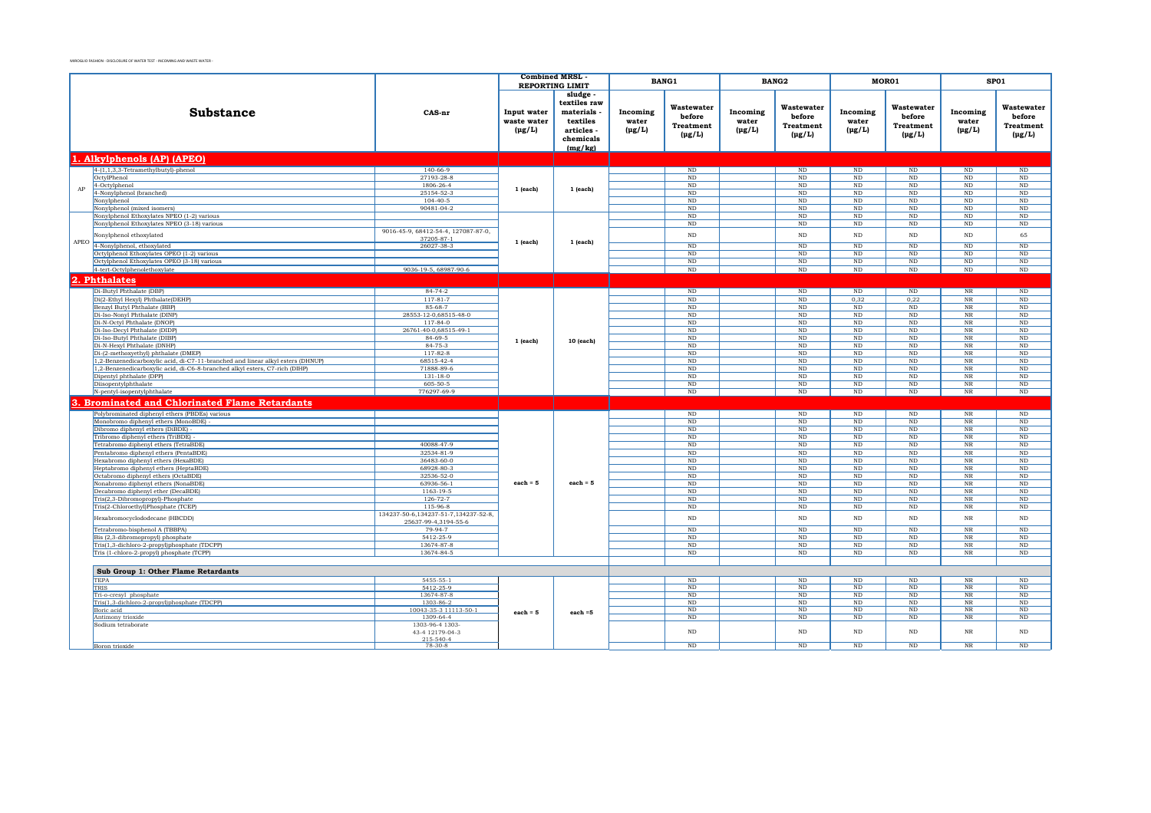|      |                                                                                 |                                                              |                                           | <b>Combined MRSL</b><br><b>REPORTING LIMIT</b>                                       |                                  | <b>BANG1</b>                                            |                                  | BANG2                                                   |                                  | MOR01                                            |                                  | SP01                                                    |
|------|---------------------------------------------------------------------------------|--------------------------------------------------------------|-------------------------------------------|--------------------------------------------------------------------------------------|----------------------------------|---------------------------------------------------------|----------------------------------|---------------------------------------------------------|----------------------------------|--------------------------------------------------|----------------------------------|---------------------------------------------------------|
|      | <b>Substance</b>                                                                | CAS-nr                                                       | Input water<br>waste water<br>$(\mu g/L)$ | sludge.<br>textiles raw<br>materials<br>textiles<br>articles<br>chemicals<br>(mg/kg) | Incoming<br>water<br>$(\mu g/L)$ | Wastewater<br>before<br><b>Treatment</b><br>$(\mu g/L)$ | Incoming<br>water<br>$(\mu g/L)$ | Wastewater<br>before<br><b>Treatment</b><br>$(\mu g/L)$ | Incoming<br>water<br>$(\mu g/L)$ | Wastewater<br>before<br>Treatment<br>$(\mu g/L)$ | Incoming<br>water<br>$(\mu g/L)$ | Wastewater<br>before<br><b>Treatment</b><br>$(\mu g/L)$ |
|      | 1. Alkylphenols (AP) (APEO)                                                     |                                                              |                                           |                                                                                      |                                  |                                                         |                                  |                                                         |                                  |                                                  |                                  |                                                         |
|      | $4-(1,1,3,3-Tetramethylbutyl)-phenol$                                           | $140 - 66 - 9$                                               |                                           |                                                                                      |                                  | ND                                                      |                                  | ND                                                      | ND                               | ND                                               | ND                               | ND                                                      |
|      | OctylPhenol                                                                     | 27193-28-8                                                   |                                           |                                                                                      |                                  | ND                                                      |                                  | $\rm ND$                                                | $\rm ND$                         | $_{\rm ND}$                                      | $_{\rm ND}$                      | $\overline{\text{ND}}$                                  |
| AP   | 4-Octylphenol                                                                   | 1806-26-4                                                    | $1$ (each)                                | $1$ (each)                                                                           |                                  | ND                                                      |                                  | $\rm ND$                                                | $\rm ND$                         | $\rm ND$                                         | ND                               | $\overline{\text{ND}}$                                  |
|      | 4-Nonylphenol (branched)                                                        | 25154-52-3                                                   |                                           |                                                                                      |                                  | $\rm ND$                                                |                                  | ND                                                      | <b>ND</b>                        | ND                                               | ND                               | $\rm ND$                                                |
|      | Nonylphenol<br>Nonylphenol (mixed isomers)                                      | $104 - 40 - 5$<br>90481-04-2                                 |                                           |                                                                                      |                                  | $\rm ND$<br>$\rm ND$                                    |                                  | $\rm ND$<br>ND                                          | ND<br><b>ND</b>                  | $\rm ND$<br>ND                                   | $\rm ND$<br>$\rm ND$             | $\rm ND$<br>ND                                          |
|      | Nonylphenol Ethoxylates NPEO (1-2) various                                      |                                                              |                                           |                                                                                      |                                  | ND                                                      |                                  | ND                                                      | <b>ND</b>                        | ND                                               | $\rm ND$                         | ND                                                      |
|      | Nonylphenol Ethoxylates NPEO (3-18) various                                     |                                                              |                                           |                                                                                      |                                  | ND                                                      |                                  | ND                                                      | ND.                              | ND.                                              | ND                               | ND                                                      |
|      | Nonylphenol ethoxylated                                                         | 9016-45-9, 68412-54-4, 127087-87-0,<br>37205-87-1            |                                           |                                                                                      |                                  | $\rm ND$                                                |                                  | $\rm ND$                                                | $\rm ND$                         | $\rm ND$                                         | $\rm ND$                         | 65                                                      |
| APEO | 4-Nonylphenol, ethoxylated                                                      | 26027-38-3                                                   | 1 (each)                                  | $1$ (each)                                                                           |                                  | ND                                                      |                                  | ND                                                      | ND                               | ND                                               | $_{\rm ND}$                      | ND                                                      |
|      | Octylphenol Ethoxylates OPEO (1-2) various                                      |                                                              |                                           |                                                                                      |                                  | $\overline{\text{ND}}$                                  |                                  | ND                                                      | ND                               | ND                                               | $\overline{\text{ND}}$           | ND                                                      |
|      | Octylphenol Ethoxylates OPEO (3-18) various                                     |                                                              |                                           |                                                                                      |                                  | ND                                                      |                                  | ND                                                      | ND                               | ND                                               | $\rm ND$                         | ND                                                      |
|      | 4-tert-Octylphenolethoxylate                                                    | 9036-19-5, 68987-90-6                                        |                                           |                                                                                      |                                  | ND                                                      |                                  | $\rm ND$                                                | ND                               | ND                                               | $\rm ND$                         | $\rm ND$                                                |
|      | 2. Phthalates                                                                   |                                                              |                                           |                                                                                      |                                  |                                                         |                                  |                                                         |                                  |                                                  |                                  |                                                         |
|      | Di-Butyl Phthalate (DBP)                                                        | $84 - 74 - 2$                                                |                                           |                                                                                      |                                  | ND                                                      |                                  | ND                                                      | ND                               | ND                                               | $\overline{\text{NR}}$           | ND                                                      |
|      | Di(2-Ethyl Hexyl) Phthalate(DEHP)                                               | $117 - 81 - 7$                                               |                                           |                                                                                      |                                  | ND                                                      |                                  | ND                                                      | 0.32                             | 0.22                                             | $_{\rm NR}$                      | ND                                                      |
|      | Benzyl Butyl Phthalate (BBP)                                                    | 85-68-7                                                      |                                           |                                                                                      |                                  | $\rm ND$                                                |                                  | $\rm ND$                                                | $\rm ND$                         | $_{\rm ND}$                                      | $_{\rm NR}$                      | $\rm ND$                                                |
|      | Di-Iso-Nonyl Phthalate (DINP)                                                   | 28553-12-0,68515-48-0                                        |                                           |                                                                                      |                                  | ND                                                      |                                  | ND                                                      | ND                               | ND                                               | $_{\rm NR}$                      | ND                                                      |
|      | Di-N-Octyl Phthalate (DNOP)                                                     | $117 - 84 - 0$                                               |                                           |                                                                                      |                                  | ND                                                      |                                  | ND                                                      | ND                               | ND                                               | $_{\rm NR}$                      | ND                                                      |
|      | Di-Iso-Decyl Phthalate (DIDP)                                                   | 26761-40-0,68515-49-1                                        |                                           |                                                                                      |                                  | ND                                                      |                                  | ND                                                      | ND                               | ND                                               | $_{\rm NR}$                      | ND                                                      |
|      | Di-Iso-Butyl Phthalate (DIBP)<br>Di-N-Hexyl Phthalate (DNHP)                    | 84-69-5<br>84-75-3                                           | $1$ (each)                                | 10 (each)                                                                            |                                  | $\rm ND$<br>$\rm ND$                                    |                                  | $\rm ND$<br>$\rm ND$                                    | ND<br>$\rm ND$                   | $\rm ND$<br>$\rm ND$                             | $_{\rm NR}$<br>$_{\rm NR}$       | $\rm ND$<br>$\rm ND$                                    |
|      | Di-(2-methoxyethyl) phthalate (DMEP)                                            | 117-82-8                                                     |                                           |                                                                                      |                                  | $\rm ND$                                                |                                  | $\rm ND$                                                | $\rm ND$                         | $\rm ND$                                         | $_{\rm NR}$                      | ND                                                      |
|      | 1,2-Benzenedicarboxylic acid, di-C7-11-branched and linear alkyl esters (DHNUP) | 68515-42-4                                                   |                                           |                                                                                      |                                  | $\rm ND$                                                |                                  | $\rm ND$                                                | ND                               | ND                                               | $_{\rm NR}$                      | ND                                                      |
|      | 1,2-Benzenedicarboxylic acid, di-C6-8-branched alkyl esters, C7-rich (DIHP)     | 71888-89-6                                                   |                                           |                                                                                      |                                  | $\rm ND$                                                |                                  | ND                                                      | <b>ND</b>                        | ND                                               | $_{\rm NR}$                      | ND                                                      |
|      | Dipentyl phthalate (DPP)                                                        | $131 - 18 - 0$                                               |                                           |                                                                                      |                                  | $\rm ND$                                                |                                  | $\rm ND$                                                | <b>ND</b>                        | $\rm ND$                                         | $_{\rm NR}$                      | ND                                                      |
|      | Diisopentylphthalate                                                            | 605-50-5                                                     |                                           |                                                                                      |                                  | $\rm ND$                                                |                                  | ND                                                      | ND                               | ND                                               | $_{\rm NR}$                      | ND                                                      |
|      | N-pentyl-isopentylphthalate                                                     | 776297-69-9                                                  |                                           |                                                                                      |                                  | $\rm ND$                                                |                                  | $\rm ND$                                                | $\rm ND$                         | $\rm ND$                                         | $_{\rm NR}$                      | ND                                                      |
|      | <b>Brominated and Chlorinated Flame Retardants</b>                              |                                                              |                                           |                                                                                      |                                  |                                                         |                                  |                                                         |                                  |                                                  |                                  |                                                         |
|      | Polybrominated diphenyl ethers (PBDEs) various                                  |                                                              |                                           |                                                                                      |                                  | ND                                                      |                                  | ND                                                      | ND                               | ND                                               | NR                               | ND                                                      |
|      | Monobromo diphenyl ethers (MonoBDE)                                             |                                                              |                                           |                                                                                      |                                  | ND                                                      |                                  | ND                                                      | ND                               | ND                                               | $_{\rm NR}$                      | ND                                                      |
|      | Dibromo diphenyl ethers (DiBDE)                                                 |                                                              |                                           |                                                                                      |                                  | ND                                                      |                                  | ND                                                      | ND                               | ND                                               | $_{\rm NR}$                      | ND                                                      |
|      | Tribromo diphenyl ethers (TriBDE)<br>Tetrabromo diphenyl ethers (TetraBDE)      | 40088-47-9                                                   |                                           |                                                                                      |                                  | ND<br>ND                                                |                                  | ND<br>ND                                                | ND<br>ND                         | ND<br>ND                                         | $_{\rm NR}$<br>NR                | ND<br>ND                                                |
|      | Pentabromo diphenyl ethers (PentaBDE)                                           | 32534-81-9                                                   |                                           |                                                                                      |                                  | ND                                                      |                                  | ND                                                      | ND                               | ND                                               | NR                               | ND                                                      |
|      | Hexabromo diphenyl ethers (HexaBDE)                                             | 36483-60-0                                                   |                                           |                                                                                      |                                  | ND                                                      |                                  | ND                                                      | ND                               | ND                                               | $_{\rm NR}$                      | ND                                                      |
|      | Heptabromo diphenyl ethers (HeptaBDE)                                           | 68928-80-3                                                   |                                           |                                                                                      |                                  | ND                                                      |                                  | ND                                                      | ND                               | ND                                               | $_{\rm NR}$                      | ND                                                      |
|      | Octabromo diphenyl ethers (OctaBDE)                                             | 32536-52-0                                                   |                                           |                                                                                      |                                  | ND                                                      |                                  | ND                                                      | ND                               | ND                                               | NR                               | ND                                                      |
|      | Nonabromo diphenyl ethers (NonaBDE)                                             | 63936-56-1                                                   | $each = 5$                                | each = $5$                                                                           |                                  | $\rm ND$                                                |                                  | $\rm ND$                                                | <b>ND</b>                        | $\rm ND$                                         | $_{\rm NR}$                      | $\rm ND$                                                |
|      | Decabromo diphenyl ether (DecaBDE)<br>Tris(2,3-Dibromopropyl)-Phosphate         | 1163-19-5<br>$126 - 72 - 7$                                  |                                           |                                                                                      |                                  | ND<br>ND                                                |                                  | ND<br>ND                                                | <b>ND</b><br><b>ND</b>           | ND<br>ND                                         | $_{\rm NR}$<br>$_{\rm NR}$       | ND<br>ND                                                |
|      | Tris(2-Chloroethyl)Phosphate (TCEP)                                             | 115-96-8                                                     |                                           |                                                                                      |                                  | ND                                                      |                                  | ND                                                      | <b>ND</b>                        | ND                                               | NR                               | ND                                                      |
|      | Hexabromocyclododecane (HBCDD)                                                  | 134237-50-6.134237-51-7.134237-52-8.<br>25637-99-4.3194-55-6 |                                           |                                                                                      |                                  | $\rm ND$                                                |                                  | <b>ND</b>                                               | $\rm ND$                         | $_{\rm ND}$                                      | $_{\rm NR}$                      | $\rm ND$                                                |
|      | Tetrabromo-bisphenol A (TBBPA)                                                  | 79-94-7                                                      |                                           |                                                                                      |                                  | ND                                                      |                                  | ND                                                      | <b>ND</b>                        | ND                                               | $_{\rm NR}$                      | ND                                                      |
|      | Bis (2,3-dibromopropyl) phosphate                                               | 5412-25-9                                                    |                                           |                                                                                      |                                  | ND                                                      |                                  | ND                                                      | $\rm ND$                         | ND                                               | $_{\rm NR}$                      | $\overline{\text{ND}}$                                  |
|      | Tris(1,3-dichloro-2-propyl)phosphate (TDCPP)                                    | 13674-87-8                                                   |                                           |                                                                                      |                                  | ND                                                      |                                  | ND                                                      | $\rm ND$                         | ND                                               | $_{\rm NR}$                      | $\overline{\text{ND}}$                                  |
|      | Tris (1-chloro-2-propyl) phosphate (TCPP)                                       | 13674-84-5                                                   |                                           |                                                                                      |                                  | ND                                                      |                                  | ND                                                      | ND                               | ND                                               | $_{\rm NR}$                      | $\overline{\text{ND}}$                                  |
|      |                                                                                 |                                                              |                                           |                                                                                      |                                  |                                                         |                                  |                                                         |                                  |                                                  |                                  |                                                         |
|      | Sub Group 1: Other Flame Retardants<br><b>TEPA</b>                              | $5455 - 55 - 1$                                              |                                           |                                                                                      |                                  | ND                                                      |                                  | ND                                                      | ND                               | ND                                               | $_{\rm NR}$                      | ND                                                      |
|      | TRIS                                                                            | 5412-25-9                                                    |                                           |                                                                                      |                                  | $\rm ND$                                                |                                  | $\rm ND$                                                | $\rm ND$                         | $\rm ND$                                         | $_{\rm NR}$                      | $\rm ND$                                                |
|      | Tri-o-cresyl phosphate                                                          | 13674-87-8                                                   |                                           |                                                                                      |                                  | ND                                                      |                                  | ND                                                      | $\rm ND$                         | ND                                               | $_{\rm NR}$                      | ND                                                      |
|      | Tris(1,3-dichloro-2-propyl)phosphate (TDCPP)                                    | 1303-86-2                                                    |                                           |                                                                                      |                                  | ND                                                      |                                  | ND                                                      | ND                               | ND                                               | $_{\rm NR}$                      | ND                                                      |
|      | Boric acid                                                                      | 10043-35-3 11113-50-1                                        | $each = 5$                                | $each = 5$                                                                           |                                  | ND                                                      |                                  | ND                                                      | <b>ND</b>                        | ND                                               | $\overline{\text{NR}}$           | ND                                                      |
|      | Antimony trioxide<br>Sodium tetraborate                                         | 1309-64-4<br>1303-96-4 1303-                                 |                                           |                                                                                      |                                  | ND                                                      |                                  | ND                                                      | ND                               | ND                                               | $_{\rm NR}$                      | ND                                                      |
|      |                                                                                 | 43-4 12179-04-3                                              |                                           |                                                                                      |                                  | $\rm ND$                                                |                                  | ND                                                      | ND                               | ND                                               | $_{\rm NR}$                      | $\rm ND$                                                |
|      |                                                                                 | 215-540-4                                                    |                                           |                                                                                      |                                  |                                                         |                                  |                                                         |                                  |                                                  |                                  |                                                         |
|      | Boron trioxide                                                                  | $78-30-8$                                                    |                                           |                                                                                      |                                  | ND                                                      |                                  | ND                                                      | ND                               | ND                                               | NR                               | ND                                                      |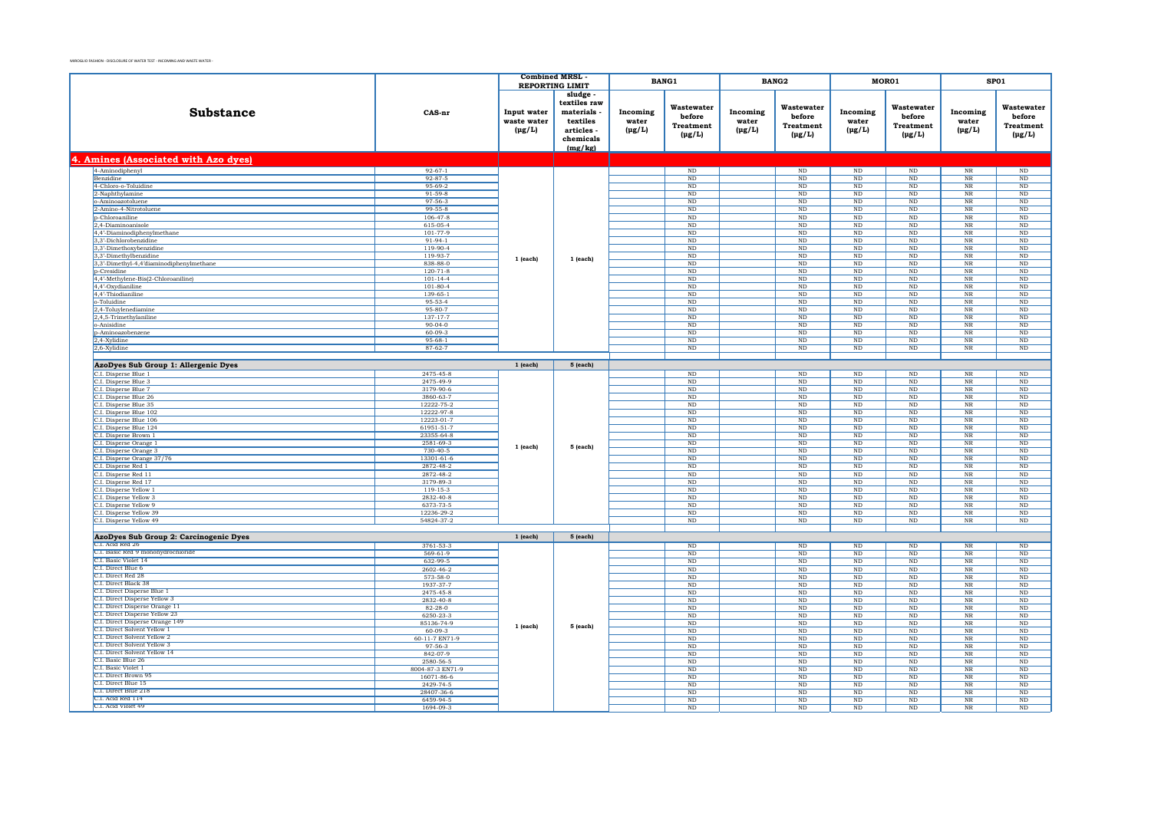|                                                                 |                                 | <b>Combined MRSL</b>                      |                                                                                       |                                  | <b>BANG1</b>                                            |                                  | <b>BANG2</b>                                            | MOR01                            |                                                         | SP01                             |                                                  |
|-----------------------------------------------------------------|---------------------------------|-------------------------------------------|---------------------------------------------------------------------------------------|----------------------------------|---------------------------------------------------------|----------------------------------|---------------------------------------------------------|----------------------------------|---------------------------------------------------------|----------------------------------|--------------------------------------------------|
|                                                                 |                                 | <b>REPORTING LIMIT</b>                    |                                                                                       |                                  |                                                         |                                  |                                                         |                                  |                                                         |                                  |                                                  |
| Substance                                                       | CAS-nr                          | Input water<br>waste water<br>$(\mu g/L)$ | sludge<br>textiles raw<br>materials<br>textiles<br>articles -<br>chemicals<br>(mg/kg) | Incoming<br>water<br>$(\mu g/L)$ | Wastewater<br>before<br><b>Treatment</b><br>$(\mu g/L)$ | Incoming<br>water<br>$(\mu g/L)$ | Wastewater<br>before<br><b>Treatment</b><br>$(\mu g/L)$ | Incoming<br>water<br>$(\mu g/L)$ | Wastewater<br>before<br><b>Treatment</b><br>$(\mu g/L)$ | Incoming<br>water<br>$(\mu g/L)$ | Wastewater<br>before<br>Treatment<br>$(\mu g/L)$ |
| 4. Amines (Associated with Azo dyes)                            |                                 |                                           |                                                                                       |                                  |                                                         |                                  |                                                         |                                  |                                                         |                                  |                                                  |
| 4-Aminodiphenyl                                                 | $92 - 67 - 1$                   |                                           |                                                                                       |                                  | ND                                                      |                                  | $\rm ND$                                                | $\rm ND$                         | $\rm ND$                                                | $_{\rm NR}$                      | $\rm ND$                                         |
| Benzidine                                                       | $92 - 87 - 5$                   |                                           |                                                                                       |                                  | ND                                                      |                                  | ND                                                      | $_{\rm ND}$                      | ND                                                      | $_{\rm NR}$                      | ND                                               |
| 4-Chloro-o-Toluidine                                            | 95-69-2                         |                                           |                                                                                       |                                  | $_{\rm ND}$                                             |                                  | $_{\rm ND}$                                             | $_{\rm ND}$                      | $_{\rm ND}$                                             | $_{\rm NR}$                      | $\rm ND$                                         |
| 2-Naphthylamine                                                 | $91 - 59 - 8$                   |                                           |                                                                                       |                                  | ND                                                      |                                  | ND                                                      | ND                               | ND                                                      | NR                               | ND                                               |
| o-Aminoazotoluene                                               | 97-56-3                         |                                           |                                                                                       |                                  | $\rm ND$                                                |                                  | $\rm ND$                                                | $_{\rm ND}$                      | $\rm ND$                                                | $_{\rm NR}$                      | $\rm ND$                                         |
| 2-Amino-4-Nitrotoluene                                          | $99 - 55 - 8$<br>$106 - 47 - 8$ |                                           |                                                                                       |                                  | <b>ND</b><br>ND                                         |                                  | ND<br>ND                                                | ND<br>ND                         | ND<br>ND                                                | <b>NR</b><br>$_{\rm NR}$         | ND<br>$\overline{\text{ND}}$                     |
| p-Chloroaniline<br>2,4-Diaminoanisole                           | 615-05-4                        |                                           |                                                                                       |                                  | ND                                                      |                                  | ND                                                      | ND                               | ND                                                      | NR                               | ND                                               |
| 4,4'-Diaminodiphenylmethane                                     | 101-77-9                        |                                           |                                                                                       |                                  | ND                                                      |                                  | ND                                                      | ND                               | ND                                                      | $_{\rm NR}$                      | $\overline{\text{ND}}$                           |
| 3,3'-Dichlorobenzidine                                          | $91-94-1$                       |                                           |                                                                                       |                                  | $\rm ND$                                                |                                  | $\rm ND$                                                | $\rm ND$                         | $\rm ND$                                                | $_{\rm NR}$                      | $\rm ND$                                         |
| 3.3'-Dimethoxybenzidine                                         | $119-90-4$                      |                                           |                                                                                       |                                  | ND                                                      |                                  | ND                                                      | ND                               | ND                                                      | NR                               | ND                                               |
| 3,3'-Dimethylbenzidine                                          | 119-93-7                        |                                           |                                                                                       |                                  | $\rm ND$                                                |                                  | $\rm ND$                                                | $\rm ND$                         | $\rm ND$                                                | $\overline{\text{NR}}$           | $\rm ND$                                         |
| 3,3'-Dimethyl-4,4'diaminodiphenylmethane                        | 838-88-0                        | $1$ (each)                                | 1 (each)                                                                              |                                  | $_{\rm ND}$                                             |                                  | $_{\rm ND}$                                             | $_{\rm ND}$                      | $\rm ND$                                                | $_{\rm NR}$                      | $\rm ND$                                         |
| <b>b-Cresidine</b>                                              | $120 - 71 - 8$                  |                                           |                                                                                       |                                  | N <sub>D</sub>                                          |                                  | <b>ND</b>                                               | ND.                              | $\rm ND$                                                | <b>NR</b>                        | $\rm ND$                                         |
| 4,4'-Methylene-Bis(2-Chloroaniline)                             | $101 - 14 - 4$                  |                                           |                                                                                       |                                  | $\rm ND$                                                |                                  | $\rm ND$                                                | $_{\rm ND}$                      | $_{\rm ND}$                                             | $\rm NR$                         | $\rm ND$                                         |
| 4,4'-Oxydianiline                                               | $101 - 80 - 4$                  |                                           |                                                                                       |                                  | N <sub>D</sub>                                          |                                  | N <sub>D</sub>                                          | ND.                              | ND.                                                     | <b>NR</b>                        | $\rm ND$                                         |
| 4,4'-Thiodianiline                                              | 139-65-1<br>95-53-4             |                                           |                                                                                       |                                  | $\rm ND$                                                |                                  | $\rm ND$                                                | $_{\rm ND}$                      | $\rm ND$                                                | $_{\rm NR}$                      | $\rm ND$                                         |
| o-Toluidine<br>2,4-Toluylenediamine                             | 95-80-7                         |                                           |                                                                                       |                                  | $_{\rm ND}$<br>ND                                       |                                  | $_{\rm ND}$<br>ND                                       | $_{\rm ND}$<br>ND                | $_{\rm ND}$<br>ND                                       | $_{\rm NR}$<br>$_{\rm NR}$       | $\rm ND$<br>$\overline{\text{ND}}$               |
| 2,4,5-Trimethylaniline                                          | 137-17-7                        |                                           |                                                                                       |                                  | $\rm ND$                                                |                                  | $\rm ND$                                                | $\rm ND$                         | $\rm ND$                                                | $_{\rm NR}$                      | $\rm ND$                                         |
| o-Anisidine                                                     | $90 - 04 - 0$                   |                                           |                                                                                       |                                  | ND                                                      |                                  | ND                                                      | ND                               | ND                                                      | $_{\rm NR}$                      | $\overline{\mathrm{ND}}$                         |
| p-Aminoazobenzene                                               | $60 - 09 - 3$                   |                                           |                                                                                       |                                  | $\rm ND$                                                |                                  | $\rm ND$                                                | $\rm ND$                         | $\rm ND$                                                | $\overline{\text{NR}}$           | $\rm ND$                                         |
| 2,4-Xylidine                                                    | $95 - 68 - 1$                   |                                           |                                                                                       |                                  | ND                                                      |                                  | $_{\rm ND}$                                             | ND                               | ND                                                      | NR                               | ND                                               |
| 2,6-Xylidine                                                    | $87 - 62 - 7$                   |                                           |                                                                                       |                                  | ND                                                      |                                  | ND                                                      | ND                               | ND                                                      | $_{\rm NR}$                      | $\overline{\text{ND}}$                           |
|                                                                 |                                 |                                           |                                                                                       |                                  |                                                         |                                  |                                                         |                                  |                                                         |                                  |                                                  |
| AzoDyes Sub Group 1: Allergenic Dyes                            |                                 | $1$ (each)                                | 5 (each)                                                                              |                                  |                                                         |                                  |                                                         |                                  |                                                         |                                  |                                                  |
| C.I. Disperse Blue 1                                            | 2475-45-8                       |                                           |                                                                                       |                                  | $\rm ND$                                                |                                  | $\rm ND$                                                | ND                               | $\rm ND$                                                | $_{\rm NR}$                      | ND                                               |
| C.I. Disperse Blue 3                                            | 2475-49-9                       |                                           |                                                                                       |                                  | $_{\rm ND}$                                             |                                  | $_{\rm ND}$                                             | $_{\rm ND}$                      | $_{\rm ND}$                                             | $_{\rm NR}$                      | $\rm ND$                                         |
| C.I. Disperse Blue 7                                            | 3179-90-6                       |                                           |                                                                                       |                                  | ND                                                      |                                  | ND                                                      | ND                               | ND                                                      | NR                               | ND                                               |
| C.I. Disperse Blue 26<br>C.I. Disperse Blue 35                  | 3860-63-7<br>12222-75-2         |                                           |                                                                                       |                                  | $\rm ND$<br><b>ND</b>                                   |                                  | $\rm ND$<br><b>ND</b>                                   | $\rm ND$<br>ND                   | $_{\rm ND}$                                             | $_{\rm NR}$                      | $\rm ND$                                         |
| C.I. Disperse Blue 102                                          | 12222-97-8                      |                                           |                                                                                       |                                  | ND                                                      |                                  | $_{\rm ND}$                                             | $_{\rm ND}$                      | $_{\rm ND}$<br>$\rm ND$                                 | $_{\rm NR}$<br>$_{\rm NR}$       | $\rm ND$<br>$\rm ND$                             |
| C.I. Disperse Blue 106                                          | 12223-01-7                      |                                           |                                                                                       |                                  | ND                                                      |                                  | ND                                                      | ND                               | ND                                                      | NR                               | ND                                               |
| C.I. Disperse Blue 124                                          | 61951-51-7                      |                                           |                                                                                       |                                  | ND                                                      |                                  | ND                                                      | $\rm ND$                         | $_{\rm ND}$                                             | $_{\rm NR}$                      | $\rm ND$                                         |
| C.I. Disperse Brown 1                                           | 23355-64-8                      |                                           |                                                                                       |                                  | $\rm ND$                                                |                                  | $\rm ND$                                                | $_{\rm ND}$                      | $_{\rm ND}$                                             | $\rm NR$                         | $\rm ND$                                         |
| C.I. Disperse Orange 1                                          | 2581-69-3                       | $1$ (each)                                | 5 (each)                                                                              |                                  | ND                                                      |                                  | ND                                                      | ND                               | ND                                                      | NR                               | ND                                               |
| C.I. Disperse Orange 3                                          | $730 - 40 - 5$                  |                                           |                                                                                       |                                  | $\rm ND$                                                |                                  | $\rm ND$                                                | $\rm ND$                         | $_{\rm ND}$                                             | $_{\rm NR}$                      | $\rm ND$                                         |
| C.I. Disperse Orange 37/76                                      | 13301-61-6                      |                                           |                                                                                       |                                  | $_{\rm ND}$                                             |                                  | $_{\rm ND}$                                             | $_{\rm ND}$                      | $_{\rm ND}$                                             | $_{\rm NR}$                      | $\rm ND$                                         |
| C.I. Disperse Red 1                                             | 2872-48-2                       |                                           |                                                                                       |                                  | ND                                                      |                                  | ND                                                      | ND                               | ND                                                      | <b>NR</b>                        | ND                                               |
| C.I. Disperse Red 11                                            | 2872-48-2<br>3179-89-3          |                                           |                                                                                       |                                  | $\rm ND$<br>N <sub>D</sub>                              |                                  | $\rm ND$                                                | $\rm ND$<br>ND.                  | $\rm ND$                                                | $\overline{\text{NR}}$<br>NR     | $\rm ND$                                         |
| C.I. Disperse Red 17<br>C.I. Disperse Yellow 1                  | 119-15-3                        |                                           |                                                                                       |                                  | $\rm ND$                                                |                                  | $_{\rm ND}$<br>$\rm ND$                                 | $\rm ND$                         | <b>ND</b><br>$\rm ND$                                   | $_{\rm NR}$                      | <b>ND</b><br>$\rm ND$                            |
| C.I. Disperse Yellow 3                                          | 2832-40-8                       |                                           |                                                                                       |                                  | $_{\rm ND}$                                             |                                  | $_{\rm ND}$                                             | $_{\rm ND}$                      | $_{\rm ND}$                                             | $_{\rm NR}$                      | $\rm ND$                                         |
| C.I. Disperse Yellow 9                                          | 6373-73-5                       |                                           |                                                                                       |                                  | ND                                                      |                                  | ND                                                      | ND                               | ND                                                      | NR                               | ND                                               |
| C.I. Disperse Yellow 39                                         | 12236-29-2                      |                                           |                                                                                       |                                  | $\rm ND$                                                |                                  | $\rm ND$                                                | $\rm ND$                         | $_{\rm ND}$                                             | $_{\rm NR}$                      | $\rm ND$                                         |
| C.I. Disperse Yellow 49                                         | 54824-37-2                      |                                           |                                                                                       |                                  | ND                                                      |                                  | ND                                                      | ND                               | ND                                                      | $_{\rm NR}$                      | $\overline{\text{ND}}$                           |
|                                                                 |                                 |                                           |                                                                                       |                                  |                                                         |                                  |                                                         |                                  |                                                         |                                  |                                                  |
| AzoDyes Sub Group 2: Carcinogenic Dyes                          |                                 | $1$ (each)                                | 5 (each)                                                                              |                                  |                                                         |                                  |                                                         |                                  |                                                         |                                  |                                                  |
| C.I. Acid Red 26<br>C.I. Basic Red 9 monohydrochloride          | 3761-53-3                       |                                           |                                                                                       |                                  | ND                                                      |                                  | ND                                                      | ND                               | $\rm ND$                                                | NR                               | ND                                               |
| C.I. Basic Violet 14                                            | $569 - 61 - 9$                  |                                           |                                                                                       |                                  | $\rm ND$                                                |                                  | $\rm ND$                                                | $_{\rm ND}$                      | $\rm ND$                                                | $\overline{\text{NR}}$           | $\rm ND$                                         |
| C.I. Direct Blue 6                                              | 632-99-5<br>2602-46-2           |                                           |                                                                                       |                                  | <b>ND</b><br>$\rm ND$                                   |                                  | $\rm ND$<br>$\rm ND$                                    | ND.<br>$_{\rm ND}$               | <b>ND</b><br>$\rm ND$                                   | <b>NR</b><br>$_{\rm NR}$         | ND<br>$\rm ND$                                   |
| C.I. Direct Red 28                                              | 573-58-0                        |                                           |                                                                                       |                                  | $_{\rm ND}$                                             |                                  | $_{\rm ND}$                                             | $_{\rm ND}$                      | $_{\rm ND}$                                             | $_{\rm NR}$                      | $\rm ND$                                         |
| C.I. Direct Black 38                                            | 1937-37-7                       |                                           |                                                                                       |                                  | N <sub>D</sub>                                          |                                  | $_{\rm ND}$                                             | $\rm ND$                         | $\rm ND$                                                | $_{\rm NR}$                      | $\rm ND$                                         |
| C.I. Direct Disperse Blue 1                                     | 2475-45-8                       |                                           |                                                                                       |                                  | $\rm ND$                                                |                                  | $_{\rm ND}$                                             | ND                               | $\rm ND$                                                | $_{\rm NR}$                      | $\rm ND$                                         |
| C.I. Direct Disperse Yellow 3                                   | 2832-40-8                       |                                           |                                                                                       |                                  | $_{\rm ND}$                                             |                                  | $_{\rm ND}$                                             | $_{\rm ND}$                      | $_{\rm ND}$                                             | $_{\rm NR}$                      | $\rm ND$                                         |
| C.I. Direct Disperse Orange 11                                  | $82 - 28 - 0$                   |                                           |                                                                                       |                                  | ND                                                      |                                  | <b>ND</b>                                               | ND                               | ND                                                      | NR                               | ND                                               |
| C.I. Direct Disperse Yellow 23                                  | 6250-23-3                       | 1 (each)                                  |                                                                                       |                                  | $\rm ND$                                                |                                  | $\rm ND$                                                | $\rm ND$                         | $_{\rm ND}$                                             | $_{\rm NR}$                      | $\rm ND$                                         |
| C.I. Direct Disperse Orange 149<br>C.I. Direct Solvent Yellow 1 | 85136-74-9                      |                                           | 5 (each)                                                                              |                                  | <b>ND</b>                                               |                                  | ND                                                      | ND                               | ND                                                      | NR                               | ND                                               |
| C.I. Direct Solvent Yellow 2                                    | $60 - 09 - 3$                   |                                           |                                                                                       |                                  | $\rm ND$                                                |                                  | $\rm ND$                                                | $_{\rm ND}$                      | $\rm ND$                                                | $\overline{\text{NR}}$           | $\rm ND$                                         |
| C.I. Direct Solvent Yellow 3                                    | 60-11-7 EN71-9<br>97-56-3       |                                           |                                                                                       |                                  | <b>ND</b><br>$\overline{\text{ND}}$                     |                                  | <b>ND</b><br>ND                                         | ND<br>ND                         | ND<br>ND                                                | NR<br>$_{\rm NR}$                | ND<br>$\overline{\text{ND}}$                     |
| C.I. Direct Solvent Yellow 14                                   | 842-07-9                        |                                           |                                                                                       |                                  | $_{\rm ND}$                                             |                                  | $_{\rm ND}$                                             | $_{\rm ND}$                      | $_{\rm ND}$                                             | $_{\rm NR}$                      | $\rm ND$                                         |
| C.I. Basic Blue 26                                              | 2580-56-5                       |                                           |                                                                                       |                                  | N <sub>D</sub>                                          |                                  | N <sub>D</sub>                                          | N <sub>D</sub>                   | ND.                                                     | <b>NR</b>                        | N <sub>D</sub>                                   |
| C.I. Basic Violet 1                                             | 8004-87-3 EN71-9                |                                           |                                                                                       |                                  | $\overline{\text{ND}}$                                  |                                  | $\rm ND$                                                | $_{\rm ND}$                      | $\rm ND$                                                | $\overline{\text{NR}}$           | $\rm ND$                                         |
| C.I. Direct Brown 95                                            | 16071-86-6                      |                                           |                                                                                       |                                  | <b>ND</b>                                               |                                  | N <sub>D</sub>                                          | ND                               | $_{\rm ND}$                                             | N <sub>R</sub>                   | ND                                               |
| C.I. Direct Blue 15                                             | 2429-74-5                       |                                           |                                                                                       |                                  | $\overline{\text{ND}}$                                  |                                  | ND                                                      | $_{\rm ND}$                      | ND                                                      | $_{\rm NR}$                      | $\rm ND$                                         |
| C.I. Direct Blue 218<br>C.L. Acid Red 114                       | 28407-36-6                      |                                           |                                                                                       |                                  | $_{\rm ND}$                                             |                                  | $_{\rm ND}$                                             | $_{\rm ND}$                      | $_{\rm ND}$                                             | $_{\rm NR}$                      | $\rm ND$                                         |
| C.I. Acid Violet 49                                             | 6459-94-5                       |                                           |                                                                                       |                                  | ND                                                      |                                  | ND                                                      | ND                               | ND                                                      | NR                               | ND                                               |
|                                                                 | 1694-09-3                       |                                           |                                                                                       |                                  | $\rm ND$                                                |                                  | $_{\rm ND}$                                             | $_{\rm ND}$                      | $\rm ND$                                                | $_{\rm NR}$                      | $\rm ND$                                         |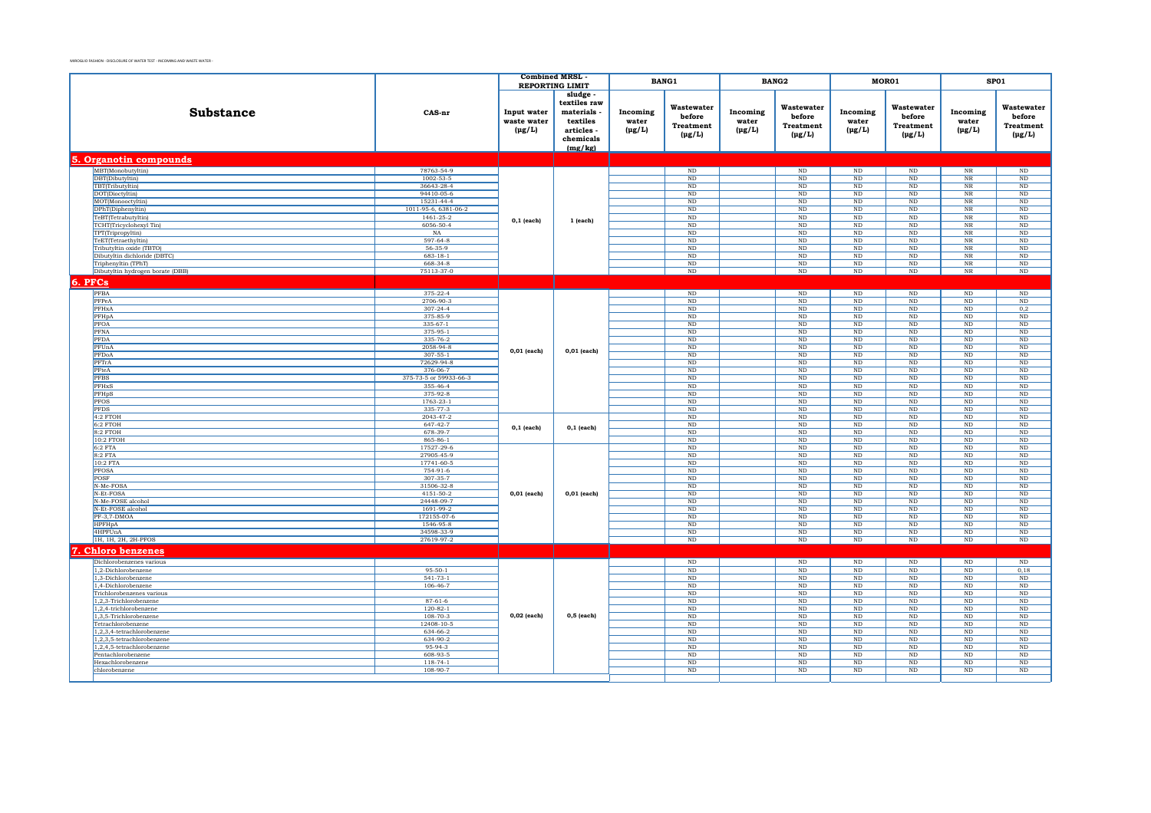|                                                         |                                    | <b>Combined MRSL</b>                      |                                                                                       |                                  | BANG1                                                   |                                  | BANG2                                                   |                                  | MOR01                                                   |                                  | SP01                                             |
|---------------------------------------------------------|------------------------------------|-------------------------------------------|---------------------------------------------------------------------------------------|----------------------------------|---------------------------------------------------------|----------------------------------|---------------------------------------------------------|----------------------------------|---------------------------------------------------------|----------------------------------|--------------------------------------------------|
|                                                         |                                    |                                           | <b>REPORTING LIMIT</b>                                                                |                                  |                                                         |                                  |                                                         |                                  |                                                         |                                  |                                                  |
| <b>Substance</b>                                        | CAS-nr                             | Input water<br>waste water<br>$(\mu g/L)$ | sludge<br>textiles raw<br>materials<br>textiles<br>articles -<br>chemicals<br>(mg/kg) | Incoming<br>water<br>$(\mu g/L)$ | Wastewater<br>before<br><b>Treatment</b><br>$(\mu g/L)$ | Incoming<br>water<br>$(\mu g/L)$ | Wastewater<br>before<br><b>Treatment</b><br>$(\mu g/L)$ | Incoming<br>water<br>$(\mu g/L)$ | Wastewater<br>before<br><b>Treatment</b><br>$(\mu g/L)$ | Incoming<br>water<br>$(\mu g/L)$ | Wastewater<br>before<br>Treatment<br>$(\mu g/L)$ |
| 5. Organotin compounds                                  |                                    |                                           |                                                                                       |                                  |                                                         |                                  |                                                         |                                  |                                                         |                                  |                                                  |
| MBT(Monobutyltin)                                       | 78763-54-9                         |                                           |                                                                                       |                                  | $\rm ND$                                                |                                  | ND                                                      | $\rm ND$                         | $\rm ND$                                                | $_{\rm NR}$                      | $\rm ND$                                         |
| DBT(Dibutyltin)                                         | $1002 - 53 - 5$                    |                                           |                                                                                       |                                  | ND                                                      |                                  | ND                                                      | ND                               | ND                                                      | NR                               | ND                                               |
| TBT(Tributyltin)                                        | 36643-28-4                         |                                           |                                                                                       |                                  | ND                                                      |                                  | ND                                                      | ND                               | ND                                                      | $_{\rm NR}$                      | ND                                               |
| DOT(Dioctyltin)<br>MOT(Monooctyltin)                    | 94410-05-6<br>15231-44-4           |                                           |                                                                                       |                                  | $_{\rm ND}$<br>ND                                       |                                  | ND<br>ND                                                | $\rm ND$<br>ND                   | $\rm ND$<br>ND                                          | $_{\rm NR}$<br>NR                | $\rm ND$<br>ND                                   |
| DPhT(Diphenyltin)                                       | 1011-95-6, 6381-06-2               |                                           |                                                                                       |                                  | $\rm ND$                                                |                                  | ND                                                      | $\rm ND$                         | $\rm ND$                                                | $_{\rm NR}$                      | ND                                               |
| TeBT(Tetrabutyltin)                                     | $1461 - 25 - 2$                    |                                           |                                                                                       |                                  | ND                                                      |                                  | ND                                                      | ND                               | ND                                                      | NR                               | ND                                               |
| TCHT(Tricyclohexyl Tin)                                 | 6056-50-4                          | $0,1$ (each)                              | 1 (each)                                                                              |                                  | ND                                                      |                                  | ND                                                      | ND                               | ND                                                      | $\overline{\text{NR}}$           | ND                                               |
| TPT(Tripropyltin)                                       | NA                                 |                                           |                                                                                       |                                  | $_{\rm ND}$                                             |                                  | $\rm ND$                                                | $\rm ND$                         | $_{\rm ND}$                                             | $_{\rm NR}$                      | $\rm ND$                                         |
| TeET(Tetraethyltin)                                     | 597-64-8                           |                                           |                                                                                       |                                  | ND                                                      |                                  | ND                                                      | ND                               | ND                                                      | NR                               | ND                                               |
| Tributyltin oxide (TBTO)                                | 56-35-9                            |                                           |                                                                                       |                                  | $_{\rm ND}$                                             |                                  | $_{\rm ND}$                                             | $\rm ND$                         | $_{\rm ND}$                                             | $_{\rm NR}$                      | $\rm ND$                                         |
| Dibutyltin dichloride (DBTC)                            | $683 - 18 - 1$<br>668-34-8         |                                           |                                                                                       |                                  | ND                                                      |                                  | ND<br>ND                                                | <b>ND</b>                        | ND                                                      | NR<br><b>NR</b>                  | ND<br>ND                                         |
| Triphenyltin (TPhT)<br>Dibutyltin hydrogen borate (DBB) | 75113-37-0                         |                                           |                                                                                       |                                  | $\rm ND$<br>$\rm ND$                                    |                                  | $\rm ND$                                                | $\rm ND$<br>$\rm ND$             | $\rm ND$<br>$\rm ND$                                    | $_{\rm NR}$                      | $\rm ND$                                         |
|                                                         |                                    |                                           |                                                                                       |                                  |                                                         |                                  |                                                         |                                  |                                                         |                                  |                                                  |
| 6. PFCs                                                 |                                    |                                           |                                                                                       |                                  |                                                         |                                  |                                                         |                                  |                                                         |                                  |                                                  |
| PFBA                                                    | 375-22-4                           |                                           |                                                                                       |                                  | $\rm ND$                                                |                                  | $\rm ND$                                                | $\rm ND$                         | $\rm ND$                                                | $\rm ND$                         | $\rm ND$                                         |
| PFPeA<br>PFHxA                                          | 2706-90-3<br>$307 - 24 - 4$        |                                           |                                                                                       |                                  | ND<br>ND                                                |                                  | $\rm ND$<br>$\overline{\text{ND}}$                      | ND<br>ND                         | ND<br>$\rm ND$                                          | ND<br>$\overline{\text{ND}}$     | $\rm ND$<br>0,2                                  |
| PFHpA                                                   | 375-85-9                           |                                           |                                                                                       |                                  | ND                                                      |                                  | ND                                                      | ND                               | ND                                                      | ND                               | ND                                               |
| PFOA                                                    | $335-67-1$                         |                                           |                                                                                       |                                  | ND                                                      |                                  | ND                                                      | ND                               | ND                                                      | ND                               | ND                                               |
| PFNA                                                    | 375-95-1                           |                                           |                                                                                       |                                  | $_{\rm ND}$                                             |                                  | ND                                                      | $\rm ND$                         | $\rm ND$                                                | $_{\rm ND}$                      | $\rm ND$                                         |
| PFDA                                                    | 335-76-2                           |                                           |                                                                                       |                                  | ND                                                      |                                  | ND                                                      | ND                               | ND                                                      | ND                               | ND                                               |
| PFUnA                                                   | 2058-94-8                          | $0,01$ (each)                             | $0,01$ (each)                                                                         |                                  | $_{\rm ND}$                                             |                                  | ND                                                      | $\rm ND$                         | $_{\rm ND}$                                             | $\rm ND$                         | $\rm ND$                                         |
| PFDoA                                                   | $307 - 55 - 1$                     |                                           |                                                                                       |                                  | ND                                                      |                                  | ND                                                      | ND                               | ND                                                      | ND                               | ND                                               |
| PFTrA                                                   | 72629-94-8                         |                                           |                                                                                       |                                  | ND                                                      |                                  | ND                                                      | ND                               | ND                                                      | ND                               | ND                                               |
| PFteA                                                   | 376-06-7                           |                                           |                                                                                       |                                  | $\rm ND$                                                |                                  | $\rm ND$                                                | $\rm ND$                         | $\rm ND$                                                | $\rm ND$                         | $\rm ND$                                         |
| <b>PFBS</b><br>PFHxS                                    | 375-73-5 or 59933-66-3<br>355-46-4 |                                           |                                                                                       |                                  | $_{\rm ND}$                                             |                                  | $_{\rm ND}$                                             | $\rm ND$                         | $_{\rm ND}$                                             | $_{\rm ND}$                      | $\rm ND$                                         |
| PFHpS                                                   | 375-92-8                           |                                           |                                                                                       |                                  | ND<br>$_{\rm ND}$                                       |                                  | ND<br>$_{\rm ND}$                                       | ND<br>$\rm ND$                   | ND<br>$_{\rm ND}$                                       | ND<br>$\rm ND$                   | ND<br>$\rm ND$                                   |
| <b>PFOS</b>                                             | $1763 - 23 - 1$                    |                                           |                                                                                       |                                  | ND                                                      |                                  | ND                                                      | ND                               | ND                                                      | ND                               | ND                                               |
| <b>PFDS</b>                                             | 335-77-3                           |                                           |                                                                                       |                                  | ND                                                      |                                  | ND                                                      | ND                               | ND                                                      | ND                               | ND                                               |
| 4:2 FTOH                                                | 2043-47-2                          |                                           |                                                                                       |                                  | $\rm ND$                                                |                                  | $\rm ND$                                                | $\rm ND$                         | $\rm ND$                                                | $\rm ND$                         | $\rm ND$                                         |
| $6:2$ FTOH                                              | $647 - 42 - 7$                     | $0,1$ (each)                              | $0,1$ (each)                                                                          |                                  | ND                                                      |                                  | ND                                                      | $_{\rm ND}$                      | $\rm ND$                                                | $_{\rm ND}$                      | $\rm ND$                                         |
| $8:2$ FTOH                                              | 678-39-7                           |                                           |                                                                                       |                                  | ND                                                      |                                  | ND                                                      | ND                               | ND                                                      | ND                               | ND                                               |
| 10:2 FTOH<br>6:2 FTA                                    | 865-86-1<br>17527-29-6             |                                           |                                                                                       |                                  | $\rm ND$<br>$\rm ND$                                    |                                  | ND<br>ND                                                | ND<br>$\rm ND$                   | ND<br>$\rm ND$                                          | ND<br>$\rm ND$                   | ND<br>$\rm ND$                                   |
| 8:2 FTA                                                 | 27905-45-9                         |                                           |                                                                                       |                                  | $_{\rm ND}$                                             |                                  | ND                                                      | $\rm ND$                         | $\rm ND$                                                | $\rm ND$                         | $\rm ND$                                         |
| 10:2 FTA                                                | 17741-60-5                         |                                           |                                                                                       |                                  | $_{\rm ND}$                                             |                                  | $\mathop{\rm ND}\nolimits$                              | $\rm ND$                         | $_{\rm ND}$                                             | $_{\rm ND}$                      | $\rm ND$                                         |
| <b>PFOSA</b>                                            | 754-91-6                           |                                           |                                                                                       |                                  | ND                                                      |                                  | ND                                                      | ND                               | ND                                                      | ND                               | ND                                               |
| POSF                                                    | $307 - 35 - 7$                     |                                           |                                                                                       |                                  | $\rm ND$                                                |                                  | ND                                                      | $\rm ND$                         | $\rm ND$                                                | ND                               | $\rm ND$                                         |
| N-Me-FOSA                                               | 31506-32-8                         |                                           |                                                                                       |                                  | $_{\rm ND}$                                             |                                  | $_{\rm ND}$                                             | $\rm ND$                         | $_{\rm ND}$                                             | $_{\rm ND}$                      | $\rm ND$                                         |
| N-Et-FOSA                                               | 4151-50-2                          | 0,01 (each)                               | 0,01 (each)                                                                           |                                  | ND                                                      |                                  | ND                                                      | ND                               | ND                                                      | ND                               | ND                                               |
| N-Me-FOSE alcohol<br>N-Et-FOSE alcohol                  | 24448-09-7<br>1691-99-2            |                                           |                                                                                       |                                  | $\rm ND$<br>ND                                          |                                  | ND<br>ND                                                | $\rm ND$<br>ND                   | $_{\rm ND}$<br>ND                                       | $\rm ND$<br>ND                   | $\rm ND$<br>ND                                   |
| PF-3,7-DMOA                                             | 172155-07-6                        |                                           |                                                                                       |                                  | ND                                                      |                                  | ND                                                      | ND                               | ND                                                      | ND                               | ND                                               |
| <b>HPFHpA</b>                                           | 1546-95-8                          |                                           |                                                                                       |                                  | $_{\rm ND}$                                             |                                  | $_{\rm ND}$                                             | $\rm ND$                         | $_{\rm ND}$                                             | $_{\rm ND}$                      | $\rm ND$                                         |
| 4HPFUnA                                                 | 34598-33-9                         |                                           |                                                                                       |                                  | ND                                                      |                                  | ND                                                      | ND                               | ND                                                      | ND                               | ND                                               |
| 1H, 1H, 2H, 2H-PFOS                                     | 27619-97-2                         |                                           |                                                                                       |                                  | $\rm ND$                                                |                                  | ND                                                      | $\rm ND$                         | $\rm ND$                                                | $\rm ND$                         | $\rm ND$                                         |
| <b>Chloro benzenes</b>                                  |                                    |                                           |                                                                                       |                                  |                                                         |                                  |                                                         |                                  |                                                         |                                  |                                                  |
| Dichlorobenzenes various                                |                                    |                                           |                                                                                       |                                  | $_{\rm ND}$                                             |                                  | $\rm ND$                                                | $\rm ND$                         | $\rm ND$                                                | $_{\rm ND}$                      | $\rm ND$                                         |
| 1,2-Dichlorobenzene                                     | $95 - 50 - 1$                      |                                           |                                                                                       |                                  | ND                                                      |                                  | ND                                                      | ND                               | ND                                                      | ND                               | 0,18                                             |
| 1,3-Dichlorobenzene                                     | $541 - 73 - 1$                     |                                           |                                                                                       |                                  | ND                                                      |                                  | ND                                                      | ND                               | ND                                                      | ND                               | $\rm ND$                                         |
| 1,4-Dichlorobenzene                                     | $106 - 46 - 7$                     |                                           |                                                                                       |                                  | $\rm ND$                                                |                                  | ND                                                      | $\rm ND$                         | $\rm ND$                                                | $\rm ND$                         | $\rm ND$                                         |
| Trichlorobenzenes various                               |                                    |                                           |                                                                                       |                                  | $_{\rm ND}$                                             |                                  | ND                                                      | $\rm ND$                         | $\rm ND$                                                | $\rm ND$                         | $\rm ND$                                         |
| 1,2,3-Trichlorobenzene<br>1.2.4-trichlorobenzene        | $87 - 61 - 6$<br>$120 - 82 - 1$    | 0,02 (each)                               |                                                                                       |                                  | $_{\rm ND}$<br>ND                                       |                                  | $\mathop{\rm ND}\nolimits$<br>ND                        | $_{\rm ND}$<br>ND                | $_{\rm ND}$<br>ND                                       | $_{\rm ND}$<br>ND                | $\rm ND$<br>ND                                   |
| 1,3,5-Trichlorobenzene                                  | $108 - 70 - 3$                     |                                           | $0,5$ (each)                                                                          |                                  | $\rm ND$                                                |                                  | ND                                                      | $\rm ND$                         | $\rm ND$                                                | ND                               | ND                                               |
| Tetrachlorobenzene                                      | 12408-10-5                         |                                           |                                                                                       |                                  | $_{\rm ND}$                                             |                                  | $_{\rm ND}$                                             | $\rm ND$                         | $_{\rm ND}$                                             | $_{\rm ND}$                      | $\rm ND$                                         |
| $1,2,3,4$ -tetrachlorobenzene                           | 634-66-2                           |                                           |                                                                                       |                                  | ND                                                      |                                  | ND                                                      | ND                               | ND                                                      | ND                               | ND                                               |
| 1,2,3,5-tetrachlorobenzene                              | 634-90-2                           |                                           |                                                                                       |                                  | $\rm ND$                                                |                                  | ND                                                      | $\rm ND$                         | $_{\rm ND}$                                             | $\rm ND$                         | $\rm ND$                                         |
| 1.2.4.5-tetrachlorobenzene                              | 95-94-3                            |                                           |                                                                                       |                                  | ND                                                      |                                  | ND                                                      | ND                               | ND                                                      | ND                               | ND                                               |
| Pentachlorobenzene<br>Hexachlorobenzene                 | 608-93-5<br>$118 - 74 - 1$         |                                           |                                                                                       |                                  | ND<br>$\rm ND$                                          |                                  | ND<br>$\rm ND$                                          | $\rm ND$<br>ND                   | $\rm ND$<br>$\rm ND$                                    | ND<br>$\rm ND$                   | $\rm ND$<br>$\rm ND$                             |
| chlorobenzene                                           | 108-90-7                           |                                           |                                                                                       |                                  | $_{\rm ND}$                                             |                                  | $\rm ND$                                                | $_{\rm ND}$                      | $_{\rm ND}$                                             | $_{\rm ND}$                      | $\rm ND$                                         |
|                                                         |                                    |                                           |                                                                                       |                                  |                                                         |                                  |                                                         |                                  |                                                         |                                  |                                                  |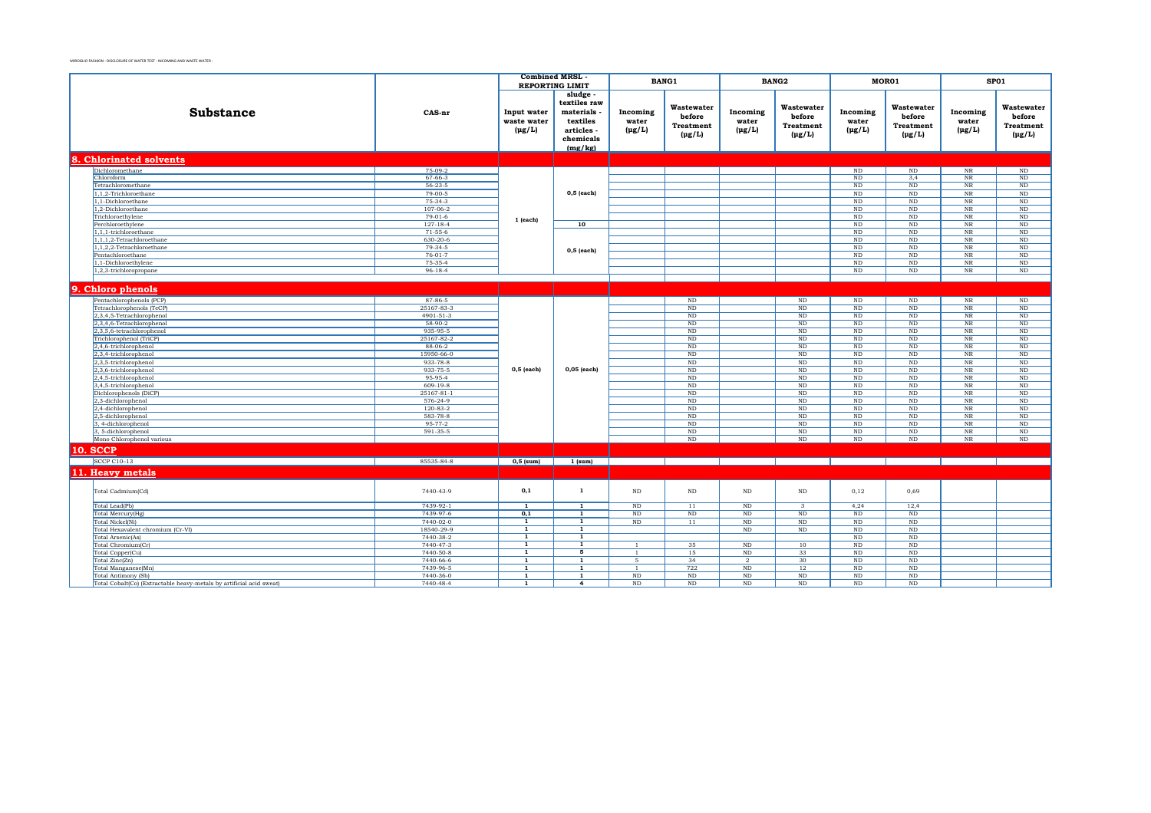|  |                                                                      | <b>Combined MRSL</b>         |                              |                              | <b>BANG1</b> |                  | <b>BANG2</b>         | MOR01                   |                       |                      | SP01                       |                  |
|--|----------------------------------------------------------------------|------------------------------|------------------------------|------------------------------|--------------|------------------|----------------------|-------------------------|-----------------------|----------------------|----------------------------|------------------|
|  |                                                                      |                              |                              | <b>REPORTING LIMIT</b>       |              |                  |                      |                         |                       |                      |                            |                  |
|  |                                                                      |                              |                              | sludge<br>textiles raw       |              |                  |                      |                         |                       |                      |                            |                  |
|  | <b>Substance</b>                                                     | CAS-nr                       | Input water                  | materials                    | Incoming     | Wastewater       | Incoming             | Wastewater              | Incoming              | Wastewater           | Incoming                   | Wastewater       |
|  |                                                                      |                              | waste water                  | textiles                     | water        | before           | water                | before                  | water                 | before               | water                      | before           |
|  |                                                                      |                              | $(\mu g/L)$                  | articles -                   | $(\mu g/L)$  | <b>Treatment</b> | $(\mu g/L)$          | <b>Treatment</b>        | $(\mu g/L)$           | <b>Treatment</b>     | $(\mu g/L)$                | <b>Treatment</b> |
|  |                                                                      |                              |                              | chemicals                    |              | $(\mu g/L)$      |                      | $(\mu g/L)$             |                       | $(\mu g/L)$          |                            | $(\mu g/L)$      |
|  |                                                                      |                              |                              | (mg/kg)                      |              |                  |                      |                         |                       |                      |                            |                  |
|  | 8. Chlorinated solvents                                              |                              |                              |                              |              |                  |                      |                         |                       |                      |                            |                  |
|  | Dichloromethane                                                      | 75-09-2                      |                              |                              |              |                  |                      |                         | $\rm ND$              | ND                   | $_{\rm NR}$                | ND               |
|  | Chloroform                                                           | 67-66-3                      |                              |                              |              |                  |                      |                         | ND                    | 3,4                  | $_{\rm NR}$                | ND               |
|  | Tetrachloromethane                                                   | $56 - 23 - 5$                |                              |                              |              |                  |                      |                         | <b>ND</b>             | ND                   | $_{\rm NR}$                | ND               |
|  | 1,1,2-Trichloroethane                                                | $79 - 00 - 5$                |                              | $0,5$ (each)                 |              |                  |                      |                         | ND                    | ND                   | $_{\rm NR}$                | ND               |
|  | 1.1-Dichloroethane                                                   | $75-34-3$                    |                              |                              |              |                  |                      |                         | <b>ND</b>             | ND                   | $_{\rm NR}$                | ND               |
|  | 1,2-Dichloroethane                                                   | 107-06-2                     |                              |                              |              |                  |                      |                         | $\rm ND$              | $\rm ND$             | $_{\rm NR}$                | $\rm ND$         |
|  | Trichloroethylene                                                    | $79-01-6$<br>$127 - 18 - 4$  | 1 (each)                     |                              |              |                  |                      |                         | ND<br><b>ND</b>       | ND<br>ND             | $_{\rm NR}$                | ND<br>ND         |
|  | Perchloroethylene<br>1,1,1-trichloroethane                           | $71-55-6$                    |                              | 10                           |              |                  |                      |                         | <b>ND</b>             | ND                   | $_{\rm NR}$<br>$_{\rm NR}$ | ND               |
|  | 1.1.1.2-Tetrachloroethane                                            | $630 - 20 - 6$               |                              |                              |              |                  |                      |                         | ND                    | ND                   | $_{\rm NR}$                | ND               |
|  | 1,1,2,2-Tetrachloroethane                                            | $79-34-5$                    |                              |                              |              |                  |                      |                         | <b>ND</b>             | ND                   | $_{\rm NR}$                | $\rm ND$         |
|  | Pentachloroethane                                                    | $76 - 01 - 7$                |                              | $0,5$ (each)                 |              |                  |                      |                         | <b>ND</b>             | ND                   | $_{\rm NR}$                | $\rm ND$         |
|  | 1,1-Dichloroethylene                                                 | 75-35-4                      |                              |                              |              |                  |                      |                         | ND                    | ND                   | $\rm NR$                   | ND               |
|  | 1,2,3-trichloropropane                                               | $96 - 18 - 4$                |                              |                              |              |                  |                      |                         | <b>ND</b>             | ND                   | $_{\rm NR}$                | $\rm ND$         |
|  |                                                                      |                              |                              |                              |              |                  |                      |                         |                       |                      |                            |                  |
|  | 9. Chloro phenols                                                    |                              |                              |                              |              |                  |                      |                         |                       |                      |                            |                  |
|  | Pentachlorophenols (PCP)                                             | 87-86-5                      |                              |                              |              | $\rm ND$         |                      | $\rm ND$                | $\rm ND$              | ND                   | $_{\rm NR}$                | $\rm ND$         |
|  | Tetrachlorophenols (TeCP)                                            | 25167-83-3                   |                              |                              |              | ND               |                      | <b>ND</b>               | <b>ND</b>             | ND                   | $_{\rm NR}$                | ND               |
|  | 2,3,4,5-Tetrachlorophenol                                            | 4901-51-3                    |                              |                              |              | ND               |                      | ND                      | ND                    | ND                   | $_{\rm NR}$                | ND               |
|  | 2,3,4,6-Tetrachlorophenol                                            | 58-90-2                      |                              |                              |              | $\rm ND$         |                      | $_{\rm ND}$             | $\rm ND$              | $\rm ND$             | $_{\rm NR}$                | $\rm ND$         |
|  | 2,3,5,6-tetrachlorophenol<br>Trichlorophenol (TriCP)                 | 935-95-5<br>25167-82-2       |                              |                              |              | ND<br>$\rm ND$   |                      | ND<br>$_{\rm ND}$       | $\rm ND$<br>$\rm ND$  | $\rm ND$<br>$\rm ND$ | $_{\rm NR}$<br>$_{\rm NR}$ | $\rm ND$<br>ND   |
|  | 2,4,6-trichlorophenol                                                | 88-06-2                      |                              |                              |              | ND               |                      | ND                      | ND                    | $\rm ND$             | $_{\rm NR}$                | $\rm ND$         |
|  | 2,3,4-trichlorophenol                                                | 15950-66-0                   |                              |                              |              | ND               |                      | ND                      | ND                    | ND                   | $_{\rm NR}$                | ND               |
|  | 2,3,5-trichlorophenol                                                | 933-78-8                     |                              |                              |              | ND               |                      | N <sub>D</sub>          | <b>ND</b>             | ND                   | $_{\rm NR}$                | ND               |
|  | 2,3,6-trichlorophenol                                                | 933-75-5                     | $0,5$ (each)                 | 0,05 (each)                  |              | ND               |                      | ND                      | ND                    | ND                   | $_{\rm NR}$                | $\rm ND$         |
|  | 2,4,5-trichlorophenol                                                | 95-95-4                      |                              |                              |              | ND               |                      | <b>ND</b>               | <b>ND</b>             | ND                   | $_{\rm NR}$                | ND               |
|  | 3,4,5-trichlorophenol                                                | $609 - 19 - 8$               |                              |                              |              | ND               |                      | ND                      | ND                    | ND                   | $_{\rm NR}$                | ND               |
|  | Dichlorophenols (DiCP)<br>2,3-dichlorophenol                         | $25167 - 81 - 1$<br>576-24-9 |                              |                              |              | ND<br>$\rm ND$   |                      | ND<br>$\rm ND$          | <b>ND</b><br>$\rm ND$ | ND<br>$\rm ND$       | $_{\rm NR}$<br>$_{\rm NR}$ | ND<br>$\rm ND$   |
|  | 2,4-dichlorophenol                                                   | $120-83-2$                   |                              |                              |              | $\rm ND$         |                      | ND                      | ND                    | ND                   | $_{\rm NR}$                | ND               |
|  | 2,5-dichlorophenol                                                   | 583-78-8                     |                              |                              |              | $\rm ND$         |                      | ND                      | ND                    | $\rm ND$             | $\rm NR$                   | $\rm ND$         |
|  | 3, 4-dichlorophenol                                                  | 95-77-2                      |                              |                              |              | ND               |                      | ND                      | $\rm ND$              | $\rm ND$             | $_{\rm NR}$                | $\rm ND$         |
|  | 3, 5-dichlorophenol                                                  | 591-35-5                     |                              |                              |              | $\rm ND$         |                      | $\rm ND$                | $\rm ND$              | $\rm ND$             | $_{\rm NR}$                | $\rm ND$         |
|  | Mono Chlorophenol various                                            |                              |                              |                              |              | ND               |                      | ND                      | <b>ND</b>             | ND                   | NR                         | ND               |
|  | <b>10. SCCP</b>                                                      |                              |                              |                              |              |                  |                      |                         |                       |                      |                            |                  |
|  | <b>SCCP C10-13</b>                                                   | 85535-84-8                   | $0,5$ (sum)                  | $1$ (sum)                    |              |                  |                      |                         |                       |                      |                            |                  |
|  | 11. Heavy metals                                                     |                              |                              |                              |              |                  |                      |                         |                       |                      |                            |                  |
|  |                                                                      |                              |                              |                              |              |                  |                      |                         |                       |                      |                            |                  |
|  | Total Cadmium(Cd)                                                    | 7440-43-9                    | 0,1                          | 1                            | ND           | ND               | ND                   | $\rm ND$                | 0,12                  | 0,69                 |                            |                  |
|  |                                                                      | 7439-92-1                    | $\overline{1}$               | $\overline{1}$               | $\rm ND$     | 11               | $\rm ND$             | $\overline{\mathbf{3}}$ | 4,24                  |                      |                            |                  |
|  | Total Lead(Pb)<br>Total Mercury(Hg)                                  | 7439-97-6                    | 0,1                          | $\mathbf{1}$                 | $\rm ND$     | $\rm ND$         | ND                   | $\rm ND$                | <b>ND</b>             | 12,4<br>ND           |                            |                  |
|  | Total Nickel(Ni)                                                     | 7440-02-0                    | <b>1</b>                     | 1                            | ND           | 11               | ND                   | <b>ND</b>               | ND                    | ND                   |                            |                  |
|  | Total Hexavalent chromium (Cr-VI)                                    | 18540-29-9                   | $\overline{1}$               | $\overline{1}$               |              |                  | ND                   | N <sub>D</sub>          | <b>ND</b>             | ND                   |                            |                  |
|  | Total Arsenic(As)                                                    | 7440-38-2                    | $\overline{1}$               | $\overline{1}$               |              |                  |                      |                         | ND                    | $\rm ND$             |                            |                  |
|  | Total Chromium(Cr)                                                   | 7440-47-3                    | 1                            | 1                            | $\mathbf{1}$ | 35               | $\rm ND$             | 10                      | $\rm ND$              | ND                   |                            |                  |
|  | Total Copper(Cu)                                                     | 7440-50-8                    | $\overline{1}$               | 5                            | -1           | 15               | ND                   | 33                      | ND                    | ND                   |                            |                  |
|  | Total Zinc(Zn)                                                       | 7440-66-6<br>7439-96-5       | $\mathbf{1}$<br>$\mathbf{1}$ | $\mathbf{1}$<br>$\mathbf{1}$ | 5            | 34<br>722        | $\overline{2}$<br>ND | 30<br>12                | <b>ND</b><br>ND       | ND<br>ND             |                            |                  |
|  | Total Manganese(Mn)<br>Total Antimony (Sb)                           | 7440-36-0                    | $\mathbf{1}$                 | $\mathbf{1}$                 | $\rm ND$     | $\rm ND$         | $\rm ND$             | $_{\rm ND}$             | $\rm ND$              | $\rm ND$             |                            |                  |
|  | Total Cobalt(Co) (Extractable heavy-metals by artificial acid sweat) | 7440-48-4                    | 1                            | $\overline{4}$               | $\rm ND$     | ND               | $\rm ND$             | ND                      | <b>ND</b>             | ND                   |                            |                  |
|  |                                                                      |                              |                              |                              |              |                  |                      |                         |                       |                      |                            |                  |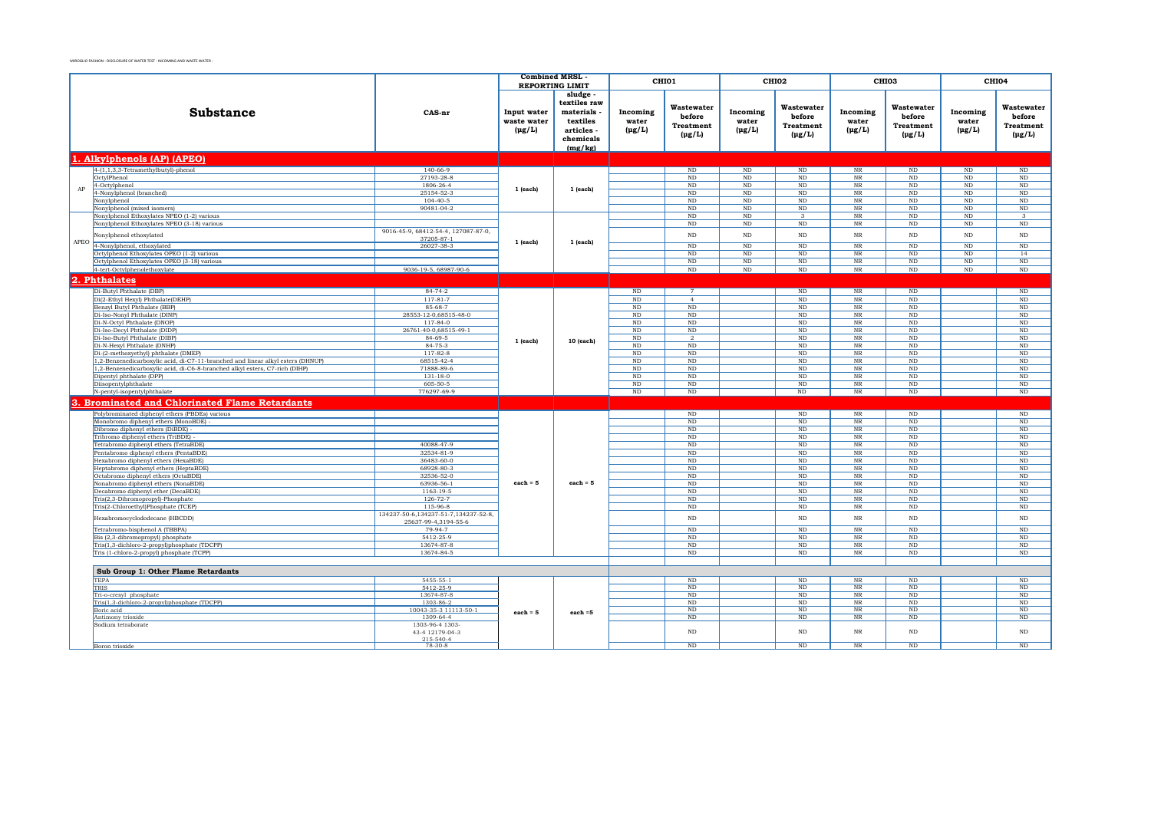|      |                                                                                                                         | <b>Combined MRSL</b>                                           |                                           |                                                                                        | CHI01                            |                                                         | CHI <sub>02</sub>                |                                                         | CHI <sub>03</sub>                |                                                         | CHI04                            |                                                         |
|------|-------------------------------------------------------------------------------------------------------------------------|----------------------------------------------------------------|-------------------------------------------|----------------------------------------------------------------------------------------|----------------------------------|---------------------------------------------------------|----------------------------------|---------------------------------------------------------|----------------------------------|---------------------------------------------------------|----------------------------------|---------------------------------------------------------|
|      |                                                                                                                         |                                                                |                                           | <b>REPORTING LIMIT</b>                                                                 |                                  |                                                         |                                  |                                                         |                                  |                                                         |                                  |                                                         |
|      | <b>Substance</b>                                                                                                        | CAS-nr                                                         | Input water<br>waste water<br>$(\mu g/L)$ | sludge.<br>textiles raw<br>materials<br>textiles<br>articles -<br>chemicals<br>(mg/kg) | Incoming<br>water<br>$(\mu g/L)$ | Wastewater<br>before<br><b>Treatment</b><br>$(\mu g/L)$ | Incoming<br>water<br>$(\mu g/L)$ | Wastewater<br>before<br><b>Treatment</b><br>$(\mu g/L)$ | Incoming<br>water<br>$(\mu g/L)$ | Wastewater<br>before<br><b>Treatment</b><br>$(\mu g/L)$ | Incoming<br>water<br>$(\mu g/L)$ | Wastewater<br>before<br><b>Treatment</b><br>$(\mu g/L)$ |
|      | 1. Alkylphenols (AP) (APEO)                                                                                             |                                                                |                                           |                                                                                        |                                  |                                                         |                                  |                                                         |                                  |                                                         |                                  |                                                         |
|      | 4-(1,1,3,3-Tetramethylbutyl)-phenol                                                                                     | $140 - 66 - 9$                                                 |                                           |                                                                                        |                                  | ND                                                      | ND                               | ND                                                      | NR                               | ND                                                      | ND                               | ND                                                      |
|      | OctylPhenol                                                                                                             | 27193-28-8                                                     |                                           |                                                                                        |                                  | ND                                                      | $\rm ND$                         | $\rm ND$                                                | $_{\rm NR}$                      | $_{\rm ND}$                                             | $_{\rm ND}$                      | ND                                                      |
| AP   | 4-Octylphenol                                                                                                           | 1806-26-4                                                      | $1$ (each)                                | $1$ (each)                                                                             |                                  | ND                                                      | ND                               | ND                                                      | NR                               | ND                                                      | ND                               | ND                                                      |
|      | 4-Nonylphenol (branched)                                                                                                | 25154-52-3                                                     |                                           |                                                                                        |                                  | ND                                                      | $\rm ND$                         | $\rm ND$                                                | NR                               | $_{\rm ND}$                                             | $\rm ND$                         | $\rm ND$                                                |
|      | Nonylphenol<br>Nonylphenol (mixed isomers)                                                                              | $104 - 40 - 5$<br>90481-04-2                                   |                                           |                                                                                        |                                  | ND<br><b>ND</b>                                         | $\rm ND$<br>ND                   | $\rm ND$<br>ND                                          | NR<br>NR                         | $_{\rm ND}$<br>$_{\rm ND}$                              | $\rm ND$<br><b>ND</b>            | $\rm ND$<br>$\rm ND$                                    |
|      | Nonylphenol Ethoxylates NPEO (1-2) various                                                                              |                                                                |                                           |                                                                                        |                                  | ND                                                      | ND                               | $\mathcal{R}$                                           | NR                               | $_{\rm ND}$                                             | $_{\rm ND}$                      | $\mathcal{R}$                                           |
|      | Nonylphenol Ethoxylates NPEO (3-18) various                                                                             |                                                                |                                           |                                                                                        |                                  | ND                                                      | ND                               | $\rm ND$                                                | NR                               | ND                                                      | ND                               | ND                                                      |
| APEO | Nonylphenol ethoxylated                                                                                                 | 9016-45-9, 68412-54-4, 127087-87-0,<br>37205-87-1              | $1$ (each)                                | $1$ (each)                                                                             |                                  | ND                                                      | $\rm ND$                         | $\rm ND$                                                | $\rm NR$                         | $\rm ND$                                                | $_{\rm ND}$                      | $\rm ND$                                                |
|      | 4-Nonylphenol, ethoxylated                                                                                              | 26027-38-3                                                     |                                           |                                                                                        |                                  | ND                                                      | ND                               | ND                                                      | NR                               | ND                                                      | $\overline{\text{ND}}$           | ND                                                      |
|      | Octylphenol Ethoxylates OPEO (1-2) various                                                                              |                                                                |                                           |                                                                                        |                                  | ND                                                      | $\overline{\text{ND}}$           | $\overline{\text{ND}}$                                  | NR                               | $\overline{\text{ND}}$                                  | $\overline{\text{ND}}$           | 14                                                      |
|      | Octylphenol Ethoxylates OPEO (3-18) various<br>4-tert-Octylphenolethoxylate                                             | 9036-19-5, 68987-90-6                                          |                                           |                                                                                        |                                  | ND<br>ND                                                | ND<br>ND                         | ND<br>ND                                                | $\rm NR$<br>$_{\rm NR}$          | $\rm ND$<br>ND                                          | ND<br>ND                         | $\rm ND$<br>$\rm ND$                                    |
|      |                                                                                                                         |                                                                |                                           |                                                                                        |                                  |                                                         |                                  |                                                         |                                  |                                                         |                                  |                                                         |
|      | 2. Phthalates                                                                                                           |                                                                |                                           |                                                                                        |                                  |                                                         |                                  |                                                         |                                  |                                                         |                                  |                                                         |
|      | Di-Butyl Phthalate (DBP)                                                                                                | $84 - 74 - 2$                                                  |                                           |                                                                                        | ND                               |                                                         |                                  | ND                                                      | NR                               | ND                                                      |                                  | ND                                                      |
|      | Di(2-Ethyl Hexyl) Phthalate(DEHP)                                                                                       | $117 - 81 - 7$                                                 |                                           |                                                                                        | ND                               | $\overline{4}$                                          |                                  | ND                                                      | NR                               | N <sub>D</sub>                                          |                                  | ND                                                      |
|      | Benzyl Butyl Phthalate (BBP)<br>Di-Iso-Nonyl Phthalate (DINP)                                                           | 85-68-7<br>28553-12-0,68515-48-0                               |                                           |                                                                                        | $\rm ND$<br>ND                   | $\rm ND$<br>ND                                          |                                  | $\rm ND$<br>ND                                          | $\rm NR$<br>$_{\rm NR}$          | $\rm ND$<br>ND                                          |                                  | $\rm ND$<br>ND                                          |
|      | Di-N-Octyl Phthalate (DNOP)                                                                                             | $117 - 84 - 0$                                                 |                                           |                                                                                        | ND                               | ND                                                      |                                  | ND                                                      | $_{\rm NR}$                      | ND                                                      |                                  | ND                                                      |
|      | Di-Iso-Decyl Phthalate (DIDP)                                                                                           | 26761-40-0,68515-49-1                                          |                                           |                                                                                        | ND                               | ND                                                      |                                  | ND                                                      | NR                               | ND                                                      |                                  | ND                                                      |
|      | Di-Iso-Butyl Phthalate (DIBP)                                                                                           | 84-69-5                                                        | $1$ (each)                                | 10 (each)                                                                              | $\rm ND$                         | $\overline{2}$                                          |                                  | $\rm ND$                                                | $_{\rm NR}$                      | $\rm ND$                                                |                                  | $\rm ND$                                                |
|      | Di-N-Hexyl Phthalate (DNHP)                                                                                             | 84-75-3                                                        |                                           |                                                                                        | $\rm ND$                         | ND                                                      |                                  | $\rm ND$                                                | <b>NR</b>                        | $\rm ND$                                                |                                  | $\rm ND$                                                |
|      | Di-(2-methoxyethyl) phthalate (DMEP)<br>1,2-Benzenedicarboxylic acid, di-C7-11-branched and linear alkyl esters (DHNUP) | 117-82-8                                                       |                                           |                                                                                        | $\rm ND$                         | ND                                                      |                                  | $\rm ND$                                                | NR<br>NR                         | $\rm ND$                                                |                                  | $\rm ND$                                                |
|      | 1,2-Benzenedicarboxylic acid, di-C6-8-branched alkyl esters, C7-rich (DIHP)                                             | 68515-42-4<br>71888-89-6                                       |                                           |                                                                                        | $\rm ND$<br>ND                   | ND<br>ND                                                |                                  | $\rm ND$<br>$\rm ND$                                    | NR                               | $\rm ND$<br>$\rm ND$                                    |                                  | $\rm ND$<br>$\rm ND$                                    |
|      | Dipentyl phthalate (DPP)                                                                                                | $131 - 18 - 0$                                                 |                                           |                                                                                        | ND                               | ND                                                      |                                  | $\rm ND$                                                | NR                               | $\rm ND$                                                |                                  | $\rm ND$                                                |
|      | Diisopentylphthalate                                                                                                    | 605-50-5                                                       |                                           |                                                                                        | $\rm ND$                         | ND                                                      |                                  | $\rm ND$                                                | NR                               | $\rm ND$                                                |                                  | $\rm ND$                                                |
|      | N-pentyl-isopentylphthalate                                                                                             | 776297-69-9                                                    |                                           |                                                                                        | ND                               | ND                                                      |                                  | $\rm ND$                                                | $\rm{NR}$                        | $_{\rm ND}$                                             |                                  | $\rm ND$                                                |
|      | <b>Brominated and Chlorinated Flame Retardants</b>                                                                      |                                                                |                                           |                                                                                        |                                  |                                                         |                                  |                                                         |                                  |                                                         |                                  |                                                         |
|      | Polybrominated diphenyl ethers (PBDEs) various                                                                          |                                                                |                                           |                                                                                        |                                  | ND                                                      |                                  | ND                                                      | NR                               | ND                                                      |                                  | ND                                                      |
|      | Monobromo diphenyl ethers (MonoBDE)                                                                                     |                                                                |                                           |                                                                                        |                                  | ND                                                      |                                  | ND                                                      | $_{\rm NR}$                      | $\overline{\text{ND}}$                                  |                                  | ND                                                      |
|      | Dibromo diphenyl ethers (DiBDE)                                                                                         |                                                                |                                           |                                                                                        |                                  | ND                                                      |                                  | ND                                                      | $_{\rm NR}$                      | ND                                                      |                                  | ND                                                      |
|      | Tribromo diphenyl ethers (TriBDE)                                                                                       |                                                                |                                           |                                                                                        |                                  | ND                                                      |                                  | ND                                                      | NR                               | ND                                                      |                                  | ND                                                      |
|      | Tetrabromo diphenyl ethers (TetraBDE)<br>Pentabromo diphenyl ethers (PentaBDE)                                          | 40088-47-9<br>32534-81-9                                       |                                           |                                                                                        |                                  | ND<br>ND                                                |                                  | ND<br>ND                                                | NR<br>NR                         | $\overline{\text{ND}}$<br>ND                            |                                  | ND<br>ND                                                |
|      | Hexabromo diphenyl ethers (HexaBDE)                                                                                     | 36483-60-0                                                     |                                           |                                                                                        |                                  | ND                                                      |                                  | ND                                                      | NR                               | $\overline{\text{ND}}$                                  |                                  | ND                                                      |
|      | Heptabromo diphenyl ethers (HeptaBDE)                                                                                   | 68928-80-3                                                     |                                           |                                                                                        |                                  | ND                                                      |                                  | ND                                                      | $\overline{\text{NR}}$           | $\rm ND$                                                |                                  | ND                                                      |
|      | Octabromo diphenyl ethers (OctaBDE)                                                                                     | 32536-52-0                                                     |                                           |                                                                                        |                                  | ND                                                      |                                  | ND                                                      | NR                               | ND                                                      |                                  | ND                                                      |
|      | Nonabromo diphenyl ethers (NonaBDE)                                                                                     | 63936-56-1                                                     | $each = 5$                                | each = $5$                                                                             |                                  | <b>ND</b>                                               |                                  | ND                                                      | NR                               | ND                                                      |                                  | ND                                                      |
|      | Decabromo diphenyl ether (DecaBDE)                                                                                      | 1163-19-5<br>$126 - 72 - 7$                                    |                                           |                                                                                        |                                  | <b>ND</b><br><b>ND</b>                                  |                                  | $\rm ND$<br><b>ND</b>                                   | NR<br>NR                         | $\rm ND$<br>ND                                          |                                  | ND<br>ND                                                |
|      | Tris(2,3-Dibromopropyl)-Phosphate<br>Tris(2-Chloroethyl)Phosphate (TCEP)                                                | 115-96-8                                                       |                                           |                                                                                        |                                  | <b>ND</b>                                               |                                  | <b>ND</b>                                               | NR                               | ND                                                      |                                  | ND                                                      |
|      | Hexabromocyclododecane (HBCDD)                                                                                          | 134237-50-6, 134237-51-7, 134237-52-8,<br>25637-99-4.3194-55-6 |                                           |                                                                                        |                                  | ND                                                      |                                  | $_{\rm ND}$                                             | $_{\rm NR}$                      | $_{\rm ND}$                                             |                                  | $\rm ND$                                                |
|      | Tetrabromo-bisphenol A (TBBPA)                                                                                          | 79-94-7                                                        |                                           |                                                                                        |                                  | <b>ND</b>                                               |                                  | ND                                                      | NR                               | ND                                                      |                                  | ND                                                      |
|      | Bis (2,3-dibromopropyl) phosphate                                                                                       | 5412-25-9                                                      |                                           |                                                                                        |                                  | ND                                                      |                                  | ND                                                      | $\overline{\text{NR}}$           | ND                                                      |                                  | ND                                                      |
|      | Tris(1,3-dichloro-2-propyl)phosphate (TDCPP)                                                                            | 13674-87-8                                                     |                                           |                                                                                        |                                  | ND                                                      |                                  | ND                                                      | $\overline{\text{NR}}$           | ND                                                      |                                  | ND                                                      |
|      | Tris (1-chloro-2-propyl) phosphate (TCPP)                                                                               | 13674-84-5                                                     |                                           |                                                                                        |                                  | ND                                                      |                                  | ND                                                      | NR                               | ND                                                      |                                  | $\overline{\text{ND}}$                                  |
|      | Sub Group 1: Other Flame Retardants                                                                                     |                                                                |                                           |                                                                                        |                                  |                                                         |                                  |                                                         |                                  |                                                         |                                  |                                                         |
|      | <b>TEPA</b>                                                                                                             | 5455-55-1                                                      |                                           |                                                                                        |                                  | ND                                                      |                                  | ND                                                      | NR                               | ND                                                      |                                  | ND                                                      |
|      | TRIS                                                                                                                    | 5412-25-9                                                      |                                           |                                                                                        |                                  | ND                                                      |                                  | $\rm ND$                                                | NR                               | $_{\rm ND}$                                             |                                  | ND                                                      |
|      | Tri-o-cresyl phosphate<br>Tris(1,3-dichloro-2-propyl)phosphate (TDCPP)                                                  | 13674-87-8<br>1303-86-2                                        |                                           |                                                                                        |                                  | ND<br>ND                                                |                                  | ND<br>ND                                                | $_{\rm NR}$<br>NR                | ND<br>ND                                                |                                  | ND<br>ND                                                |
|      | Boric acid                                                                                                              | 10043-35-3 11113-50-1                                          | $each = 5$                                | $each = 5$                                                                             |                                  | ND                                                      |                                  | ND                                                      | $_{\rm NR}$                      | ND                                                      |                                  | ND                                                      |
|      | Antimony trioxide                                                                                                       | 1309-64-4                                                      |                                           |                                                                                        |                                  | ND                                                      |                                  | ND                                                      | $_{\rm NR}$                      | ND                                                      |                                  | ND                                                      |
|      | Sodium tetraborate                                                                                                      | 1303-96-4 1303-                                                |                                           |                                                                                        |                                  | <b>ND</b>                                               |                                  | ND                                                      | NR                               |                                                         |                                  |                                                         |
|      |                                                                                                                         | 43-4 12179-04-3<br>$215 - 540 - 4$                             |                                           |                                                                                        |                                  |                                                         |                                  |                                                         |                                  | $\rm ND$                                                |                                  | $\rm ND$                                                |
|      | Boron trioxide                                                                                                          | $78-30-8$                                                      |                                           |                                                                                        |                                  | ND                                                      |                                  | ND                                                      | NR                               | ND                                                      |                                  | ND                                                      |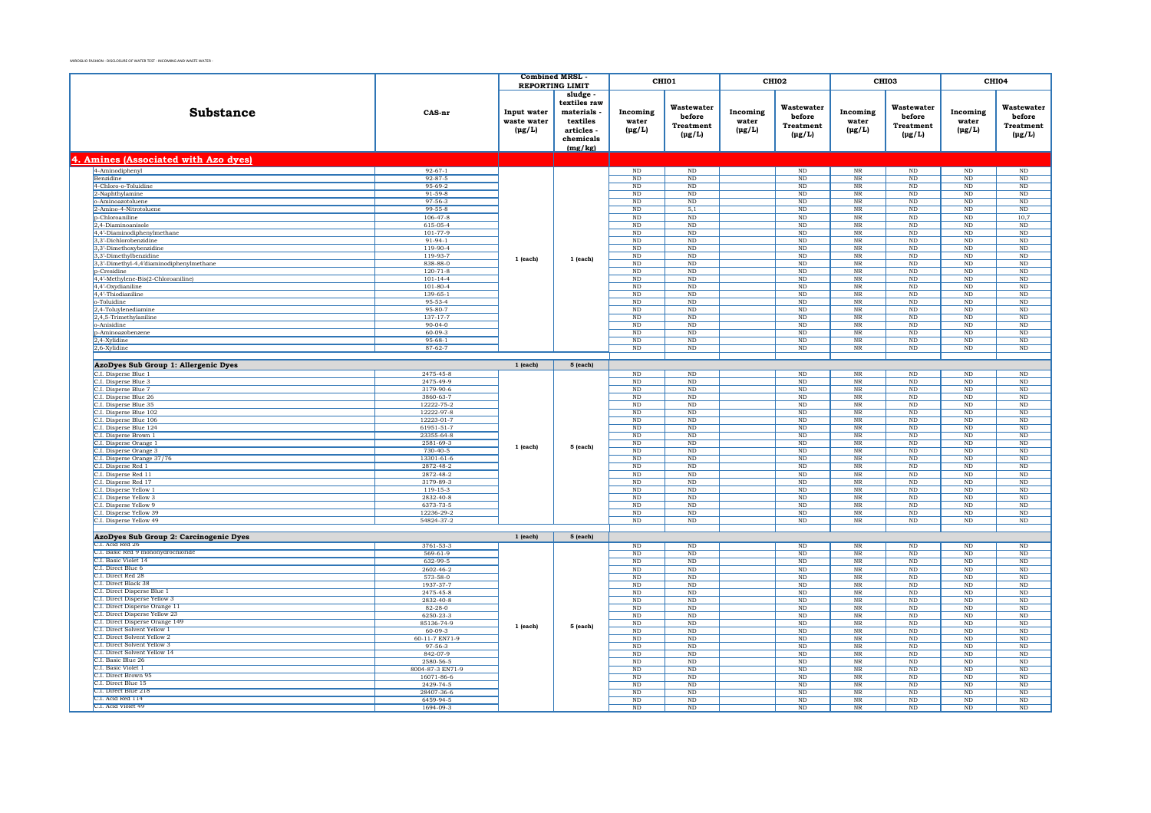|                                                              |                          | <b>Combined MRSL</b>                      |                                                                                       |                                  | CHI01                                                   |                                  | CHI02                                                   | CHI <sub>03</sub>                   |                                                         |                                  | CHI04                                            |
|--------------------------------------------------------------|--------------------------|-------------------------------------------|---------------------------------------------------------------------------------------|----------------------------------|---------------------------------------------------------|----------------------------------|---------------------------------------------------------|-------------------------------------|---------------------------------------------------------|----------------------------------|--------------------------------------------------|
|                                                              |                          | <b>REPORTING LIMIT</b>                    |                                                                                       |                                  |                                                         |                                  |                                                         |                                     |                                                         |                                  |                                                  |
| Substance                                                    | CAS-nr                   | Input water<br>waste water<br>$(\mu g/L)$ | sludge<br>textiles raw<br>materials<br>textiles<br>articles -<br>chemicals<br>(mg/kg) | Incoming<br>water<br>$(\mu g/L)$ | Wastewater<br>before<br><b>Treatment</b><br>$(\mu g/L)$ | Incoming<br>water<br>$(\mu g/L)$ | Wastewater<br>before<br><b>Treatment</b><br>$(\mu g/L)$ | Incoming<br>water<br>$(\mu g/L)$    | Wastewater<br>before<br><b>Treatment</b><br>$(\mu g/L)$ | Incoming<br>water<br>$(\mu g/L)$ | Wastewater<br>before<br>Treatment<br>$(\mu g/L)$ |
| 4. Amines (Associated with Azo dyes)                         |                          |                                           |                                                                                       |                                  |                                                         |                                  |                                                         |                                     |                                                         |                                  |                                                  |
| 4-Aminodiphenyl                                              | $92 - 67 - 1$            |                                           |                                                                                       | $\rm ND$                         | $\rm ND$                                                |                                  | $\rm ND$                                                | $_{\rm NR}$                         | $\rm ND$                                                | ND                               | $\rm ND$                                         |
| Benzidine                                                    | $92 - 87 - 5$            |                                           |                                                                                       | ND                               | $\rm ND$                                                |                                  | ND                                                      | $_{\rm NR}$                         | ND                                                      | $\rm ND$                         | ND                                               |
| 4-Chloro-o-Toluidine                                         | 95-69-2                  |                                           |                                                                                       | $_{\rm ND}$                      | $_{\rm ND}$                                             |                                  | $_{\rm ND}$                                             | $_{\rm NR}$                         | $_{\rm ND}$                                             | $_{\rm ND}$                      | $\rm ND$                                         |
| 2-Naphthylamine                                              | $91 - 59 - 8$            |                                           |                                                                                       | ND                               | ND                                                      |                                  | ND                                                      | NR                                  | ND                                                      | ND                               | ND                                               |
| o-Aminoazotoluene                                            | 97-56-3                  |                                           |                                                                                       | ND                               | $\rm ND$                                                |                                  | $\rm ND$                                                | $_{\rm NR}$                         | $\rm ND$                                                | ND                               | $\rm ND$                                         |
| 2-Amino-4-Nitrotoluene                                       | $99 - 55 - 8$            |                                           |                                                                                       | <b>ND</b>                        | 5,1                                                     |                                  | ND                                                      | NR                                  | ND                                                      | ND                               | ND                                               |
| p-Chloroaniline                                              | $106 - 47 - 8$           |                                           |                                                                                       | ND                               | $\rm ND$                                                |                                  | ND                                                      | $_{\rm NR}$                         | ND                                                      | ND                               | 10,7                                             |
| 2,4-Diaminoanisole<br>4,4'-Diaminodiphenylmethane            | 615-05-4<br>101-77-9     |                                           |                                                                                       | ND<br>ND                         | ND<br>ND                                                |                                  | ND<br>ND                                                | NR<br>$_{\rm NR}$                   | ND<br>ND                                                | ND<br>ND                         | ND<br>$\overline{\text{ND}}$                     |
| 3,3'-Dichlorobenzidine                                       | $91-94-1$                |                                           |                                                                                       | $\rm ND$                         | $\rm ND$                                                |                                  | $\rm ND$                                                | $_{\rm NR}$                         | $\rm ND$                                                | $\rm ND$                         | $\rm ND$                                         |
| 3.3'-Dimethoxybenzidine                                      | $119-90-4$               |                                           |                                                                                       | ND                               | ND                                                      |                                  | ND                                                      | NR                                  | ND                                                      | ND                               | ND                                               |
| 3,3'-Dimethylbenzidine                                       | 119-93-7                 |                                           |                                                                                       | $_{\rm ND}$                      | $\rm ND$                                                |                                  | $\rm ND$                                                | $\overline{\text{NR}}$              | $\rm ND$                                                | $\rm ND$                         | $\rm ND$                                         |
| 3,3'-Dimethyl-4,4'diaminodiphenylmethane                     | 838-88-0                 | $1$ (each)                                | 1 (each)                                                                              | $_{\rm ND}$                      | $_{\rm ND}$                                             |                                  | $_{\rm ND}$                                             | $\rm{NR}$                           | $\rm ND$                                                | $_{\rm ND}$                      | $\rm ND$                                         |
| <b>p-Cresidine</b>                                           | $120 - 71 - 8$           |                                           |                                                                                       | $\rm ND$                         | N <sub>D</sub>                                          |                                  | <b>ND</b>                                               | <b>NR</b>                           | $\rm ND$                                                | ND.                              | $\rm ND$                                         |
| 4,4'-Methylene-Bis(2-Chloroaniline)                          | $101 - 14 - 4$           |                                           |                                                                                       | ND                               | $\rm ND$                                                |                                  | $\rm ND$                                                | $\rm{NR}$                           | $_{\rm ND}$                                             | $_{\rm ND}$                      | $\rm ND$                                         |
| 4,4'-Oxydianiline                                            | $101 - 80 - 4$           |                                           |                                                                                       | $_{\rm ND}$                      | N <sub>D</sub>                                          |                                  | N <sub>D</sub>                                          | <b>NR</b>                           | ND.                                                     | ND.                              | $\rm ND$                                         |
| 4,4'-Thiodianiline                                           | 139-65-1                 |                                           |                                                                                       | ND                               | $\rm ND$                                                |                                  | $_{\rm ND}$                                             | $_{\rm NR}$                         | $\rm ND$                                                | ND                               | $\rm ND$                                         |
| o-Toluidine                                                  | 95-53-4<br>95-80-7       |                                           |                                                                                       | $_{\rm ND}$<br>ND                | $_{\rm ND}$<br>ND                                       |                                  | $_{\rm ND}$<br>ND                                       | <b>NR</b><br>$\overline{\text{NR}}$ | $_{\rm ND}$<br>ND                                       | $_{\rm ND}$<br>ND                | $\rm ND$<br>$\overline{\text{ND}}$               |
| 2,4-Toluylenediamine<br>2,4,5-Trimethylaniline               | 137-17-7                 |                                           |                                                                                       | $\rm ND$                         | $\rm ND$                                                |                                  | $\rm ND$                                                | $_{\rm NR}$                         | $\rm ND$                                                | $\rm ND$                         | $\rm ND$                                         |
| o-Anisidine                                                  | $90 - 04 - 0$            |                                           |                                                                                       | ND                               | ND                                                      |                                  | ND                                                      | NR                                  | ND                                                      | ND                               | $\overline{\mathrm{ND}}$                         |
| p-Aminoazobenzene                                            | $60 - 09 - 3$            |                                           |                                                                                       | $_{\rm ND}$                      | $\rm ND$                                                |                                  | $\rm ND$                                                | $\overline{\text{NR}}$              | $\rm ND$                                                | $\rm ND$                         | $\rm ND$                                         |
| 2,4-Xylidine                                                 | $95 - 68 - 1$            |                                           |                                                                                       | ND                               | ND                                                      |                                  | $_{\rm ND}$                                             | NR                                  | ND                                                      | ND                               | ND                                               |
| 2,6-Xylidine                                                 | $87 - 62 - 7$            |                                           |                                                                                       | ND                               | ND                                                      |                                  | ND                                                      | $\overline{\text{NR}}$              | ND                                                      | ND                               | $\overline{\text{ND}}$                           |
|                                                              |                          |                                           |                                                                                       |                                  |                                                         |                                  |                                                         |                                     |                                                         |                                  |                                                  |
| AzoDyes Sub Group 1: Allergenic Dyes                         |                          | $1$ (each)                                | 5 (each)                                                                              |                                  |                                                         |                                  |                                                         |                                     |                                                         |                                  |                                                  |
| C.I. Disperse Blue 1                                         | 2475-45-8                |                                           |                                                                                       | $\rm ND$                         | $\rm ND$                                                |                                  | $\rm ND$                                                | $_{\rm NR}$                         | $\rm ND$                                                | ND                               | ND                                               |
| C.I. Disperse Blue 3                                         | 2475-49-9                |                                           |                                                                                       | ND                               | $_{\rm ND}$                                             |                                  | $_{\rm ND}$                                             | $\rm NR$                            | $_{\rm ND}$                                             | $_{\rm ND}$                      | $\rm ND$                                         |
| C.I. Disperse Blue 7                                         | 3179-90-6                |                                           |                                                                                       | ND                               | ND                                                      |                                  | ND                                                      | NR                                  | ND                                                      | ND                               | ND                                               |
| C.I. Disperse Blue 26                                        | 3860-63-7                |                                           |                                                                                       | ND                               | $\rm ND$                                                |                                  | $\rm ND$                                                | $_{\rm NR}$                         | $_{\rm ND}$                                             | $\rm ND$                         | $\rm ND$                                         |
| C.I. Disperse Blue 35<br>C.I. Disperse Blue 102              | 12222-75-2<br>12222-97-8 |                                           |                                                                                       | $_{\rm ND}$<br>$\rm ND$          | <b>ND</b><br>$\rm ND$                                   |                                  | <b>ND</b><br>$_{\rm ND}$                                | NR<br>$_{\rm NR}$                   | $_{\rm ND}$<br>$\rm ND$                                 | ND<br>ND                         | $\rm ND$<br>$\rm ND$                             |
| C.I. Disperse Blue 106                                       | 12223-01-7               |                                           |                                                                                       | ND                               | ND                                                      |                                  | ND                                                      | NR                                  | ND                                                      | ND                               | ND                                               |
| C.I. Disperse Blue 124                                       | 61951-51-7               |                                           |                                                                                       | $\rm ND$                         | $\rm ND$                                                |                                  | ND                                                      | <b>NR</b>                           | $_{\rm ND}$                                             | $\rm ND$                         | $\rm ND$                                         |
| C.I. Disperse Brown 1                                        | 23355-64-8               |                                           |                                                                                       | $_{\rm ND}$                      | $\rm ND$                                                |                                  | $\rm ND$                                                | $\rm NR$                            | $_{\rm ND}$                                             | $_{\rm ND}$                      | $\rm ND$                                         |
| C.I. Disperse Orange 1                                       | 2581-69-3                | $1$ (each)                                | 5 (each)                                                                              | ND                               | ND                                                      |                                  | ND                                                      | NR                                  | ND                                                      | ND                               | ND                                               |
| C.I. Disperse Orange 3                                       | $730 - 40 - 5$           |                                           |                                                                                       | $\rm ND$                         | $\rm ND$                                                |                                  | $\rm ND$                                                | $\rm{NR}$                           | $_{\rm ND}$                                             | $\rm ND$                         | $\rm ND$                                         |
| C.I. Disperse Orange 37/76                                   | 13301-61-6               |                                           |                                                                                       | $_{\rm ND}$                      | $_{\rm ND}$                                             |                                  | $_{\rm ND}$                                             | $\rm NR$                            | $_{\rm ND}$                                             | $_{\rm ND}$                      | $\rm ND$                                         |
| C.I. Disperse Red 1                                          | 2872-48-2                |                                           |                                                                                       | N <sub>D</sub>                   | N <sub>D</sub>                                          |                                  | ND                                                      | NR                                  | ND                                                      | ND.                              | ND                                               |
| C.I. Disperse Red 11                                         | 2872-48-2                |                                           |                                                                                       | $_{\rm ND}$                      | $\rm ND$                                                |                                  | $\rm ND$                                                | $_{\rm NR}$                         | $\rm ND$                                                | $\rm ND$                         | $\rm ND$                                         |
| C.I. Disperse Red 17                                         | 3179-89-3                |                                           |                                                                                       | <b>ND</b>                        | N <sub>D</sub>                                          |                                  | $_{\rm ND}$                                             | <b>NR</b>                           | <b>ND</b>                                               | ND.                              | <b>ND</b>                                        |
| C.I. Disperse Yellow 1<br>C.I. Disperse Yellow 3             | 119-15-3<br>2832-40-8    |                                           |                                                                                       | $\rm ND$<br>$_{\rm ND}$          | $\rm ND$<br>$_{\rm ND}$                                 |                                  | $\rm ND$<br>$_{\rm ND}$                                 | $_{\rm NR}$<br>$\rm{NR}$            | $\rm ND$<br>$_{\rm ND}$                                 | ND<br>$_{\rm ND}$                | $\rm ND$<br>$\rm ND$                             |
| C.I. Disperse Yellow 9                                       | 6373-73-5                |                                           |                                                                                       | ND                               | ND                                                      |                                  | ND                                                      | NR                                  | ND                                                      | ND                               | ND                                               |
| C.I. Disperse Yellow 39                                      | 12236-29-2               |                                           |                                                                                       | ND                               | $\rm ND$                                                |                                  | $\rm ND$                                                | $\rm{NR}$                           | $_{\rm ND}$                                             | ND                               | $\rm ND$                                         |
| C.I. Disperse Yellow 49                                      | 54824-37-2               |                                           |                                                                                       | ND                               | $\overline{\text{ND}}$                                  |                                  | ND                                                      | N <sub>R</sub>                      | ND                                                      | ND                               | $\overline{\text{ND}}$                           |
|                                                              |                          |                                           |                                                                                       |                                  |                                                         |                                  |                                                         |                                     |                                                         |                                  |                                                  |
| AzoDyes Sub Group 2: Carcinogenic Dyes                       |                          | $1$ (each)                                | 5 (each)                                                                              |                                  |                                                         |                                  |                                                         |                                     |                                                         |                                  |                                                  |
| C.I. Acid Red 26                                             | 3761-53-3                |                                           |                                                                                       | ND                               | ND                                                      |                                  | ND                                                      | <b>NR</b>                           | $\rm ND$                                                | ND                               | ND                                               |
| C.I. Basic Red 9 monohydrochloride                           | 569-61-9                 |                                           |                                                                                       | ND                               | $\rm ND$                                                |                                  | $\rm ND$                                                | $\overline{\text{NR}}$              | $\rm ND$                                                | $\rm ND$                         | $\rm ND$                                         |
| C.I. Basic Violet 14                                         | 632-99-5                 |                                           |                                                                                       | <b>ND</b>                        | <b>ND</b>                                               |                                  | $\rm ND$                                                | NR                                  | <b>ND</b>                                               | ND.                              | ND                                               |
| C.I. Direct Blue 6<br>C.I. Direct Red 28                     | 2602-46-2                |                                           |                                                                                       | ND                               | $\rm ND$                                                |                                  | $_{\rm ND}$                                             | $_{\rm NR}$                         | $\rm ND$                                                | ND                               | $\rm ND$                                         |
| C.I. Direct Black 38                                         | 573-58-0<br>1937-37-7    |                                           |                                                                                       | $_{\rm ND}$                      | $_{\rm ND}$<br>N <sub>D</sub>                           |                                  | $_{\rm ND}$                                             | $\rm NR$<br><b>NR</b>               | $_{\rm ND}$                                             | $_{\rm ND}$<br>ND.               | $\rm ND$                                         |
| C.I. Direct Disperse Blue 1                                  | 2475-45-8                |                                           |                                                                                       | ND<br>$\rm ND$                   | $\rm ND$                                                |                                  | $_{\rm ND}$<br>$_{\rm ND}$                              | $_{\rm NR}$                         | $\rm ND$<br>$\rm ND$                                    | ND                               | $\rm ND$<br>$\rm ND$                             |
| C.I. Direct Disperse Yellow 3                                | 2832-40-8                |                                           |                                                                                       | $_{\rm ND}$                      | $_{\rm ND}$                                             |                                  | $_{\rm ND}$                                             | $_{\rm NR}$                         | $_{\rm ND}$                                             | $_{\rm ND}$                      | $\rm ND$                                         |
| C.I. Direct Disperse Orange 11                               | $82 - 28 - 0$            |                                           |                                                                                       | ND                               | ND                                                      |                                  | <b>ND</b>                                               | NR                                  | ND                                                      | ND                               | ND                                               |
| C.I. Direct Disperse Yellow 23                               | 6250-23-3                | 1 (each)                                  |                                                                                       | ND                               | $\rm ND$                                                |                                  | $\rm ND$                                                | $_{\rm NR}$                         | $_{\rm ND}$                                             | $_{\rm ND}$                      | $\rm ND$                                         |
| C.I. Direct Disperse Orange 149                              | 85136-74-9               |                                           | 5 (each)                                                                              | <b>ND</b>                        | N <sub>D</sub>                                          |                                  | ND                                                      | NR                                  | ND                                                      | ND.                              | ND                                               |
| C.I. Direct Solvent Yellow 1                                 | $60 - 09 - 3$            |                                           |                                                                                       | ND                               | $_{\rm ND}$                                             |                                  | $\rm ND$                                                | $\rm NR$                            | $\rm ND$                                                | $\rm ND$                         | $\rm ND$                                         |
| C.I. Direct Solvent Yellow 2<br>C.I. Direct Solvent Yellow 3 | 60-11-7 EN71-9           |                                           |                                                                                       | ND                               | <b>ND</b>                                               |                                  | <b>ND</b>                                               | NR                                  | ND                                                      | ND                               | ND                                               |
| C.I. Direct Solvent Yellow 14                                | 97-56-3                  |                                           |                                                                                       | ND                               | ND                                                      |                                  | ND                                                      | $_{\rm NR}$                         | ND                                                      | ND                               | $\overline{\text{ND}}$                           |
| C.I. Basic Blue 26                                           | 842-07-9<br>2580-56-5    |                                           |                                                                                       | $_{\rm ND}$<br>N <sub>D</sub>    | $_{\rm ND}$<br>N <sub>D</sub>                           |                                  | $_{\rm ND}$<br>N <sub>D</sub>                           | $\rm NR$<br><b>NR</b>               | $_{\rm ND}$<br>ND.                                      | $_{\rm ND}$<br>ND.               | $\rm ND$<br>ND.                                  |
| C.I. Basic Violet 1                                          | 8004-87-3 EN71-9         |                                           |                                                                                       | ND                               | ND                                                      |                                  | $\rm ND$                                                | $_{\rm NR}$                         | $\rm ND$                                                | $\rm ND$                         | $\rm ND$                                         |
| C.I. Direct Brown 95                                         | 16071-86-6               |                                           |                                                                                       | <b>ND</b>                        | <b>ND</b>                                               |                                  | N <sub>D</sub>                                          | NR                                  | $_{\rm ND}$                                             | ND                               | ND                                               |
| C.I. Direct Blue 15                                          | 2429-74-5                |                                           |                                                                                       | $\rm ND$                         | $\rm ND$                                                |                                  | ND                                                      | $_{\rm NR}$                         | ND                                                      | ND                               | $\rm ND$                                         |
| C.I. Direct Blue 218                                         | 28407-36-6               |                                           |                                                                                       | $_{\rm ND}$                      | $_{\rm ND}$                                             |                                  | $_{\rm ND}$                                             | $\rm NR$                            | $_{\rm ND}$                                             | $_{\rm ND}$                      | $\rm ND$                                         |
| C.L. Acid Red 114                                            | 6459-94-5                |                                           |                                                                                       | ND                               | N <sub>D</sub>                                          |                                  | ND                                                      | <b>NR</b>                           | ND                                                      | ND                               | ND                                               |
| C.I. Acid Violet 49                                          | 1694-09-3                |                                           |                                                                                       | $\rm ND$                         | $\rm ND$                                                |                                  | $_{\rm ND}$                                             | $_{\rm NR}$                         | $\rm ND$                                                | $\rm ND$                         | $\rm ND$                                         |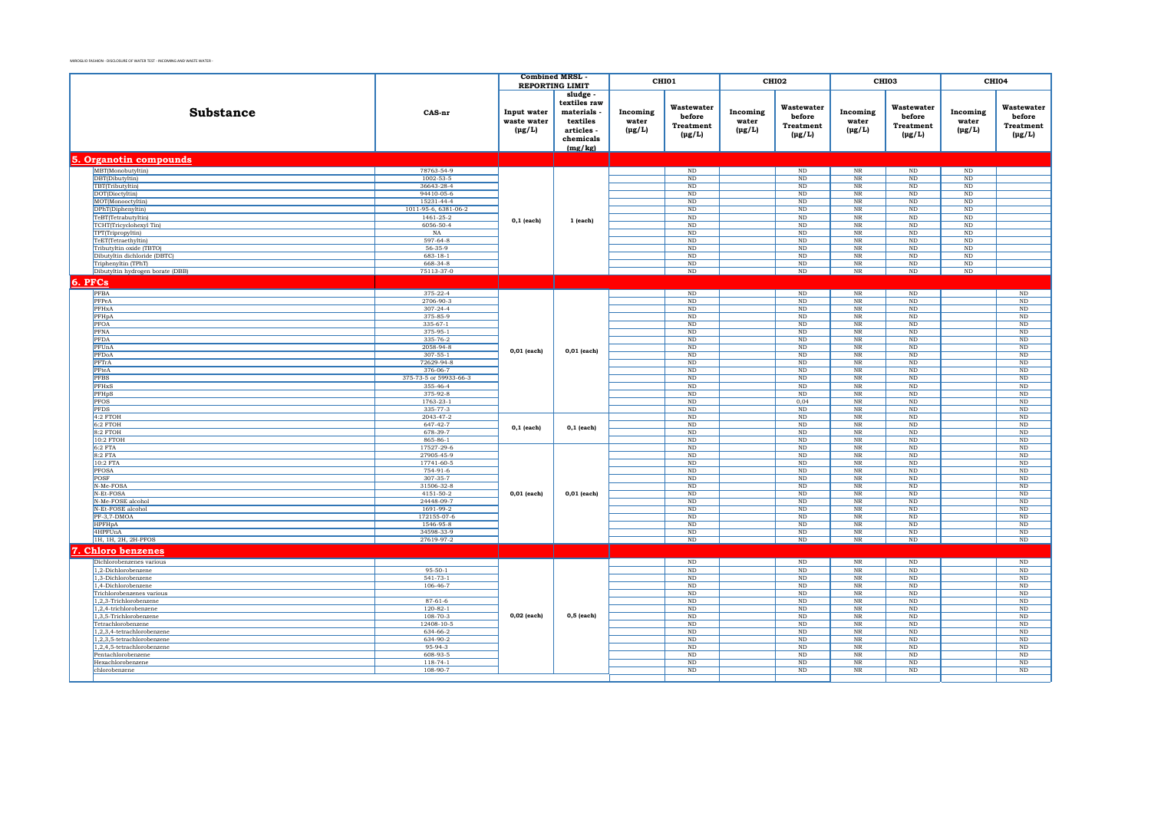|                                                          |                                    | <b>Combined MRSL</b>                      |                                                                                       |                                  | CHI01                                                   |                                  | CHI <sub>02</sub>                                       |                                                           | CHI <sub>03</sub>                                       |                                  | CHI04                                            |
|----------------------------------------------------------|------------------------------------|-------------------------------------------|---------------------------------------------------------------------------------------|----------------------------------|---------------------------------------------------------|----------------------------------|---------------------------------------------------------|-----------------------------------------------------------|---------------------------------------------------------|----------------------------------|--------------------------------------------------|
|                                                          |                                    |                                           | <b>REPORTING LIMIT</b>                                                                |                                  |                                                         |                                  |                                                         |                                                           |                                                         |                                  |                                                  |
| <b>Substance</b>                                         | CAS-nr                             | Input water<br>waste water<br>$(\mu g/L)$ | sludge<br>textiles raw<br>materials<br>textiles<br>articles -<br>chemicals<br>(mg/kg) | Incoming<br>water<br>$(\mu g/L)$ | Wastewater<br>before<br><b>Treatment</b><br>$(\mu g/L)$ | Incoming<br>water<br>$(\mu g/L)$ | Wastewater<br>before<br><b>Treatment</b><br>$(\mu g/L)$ | Incoming<br>water<br>$(\mu g/L)$                          | Wastewater<br>before<br><b>Treatment</b><br>$(\mu g/L)$ | Incoming<br>water<br>$(\mu g/L)$ | Wastewater<br>before<br>Treatment<br>$(\mu g/L)$ |
| 5. Organotin compounds                                   |                                    |                                           |                                                                                       |                                  |                                                         |                                  |                                                         |                                                           |                                                         |                                  |                                                  |
| MBT(Monobutyltin)                                        | 78763-54-9                         |                                           |                                                                                       |                                  | $\rm ND$                                                |                                  | ND                                                      | $\rm{NR}$                                                 | $\rm ND$                                                | ND                               |                                                  |
| DBT(Dibutyltin)                                          | $1002 - 53 - 5$                    |                                           |                                                                                       |                                  | ND                                                      |                                  | ND                                                      | NR                                                        | ND                                                      | ND                               |                                                  |
| TBT(Tributyltin)                                         | 36643-28-4                         |                                           |                                                                                       |                                  | ND                                                      |                                  | ND                                                      | $\overline{\text{NR}}$                                    | ND                                                      | ND                               |                                                  |
| DOT(Dioctyltin)<br>MOT(Monooctyltin)                     | 94410-05-6<br>15231-44-4           |                                           |                                                                                       |                                  | $_{\rm ND}$<br>ND                                       |                                  | ND<br>ND                                                | $_{\rm NR}$<br>NR                                         | $\rm ND$<br>ND                                          | $_{\rm ND}$<br>ND                |                                                  |
| DPhT(Diphenyltin)                                        | 1011-95-6, 6381-06-2               |                                           |                                                                                       |                                  | $\rm ND$                                                |                                  | ND                                                      | NR                                                        | $\rm ND$                                                | ND                               |                                                  |
| TeBT(Tetrabutyltin)                                      | $1461 - 25 - 2$                    |                                           |                                                                                       |                                  | ND                                                      |                                  | ND                                                      | NR                                                        | ND                                                      | ND                               |                                                  |
| TCHT(Tricyclohexyl Tin)                                  | 6056-50-4                          | $0,1$ (each)                              | 1 (each)                                                                              |                                  | ND                                                      |                                  | ND                                                      | $\overline{\text{NR}}$                                    | ND                                                      | ND                               |                                                  |
| TPT(Tripropyltin)                                        | NA                                 |                                           |                                                                                       |                                  | $_{\rm ND}$                                             |                                  | $\rm ND$                                                | $_{\rm NR}$                                               | $_{\rm ND}$                                             | $_{\rm ND}$                      |                                                  |
| TeET(Tetraethyltin)                                      | 597-64-8                           |                                           |                                                                                       |                                  | ND                                                      |                                  | ND                                                      | NR                                                        | ND                                                      | ND                               |                                                  |
| Tributyltin oxide (TBTO)<br>Dibutyltin dichloride (DBTC) | 56-35-9                            |                                           |                                                                                       |                                  | $_{\rm ND}$                                             |                                  | $\mathop{\rm ND}\nolimits$                              | $\ensuremath{\text{NR}}\xspace$                           | $_{\rm ND}$                                             | $\rm ND$                         |                                                  |
| Triphenyltin (TPhT)                                      | $683 - 18 - 1$<br>668-34-8         |                                           |                                                                                       |                                  | ND<br>$\rm ND$                                          |                                  | ND<br>ND                                                | NR<br>NR                                                  | ND<br>ND                                                | ND<br>ND                         |                                                  |
| Dibutyltin hydrogen borate (DBB)                         | 75113-37-0                         |                                           |                                                                                       |                                  | $\rm ND$                                                |                                  | $\rm ND$                                                | $\rm{NR}$                                                 | $\rm ND$                                                | $\rm ND$                         |                                                  |
|                                                          |                                    |                                           |                                                                                       |                                  |                                                         |                                  |                                                         |                                                           |                                                         |                                  |                                                  |
| 6. PFCs                                                  |                                    |                                           |                                                                                       |                                  |                                                         |                                  |                                                         |                                                           |                                                         |                                  |                                                  |
| PFBA                                                     | 375-22-4                           |                                           |                                                                                       |                                  | $\rm ND$                                                |                                  | $\rm ND$                                                | $\rm{NR}$                                                 | $\mathbf{ND}$                                           |                                  | $\rm ND$                                         |
| PFPeA<br>PFHxA                                           | 2706-90-3<br>$307 - 24 - 4$        |                                           |                                                                                       |                                  | ND<br>ND                                                |                                  | $\rm ND$<br>$\overline{\text{ND}}$                      | $_{\rm NR}$<br>$\overline{\text{NR}}$                     | ND<br>ND                                                |                                  | $\rm ND$<br>$\rm ND$                             |
| PFHpA                                                    | 375-85-9                           |                                           |                                                                                       |                                  | ND                                                      |                                  | ND                                                      | NR                                                        | ND                                                      |                                  | ND                                               |
| PFOA                                                     | $335-67-1$                         |                                           |                                                                                       |                                  | ND                                                      |                                  | ND                                                      | $\overline{\text{NR}}$                                    | ND                                                      |                                  | ND                                               |
| PFNA                                                     | 375-95-1                           |                                           |                                                                                       |                                  | $_{\rm ND}$                                             |                                  | ND                                                      | $_{\rm NR}$                                               | $\rm ND$                                                |                                  | $\rm ND$                                         |
| PFDA                                                     | 335-76-2                           |                                           |                                                                                       |                                  | ND                                                      |                                  | ND                                                      | NR                                                        | ND                                                      |                                  | ND                                               |
| PFUnA                                                    | 2058-94-8                          | $0,01$ (each)                             | $0,01$ (each)                                                                         |                                  | $_{\rm ND}$                                             |                                  | ND                                                      | $\ensuremath{\text{NR}}\xspace$                           | $\rm ND$                                                |                                  | $\rm ND$                                         |
| PFDoA                                                    | $307 - 55 - 1$                     |                                           |                                                                                       |                                  | ND                                                      |                                  | ND                                                      | $\overline{\text{NR}}$                                    | ND                                                      |                                  | ND                                               |
| PFTrA                                                    | 72629-94-8                         |                                           |                                                                                       |                                  | ND                                                      |                                  | ND                                                      | $\overline{\text{NR}}$                                    | ND                                                      |                                  | ND                                               |
| PFteA                                                    | 376-06-7                           |                                           |                                                                                       |                                  | $\rm ND$                                                |                                  | $\rm ND$                                                | $\rm{NR}$                                                 | $\rm ND$                                                |                                  | $\rm ND$                                         |
| <b>PFBS</b>                                              | 375-73-5 or 59933-66-3<br>355-46-4 |                                           |                                                                                       |                                  | $_{\rm ND}$                                             |                                  | $\rm ND$                                                | $\rm NR$                                                  | $_{\rm ND}$                                             |                                  | $\rm ND$                                         |
| PFHxS<br>PFHpS                                           | 375-92-8                           |                                           |                                                                                       |                                  | ND<br>$_{\rm ND}$                                       |                                  | $\rm ND$<br>$_{\rm ND}$                                 | NR<br>$\rm NR$                                            | ND<br>$_{\rm ND}$                                       |                                  | ND<br>$\rm ND$                                   |
| <b>PFOS</b>                                              | $1763 - 23 - 1$                    |                                           |                                                                                       |                                  | ND                                                      |                                  | 0.04                                                    | $\overline{\text{NR}}$                                    | ND                                                      |                                  | ND                                               |
| <b>PFDS</b>                                              | 335-77-3                           |                                           |                                                                                       |                                  | ND                                                      |                                  | ND                                                      | $\overline{\text{NR}}$                                    | ND                                                      |                                  | ND                                               |
| 4:2 FTOH                                                 | 2043-47-2                          |                                           |                                                                                       |                                  | $_{\rm ND}$                                             |                                  | ND                                                      | $\rm{NR}$                                                 | $\rm ND$                                                |                                  | $\rm ND$                                         |
| 6:2 FTOH                                                 | 647-42-7                           | $0,1$ (each)                              | $0,1$ (each)                                                                          |                                  | ND                                                      |                                  | ND                                                      | $\rm{NR}$                                                 | $\rm ND$                                                |                                  | $\rm ND$                                         |
| $8:2$ FTOH                                               | 678-39-7                           |                                           |                                                                                       |                                  | ND                                                      |                                  | ND                                                      | $\overline{\text{NR}}$                                    | ND                                                      |                                  | ND                                               |
| 10:2 FTOH                                                | 865-86-1                           |                                           |                                                                                       |                                  | ND                                                      |                                  | ND                                                      | $\overline{\text{NR}}$                                    | ND                                                      |                                  | ND                                               |
| $6:2$ FTA<br>8:2 FTA                                     | 17527-29-6<br>27905-45-9           |                                           |                                                                                       |                                  | $\rm ND$<br>$_{\rm ND}$                                 |                                  | ND<br>ND                                                | $\rm{NR}$<br>$\rm{NR}$                                    | $\rm ND$<br>$_{\rm ND}$                                 |                                  | $\rm ND$<br>$\rm ND$                             |
| 10:2 FTA                                                 | 17741-60-5                         |                                           |                                                                                       |                                  | $_{\rm ND}$                                             |                                  | $\mathop{\rm ND}\nolimits$                              | $\ensuremath{\text{NR}}\xspace$                           | $_{\rm ND}$                                             |                                  | $_{\rm ND}$                                      |
| <b>PFOSA</b>                                             | 754-91-6                           |                                           |                                                                                       |                                  | ND                                                      |                                  | ND                                                      | NR                                                        | ND                                                      |                                  | ND                                               |
| POSF                                                     | $307 - 35 - 7$                     |                                           |                                                                                       |                                  | $\rm ND$                                                |                                  | ND                                                      | $\overline{\text{NR}}$                                    | $\rm ND$                                                |                                  | ND                                               |
| N-Me-FOSA                                                | 31506-32-8                         |                                           |                                                                                       |                                  | $_{\rm ND}$                                             |                                  | $_{\rm ND}$                                             | $\rm NR$                                                  | $_{\rm ND}$                                             |                                  | $_{\rm ND}$                                      |
| N-Et-FOSA                                                | 4151-50-2                          | 0,01 (each)                               | 0,01 (each)                                                                           |                                  | ND                                                      |                                  | ND                                                      | $_{\rm NR}$                                               | ND                                                      |                                  | ND                                               |
| N-Me-FOSE alcohol<br>N-Et-FOSE alcohol                   | 24448-09-7<br>1691-99-2            |                                           |                                                                                       |                                  | $\rm ND$<br>ND                                          |                                  | ND<br>ND                                                | $\ensuremath{\text{NR}}\xspace$<br>$\overline{\text{NR}}$ | $\rm ND$<br>ND                                          |                                  | $\rm ND$<br>ND                                   |
| PF-3,7-DMOA                                              | 172155-07-6                        |                                           |                                                                                       |                                  | ND                                                      |                                  | ND                                                      | $\overline{\text{NR}}$                                    | ND                                                      |                                  | ND                                               |
| <b>HPFHpA</b>                                            | 1546-95-8                          |                                           |                                                                                       |                                  | $_{\rm ND}$                                             |                                  | $_{\rm ND}$                                             | $\rm NR$                                                  | $_{\rm ND}$                                             |                                  | $_{\rm ND}$                                      |
| 4HPFUnA                                                  | 34598-33-9                         |                                           |                                                                                       |                                  | ND                                                      |                                  | ND                                                      | NR                                                        | ND                                                      |                                  | ND                                               |
| 1H, 1H, 2H, 2H-PFOS                                      | 27619-97-2                         |                                           |                                                                                       |                                  | ND                                                      |                                  | ND                                                      | NR                                                        | ND                                                      |                                  | ND                                               |
| <b>Chloro benzenes</b>                                   |                                    |                                           |                                                                                       |                                  |                                                         |                                  |                                                         |                                                           |                                                         |                                  |                                                  |
| Dichlorobenzenes various                                 |                                    |                                           |                                                                                       |                                  | $_{\rm ND}$                                             |                                  | $\rm ND$                                                | $\rm NR$                                                  | $\rm ND$                                                |                                  | $\rm ND$                                         |
| 1,2-Dichlorobenzene                                      | $95 - 50 - 1$                      |                                           |                                                                                       |                                  | ND                                                      |                                  | ND                                                      | $_{\rm NR}$                                               | ND                                                      |                                  | ND                                               |
| 1,3-Dichlorobenzene                                      | $541 - 73 - 1$                     |                                           |                                                                                       |                                  | ND                                                      |                                  | ND                                                      | $_{\rm NR}$                                               | ND                                                      |                                  | ND                                               |
| 1,4-Dichlorobenzene                                      | $106 - 46 - 7$                     |                                           |                                                                                       |                                  | $\rm ND$                                                |                                  | ND                                                      | $_{\rm NR}$                                               | $\rm ND$                                                |                                  | $\rm ND$                                         |
| Trichlorobenzenes various                                |                                    |                                           |                                                                                       |                                  | $_{\rm ND}$                                             |                                  | ND                                                      | $_{\rm NR}$                                               | $\rm ND$                                                |                                  | $\rm ND$                                         |
| 1,2,3-Trichlorobenzene<br>1.2.4-trichlorobenzene         | $87 - 61 - 6$<br>$120 - 82 - 1$    | $0,02$ (each)                             |                                                                                       |                                  | $_{\rm ND}$<br>ND                                       |                                  | $\mathop{\rm ND}\nolimits$<br>ND                        | $_{\rm NR}$<br>NR                                         | $_{\rm ND}$<br>ND                                       |                                  | $\rm ND$<br>ND                                   |
| 1,3,5-Trichlorobenzene                                   | $108 - 70 - 3$                     |                                           | $0,5$ (each)                                                                          |                                  | $\rm ND$                                                |                                  | ND                                                      | $\overline{\text{NR}}$                                    | ND                                                      |                                  | ND                                               |
| Tetrachlorobenzene                                       | 12408-10-5                         |                                           |                                                                                       |                                  | $_{\rm ND}$                                             |                                  | $_{\rm ND}$                                             | $\rm NR$                                                  | $_{\rm ND}$                                             |                                  | $\rm ND$                                         |
| $1,2,3,4$ -tetrachlorobenzene                            | 634-66-2                           |                                           |                                                                                       |                                  | ND                                                      |                                  | ND                                                      | NR                                                        | ND                                                      |                                  | ND                                               |
| 1,2,3,5-tetrachlorobenzene                               | 634-90-2                           |                                           |                                                                                       |                                  | $\rm ND$                                                |                                  | ND                                                      | $\ensuremath{\text{NR}}\xspace$                           | $\rm ND$                                                |                                  | $\rm ND$                                         |
| 1.2.4.5-tetrachlorobenzene                               | 95-94-3                            |                                           |                                                                                       |                                  | ND                                                      |                                  | ND                                                      | $\overline{\text{NR}}$                                    | ND                                                      |                                  | ND                                               |
| Pentachlorobenzene                                       | 608-93-5                           |                                           |                                                                                       |                                  | $\rm ND$                                                |                                  | ND                                                      | $\rm{NR}$                                                 | ND                                                      |                                  | $\rm ND$                                         |
| Hexachlorobenzene<br>chlorobenzene                       | $118 - 74 - 1$<br>108-90-7         |                                           |                                                                                       |                                  | $\rm ND$<br>$_{\rm ND}$                                 |                                  | $\rm ND$<br>$_{\rm ND}$                                 | $\rm{NR}$<br>$\rm NR$                                     | $\rm ND$<br>$_{\rm ND}$                                 |                                  | $\rm ND$<br>$\rm ND$                             |
|                                                          |                                    |                                           |                                                                                       |                                  |                                                         |                                  |                                                         |                                                           |                                                         |                                  |                                                  |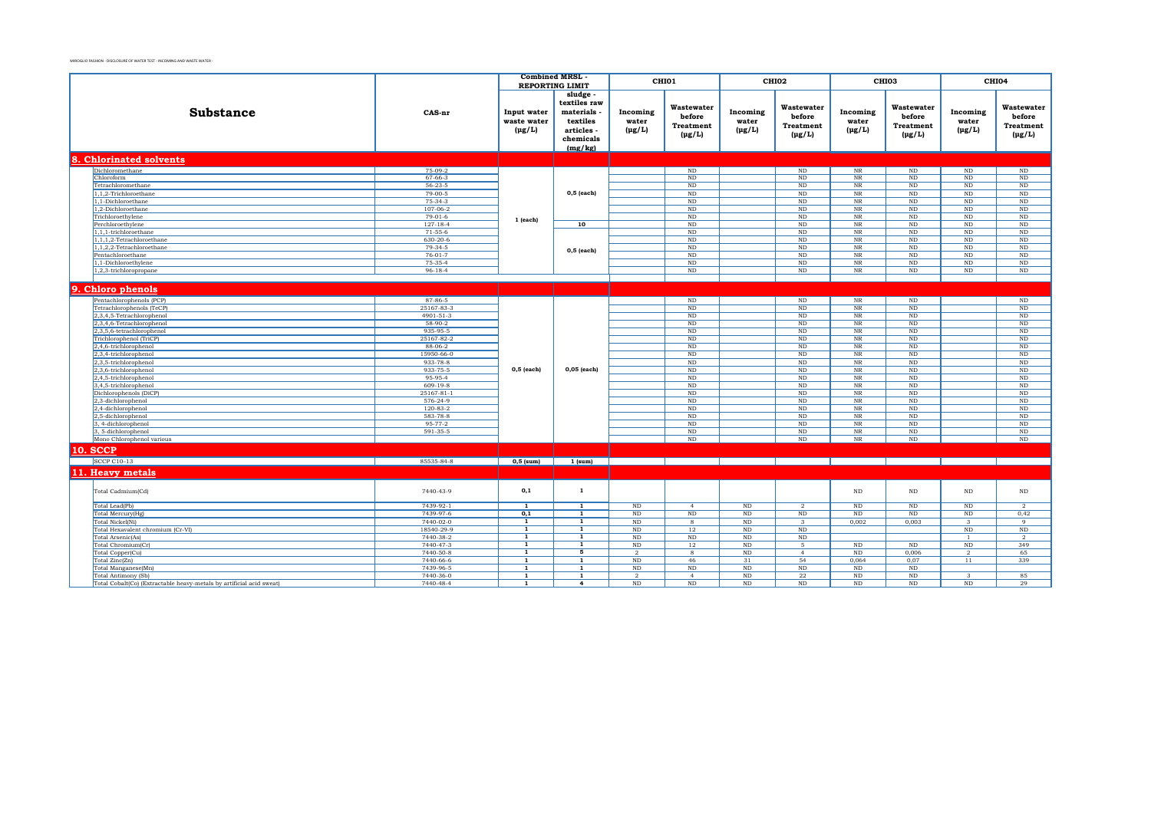|                                                                      |                            | <b>Combined MRSL</b>                      | <b>REPORTING LIMIT</b>                                                                |                                  | CHI01                                                   |                                  | CHI02                                                   |                                  | CHI03                                                       |                                  | CHI04                                            |
|----------------------------------------------------------------------|----------------------------|-------------------------------------------|---------------------------------------------------------------------------------------|----------------------------------|---------------------------------------------------------|----------------------------------|---------------------------------------------------------|----------------------------------|-------------------------------------------------------------|----------------------------------|--------------------------------------------------|
| <b>Substance</b>                                                     | CAS-nr                     | Input water<br>waste water<br>$(\mu g/L)$ | sludge -<br>textiles raw<br>materials<br>textiles<br>articles<br>chemicals<br>(mg/kg) | Incoming<br>water<br>$(\mu g/L)$ | Wastewater<br>before<br><b>Treatment</b><br>$(\mu g/L)$ | Incoming<br>water<br>$(\mu g/L)$ | Wastewater<br>before<br><b>Treatment</b><br>$(\mu g/L)$ | Incoming<br>water<br>$(\mu g/L)$ | Wastewater<br>before<br><b>Treatment</b><br>$(\text{pg/L})$ | Incoming<br>water<br>$(\mu g/L)$ | Wastewater<br>before<br>Treatment<br>$(\mu g/L)$ |
| 8. Chlorinated solvents                                              |                            |                                           |                                                                                       |                                  |                                                         |                                  |                                                         |                                  |                                                             |                                  |                                                  |
| Dichloromethane                                                      | 75-09-2                    |                                           |                                                                                       |                                  | ND                                                      |                                  | $\rm ND$                                                | $_{\rm NR}$                      | ND                                                          | ND                               | ND                                               |
| Chloroform                                                           | $67 - 66 - 3$              |                                           |                                                                                       |                                  | $\rm ND$                                                |                                  | $\rm ND$                                                | $_{\rm NR}$                      | ND                                                          | ND                               | $\rm ND$                                         |
| Tetrachloromethane                                                   | $56 - 23 - 5$              |                                           |                                                                                       |                                  | ND                                                      |                                  | ND                                                      | $_{\rm NR}$                      | ND                                                          | ND                               | ND                                               |
| 1,1,2-Trichloroethane                                                | $79-00-5$                  |                                           | $0,5$ (each)                                                                          |                                  | $\rm ND$                                                |                                  | ND                                                      | $_{\rm NR}$                      | ND                                                          | $\rm ND$                         | $\overline{\mathrm{ND}}$                         |
| 1.1-Dichloroethane                                                   | $75-34-3$                  |                                           |                                                                                       |                                  | ND                                                      |                                  | <b>ND</b>                                               | $_{\rm NR}$                      | ND                                                          | ND                               | $\rm ND$                                         |
| 1,2-Dichloroethane                                                   | $107 - 06 - 2$             |                                           |                                                                                       |                                  | $\rm ND$                                                |                                  | $\rm ND$                                                | $_{\rm NR}$                      | $\rm ND$                                                    | $\rm ND$                         | $\rm ND$                                         |
| Trichloroethylene                                                    | $79-01-6$                  | 1 (each)                                  |                                                                                       |                                  | ND                                                      |                                  | <b>ND</b>                                               | NR                               | ND                                                          | ND                               | $\rm ND$                                         |
| Perchloroethylene                                                    | $127 - 18 - 4$             |                                           | 10                                                                                    |                                  | ND                                                      |                                  | ND                                                      | $_{\rm NR}$                      | ND                                                          | ND                               | ND                                               |
| 1.1.1-trichloroethane                                                | $71 - 55 - 6$              |                                           |                                                                                       |                                  | ND                                                      |                                  | <b>ND</b>                                               | NR                               | ND                                                          | ND                               | ND                                               |
| $1, 1, 1, 2$ -Tetrachloroethane                                      | 630-20-6                   |                                           |                                                                                       |                                  | ND                                                      |                                  | ND                                                      | $\overline{\text{NR}}$           | ND                                                          | ND                               | $\overline{\text{ND}}$                           |
| 1,1,2,2-Tetrachloroethane                                            | $79-34-5$<br>$76 - 01 - 7$ |                                           | $0,5$ (each)                                                                          |                                  | ND<br>ND                                                |                                  | ND                                                      | NR                               | ND<br>ND                                                    | $\rm ND$                         | $\rm ND$                                         |
| Pentachloroethane<br>1,1-Dichloroethylene                            | 75-35-4                    |                                           |                                                                                       |                                  | $\rm ND$                                                |                                  | $\rm ND$<br>$\rm ND$                                    | $_{\rm NR}$<br>$_{\rm NR}$       | ND                                                          | $\rm ND$<br>$\rm ND$             | $\rm ND$<br>$\overline{\mathrm{ND}}$             |
| 1.2.3-trichloropropane                                               | $96 - 18 - 4$              |                                           |                                                                                       |                                  | ND                                                      |                                  | <b>ND</b>                                               | $\overline{\text{NR}}$           | ND                                                          | ND                               | ND                                               |
|                                                                      |                            |                                           |                                                                                       |                                  |                                                         |                                  |                                                         |                                  |                                                             |                                  |                                                  |
|                                                                      |                            |                                           |                                                                                       |                                  |                                                         |                                  |                                                         |                                  |                                                             |                                  |                                                  |
| 9. Chloro phenols                                                    |                            |                                           |                                                                                       |                                  |                                                         |                                  |                                                         |                                  |                                                             |                                  |                                                  |
| Pentachlorophenols (PCP)                                             | 87-86-5                    |                                           |                                                                                       |                                  | ND                                                      |                                  | $\rm ND$                                                | $_{\rm NR}$                      | $\rm ND$                                                    |                                  | $\rm ND$                                         |
| Tetrachlorophenols (TeCP)                                            | 25167-83-3                 |                                           |                                                                                       |                                  | ND                                                      |                                  | $\rm ND$                                                | $_{\rm NR}$                      | ND                                                          |                                  | $\rm ND$                                         |
| 2,3,4,5-Tetrachlorophenol                                            | 4901-51-3                  |                                           |                                                                                       |                                  | ND                                                      |                                  | ND                                                      | $\overline{\text{NR}}$           | ND                                                          |                                  | ND                                               |
| 2,3,4,6-Tetrachlorophenol                                            | $58-90-2$                  |                                           |                                                                                       |                                  | ND                                                      |                                  | <b>ND</b>                                               | NR                               | ND                                                          |                                  | ND                                               |
| 2,3,5,6-tetrachlorophenol                                            | 935-95-5                   |                                           |                                                                                       |                                  | ND                                                      |                                  | ND                                                      | $\overline{\text{NR}}$           | ND                                                          |                                  | $\overline{\mathrm{ND}}$                         |
| Trichlorophenol (TriCP)                                              | 25167-82-2                 |                                           |                                                                                       |                                  | ND                                                      |                                  | <b>ND</b>                                               | NR                               | ND                                                          |                                  | ND                                               |
| 2,4,6-trichlorophenol                                                | 88-06-2                    |                                           |                                                                                       |                                  | $\rm ND$                                                |                                  | $\rm ND$                                                | $_{\rm NR}$                      | $\rm ND$                                                    |                                  | $\rm ND$                                         |
| 2,3,4-trichlorophenol                                                | 15950-66-0                 |                                           |                                                                                       |                                  | ND                                                      |                                  | $\rm ND$                                                | $_{\rm NR}$                      | $\rm ND$                                                    |                                  | $\rm ND$                                         |
| 2,3,5-trichlorophenol                                                | 933-78-8                   |                                           |                                                                                       |                                  | ND                                                      |                                  | ND                                                      | $\overline{\text{NR}}$           | ND                                                          |                                  | ND                                               |
| 2,3,6-trichlorophenol                                                | 933-75-5                   | $0,5$ (each)                              | $0,05$ (each)                                                                         |                                  | ND                                                      |                                  | ND                                                      | NR                               | ND                                                          |                                  | ND                                               |
| 2,4,5-trichlorophenol                                                | 95-95-4                    |                                           |                                                                                       |                                  | ND                                                      |                                  | <b>ND</b>                                               | NR                               | ND                                                          |                                  | ND                                               |
| 3,4,5-trichlorophenol                                                | $609 - 19 - 8$             |                                           |                                                                                       |                                  | ND                                                      |                                  | ND                                                      | $\overline{\text{NR}}$           | ND                                                          |                                  | ND                                               |
| Dichlorophenols (DiCP)                                               | $25167 - 81 - 1$           |                                           |                                                                                       |                                  | ND                                                      |                                  | <b>ND</b>                                               | NR                               | ND                                                          |                                  | ND                                               |
| 2,3-dichlorophenol                                                   | 576-24-9                   |                                           |                                                                                       |                                  | ND                                                      |                                  | ND                                                      | $\overline{\text{NR}}$           | ND                                                          |                                  | ND                                               |
| 2,4-dichlorophenol                                                   | $120 - 83 - 2$             |                                           |                                                                                       |                                  | ND                                                      |                                  | <b>ND</b>                                               | NR                               | ND                                                          |                                  | ND                                               |
| 2,5-dichlorophenol                                                   | 583-78-8                   |                                           |                                                                                       |                                  | $\rm ND$                                                |                                  | $\rm ND$                                                | $\rm NR$                         | $\rm ND$                                                    |                                  | $\rm ND$                                         |
| 3, 4-dichlorophenol<br>3, 5-dichlorophenol                           | 95-77-2<br>591-35-5        |                                           |                                                                                       |                                  | ND<br>$\rm ND$                                          |                                  | <b>ND</b><br>$\rm ND$                                   | NR<br>$\rm{NR}$                  | ND<br>$\rm ND$                                              |                                  | ND<br>$\rm ND$                                   |
| Mono Chlorophenol various                                            |                            |                                           |                                                                                       |                                  | ND                                                      |                                  | ND                                                      | NR                               | ND                                                          |                                  | ND                                               |
|                                                                      |                            |                                           |                                                                                       |                                  |                                                         |                                  |                                                         |                                  |                                                             |                                  |                                                  |
| <b>10. SCCP</b>                                                      |                            |                                           |                                                                                       |                                  |                                                         |                                  |                                                         |                                  |                                                             |                                  |                                                  |
| <b>SCCP C10-13</b>                                                   | 85535-84-8                 | $0,5$ (sum)                               | $1$ (sum)                                                                             |                                  |                                                         |                                  |                                                         |                                  |                                                             |                                  |                                                  |
| 11. Heavy metals                                                     |                            |                                           |                                                                                       |                                  |                                                         |                                  |                                                         |                                  |                                                             |                                  |                                                  |
|                                                                      |                            |                                           |                                                                                       |                                  |                                                         |                                  |                                                         |                                  |                                                             |                                  |                                                  |
| Total Cadmium(Cd)                                                    | 7440-43-9                  | 0,1                                       | $\mathbf{1}$                                                                          |                                  |                                                         |                                  |                                                         | ND                               | $\rm ND$                                                    | $\rm ND$                         | $\rm ND$                                         |
| Total Lead(Pb)                                                       | 7439-92-1                  | $\overline{1}$                            | $\overline{1}$                                                                        | $\rm ND$                         | $\overline{4}$                                          | $\rm ND$                         | $\overline{2}$                                          | $\rm ND$                         | $\rm ND$                                                    | $\rm ND$                         | <sup>2</sup>                                     |
| Total Mercury(Hg)                                                    | 7439-97-6                  | 0,1                                       | 1                                                                                     | $_{\rm ND}$                      | $\rm ND$                                                | $\rm ND$                         | $\rm ND$                                                | $\rm ND$                         | $\rm ND$                                                    | $_{\rm ND}$                      | 0,42                                             |
| Total Nickel(Ni)                                                     | 7440-02-0                  | 1                                         | 1                                                                                     | $\rm ND$                         | 8                                                       | ND                               | $\mathbf{3}$                                            | 0,002                            | 0,003                                                       | $\mathbf{3}$                     | -9                                               |
| Total Hexavalent chromium (Cr-VI)                                    | 18540-29-9                 | $\overline{1}$                            | $\overline{1}$                                                                        | $\rm ND$                         | 12                                                      | ND                               | $\rm ND$                                                |                                  |                                                             | ND                               | $\rm ND$                                         |
| Total Arsenic(As)                                                    | 7440-38-2                  | $\overline{1}$<br>$\mathbf{1}$            | $\overline{1}$                                                                        | $\rm ND$                         | $\rm ND$                                                | ND                               | $\rm ND$<br>5.                                          |                                  |                                                             | -1                               | $\overline{2}$                                   |
| Total Chromium(Cr)                                                   | 7440-47-3<br>7440-50-8     | $\overline{1}$                            | 1<br>5                                                                                | $\rm ND$                         | 12                                                      | $\rm ND$<br>ND                   |                                                         | $\rm ND$<br>ND                   | $\rm ND$<br>0,006                                           | $\rm ND$                         | 349<br>65                                        |
| Total Copper(Cu)<br>Total Zinc(Zn)                                   | 7440-66-6                  | $\mathbf{1}$                              | $\mathbf{1}$                                                                          | $\overline{2}$<br>ND             | 8<br>46                                                 | 31                               | $\overline{4}$<br>54                                    | 0.064                            | 0.07                                                        | $\overline{2}$<br>11             | 339                                              |
| Total Manganese(Mn)                                                  | 7439-96-5                  | $\overline{1}$                            | $\overline{1}$                                                                        | ND                               | ND                                                      | ND                               | ND                                                      | ND                               | ND                                                          |                                  |                                                  |
| Total Antimony (Sb)                                                  | 7440-36-0                  | $\mathbf{1}$                              | $\mathbf{1}$                                                                          | $\overline{2}$                   | $\overline{4}$                                          | $\rm ND$                         | 22                                                      | $\rm ND$                         | $\rm ND$                                                    | $\mathbf{3}$                     | 85                                               |
| Total Cobalt(Co) (Extractable heavy-metals by artificial acid sweat) | 7440-48-4                  | $\mathbf{1}$                              | 4                                                                                     | $\rm ND$                         | ND                                                      | ND                               | ND                                                      | $\rm ND$                         | ND                                                          | ND                               | 29                                               |
|                                                                      |                            |                                           |                                                                                       |                                  |                                                         |                                  |                                                         |                                  |                                                             |                                  |                                                  |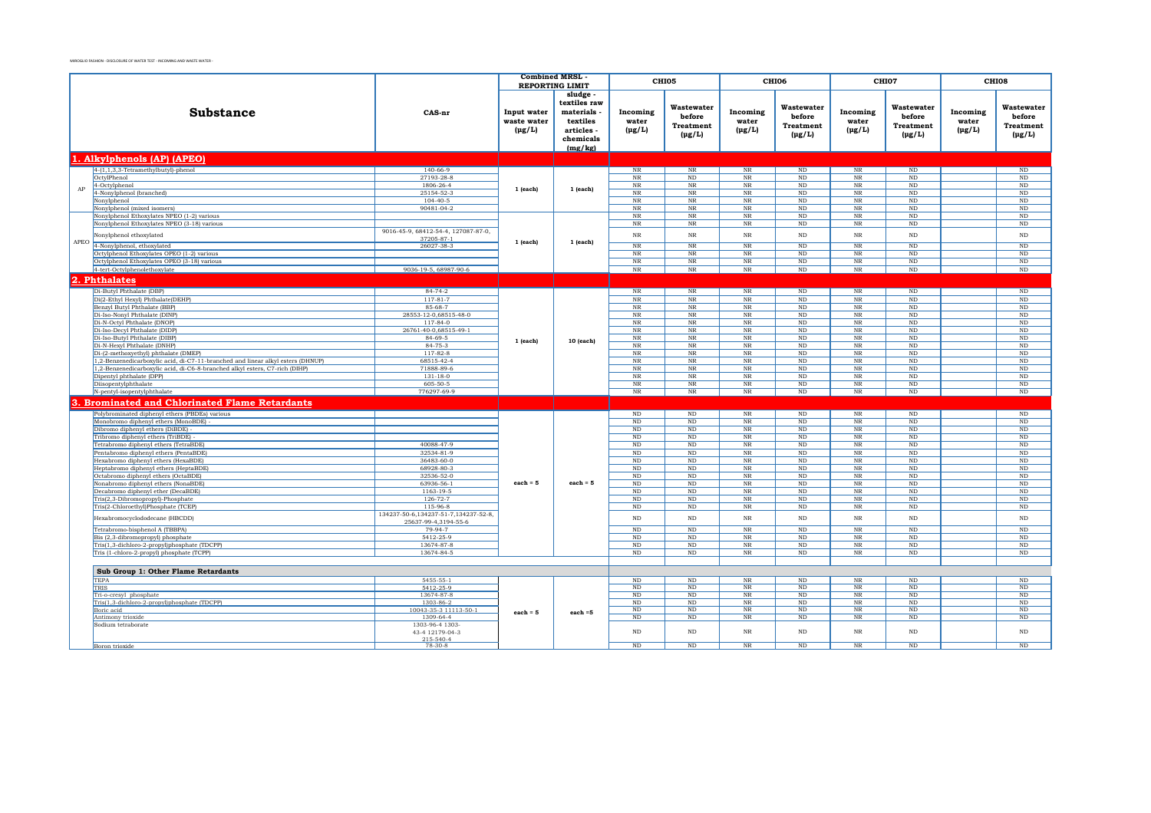| sludge -<br>textiles raw<br>Wastewater<br>Wastewater<br>Wastewater<br>Wastewater<br><b>Substance</b><br>materials<br>Incoming<br>CAS-nr<br>Input water<br>Incoming<br>Incoming<br>Incoming<br>before<br>before<br>before<br>before<br>waste water<br>water<br>water<br>textiles<br>water<br>water<br><b>Treatment</b><br>Treatment<br>Treatment<br>Treatment<br>$(\mu g/L)$<br>articles<br>$(\mu g/L)$<br>$(\mu g/L)$<br>$(\mu g/L)$<br>$(\mu g/L)$<br>$(\mu g/L)$<br>$(\mu g/L)$<br>$(\mu g/L)$<br>$(\text{pg/L})$<br>chemicals<br>(mg/kg)<br>1. Alkylphenols (AP) (APEO)<br>$4-(1,1,3,3-Tetramethylbutyl)-phenol$<br>$140 - 66 - 9$<br>ND<br>$\overline{\mathrm{ND}}$<br>$_{\rm NR}$<br>$_{\rm NR}$<br>$_{\rm NR}$<br>$\rm ND$<br>NR<br>OctylPhenol<br>27193-28-8<br>$_{\rm NR}$<br>ND<br>NR<br>N <sub>D</sub><br>NR<br>ND<br>ND<br>4-Octylphenol<br>1806-26-4<br>$_{\rm NR}$<br>$_{\rm NR}$<br>NR<br><b>ND</b><br>$_{\rm NR}$<br>$\rm ND$<br>$\rm ND$<br>AP<br>1 (each)<br>1 (each)<br>4-Nonylphenol (branched)<br>25154-52-3<br>$_{\rm NR}$<br>$_{\rm NR}$<br>$_{\rm NR}$<br><b>ND</b><br>$_{\rm NR}$<br>$\rm ND$<br>$\rm ND$<br>Nonylphenol<br>$104 - 40 - 5$<br>$_{\rm NR}$<br>$_{\rm NR}$<br>$_{\rm NR}$<br>ND<br>$_{\rm NR}$<br>$\rm ND$<br>$\rm ND$<br>90481-04-2<br>Nonylphenol (mixed isomers)<br>$_{\rm NR}$<br>$_{\rm NR}$<br>$_{\rm NR}$<br>$\rm ND$<br>$_{\rm NR}$<br>$\rm ND$<br>$\rm ND$<br>Nonylphenol Ethoxylates NPEO (1-2) various<br>NR<br>$_{\rm NR}$<br>NR<br>ND<br>NR<br>ND<br>ND<br>$_{\rm NR}$<br>Nonylphenol Ethoxylates NPEO (3-18) various<br>$_{\rm NR}$<br>$_{\rm NR}$<br>ND<br>$_{\rm NR}$<br>$\rm ND$<br>$\rm ND$<br>9016-45-9, 68412-54-4, 127087-87-0,<br>$\rm ND$<br>Nonylphenol ethoxylated<br>$_{\rm NR}$<br>$_{\rm NR}$<br>$_{\rm NR}$<br><b>ND</b><br>$_{\rm NR}$<br>$\rm ND$<br>37205-87-1<br>APEO<br>1 (each)<br>1 (each)<br>4-Nonylphenol, ethoxylated<br>26027-38-3<br>$_{\rm NR}$<br>$\overline{\text{NR}}$<br>ND<br>NR<br><b>ND</b><br>$\overline{\text{NR}}$<br>ND<br>Octylphenol Ethoxylates OPEO (1-2) various<br>$\overline{\text{NR}}$<br>$_{\rm NR}$<br>NR<br>ND<br>NR<br>ND<br>ND<br>Octylphenol Ethoxylates OPEO (3-18) various<br>$_{\rm NR}$<br>$\overline{\text{NR}}$<br>ND<br>$_{\rm NR}$<br><b>ND</b><br>$_{\rm NR}$<br>$\rm ND$<br>4-tert-Octylphenolethoxylate<br>9036-19-5, 68987-90-6<br>$_{\rm NR}$<br>NR<br>ND<br>ND<br>$_{\rm NR}$<br>ND<br>$_{\rm NR}$<br>2.<br><b>Phthalates</b><br>$84 - 74 - 2$<br>$\overline{\text{NR}}$<br>$\overline{\text{ND}}$<br>$\overline{\text{ND}}$<br>$\overline{\text{ND}}$<br>Di-Butyl Phthalate (DBP)<br>$\rm{NR}$<br>$\rm{NR}$<br>$\overline{\text{NR}}$<br>Di(2-Ethyl Hexyl) Phthalate(DEHP)<br>$117 - 81 - 7$<br>$\rm NR$<br>$\rm NR$<br>$\rm ND$<br>$_{\rm NR}$<br>$_{\rm NR}$<br>$\rm ND$<br>$_{\rm ND}$<br>85-68-7<br>$_{\rm NR}$<br>Benzyl Butyl Phthalate (BBP)<br>$_{\rm NR}$<br>$_{\rm NR}$<br>ND<br>$_{\rm NR}$<br>$\rm ND$<br>ND<br>Di-Iso-Nonyl Phthalate (DINP)<br>28553-12-0,68515-48-0<br>$_{\rm NR}$<br>NR<br>$_{\rm NR}$<br>ND<br>NR<br>ND<br>ND<br>Di-N-Octyl Phthalate (DNOP)<br>117-84-0<br>$_{\rm NR}$<br>NR<br>$_{\rm NR}$<br>ND<br>NR<br>ND<br>ND<br>Di-Iso-Decyl Phthalate (DIDP)<br>26761-40-0,68515-49-1<br>$_{\rm NR}$<br>$_{\rm NR}$<br>$\rm ND$<br>$_{\rm NR}$<br>$\rm ND$<br>NR<br>ND<br>84-69-5<br>Di-Iso-Butyl Phthalate (DIBP)<br>$_{\rm NR}$<br>$_{\rm NR}$<br>$_{\rm NR}$<br>$\rm ND$<br>$_{\rm NR}$<br>$\rm ND$<br>$\rm ND$<br>1 (each)<br>10 (each)<br>$84 - 75 - 3$<br>Di-N-Hexyl Phthalate (DNHP)<br>$\overline{\text{NR}}$<br>$_{\rm NR}$<br>$_{\rm NR}$<br>$\rm ND$<br>$_{\rm NR}$<br>$\rm ND$<br>$\rm ND$<br>$117 - 82 - 8$<br>Di-(2-methoxyethyl) phthalate (DMEP)<br>$\rm{NR}$<br>$\overline{\text{NR}}$<br>$\mathop{\rm ND}\nolimits$<br>$\overline{\text{NR}}$<br>$\rm ND$<br>$\rm NR$<br>$_{\rm ND}$<br>1,2-Benzenedicarboxylic acid, di-C7-11-branched and linear alkyl esters (DHNUP)<br>68515-42-4<br>$\overline{\text{NR}}$<br>$\rm{NR}$<br>$\overline{\text{NR}}$<br><b>ND</b><br>$\overline{\text{NR}}$<br>$_{\rm ND}$<br>$\rm ND$<br>1,2-Benzenedicarboxylic acid, di-C6-8-branched alkyl esters, C7-rich (DIHP)<br>71888-89-6<br>$_{\rm NR}$<br>$\overline{\text{NR}}$<br><b>ND</b><br>$_{\rm NR}$<br>$_{\rm NR}$<br>$\rm ND$<br>$\rm ND$<br>$131 - 18 - 0$<br>$\overline{\text{NR}}$<br>$_{\rm NR}$<br><b>NR</b><br><b>ND</b><br>$\overline{\text{NR}}$<br>ND<br>$\overline{\text{ND}}$<br>Dipentyl phthalate (DPP)<br>Diisopentylphthalate<br>605-50-5<br>$_{\rm NR}$<br>$_{\rm NR}$<br>NR<br><b>ND</b><br>$\overline{\text{NR}}$<br>ND<br>$\rm ND$<br>N-pentyl-isopentylphthalate<br>776297-69-9<br>NR<br>NR<br>N <sub>R</sub><br><b>ND</b><br>$\overline{\text{NR}}$<br>ND<br>ND<br><b>Brominated and Chlorinated Flame Retardants</b><br>$_{\rm NR}$<br>ND<br>ND<br>Polybrominated diphenyl ethers (PBDEs) various<br>$\rm ND$<br>$\rm ND$<br>$_{\rm NR}$<br>$\rm ND$<br>Monobromo diphenyl ethers (MonoBDE)<br>$_{\rm ND}$<br>$\rm ND$<br>NR<br>ND<br>$_{\rm NR}$<br>$_{\rm ND}$<br>$\rm ND$<br>Dibromo diphenyl ethers (DiBDE)<br>$_{\rm ND}$<br>$\rm ND$<br>$\rm NR$<br><b>ND</b><br>$_{\rm NR}$<br>$_{\rm ND}$<br>$\rm ND$<br>Tribromo diphenyl ethers (TriBDE)<br>$_{\rm ND}$<br>$\rm ND$<br>NR<br><b>ND</b><br>$_{\rm NR}$<br>$_{\rm ND}$<br>$\rm ND$<br>Tetrabromo diphenyl ethers (TetraBDE)<br>40088-47-9<br>$\rm ND$<br>ND<br><b>NR</b><br><b>ND</b><br>NR<br>$_{\rm ND}$<br>ND<br>32534-81-9<br>Pentabromo diphenyl ethers (PentaBDE)<br>$\rm ND$<br>$\rm ND$<br>NR<br><b>ND</b><br>$_{\rm NR}$<br>$_{\rm ND}$<br>$\rm ND$<br>36483-60-0<br>Hexabromo diphenyl ethers (HexaBDE)<br>$\rm ND$<br>$\rm ND$<br>$_{\rm NR}$<br><b>ND</b><br>$_{\rm NR}$<br>$\rm ND$<br>$\rm ND$<br>Heptabromo diphenyl ethers (HeptaBDE)<br>68928-80-3<br>$\rm ND$<br>$\rm ND$<br>$_{\rm NR}$<br><b>ND</b><br>$_{\rm NR}$<br>$\rm ND$<br>$\rm ND$<br>Octabromo diphenyl ethers (OctaBDE)<br>32536-52-0<br>ND<br>ND<br>$_{\rm NR}$<br>ND<br>NR<br>ND<br>ND<br>each = $5$<br>Nonabromo diphenyl ethers (NonaBDE)<br>63936-56-1<br>each $=$ 5<br>$_{\rm NR}$<br>ND<br>ND<br>ND<br>NR<br>ND<br>ND<br>Decabromo diphenyl ether (DecaBDE)<br>1163-19-5<br>$_{\rm NR}$<br><b>ND</b><br>ND<br>ND<br>NR<br>N <sub>D</sub><br>ND<br>Tris(2,3-Dibromopropyl)-Phosphate<br>126-72-7<br>$\rm NR$<br><b>ND</b><br>ND<br>$\rm ND$<br>ND<br>ND<br>NR<br>$115-96-8$<br>NR<br>ND<br>Tris(2-Chloroethyl)Phosphate (TCEP)<br>$\rm ND$<br>$\rm ND$<br>$_{\rm NR}$<br>$\rm ND$<br>ND<br>134237-50-6, 134237-51-7, 134237-52-8,<br>Hexabromocyclododecane (HBCDD)<br>$\rm ND$<br>$\rm ND$<br><b>NR</b><br>ND<br>$_{\rm NR}$<br>$\rm ND$<br>$\rm ND$<br>25637-99-4,3194-55-6<br>Tetrabromo-bisphenol A (TBBPA)<br><b>NR</b><br>$\rm ND$<br>79-94-7<br>$\rm ND$<br>ND<br><b>ND</b><br>$_{\rm NR}$<br>ND<br>5412-25-9<br>ND<br>N <sub>R</sub><br><b>ND</b><br>$\overline{\text{NR}}$<br>ND<br>$\overline{\text{ND}}$<br>Bis (2,3-dibromopropyl) phosphate<br>ND<br>13674-87-8<br>ND<br>N <sub>R</sub><br><b>ND</b><br>$\overline{\text{NR}}$<br>ND<br>$\overline{\text{ND}}$<br>Tris(1,3-dichloro-2-propyl)phosphate (TDCPP)<br>$\rm ND$<br>Tris (1-chloro-2-propyl) phosphate (TCPP)<br>13674-84-5<br>ND<br>ND<br>$\overline{\text{NR}}$<br>ND<br>NR<br>ND<br>ND<br>Sub Group 1: Other Flame Retardants<br><b>TEPA</b><br>5455-55-1<br>$\rm ND$<br>ND<br>$_{\rm NR}$<br>ND<br>NR<br>ND<br>ND<br>ND<br>ND<br>$\overline{\text{NR}}$<br>ND<br>$\overline{\text{NR}}$<br>ND<br>$\overline{\mathrm{ND}}$<br>5412-25-9<br>TRIS<br>Tri-o-cresyl phosphate<br>13674-87-8<br>ND<br>ND<br>$\rm{NR}$<br>ND<br>$\overline{\text{NR}}$<br>ND<br>ND<br>Tris(1,3-dichloro-2-propyl)phosphate (TDCPP)<br>1303-86-2<br>ND<br>$\overline{\text{NR}}$<br><b>ND</b><br>$\overline{\text{NR}}$<br>ND<br>ND<br>$\rm ND$<br>10043-35-3 11113-50-1<br>ND<br>ND<br>NR<br>ND<br>NR<br>ND<br>ND<br>Boric acid<br>$each = 5$<br>each $=5$<br>NR<br>$\rm ND$<br>$\rm ND$<br>Antimony trioxide<br>1309-64-4<br>ND<br>ND<br>ND<br>NR<br>1303-96-4 1303-<br>Sodium tetraborate<br>$\rm ND$<br>$\rm ND$<br>$\rm NR$<br>$\rm NR$<br>$_{\rm ND}$<br>43-4 12179-04-3<br><b>ND</b><br>$\rm ND$<br>$215 - 540 - 4$<br>$\overline{\text{NR}}$<br>ND<br>ND<br>$\rm ND$<br>ND<br>$_{\rm NR}$<br>ND<br>Boron trioxide<br>78-30-8 |    |  |  | <b>Combined MRSL</b> | <b>REPORTING LIMIT</b> | CHI05 | CHI06 | CHI07 |  | CHI08 |
|------------------------------------------------------------------------------------------------------------------------------------------------------------------------------------------------------------------------------------------------------------------------------------------------------------------------------------------------------------------------------------------------------------------------------------------------------------------------------------------------------------------------------------------------------------------------------------------------------------------------------------------------------------------------------------------------------------------------------------------------------------------------------------------------------------------------------------------------------------------------------------------------------------------------------------------------------------------------------------------------------------------------------------------------------------------------------------------------------------------------------------------------------------------------------------------------------------------------------------------------------------------------------------------------------------------------------------------------------------------------------------------------------------------------------------------------------------------------------------------------------------------------------------------------------------------------------------------------------------------------------------------------------------------------------------------------------------------------------------------------------------------------------------------------------------------------------------------------------------------------------------------------------------------------------------------------------------------------------------------------------------------------------------------------------------------------------------------------------------------------------------------------------------------------------------------------------------------------------------------------------------------------------------------------------------------------------------------------------------------------------------------------------------------------------------------------------------------------------------------------------------------------------------------------------------------------------------------------------------------------------------------------------------------------------------------------------------------------------------------------------------------------------------------------------------------------------------------------------------------------------------------------------------------------------------------------------------------------------------------------------------------------------------------------------------------------------------------------------------------------------------------------------------------------------------------------------------------------------------------------------------------------------------------------------------------------------------------------------------------------------------------------------------------------------------------------------------------------------------------------------------------------------------------------------------------------------------------------------------------------------------------------------------------------------------------------------------------------------------------------------------------------------------------------------------------------------------------------------------------------------------------------------------------------------------------------------------------------------------------------------------------------------------------------------------------------------------------------------------------------------------------------------------------------------------------------------------------------------------------------------------------------------------------------------------------------------------------------------------------------------------------------------------------------------------------------------------------------------------------------------------------------------------------------------------------------------------------------------------------------------------------------------------------------------------------------------------------------------------------------------------------------------------------------------------------------------------------------------------------------------------------------------------------------------------------------------------------------------------------------------------------------------------------------------------------------------------------------------------------------------------------------------------------------------------------------------------------------------------------------------------------------------------------------------------------------------------------------------------------------------------------------------------------------------------------------------------------------------------------------------------------------------------------------------------------------------------------------------------------------------------------------------------------------------------------------------------------------------------------------------------------------------------------------------------------------------------------------------------------------------------------------------------------------------------------------------------------------------------------------------------------------------------------------------------------------------------------------------------------------------------------------------------------------------------------------------------------------------------------------------------------------------------------------------------------------------------------------------------------------------------------------------------------------------------------------------------------------------------------------------------------------------------------------------------------------------------------------------------------------------------------------------------------------------------------------------------------------------------------------------------------------------------------------------------------------------------------------------------------------------------------------------------------------------------------------------------------------------------------------------------------------------------------------------------------------------------------------------------------------------------------------------------------------------------------------------------------------------------------------------------------------------------------------------------------------------------------------------------------------------------------------------------------------------------------------------------------------------------------------------------------------------------------------------------------------------------------------------------------------------------------------------------------------------------------------------------------------------------------------------------------------------------------------------------------------------------------------------------------------------------------------------------------------------------------------------------------------------------------------------------------------------------------------------------------------------------------------------------------------------------------------------------------------------------------------------------------------------------------------------------------------------------------------------------------------|----|--|--|----------------------|------------------------|-------|-------|-------|--|-------|
|                                                                                                                                                                                                                                                                                                                                                                                                                                                                                                                                                                                                                                                                                                                                                                                                                                                                                                                                                                                                                                                                                                                                                                                                                                                                                                                                                                                                                                                                                                                                                                                                                                                                                                                                                                                                                                                                                                                                                                                                                                                                                                                                                                                                                                                                                                                                                                                                                                                                                                                                                                                                                                                                                                                                                                                                                                                                                                                                                                                                                                                                                                                                                                                                                                                                                                                                                                                                                                                                                                                                                                                                                                                                                                                                                                                                                                                                                                                                                                                                                                                                                                                                                                                                                                                                                                                                                                                                                                                                                                                                                                                                                                                                                                                                                                                                                                                                                                                                                                                                                                                                                                                                                                                                                                                                                                                                                                                                                                                                                                                                                                                                                                                                                                                                                                                                                                                                                                                                                                                                                                                                                                                                                                                                                                                                                                                                                                                                                                                                                                                                                                                                                                                                                                                                                                                                                                                                                                                                                                                                                                                                                                                                                                                                                                                                                                                                                                                                                                                                                                                                                                                                                                                                                                                                                                                                                                                                                                                                                                                                                                                                                                                                                                                                                                                                                                                        |    |  |  |                      |                        |       |       |       |  |       |
|                                                                                                                                                                                                                                                                                                                                                                                                                                                                                                                                                                                                                                                                                                                                                                                                                                                                                                                                                                                                                                                                                                                                                                                                                                                                                                                                                                                                                                                                                                                                                                                                                                                                                                                                                                                                                                                                                                                                                                                                                                                                                                                                                                                                                                                                                                                                                                                                                                                                                                                                                                                                                                                                                                                                                                                                                                                                                                                                                                                                                                                                                                                                                                                                                                                                                                                                                                                                                                                                                                                                                                                                                                                                                                                                                                                                                                                                                                                                                                                                                                                                                                                                                                                                                                                                                                                                                                                                                                                                                                                                                                                                                                                                                                                                                                                                                                                                                                                                                                                                                                                                                                                                                                                                                                                                                                                                                                                                                                                                                                                                                                                                                                                                                                                                                                                                                                                                                                                                                                                                                                                                                                                                                                                                                                                                                                                                                                                                                                                                                                                                                                                                                                                                                                                                                                                                                                                                                                                                                                                                                                                                                                                                                                                                                                                                                                                                                                                                                                                                                                                                                                                                                                                                                                                                                                                                                                                                                                                                                                                                                                                                                                                                                                                                                                                                                                                        |    |  |  |                      |                        |       |       |       |  |       |
|                                                                                                                                                                                                                                                                                                                                                                                                                                                                                                                                                                                                                                                                                                                                                                                                                                                                                                                                                                                                                                                                                                                                                                                                                                                                                                                                                                                                                                                                                                                                                                                                                                                                                                                                                                                                                                                                                                                                                                                                                                                                                                                                                                                                                                                                                                                                                                                                                                                                                                                                                                                                                                                                                                                                                                                                                                                                                                                                                                                                                                                                                                                                                                                                                                                                                                                                                                                                                                                                                                                                                                                                                                                                                                                                                                                                                                                                                                                                                                                                                                                                                                                                                                                                                                                                                                                                                                                                                                                                                                                                                                                                                                                                                                                                                                                                                                                                                                                                                                                                                                                                                                                                                                                                                                                                                                                                                                                                                                                                                                                                                                                                                                                                                                                                                                                                                                                                                                                                                                                                                                                                                                                                                                                                                                                                                                                                                                                                                                                                                                                                                                                                                                                                                                                                                                                                                                                                                                                                                                                                                                                                                                                                                                                                                                                                                                                                                                                                                                                                                                                                                                                                                                                                                                                                                                                                                                                                                                                                                                                                                                                                                                                                                                                                                                                                                                                        |    |  |  |                      |                        |       |       |       |  |       |
|                                                                                                                                                                                                                                                                                                                                                                                                                                                                                                                                                                                                                                                                                                                                                                                                                                                                                                                                                                                                                                                                                                                                                                                                                                                                                                                                                                                                                                                                                                                                                                                                                                                                                                                                                                                                                                                                                                                                                                                                                                                                                                                                                                                                                                                                                                                                                                                                                                                                                                                                                                                                                                                                                                                                                                                                                                                                                                                                                                                                                                                                                                                                                                                                                                                                                                                                                                                                                                                                                                                                                                                                                                                                                                                                                                                                                                                                                                                                                                                                                                                                                                                                                                                                                                                                                                                                                                                                                                                                                                                                                                                                                                                                                                                                                                                                                                                                                                                                                                                                                                                                                                                                                                                                                                                                                                                                                                                                                                                                                                                                                                                                                                                                                                                                                                                                                                                                                                                                                                                                                                                                                                                                                                                                                                                                                                                                                                                                                                                                                                                                                                                                                                                                                                                                                                                                                                                                                                                                                                                                                                                                                                                                                                                                                                                                                                                                                                                                                                                                                                                                                                                                                                                                                                                                                                                                                                                                                                                                                                                                                                                                                                                                                                                                                                                                                                                        |    |  |  |                      |                        |       |       |       |  |       |
|                                                                                                                                                                                                                                                                                                                                                                                                                                                                                                                                                                                                                                                                                                                                                                                                                                                                                                                                                                                                                                                                                                                                                                                                                                                                                                                                                                                                                                                                                                                                                                                                                                                                                                                                                                                                                                                                                                                                                                                                                                                                                                                                                                                                                                                                                                                                                                                                                                                                                                                                                                                                                                                                                                                                                                                                                                                                                                                                                                                                                                                                                                                                                                                                                                                                                                                                                                                                                                                                                                                                                                                                                                                                                                                                                                                                                                                                                                                                                                                                                                                                                                                                                                                                                                                                                                                                                                                                                                                                                                                                                                                                                                                                                                                                                                                                                                                                                                                                                                                                                                                                                                                                                                                                                                                                                                                                                                                                                                                                                                                                                                                                                                                                                                                                                                                                                                                                                                                                                                                                                                                                                                                                                                                                                                                                                                                                                                                                                                                                                                                                                                                                                                                                                                                                                                                                                                                                                                                                                                                                                                                                                                                                                                                                                                                                                                                                                                                                                                                                                                                                                                                                                                                                                                                                                                                                                                                                                                                                                                                                                                                                                                                                                                                                                                                                                                                        |    |  |  |                      |                        |       |       |       |  |       |
|                                                                                                                                                                                                                                                                                                                                                                                                                                                                                                                                                                                                                                                                                                                                                                                                                                                                                                                                                                                                                                                                                                                                                                                                                                                                                                                                                                                                                                                                                                                                                                                                                                                                                                                                                                                                                                                                                                                                                                                                                                                                                                                                                                                                                                                                                                                                                                                                                                                                                                                                                                                                                                                                                                                                                                                                                                                                                                                                                                                                                                                                                                                                                                                                                                                                                                                                                                                                                                                                                                                                                                                                                                                                                                                                                                                                                                                                                                                                                                                                                                                                                                                                                                                                                                                                                                                                                                                                                                                                                                                                                                                                                                                                                                                                                                                                                                                                                                                                                                                                                                                                                                                                                                                                                                                                                                                                                                                                                                                                                                                                                                                                                                                                                                                                                                                                                                                                                                                                                                                                                                                                                                                                                                                                                                                                                                                                                                                                                                                                                                                                                                                                                                                                                                                                                                                                                                                                                                                                                                                                                                                                                                                                                                                                                                                                                                                                                                                                                                                                                                                                                                                                                                                                                                                                                                                                                                                                                                                                                                                                                                                                                                                                                                                                                                                                                                                        |    |  |  |                      |                        |       |       |       |  |       |
|                                                                                                                                                                                                                                                                                                                                                                                                                                                                                                                                                                                                                                                                                                                                                                                                                                                                                                                                                                                                                                                                                                                                                                                                                                                                                                                                                                                                                                                                                                                                                                                                                                                                                                                                                                                                                                                                                                                                                                                                                                                                                                                                                                                                                                                                                                                                                                                                                                                                                                                                                                                                                                                                                                                                                                                                                                                                                                                                                                                                                                                                                                                                                                                                                                                                                                                                                                                                                                                                                                                                                                                                                                                                                                                                                                                                                                                                                                                                                                                                                                                                                                                                                                                                                                                                                                                                                                                                                                                                                                                                                                                                                                                                                                                                                                                                                                                                                                                                                                                                                                                                                                                                                                                                                                                                                                                                                                                                                                                                                                                                                                                                                                                                                                                                                                                                                                                                                                                                                                                                                                                                                                                                                                                                                                                                                                                                                                                                                                                                                                                                                                                                                                                                                                                                                                                                                                                                                                                                                                                                                                                                                                                                                                                                                                                                                                                                                                                                                                                                                                                                                                                                                                                                                                                                                                                                                                                                                                                                                                                                                                                                                                                                                                                                                                                                                                                        |    |  |  |                      |                        |       |       |       |  |       |
|                                                                                                                                                                                                                                                                                                                                                                                                                                                                                                                                                                                                                                                                                                                                                                                                                                                                                                                                                                                                                                                                                                                                                                                                                                                                                                                                                                                                                                                                                                                                                                                                                                                                                                                                                                                                                                                                                                                                                                                                                                                                                                                                                                                                                                                                                                                                                                                                                                                                                                                                                                                                                                                                                                                                                                                                                                                                                                                                                                                                                                                                                                                                                                                                                                                                                                                                                                                                                                                                                                                                                                                                                                                                                                                                                                                                                                                                                                                                                                                                                                                                                                                                                                                                                                                                                                                                                                                                                                                                                                                                                                                                                                                                                                                                                                                                                                                                                                                                                                                                                                                                                                                                                                                                                                                                                                                                                                                                                                                                                                                                                                                                                                                                                                                                                                                                                                                                                                                                                                                                                                                                                                                                                                                                                                                                                                                                                                                                                                                                                                                                                                                                                                                                                                                                                                                                                                                                                                                                                                                                                                                                                                                                                                                                                                                                                                                                                                                                                                                                                                                                                                                                                                                                                                                                                                                                                                                                                                                                                                                                                                                                                                                                                                                                                                                                                                                        |    |  |  |                      |                        |       |       |       |  |       |
|                                                                                                                                                                                                                                                                                                                                                                                                                                                                                                                                                                                                                                                                                                                                                                                                                                                                                                                                                                                                                                                                                                                                                                                                                                                                                                                                                                                                                                                                                                                                                                                                                                                                                                                                                                                                                                                                                                                                                                                                                                                                                                                                                                                                                                                                                                                                                                                                                                                                                                                                                                                                                                                                                                                                                                                                                                                                                                                                                                                                                                                                                                                                                                                                                                                                                                                                                                                                                                                                                                                                                                                                                                                                                                                                                                                                                                                                                                                                                                                                                                                                                                                                                                                                                                                                                                                                                                                                                                                                                                                                                                                                                                                                                                                                                                                                                                                                                                                                                                                                                                                                                                                                                                                                                                                                                                                                                                                                                                                                                                                                                                                                                                                                                                                                                                                                                                                                                                                                                                                                                                                                                                                                                                                                                                                                                                                                                                                                                                                                                                                                                                                                                                                                                                                                                                                                                                                                                                                                                                                                                                                                                                                                                                                                                                                                                                                                                                                                                                                                                                                                                                                                                                                                                                                                                                                                                                                                                                                                                                                                                                                                                                                                                                                                                                                                                                                        |    |  |  |                      |                        |       |       |       |  |       |
|                                                                                                                                                                                                                                                                                                                                                                                                                                                                                                                                                                                                                                                                                                                                                                                                                                                                                                                                                                                                                                                                                                                                                                                                                                                                                                                                                                                                                                                                                                                                                                                                                                                                                                                                                                                                                                                                                                                                                                                                                                                                                                                                                                                                                                                                                                                                                                                                                                                                                                                                                                                                                                                                                                                                                                                                                                                                                                                                                                                                                                                                                                                                                                                                                                                                                                                                                                                                                                                                                                                                                                                                                                                                                                                                                                                                                                                                                                                                                                                                                                                                                                                                                                                                                                                                                                                                                                                                                                                                                                                                                                                                                                                                                                                                                                                                                                                                                                                                                                                                                                                                                                                                                                                                                                                                                                                                                                                                                                                                                                                                                                                                                                                                                                                                                                                                                                                                                                                                                                                                                                                                                                                                                                                                                                                                                                                                                                                                                                                                                                                                                                                                                                                                                                                                                                                                                                                                                                                                                                                                                                                                                                                                                                                                                                                                                                                                                                                                                                                                                                                                                                                                                                                                                                                                                                                                                                                                                                                                                                                                                                                                                                                                                                                                                                                                                                                        |    |  |  |                      |                        |       |       |       |  |       |
|                                                                                                                                                                                                                                                                                                                                                                                                                                                                                                                                                                                                                                                                                                                                                                                                                                                                                                                                                                                                                                                                                                                                                                                                                                                                                                                                                                                                                                                                                                                                                                                                                                                                                                                                                                                                                                                                                                                                                                                                                                                                                                                                                                                                                                                                                                                                                                                                                                                                                                                                                                                                                                                                                                                                                                                                                                                                                                                                                                                                                                                                                                                                                                                                                                                                                                                                                                                                                                                                                                                                                                                                                                                                                                                                                                                                                                                                                                                                                                                                                                                                                                                                                                                                                                                                                                                                                                                                                                                                                                                                                                                                                                                                                                                                                                                                                                                                                                                                                                                                                                                                                                                                                                                                                                                                                                                                                                                                                                                                                                                                                                                                                                                                                                                                                                                                                                                                                                                                                                                                                                                                                                                                                                                                                                                                                                                                                                                                                                                                                                                                                                                                                                                                                                                                                                                                                                                                                                                                                                                                                                                                                                                                                                                                                                                                                                                                                                                                                                                                                                                                                                                                                                                                                                                                                                                                                                                                                                                                                                                                                                                                                                                                                                                                                                                                                                                        |    |  |  |                      |                        |       |       |       |  |       |
|                                                                                                                                                                                                                                                                                                                                                                                                                                                                                                                                                                                                                                                                                                                                                                                                                                                                                                                                                                                                                                                                                                                                                                                                                                                                                                                                                                                                                                                                                                                                                                                                                                                                                                                                                                                                                                                                                                                                                                                                                                                                                                                                                                                                                                                                                                                                                                                                                                                                                                                                                                                                                                                                                                                                                                                                                                                                                                                                                                                                                                                                                                                                                                                                                                                                                                                                                                                                                                                                                                                                                                                                                                                                                                                                                                                                                                                                                                                                                                                                                                                                                                                                                                                                                                                                                                                                                                                                                                                                                                                                                                                                                                                                                                                                                                                                                                                                                                                                                                                                                                                                                                                                                                                                                                                                                                                                                                                                                                                                                                                                                                                                                                                                                                                                                                                                                                                                                                                                                                                                                                                                                                                                                                                                                                                                                                                                                                                                                                                                                                                                                                                                                                                                                                                                                                                                                                                                                                                                                                                                                                                                                                                                                                                                                                                                                                                                                                                                                                                                                                                                                                                                                                                                                                                                                                                                                                                                                                                                                                                                                                                                                                                                                                                                                                                                                                                        |    |  |  |                      |                        |       |       |       |  |       |
|                                                                                                                                                                                                                                                                                                                                                                                                                                                                                                                                                                                                                                                                                                                                                                                                                                                                                                                                                                                                                                                                                                                                                                                                                                                                                                                                                                                                                                                                                                                                                                                                                                                                                                                                                                                                                                                                                                                                                                                                                                                                                                                                                                                                                                                                                                                                                                                                                                                                                                                                                                                                                                                                                                                                                                                                                                                                                                                                                                                                                                                                                                                                                                                                                                                                                                                                                                                                                                                                                                                                                                                                                                                                                                                                                                                                                                                                                                                                                                                                                                                                                                                                                                                                                                                                                                                                                                                                                                                                                                                                                                                                                                                                                                                                                                                                                                                                                                                                                                                                                                                                                                                                                                                                                                                                                                                                                                                                                                                                                                                                                                                                                                                                                                                                                                                                                                                                                                                                                                                                                                                                                                                                                                                                                                                                                                                                                                                                                                                                                                                                                                                                                                                                                                                                                                                                                                                                                                                                                                                                                                                                                                                                                                                                                                                                                                                                                                                                                                                                                                                                                                                                                                                                                                                                                                                                                                                                                                                                                                                                                                                                                                                                                                                                                                                                                                                        |    |  |  |                      |                        |       |       |       |  |       |
|                                                                                                                                                                                                                                                                                                                                                                                                                                                                                                                                                                                                                                                                                                                                                                                                                                                                                                                                                                                                                                                                                                                                                                                                                                                                                                                                                                                                                                                                                                                                                                                                                                                                                                                                                                                                                                                                                                                                                                                                                                                                                                                                                                                                                                                                                                                                                                                                                                                                                                                                                                                                                                                                                                                                                                                                                                                                                                                                                                                                                                                                                                                                                                                                                                                                                                                                                                                                                                                                                                                                                                                                                                                                                                                                                                                                                                                                                                                                                                                                                                                                                                                                                                                                                                                                                                                                                                                                                                                                                                                                                                                                                                                                                                                                                                                                                                                                                                                                                                                                                                                                                                                                                                                                                                                                                                                                                                                                                                                                                                                                                                                                                                                                                                                                                                                                                                                                                                                                                                                                                                                                                                                                                                                                                                                                                                                                                                                                                                                                                                                                                                                                                                                                                                                                                                                                                                                                                                                                                                                                                                                                                                                                                                                                                                                                                                                                                                                                                                                                                                                                                                                                                                                                                                                                                                                                                                                                                                                                                                                                                                                                                                                                                                                                                                                                                                                        |    |  |  |                      |                        |       |       |       |  |       |
|                                                                                                                                                                                                                                                                                                                                                                                                                                                                                                                                                                                                                                                                                                                                                                                                                                                                                                                                                                                                                                                                                                                                                                                                                                                                                                                                                                                                                                                                                                                                                                                                                                                                                                                                                                                                                                                                                                                                                                                                                                                                                                                                                                                                                                                                                                                                                                                                                                                                                                                                                                                                                                                                                                                                                                                                                                                                                                                                                                                                                                                                                                                                                                                                                                                                                                                                                                                                                                                                                                                                                                                                                                                                                                                                                                                                                                                                                                                                                                                                                                                                                                                                                                                                                                                                                                                                                                                                                                                                                                                                                                                                                                                                                                                                                                                                                                                                                                                                                                                                                                                                                                                                                                                                                                                                                                                                                                                                                                                                                                                                                                                                                                                                                                                                                                                                                                                                                                                                                                                                                                                                                                                                                                                                                                                                                                                                                                                                                                                                                                                                                                                                                                                                                                                                                                                                                                                                                                                                                                                                                                                                                                                                                                                                                                                                                                                                                                                                                                                                                                                                                                                                                                                                                                                                                                                                                                                                                                                                                                                                                                                                                                                                                                                                                                                                                                                        |    |  |  |                      |                        |       |       |       |  |       |
|                                                                                                                                                                                                                                                                                                                                                                                                                                                                                                                                                                                                                                                                                                                                                                                                                                                                                                                                                                                                                                                                                                                                                                                                                                                                                                                                                                                                                                                                                                                                                                                                                                                                                                                                                                                                                                                                                                                                                                                                                                                                                                                                                                                                                                                                                                                                                                                                                                                                                                                                                                                                                                                                                                                                                                                                                                                                                                                                                                                                                                                                                                                                                                                                                                                                                                                                                                                                                                                                                                                                                                                                                                                                                                                                                                                                                                                                                                                                                                                                                                                                                                                                                                                                                                                                                                                                                                                                                                                                                                                                                                                                                                                                                                                                                                                                                                                                                                                                                                                                                                                                                                                                                                                                                                                                                                                                                                                                                                                                                                                                                                                                                                                                                                                                                                                                                                                                                                                                                                                                                                                                                                                                                                                                                                                                                                                                                                                                                                                                                                                                                                                                                                                                                                                                                                                                                                                                                                                                                                                                                                                                                                                                                                                                                                                                                                                                                                                                                                                                                                                                                                                                                                                                                                                                                                                                                                                                                                                                                                                                                                                                                                                                                                                                                                                                                                                        |    |  |  |                      |                        |       |       |       |  |       |
|                                                                                                                                                                                                                                                                                                                                                                                                                                                                                                                                                                                                                                                                                                                                                                                                                                                                                                                                                                                                                                                                                                                                                                                                                                                                                                                                                                                                                                                                                                                                                                                                                                                                                                                                                                                                                                                                                                                                                                                                                                                                                                                                                                                                                                                                                                                                                                                                                                                                                                                                                                                                                                                                                                                                                                                                                                                                                                                                                                                                                                                                                                                                                                                                                                                                                                                                                                                                                                                                                                                                                                                                                                                                                                                                                                                                                                                                                                                                                                                                                                                                                                                                                                                                                                                                                                                                                                                                                                                                                                                                                                                                                                                                                                                                                                                                                                                                                                                                                                                                                                                                                                                                                                                                                                                                                                                                                                                                                                                                                                                                                                                                                                                                                                                                                                                                                                                                                                                                                                                                                                                                                                                                                                                                                                                                                                                                                                                                                                                                                                                                                                                                                                                                                                                                                                                                                                                                                                                                                                                                                                                                                                                                                                                                                                                                                                                                                                                                                                                                                                                                                                                                                                                                                                                                                                                                                                                                                                                                                                                                                                                                                                                                                                                                                                                                                                                        |    |  |  |                      |                        |       |       |       |  |       |
|                                                                                                                                                                                                                                                                                                                                                                                                                                                                                                                                                                                                                                                                                                                                                                                                                                                                                                                                                                                                                                                                                                                                                                                                                                                                                                                                                                                                                                                                                                                                                                                                                                                                                                                                                                                                                                                                                                                                                                                                                                                                                                                                                                                                                                                                                                                                                                                                                                                                                                                                                                                                                                                                                                                                                                                                                                                                                                                                                                                                                                                                                                                                                                                                                                                                                                                                                                                                                                                                                                                                                                                                                                                                                                                                                                                                                                                                                                                                                                                                                                                                                                                                                                                                                                                                                                                                                                                                                                                                                                                                                                                                                                                                                                                                                                                                                                                                                                                                                                                                                                                                                                                                                                                                                                                                                                                                                                                                                                                                                                                                                                                                                                                                                                                                                                                                                                                                                                                                                                                                                                                                                                                                                                                                                                                                                                                                                                                                                                                                                                                                                                                                                                                                                                                                                                                                                                                                                                                                                                                                                                                                                                                                                                                                                                                                                                                                                                                                                                                                                                                                                                                                                                                                                                                                                                                                                                                                                                                                                                                                                                                                                                                                                                                                                                                                                                                        |    |  |  |                      |                        |       |       |       |  |       |
|                                                                                                                                                                                                                                                                                                                                                                                                                                                                                                                                                                                                                                                                                                                                                                                                                                                                                                                                                                                                                                                                                                                                                                                                                                                                                                                                                                                                                                                                                                                                                                                                                                                                                                                                                                                                                                                                                                                                                                                                                                                                                                                                                                                                                                                                                                                                                                                                                                                                                                                                                                                                                                                                                                                                                                                                                                                                                                                                                                                                                                                                                                                                                                                                                                                                                                                                                                                                                                                                                                                                                                                                                                                                                                                                                                                                                                                                                                                                                                                                                                                                                                                                                                                                                                                                                                                                                                                                                                                                                                                                                                                                                                                                                                                                                                                                                                                                                                                                                                                                                                                                                                                                                                                                                                                                                                                                                                                                                                                                                                                                                                                                                                                                                                                                                                                                                                                                                                                                                                                                                                                                                                                                                                                                                                                                                                                                                                                                                                                                                                                                                                                                                                                                                                                                                                                                                                                                                                                                                                                                                                                                                                                                                                                                                                                                                                                                                                                                                                                                                                                                                                                                                                                                                                                                                                                                                                                                                                                                                                                                                                                                                                                                                                                                                                                                                                                        |    |  |  |                      |                        |       |       |       |  |       |
|                                                                                                                                                                                                                                                                                                                                                                                                                                                                                                                                                                                                                                                                                                                                                                                                                                                                                                                                                                                                                                                                                                                                                                                                                                                                                                                                                                                                                                                                                                                                                                                                                                                                                                                                                                                                                                                                                                                                                                                                                                                                                                                                                                                                                                                                                                                                                                                                                                                                                                                                                                                                                                                                                                                                                                                                                                                                                                                                                                                                                                                                                                                                                                                                                                                                                                                                                                                                                                                                                                                                                                                                                                                                                                                                                                                                                                                                                                                                                                                                                                                                                                                                                                                                                                                                                                                                                                                                                                                                                                                                                                                                                                                                                                                                                                                                                                                                                                                                                                                                                                                                                                                                                                                                                                                                                                                                                                                                                                                                                                                                                                                                                                                                                                                                                                                                                                                                                                                                                                                                                                                                                                                                                                                                                                                                                                                                                                                                                                                                                                                                                                                                                                                                                                                                                                                                                                                                                                                                                                                                                                                                                                                                                                                                                                                                                                                                                                                                                                                                                                                                                                                                                                                                                                                                                                                                                                                                                                                                                                                                                                                                                                                                                                                                                                                                                                                        |    |  |  |                      |                        |       |       |       |  |       |
|                                                                                                                                                                                                                                                                                                                                                                                                                                                                                                                                                                                                                                                                                                                                                                                                                                                                                                                                                                                                                                                                                                                                                                                                                                                                                                                                                                                                                                                                                                                                                                                                                                                                                                                                                                                                                                                                                                                                                                                                                                                                                                                                                                                                                                                                                                                                                                                                                                                                                                                                                                                                                                                                                                                                                                                                                                                                                                                                                                                                                                                                                                                                                                                                                                                                                                                                                                                                                                                                                                                                                                                                                                                                                                                                                                                                                                                                                                                                                                                                                                                                                                                                                                                                                                                                                                                                                                                                                                                                                                                                                                                                                                                                                                                                                                                                                                                                                                                                                                                                                                                                                                                                                                                                                                                                                                                                                                                                                                                                                                                                                                                                                                                                                                                                                                                                                                                                                                                                                                                                                                                                                                                                                                                                                                                                                                                                                                                                                                                                                                                                                                                                                                                                                                                                                                                                                                                                                                                                                                                                                                                                                                                                                                                                                                                                                                                                                                                                                                                                                                                                                                                                                                                                                                                                                                                                                                                                                                                                                                                                                                                                                                                                                                                                                                                                                                                        |    |  |  |                      |                        |       |       |       |  |       |
|                                                                                                                                                                                                                                                                                                                                                                                                                                                                                                                                                                                                                                                                                                                                                                                                                                                                                                                                                                                                                                                                                                                                                                                                                                                                                                                                                                                                                                                                                                                                                                                                                                                                                                                                                                                                                                                                                                                                                                                                                                                                                                                                                                                                                                                                                                                                                                                                                                                                                                                                                                                                                                                                                                                                                                                                                                                                                                                                                                                                                                                                                                                                                                                                                                                                                                                                                                                                                                                                                                                                                                                                                                                                                                                                                                                                                                                                                                                                                                                                                                                                                                                                                                                                                                                                                                                                                                                                                                                                                                                                                                                                                                                                                                                                                                                                                                                                                                                                                                                                                                                                                                                                                                                                                                                                                                                                                                                                                                                                                                                                                                                                                                                                                                                                                                                                                                                                                                                                                                                                                                                                                                                                                                                                                                                                                                                                                                                                                                                                                                                                                                                                                                                                                                                                                                                                                                                                                                                                                                                                                                                                                                                                                                                                                                                                                                                                                                                                                                                                                                                                                                                                                                                                                                                                                                                                                                                                                                                                                                                                                                                                                                                                                                                                                                                                                                                        |    |  |  |                      |                        |       |       |       |  |       |
|                                                                                                                                                                                                                                                                                                                                                                                                                                                                                                                                                                                                                                                                                                                                                                                                                                                                                                                                                                                                                                                                                                                                                                                                                                                                                                                                                                                                                                                                                                                                                                                                                                                                                                                                                                                                                                                                                                                                                                                                                                                                                                                                                                                                                                                                                                                                                                                                                                                                                                                                                                                                                                                                                                                                                                                                                                                                                                                                                                                                                                                                                                                                                                                                                                                                                                                                                                                                                                                                                                                                                                                                                                                                                                                                                                                                                                                                                                                                                                                                                                                                                                                                                                                                                                                                                                                                                                                                                                                                                                                                                                                                                                                                                                                                                                                                                                                                                                                                                                                                                                                                                                                                                                                                                                                                                                                                                                                                                                                                                                                                                                                                                                                                                                                                                                                                                                                                                                                                                                                                                                                                                                                                                                                                                                                                                                                                                                                                                                                                                                                                                                                                                                                                                                                                                                                                                                                                                                                                                                                                                                                                                                                                                                                                                                                                                                                                                                                                                                                                                                                                                                                                                                                                                                                                                                                                                                                                                                                                                                                                                                                                                                                                                                                                                                                                                                                        |    |  |  |                      |                        |       |       |       |  |       |
|                                                                                                                                                                                                                                                                                                                                                                                                                                                                                                                                                                                                                                                                                                                                                                                                                                                                                                                                                                                                                                                                                                                                                                                                                                                                                                                                                                                                                                                                                                                                                                                                                                                                                                                                                                                                                                                                                                                                                                                                                                                                                                                                                                                                                                                                                                                                                                                                                                                                                                                                                                                                                                                                                                                                                                                                                                                                                                                                                                                                                                                                                                                                                                                                                                                                                                                                                                                                                                                                                                                                                                                                                                                                                                                                                                                                                                                                                                                                                                                                                                                                                                                                                                                                                                                                                                                                                                                                                                                                                                                                                                                                                                                                                                                                                                                                                                                                                                                                                                                                                                                                                                                                                                                                                                                                                                                                                                                                                                                                                                                                                                                                                                                                                                                                                                                                                                                                                                                                                                                                                                                                                                                                                                                                                                                                                                                                                                                                                                                                                                                                                                                                                                                                                                                                                                                                                                                                                                                                                                                                                                                                                                                                                                                                                                                                                                                                                                                                                                                                                                                                                                                                                                                                                                                                                                                                                                                                                                                                                                                                                                                                                                                                                                                                                                                                                                                        |    |  |  |                      |                        |       |       |       |  |       |
|                                                                                                                                                                                                                                                                                                                                                                                                                                                                                                                                                                                                                                                                                                                                                                                                                                                                                                                                                                                                                                                                                                                                                                                                                                                                                                                                                                                                                                                                                                                                                                                                                                                                                                                                                                                                                                                                                                                                                                                                                                                                                                                                                                                                                                                                                                                                                                                                                                                                                                                                                                                                                                                                                                                                                                                                                                                                                                                                                                                                                                                                                                                                                                                                                                                                                                                                                                                                                                                                                                                                                                                                                                                                                                                                                                                                                                                                                                                                                                                                                                                                                                                                                                                                                                                                                                                                                                                                                                                                                                                                                                                                                                                                                                                                                                                                                                                                                                                                                                                                                                                                                                                                                                                                                                                                                                                                                                                                                                                                                                                                                                                                                                                                                                                                                                                                                                                                                                                                                                                                                                                                                                                                                                                                                                                                                                                                                                                                                                                                                                                                                                                                                                                                                                                                                                                                                                                                                                                                                                                                                                                                                                                                                                                                                                                                                                                                                                                                                                                                                                                                                                                                                                                                                                                                                                                                                                                                                                                                                                                                                                                                                                                                                                                                                                                                                                                        |    |  |  |                      |                        |       |       |       |  |       |
|                                                                                                                                                                                                                                                                                                                                                                                                                                                                                                                                                                                                                                                                                                                                                                                                                                                                                                                                                                                                                                                                                                                                                                                                                                                                                                                                                                                                                                                                                                                                                                                                                                                                                                                                                                                                                                                                                                                                                                                                                                                                                                                                                                                                                                                                                                                                                                                                                                                                                                                                                                                                                                                                                                                                                                                                                                                                                                                                                                                                                                                                                                                                                                                                                                                                                                                                                                                                                                                                                                                                                                                                                                                                                                                                                                                                                                                                                                                                                                                                                                                                                                                                                                                                                                                                                                                                                                                                                                                                                                                                                                                                                                                                                                                                                                                                                                                                                                                                                                                                                                                                                                                                                                                                                                                                                                                                                                                                                                                                                                                                                                                                                                                                                                                                                                                                                                                                                                                                                                                                                                                                                                                                                                                                                                                                                                                                                                                                                                                                                                                                                                                                                                                                                                                                                                                                                                                                                                                                                                                                                                                                                                                                                                                                                                                                                                                                                                                                                                                                                                                                                                                                                                                                                                                                                                                                                                                                                                                                                                                                                                                                                                                                                                                                                                                                                                                        |    |  |  |                      |                        |       |       |       |  |       |
|                                                                                                                                                                                                                                                                                                                                                                                                                                                                                                                                                                                                                                                                                                                                                                                                                                                                                                                                                                                                                                                                                                                                                                                                                                                                                                                                                                                                                                                                                                                                                                                                                                                                                                                                                                                                                                                                                                                                                                                                                                                                                                                                                                                                                                                                                                                                                                                                                                                                                                                                                                                                                                                                                                                                                                                                                                                                                                                                                                                                                                                                                                                                                                                                                                                                                                                                                                                                                                                                                                                                                                                                                                                                                                                                                                                                                                                                                                                                                                                                                                                                                                                                                                                                                                                                                                                                                                                                                                                                                                                                                                                                                                                                                                                                                                                                                                                                                                                                                                                                                                                                                                                                                                                                                                                                                                                                                                                                                                                                                                                                                                                                                                                                                                                                                                                                                                                                                                                                                                                                                                                                                                                                                                                                                                                                                                                                                                                                                                                                                                                                                                                                                                                                                                                                                                                                                                                                                                                                                                                                                                                                                                                                                                                                                                                                                                                                                                                                                                                                                                                                                                                                                                                                                                                                                                                                                                                                                                                                                                                                                                                                                                                                                                                                                                                                                                                        |    |  |  |                      |                        |       |       |       |  |       |
|                                                                                                                                                                                                                                                                                                                                                                                                                                                                                                                                                                                                                                                                                                                                                                                                                                                                                                                                                                                                                                                                                                                                                                                                                                                                                                                                                                                                                                                                                                                                                                                                                                                                                                                                                                                                                                                                                                                                                                                                                                                                                                                                                                                                                                                                                                                                                                                                                                                                                                                                                                                                                                                                                                                                                                                                                                                                                                                                                                                                                                                                                                                                                                                                                                                                                                                                                                                                                                                                                                                                                                                                                                                                                                                                                                                                                                                                                                                                                                                                                                                                                                                                                                                                                                                                                                                                                                                                                                                                                                                                                                                                                                                                                                                                                                                                                                                                                                                                                                                                                                                                                                                                                                                                                                                                                                                                                                                                                                                                                                                                                                                                                                                                                                                                                                                                                                                                                                                                                                                                                                                                                                                                                                                                                                                                                                                                                                                                                                                                                                                                                                                                                                                                                                                                                                                                                                                                                                                                                                                                                                                                                                                                                                                                                                                                                                                                                                                                                                                                                                                                                                                                                                                                                                                                                                                                                                                                                                                                                                                                                                                                                                                                                                                                                                                                                                                        |    |  |  |                      |                        |       |       |       |  |       |
|                                                                                                                                                                                                                                                                                                                                                                                                                                                                                                                                                                                                                                                                                                                                                                                                                                                                                                                                                                                                                                                                                                                                                                                                                                                                                                                                                                                                                                                                                                                                                                                                                                                                                                                                                                                                                                                                                                                                                                                                                                                                                                                                                                                                                                                                                                                                                                                                                                                                                                                                                                                                                                                                                                                                                                                                                                                                                                                                                                                                                                                                                                                                                                                                                                                                                                                                                                                                                                                                                                                                                                                                                                                                                                                                                                                                                                                                                                                                                                                                                                                                                                                                                                                                                                                                                                                                                                                                                                                                                                                                                                                                                                                                                                                                                                                                                                                                                                                                                                                                                                                                                                                                                                                                                                                                                                                                                                                                                                                                                                                                                                                                                                                                                                                                                                                                                                                                                                                                                                                                                                                                                                                                                                                                                                                                                                                                                                                                                                                                                                                                                                                                                                                                                                                                                                                                                                                                                                                                                                                                                                                                                                                                                                                                                                                                                                                                                                                                                                                                                                                                                                                                                                                                                                                                                                                                                                                                                                                                                                                                                                                                                                                                                                                                                                                                                                                        | з. |  |  |                      |                        |       |       |       |  |       |
|                                                                                                                                                                                                                                                                                                                                                                                                                                                                                                                                                                                                                                                                                                                                                                                                                                                                                                                                                                                                                                                                                                                                                                                                                                                                                                                                                                                                                                                                                                                                                                                                                                                                                                                                                                                                                                                                                                                                                                                                                                                                                                                                                                                                                                                                                                                                                                                                                                                                                                                                                                                                                                                                                                                                                                                                                                                                                                                                                                                                                                                                                                                                                                                                                                                                                                                                                                                                                                                                                                                                                                                                                                                                                                                                                                                                                                                                                                                                                                                                                                                                                                                                                                                                                                                                                                                                                                                                                                                                                                                                                                                                                                                                                                                                                                                                                                                                                                                                                                                                                                                                                                                                                                                                                                                                                                                                                                                                                                                                                                                                                                                                                                                                                                                                                                                                                                                                                                                                                                                                                                                                                                                                                                                                                                                                                                                                                                                                                                                                                                                                                                                                                                                                                                                                                                                                                                                                                                                                                                                                                                                                                                                                                                                                                                                                                                                                                                                                                                                                                                                                                                                                                                                                                                                                                                                                                                                                                                                                                                                                                                                                                                                                                                                                                                                                                                                        |    |  |  |                      |                        |       |       |       |  |       |
|                                                                                                                                                                                                                                                                                                                                                                                                                                                                                                                                                                                                                                                                                                                                                                                                                                                                                                                                                                                                                                                                                                                                                                                                                                                                                                                                                                                                                                                                                                                                                                                                                                                                                                                                                                                                                                                                                                                                                                                                                                                                                                                                                                                                                                                                                                                                                                                                                                                                                                                                                                                                                                                                                                                                                                                                                                                                                                                                                                                                                                                                                                                                                                                                                                                                                                                                                                                                                                                                                                                                                                                                                                                                                                                                                                                                                                                                                                                                                                                                                                                                                                                                                                                                                                                                                                                                                                                                                                                                                                                                                                                                                                                                                                                                                                                                                                                                                                                                                                                                                                                                                                                                                                                                                                                                                                                                                                                                                                                                                                                                                                                                                                                                                                                                                                                                                                                                                                                                                                                                                                                                                                                                                                                                                                                                                                                                                                                                                                                                                                                                                                                                                                                                                                                                                                                                                                                                                                                                                                                                                                                                                                                                                                                                                                                                                                                                                                                                                                                                                                                                                                                                                                                                                                                                                                                                                                                                                                                                                                                                                                                                                                                                                                                                                                                                                                                        |    |  |  |                      |                        |       |       |       |  |       |
|                                                                                                                                                                                                                                                                                                                                                                                                                                                                                                                                                                                                                                                                                                                                                                                                                                                                                                                                                                                                                                                                                                                                                                                                                                                                                                                                                                                                                                                                                                                                                                                                                                                                                                                                                                                                                                                                                                                                                                                                                                                                                                                                                                                                                                                                                                                                                                                                                                                                                                                                                                                                                                                                                                                                                                                                                                                                                                                                                                                                                                                                                                                                                                                                                                                                                                                                                                                                                                                                                                                                                                                                                                                                                                                                                                                                                                                                                                                                                                                                                                                                                                                                                                                                                                                                                                                                                                                                                                                                                                                                                                                                                                                                                                                                                                                                                                                                                                                                                                                                                                                                                                                                                                                                                                                                                                                                                                                                                                                                                                                                                                                                                                                                                                                                                                                                                                                                                                                                                                                                                                                                                                                                                                                                                                                                                                                                                                                                                                                                                                                                                                                                                                                                                                                                                                                                                                                                                                                                                                                                                                                                                                                                                                                                                                                                                                                                                                                                                                                                                                                                                                                                                                                                                                                                                                                                                                                                                                                                                                                                                                                                                                                                                                                                                                                                                                                        |    |  |  |                      |                        |       |       |       |  |       |
|                                                                                                                                                                                                                                                                                                                                                                                                                                                                                                                                                                                                                                                                                                                                                                                                                                                                                                                                                                                                                                                                                                                                                                                                                                                                                                                                                                                                                                                                                                                                                                                                                                                                                                                                                                                                                                                                                                                                                                                                                                                                                                                                                                                                                                                                                                                                                                                                                                                                                                                                                                                                                                                                                                                                                                                                                                                                                                                                                                                                                                                                                                                                                                                                                                                                                                                                                                                                                                                                                                                                                                                                                                                                                                                                                                                                                                                                                                                                                                                                                                                                                                                                                                                                                                                                                                                                                                                                                                                                                                                                                                                                                                                                                                                                                                                                                                                                                                                                                                                                                                                                                                                                                                                                                                                                                                                                                                                                                                                                                                                                                                                                                                                                                                                                                                                                                                                                                                                                                                                                                                                                                                                                                                                                                                                                                                                                                                                                                                                                                                                                                                                                                                                                                                                                                                                                                                                                                                                                                                                                                                                                                                                                                                                                                                                                                                                                                                                                                                                                                                                                                                                                                                                                                                                                                                                                                                                                                                                                                                                                                                                                                                                                                                                                                                                                                                                        |    |  |  |                      |                        |       |       |       |  |       |
|                                                                                                                                                                                                                                                                                                                                                                                                                                                                                                                                                                                                                                                                                                                                                                                                                                                                                                                                                                                                                                                                                                                                                                                                                                                                                                                                                                                                                                                                                                                                                                                                                                                                                                                                                                                                                                                                                                                                                                                                                                                                                                                                                                                                                                                                                                                                                                                                                                                                                                                                                                                                                                                                                                                                                                                                                                                                                                                                                                                                                                                                                                                                                                                                                                                                                                                                                                                                                                                                                                                                                                                                                                                                                                                                                                                                                                                                                                                                                                                                                                                                                                                                                                                                                                                                                                                                                                                                                                                                                                                                                                                                                                                                                                                                                                                                                                                                                                                                                                                                                                                                                                                                                                                                                                                                                                                                                                                                                                                                                                                                                                                                                                                                                                                                                                                                                                                                                                                                                                                                                                                                                                                                                                                                                                                                                                                                                                                                                                                                                                                                                                                                                                                                                                                                                                                                                                                                                                                                                                                                                                                                                                                                                                                                                                                                                                                                                                                                                                                                                                                                                                                                                                                                                                                                                                                                                                                                                                                                                                                                                                                                                                                                                                                                                                                                                                                        |    |  |  |                      |                        |       |       |       |  |       |
|                                                                                                                                                                                                                                                                                                                                                                                                                                                                                                                                                                                                                                                                                                                                                                                                                                                                                                                                                                                                                                                                                                                                                                                                                                                                                                                                                                                                                                                                                                                                                                                                                                                                                                                                                                                                                                                                                                                                                                                                                                                                                                                                                                                                                                                                                                                                                                                                                                                                                                                                                                                                                                                                                                                                                                                                                                                                                                                                                                                                                                                                                                                                                                                                                                                                                                                                                                                                                                                                                                                                                                                                                                                                                                                                                                                                                                                                                                                                                                                                                                                                                                                                                                                                                                                                                                                                                                                                                                                                                                                                                                                                                                                                                                                                                                                                                                                                                                                                                                                                                                                                                                                                                                                                                                                                                                                                                                                                                                                                                                                                                                                                                                                                                                                                                                                                                                                                                                                                                                                                                                                                                                                                                                                                                                                                                                                                                                                                                                                                                                                                                                                                                                                                                                                                                                                                                                                                                                                                                                                                                                                                                                                                                                                                                                                                                                                                                                                                                                                                                                                                                                                                                                                                                                                                                                                                                                                                                                                                                                                                                                                                                                                                                                                                                                                                                                                        |    |  |  |                      |                        |       |       |       |  |       |
|                                                                                                                                                                                                                                                                                                                                                                                                                                                                                                                                                                                                                                                                                                                                                                                                                                                                                                                                                                                                                                                                                                                                                                                                                                                                                                                                                                                                                                                                                                                                                                                                                                                                                                                                                                                                                                                                                                                                                                                                                                                                                                                                                                                                                                                                                                                                                                                                                                                                                                                                                                                                                                                                                                                                                                                                                                                                                                                                                                                                                                                                                                                                                                                                                                                                                                                                                                                                                                                                                                                                                                                                                                                                                                                                                                                                                                                                                                                                                                                                                                                                                                                                                                                                                                                                                                                                                                                                                                                                                                                                                                                                                                                                                                                                                                                                                                                                                                                                                                                                                                                                                                                                                                                                                                                                                                                                                                                                                                                                                                                                                                                                                                                                                                                                                                                                                                                                                                                                                                                                                                                                                                                                                                                                                                                                                                                                                                                                                                                                                                                                                                                                                                                                                                                                                                                                                                                                                                                                                                                                                                                                                                                                                                                                                                                                                                                                                                                                                                                                                                                                                                                                                                                                                                                                                                                                                                                                                                                                                                                                                                                                                                                                                                                                                                                                                                                        |    |  |  |                      |                        |       |       |       |  |       |
|                                                                                                                                                                                                                                                                                                                                                                                                                                                                                                                                                                                                                                                                                                                                                                                                                                                                                                                                                                                                                                                                                                                                                                                                                                                                                                                                                                                                                                                                                                                                                                                                                                                                                                                                                                                                                                                                                                                                                                                                                                                                                                                                                                                                                                                                                                                                                                                                                                                                                                                                                                                                                                                                                                                                                                                                                                                                                                                                                                                                                                                                                                                                                                                                                                                                                                                                                                                                                                                                                                                                                                                                                                                                                                                                                                                                                                                                                                                                                                                                                                                                                                                                                                                                                                                                                                                                                                                                                                                                                                                                                                                                                                                                                                                                                                                                                                                                                                                                                                                                                                                                                                                                                                                                                                                                                                                                                                                                                                                                                                                                                                                                                                                                                                                                                                                                                                                                                                                                                                                                                                                                                                                                                                                                                                                                                                                                                                                                                                                                                                                                                                                                                                                                                                                                                                                                                                                                                                                                                                                                                                                                                                                                                                                                                                                                                                                                                                                                                                                                                                                                                                                                                                                                                                                                                                                                                                                                                                                                                                                                                                                                                                                                                                                                                                                                                                                        |    |  |  |                      |                        |       |       |       |  |       |
|                                                                                                                                                                                                                                                                                                                                                                                                                                                                                                                                                                                                                                                                                                                                                                                                                                                                                                                                                                                                                                                                                                                                                                                                                                                                                                                                                                                                                                                                                                                                                                                                                                                                                                                                                                                                                                                                                                                                                                                                                                                                                                                                                                                                                                                                                                                                                                                                                                                                                                                                                                                                                                                                                                                                                                                                                                                                                                                                                                                                                                                                                                                                                                                                                                                                                                                                                                                                                                                                                                                                                                                                                                                                                                                                                                                                                                                                                                                                                                                                                                                                                                                                                                                                                                                                                                                                                                                                                                                                                                                                                                                                                                                                                                                                                                                                                                                                                                                                                                                                                                                                                                                                                                                                                                                                                                                                                                                                                                                                                                                                                                                                                                                                                                                                                                                                                                                                                                                                                                                                                                                                                                                                                                                                                                                                                                                                                                                                                                                                                                                                                                                                                                                                                                                                                                                                                                                                                                                                                                                                                                                                                                                                                                                                                                                                                                                                                                                                                                                                                                                                                                                                                                                                                                                                                                                                                                                                                                                                                                                                                                                                                                                                                                                                                                                                                                                        |    |  |  |                      |                        |       |       |       |  |       |
|                                                                                                                                                                                                                                                                                                                                                                                                                                                                                                                                                                                                                                                                                                                                                                                                                                                                                                                                                                                                                                                                                                                                                                                                                                                                                                                                                                                                                                                                                                                                                                                                                                                                                                                                                                                                                                                                                                                                                                                                                                                                                                                                                                                                                                                                                                                                                                                                                                                                                                                                                                                                                                                                                                                                                                                                                                                                                                                                                                                                                                                                                                                                                                                                                                                                                                                                                                                                                                                                                                                                                                                                                                                                                                                                                                                                                                                                                                                                                                                                                                                                                                                                                                                                                                                                                                                                                                                                                                                                                                                                                                                                                                                                                                                                                                                                                                                                                                                                                                                                                                                                                                                                                                                                                                                                                                                                                                                                                                                                                                                                                                                                                                                                                                                                                                                                                                                                                                                                                                                                                                                                                                                                                                                                                                                                                                                                                                                                                                                                                                                                                                                                                                                                                                                                                                                                                                                                                                                                                                                                                                                                                                                                                                                                                                                                                                                                                                                                                                                                                                                                                                                                                                                                                                                                                                                                                                                                                                                                                                                                                                                                                                                                                                                                                                                                                                                        |    |  |  |                      |                        |       |       |       |  |       |
|                                                                                                                                                                                                                                                                                                                                                                                                                                                                                                                                                                                                                                                                                                                                                                                                                                                                                                                                                                                                                                                                                                                                                                                                                                                                                                                                                                                                                                                                                                                                                                                                                                                                                                                                                                                                                                                                                                                                                                                                                                                                                                                                                                                                                                                                                                                                                                                                                                                                                                                                                                                                                                                                                                                                                                                                                                                                                                                                                                                                                                                                                                                                                                                                                                                                                                                                                                                                                                                                                                                                                                                                                                                                                                                                                                                                                                                                                                                                                                                                                                                                                                                                                                                                                                                                                                                                                                                                                                                                                                                                                                                                                                                                                                                                                                                                                                                                                                                                                                                                                                                                                                                                                                                                                                                                                                                                                                                                                                                                                                                                                                                                                                                                                                                                                                                                                                                                                                                                                                                                                                                                                                                                                                                                                                                                                                                                                                                                                                                                                                                                                                                                                                                                                                                                                                                                                                                                                                                                                                                                                                                                                                                                                                                                                                                                                                                                                                                                                                                                                                                                                                                                                                                                                                                                                                                                                                                                                                                                                                                                                                                                                                                                                                                                                                                                                                                        |    |  |  |                      |                        |       |       |       |  |       |
|                                                                                                                                                                                                                                                                                                                                                                                                                                                                                                                                                                                                                                                                                                                                                                                                                                                                                                                                                                                                                                                                                                                                                                                                                                                                                                                                                                                                                                                                                                                                                                                                                                                                                                                                                                                                                                                                                                                                                                                                                                                                                                                                                                                                                                                                                                                                                                                                                                                                                                                                                                                                                                                                                                                                                                                                                                                                                                                                                                                                                                                                                                                                                                                                                                                                                                                                                                                                                                                                                                                                                                                                                                                                                                                                                                                                                                                                                                                                                                                                                                                                                                                                                                                                                                                                                                                                                                                                                                                                                                                                                                                                                                                                                                                                                                                                                                                                                                                                                                                                                                                                                                                                                                                                                                                                                                                                                                                                                                                                                                                                                                                                                                                                                                                                                                                                                                                                                                                                                                                                                                                                                                                                                                                                                                                                                                                                                                                                                                                                                                                                                                                                                                                                                                                                                                                                                                                                                                                                                                                                                                                                                                                                                                                                                                                                                                                                                                                                                                                                                                                                                                                                                                                                                                                                                                                                                                                                                                                                                                                                                                                                                                                                                                                                                                                                                                                        |    |  |  |                      |                        |       |       |       |  |       |
|                                                                                                                                                                                                                                                                                                                                                                                                                                                                                                                                                                                                                                                                                                                                                                                                                                                                                                                                                                                                                                                                                                                                                                                                                                                                                                                                                                                                                                                                                                                                                                                                                                                                                                                                                                                                                                                                                                                                                                                                                                                                                                                                                                                                                                                                                                                                                                                                                                                                                                                                                                                                                                                                                                                                                                                                                                                                                                                                                                                                                                                                                                                                                                                                                                                                                                                                                                                                                                                                                                                                                                                                                                                                                                                                                                                                                                                                                                                                                                                                                                                                                                                                                                                                                                                                                                                                                                                                                                                                                                                                                                                                                                                                                                                                                                                                                                                                                                                                                                                                                                                                                                                                                                                                                                                                                                                                                                                                                                                                                                                                                                                                                                                                                                                                                                                                                                                                                                                                                                                                                                                                                                                                                                                                                                                                                                                                                                                                                                                                                                                                                                                                                                                                                                                                                                                                                                                                                                                                                                                                                                                                                                                                                                                                                                                                                                                                                                                                                                                                                                                                                                                                                                                                                                                                                                                                                                                                                                                                                                                                                                                                                                                                                                                                                                                                                                                        |    |  |  |                      |                        |       |       |       |  |       |
|                                                                                                                                                                                                                                                                                                                                                                                                                                                                                                                                                                                                                                                                                                                                                                                                                                                                                                                                                                                                                                                                                                                                                                                                                                                                                                                                                                                                                                                                                                                                                                                                                                                                                                                                                                                                                                                                                                                                                                                                                                                                                                                                                                                                                                                                                                                                                                                                                                                                                                                                                                                                                                                                                                                                                                                                                                                                                                                                                                                                                                                                                                                                                                                                                                                                                                                                                                                                                                                                                                                                                                                                                                                                                                                                                                                                                                                                                                                                                                                                                                                                                                                                                                                                                                                                                                                                                                                                                                                                                                                                                                                                                                                                                                                                                                                                                                                                                                                                                                                                                                                                                                                                                                                                                                                                                                                                                                                                                                                                                                                                                                                                                                                                                                                                                                                                                                                                                                                                                                                                                                                                                                                                                                                                                                                                                                                                                                                                                                                                                                                                                                                                                                                                                                                                                                                                                                                                                                                                                                                                                                                                                                                                                                                                                                                                                                                                                                                                                                                                                                                                                                                                                                                                                                                                                                                                                                                                                                                                                                                                                                                                                                                                                                                                                                                                                                                        |    |  |  |                      |                        |       |       |       |  |       |
|                                                                                                                                                                                                                                                                                                                                                                                                                                                                                                                                                                                                                                                                                                                                                                                                                                                                                                                                                                                                                                                                                                                                                                                                                                                                                                                                                                                                                                                                                                                                                                                                                                                                                                                                                                                                                                                                                                                                                                                                                                                                                                                                                                                                                                                                                                                                                                                                                                                                                                                                                                                                                                                                                                                                                                                                                                                                                                                                                                                                                                                                                                                                                                                                                                                                                                                                                                                                                                                                                                                                                                                                                                                                                                                                                                                                                                                                                                                                                                                                                                                                                                                                                                                                                                                                                                                                                                                                                                                                                                                                                                                                                                                                                                                                                                                                                                                                                                                                                                                                                                                                                                                                                                                                                                                                                                                                                                                                                                                                                                                                                                                                                                                                                                                                                                                                                                                                                                                                                                                                                                                                                                                                                                                                                                                                                                                                                                                                                                                                                                                                                                                                                                                                                                                                                                                                                                                                                                                                                                                                                                                                                                                                                                                                                                                                                                                                                                                                                                                                                                                                                                                                                                                                                                                                                                                                                                                                                                                                                                                                                                                                                                                                                                                                                                                                                                                        |    |  |  |                      |                        |       |       |       |  |       |
|                                                                                                                                                                                                                                                                                                                                                                                                                                                                                                                                                                                                                                                                                                                                                                                                                                                                                                                                                                                                                                                                                                                                                                                                                                                                                                                                                                                                                                                                                                                                                                                                                                                                                                                                                                                                                                                                                                                                                                                                                                                                                                                                                                                                                                                                                                                                                                                                                                                                                                                                                                                                                                                                                                                                                                                                                                                                                                                                                                                                                                                                                                                                                                                                                                                                                                                                                                                                                                                                                                                                                                                                                                                                                                                                                                                                                                                                                                                                                                                                                                                                                                                                                                                                                                                                                                                                                                                                                                                                                                                                                                                                                                                                                                                                                                                                                                                                                                                                                                                                                                                                                                                                                                                                                                                                                                                                                                                                                                                                                                                                                                                                                                                                                                                                                                                                                                                                                                                                                                                                                                                                                                                                                                                                                                                                                                                                                                                                                                                                                                                                                                                                                                                                                                                                                                                                                                                                                                                                                                                                                                                                                                                                                                                                                                                                                                                                                                                                                                                                                                                                                                                                                                                                                                                                                                                                                                                                                                                                                                                                                                                                                                                                                                                                                                                                                                                        |    |  |  |                      |                        |       |       |       |  |       |
|                                                                                                                                                                                                                                                                                                                                                                                                                                                                                                                                                                                                                                                                                                                                                                                                                                                                                                                                                                                                                                                                                                                                                                                                                                                                                                                                                                                                                                                                                                                                                                                                                                                                                                                                                                                                                                                                                                                                                                                                                                                                                                                                                                                                                                                                                                                                                                                                                                                                                                                                                                                                                                                                                                                                                                                                                                                                                                                                                                                                                                                                                                                                                                                                                                                                                                                                                                                                                                                                                                                                                                                                                                                                                                                                                                                                                                                                                                                                                                                                                                                                                                                                                                                                                                                                                                                                                                                                                                                                                                                                                                                                                                                                                                                                                                                                                                                                                                                                                                                                                                                                                                                                                                                                                                                                                                                                                                                                                                                                                                                                                                                                                                                                                                                                                                                                                                                                                                                                                                                                                                                                                                                                                                                                                                                                                                                                                                                                                                                                                                                                                                                                                                                                                                                                                                                                                                                                                                                                                                                                                                                                                                                                                                                                                                                                                                                                                                                                                                                                                                                                                                                                                                                                                                                                                                                                                                                                                                                                                                                                                                                                                                                                                                                                                                                                                                                        |    |  |  |                      |                        |       |       |       |  |       |
|                                                                                                                                                                                                                                                                                                                                                                                                                                                                                                                                                                                                                                                                                                                                                                                                                                                                                                                                                                                                                                                                                                                                                                                                                                                                                                                                                                                                                                                                                                                                                                                                                                                                                                                                                                                                                                                                                                                                                                                                                                                                                                                                                                                                                                                                                                                                                                                                                                                                                                                                                                                                                                                                                                                                                                                                                                                                                                                                                                                                                                                                                                                                                                                                                                                                                                                                                                                                                                                                                                                                                                                                                                                                                                                                                                                                                                                                                                                                                                                                                                                                                                                                                                                                                                                                                                                                                                                                                                                                                                                                                                                                                                                                                                                                                                                                                                                                                                                                                                                                                                                                                                                                                                                                                                                                                                                                                                                                                                                                                                                                                                                                                                                                                                                                                                                                                                                                                                                                                                                                                                                                                                                                                                                                                                                                                                                                                                                                                                                                                                                                                                                                                                                                                                                                                                                                                                                                                                                                                                                                                                                                                                                                                                                                                                                                                                                                                                                                                                                                                                                                                                                                                                                                                                                                                                                                                                                                                                                                                                                                                                                                                                                                                                                                                                                                                                                        |    |  |  |                      |                        |       |       |       |  |       |
|                                                                                                                                                                                                                                                                                                                                                                                                                                                                                                                                                                                                                                                                                                                                                                                                                                                                                                                                                                                                                                                                                                                                                                                                                                                                                                                                                                                                                                                                                                                                                                                                                                                                                                                                                                                                                                                                                                                                                                                                                                                                                                                                                                                                                                                                                                                                                                                                                                                                                                                                                                                                                                                                                                                                                                                                                                                                                                                                                                                                                                                                                                                                                                                                                                                                                                                                                                                                                                                                                                                                                                                                                                                                                                                                                                                                                                                                                                                                                                                                                                                                                                                                                                                                                                                                                                                                                                                                                                                                                                                                                                                                                                                                                                                                                                                                                                                                                                                                                                                                                                                                                                                                                                                                                                                                                                                                                                                                                                                                                                                                                                                                                                                                                                                                                                                                                                                                                                                                                                                                                                                                                                                                                                                                                                                                                                                                                                                                                                                                                                                                                                                                                                                                                                                                                                                                                                                                                                                                                                                                                                                                                                                                                                                                                                                                                                                                                                                                                                                                                                                                                                                                                                                                                                                                                                                                                                                                                                                                                                                                                                                                                                                                                                                                                                                                                                                        |    |  |  |                      |                        |       |       |       |  |       |
|                                                                                                                                                                                                                                                                                                                                                                                                                                                                                                                                                                                                                                                                                                                                                                                                                                                                                                                                                                                                                                                                                                                                                                                                                                                                                                                                                                                                                                                                                                                                                                                                                                                                                                                                                                                                                                                                                                                                                                                                                                                                                                                                                                                                                                                                                                                                                                                                                                                                                                                                                                                                                                                                                                                                                                                                                                                                                                                                                                                                                                                                                                                                                                                                                                                                                                                                                                                                                                                                                                                                                                                                                                                                                                                                                                                                                                                                                                                                                                                                                                                                                                                                                                                                                                                                                                                                                                                                                                                                                                                                                                                                                                                                                                                                                                                                                                                                                                                                                                                                                                                                                                                                                                                                                                                                                                                                                                                                                                                                                                                                                                                                                                                                                                                                                                                                                                                                                                                                                                                                                                                                                                                                                                                                                                                                                                                                                                                                                                                                                                                                                                                                                                                                                                                                                                                                                                                                                                                                                                                                                                                                                                                                                                                                                                                                                                                                                                                                                                                                                                                                                                                                                                                                                                                                                                                                                                                                                                                                                                                                                                                                                                                                                                                                                                                                                                                        |    |  |  |                      |                        |       |       |       |  |       |
|                                                                                                                                                                                                                                                                                                                                                                                                                                                                                                                                                                                                                                                                                                                                                                                                                                                                                                                                                                                                                                                                                                                                                                                                                                                                                                                                                                                                                                                                                                                                                                                                                                                                                                                                                                                                                                                                                                                                                                                                                                                                                                                                                                                                                                                                                                                                                                                                                                                                                                                                                                                                                                                                                                                                                                                                                                                                                                                                                                                                                                                                                                                                                                                                                                                                                                                                                                                                                                                                                                                                                                                                                                                                                                                                                                                                                                                                                                                                                                                                                                                                                                                                                                                                                                                                                                                                                                                                                                                                                                                                                                                                                                                                                                                                                                                                                                                                                                                                                                                                                                                                                                                                                                                                                                                                                                                                                                                                                                                                                                                                                                                                                                                                                                                                                                                                                                                                                                                                                                                                                                                                                                                                                                                                                                                                                                                                                                                                                                                                                                                                                                                                                                                                                                                                                                                                                                                                                                                                                                                                                                                                                                                                                                                                                                                                                                                                                                                                                                                                                                                                                                                                                                                                                                                                                                                                                                                                                                                                                                                                                                                                                                                                                                                                                                                                                                                        |    |  |  |                      |                        |       |       |       |  |       |
|                                                                                                                                                                                                                                                                                                                                                                                                                                                                                                                                                                                                                                                                                                                                                                                                                                                                                                                                                                                                                                                                                                                                                                                                                                                                                                                                                                                                                                                                                                                                                                                                                                                                                                                                                                                                                                                                                                                                                                                                                                                                                                                                                                                                                                                                                                                                                                                                                                                                                                                                                                                                                                                                                                                                                                                                                                                                                                                                                                                                                                                                                                                                                                                                                                                                                                                                                                                                                                                                                                                                                                                                                                                                                                                                                                                                                                                                                                                                                                                                                                                                                                                                                                                                                                                                                                                                                                                                                                                                                                                                                                                                                                                                                                                                                                                                                                                                                                                                                                                                                                                                                                                                                                                                                                                                                                                                                                                                                                                                                                                                                                                                                                                                                                                                                                                                                                                                                                                                                                                                                                                                                                                                                                                                                                                                                                                                                                                                                                                                                                                                                                                                                                                                                                                                                                                                                                                                                                                                                                                                                                                                                                                                                                                                                                                                                                                                                                                                                                                                                                                                                                                                                                                                                                                                                                                                                                                                                                                                                                                                                                                                                                                                                                                                                                                                                                                        |    |  |  |                      |                        |       |       |       |  |       |
|                                                                                                                                                                                                                                                                                                                                                                                                                                                                                                                                                                                                                                                                                                                                                                                                                                                                                                                                                                                                                                                                                                                                                                                                                                                                                                                                                                                                                                                                                                                                                                                                                                                                                                                                                                                                                                                                                                                                                                                                                                                                                                                                                                                                                                                                                                                                                                                                                                                                                                                                                                                                                                                                                                                                                                                                                                                                                                                                                                                                                                                                                                                                                                                                                                                                                                                                                                                                                                                                                                                                                                                                                                                                                                                                                                                                                                                                                                                                                                                                                                                                                                                                                                                                                                                                                                                                                                                                                                                                                                                                                                                                                                                                                                                                                                                                                                                                                                                                                                                                                                                                                                                                                                                                                                                                                                                                                                                                                                                                                                                                                                                                                                                                                                                                                                                                                                                                                                                                                                                                                                                                                                                                                                                                                                                                                                                                                                                                                                                                                                                                                                                                                                                                                                                                                                                                                                                                                                                                                                                                                                                                                                                                                                                                                                                                                                                                                                                                                                                                                                                                                                                                                                                                                                                                                                                                                                                                                                                                                                                                                                                                                                                                                                                                                                                                                                                        |    |  |  |                      |                        |       |       |       |  |       |
|                                                                                                                                                                                                                                                                                                                                                                                                                                                                                                                                                                                                                                                                                                                                                                                                                                                                                                                                                                                                                                                                                                                                                                                                                                                                                                                                                                                                                                                                                                                                                                                                                                                                                                                                                                                                                                                                                                                                                                                                                                                                                                                                                                                                                                                                                                                                                                                                                                                                                                                                                                                                                                                                                                                                                                                                                                                                                                                                                                                                                                                                                                                                                                                                                                                                                                                                                                                                                                                                                                                                                                                                                                                                                                                                                                                                                                                                                                                                                                                                                                                                                                                                                                                                                                                                                                                                                                                                                                                                                                                                                                                                                                                                                                                                                                                                                                                                                                                                                                                                                                                                                                                                                                                                                                                                                                                                                                                                                                                                                                                                                                                                                                                                                                                                                                                                                                                                                                                                                                                                                                                                                                                                                                                                                                                                                                                                                                                                                                                                                                                                                                                                                                                                                                                                                                                                                                                                                                                                                                                                                                                                                                                                                                                                                                                                                                                                                                                                                                                                                                                                                                                                                                                                                                                                                                                                                                                                                                                                                                                                                                                                                                                                                                                                                                                                                                                        |    |  |  |                      |                        |       |       |       |  |       |
|                                                                                                                                                                                                                                                                                                                                                                                                                                                                                                                                                                                                                                                                                                                                                                                                                                                                                                                                                                                                                                                                                                                                                                                                                                                                                                                                                                                                                                                                                                                                                                                                                                                                                                                                                                                                                                                                                                                                                                                                                                                                                                                                                                                                                                                                                                                                                                                                                                                                                                                                                                                                                                                                                                                                                                                                                                                                                                                                                                                                                                                                                                                                                                                                                                                                                                                                                                                                                                                                                                                                                                                                                                                                                                                                                                                                                                                                                                                                                                                                                                                                                                                                                                                                                                                                                                                                                                                                                                                                                                                                                                                                                                                                                                                                                                                                                                                                                                                                                                                                                                                                                                                                                                                                                                                                                                                                                                                                                                                                                                                                                                                                                                                                                                                                                                                                                                                                                                                                                                                                                                                                                                                                                                                                                                                                                                                                                                                                                                                                                                                                                                                                                                                                                                                                                                                                                                                                                                                                                                                                                                                                                                                                                                                                                                                                                                                                                                                                                                                                                                                                                                                                                                                                                                                                                                                                                                                                                                                                                                                                                                                                                                                                                                                                                                                                                                                        |    |  |  |                      |                        |       |       |       |  |       |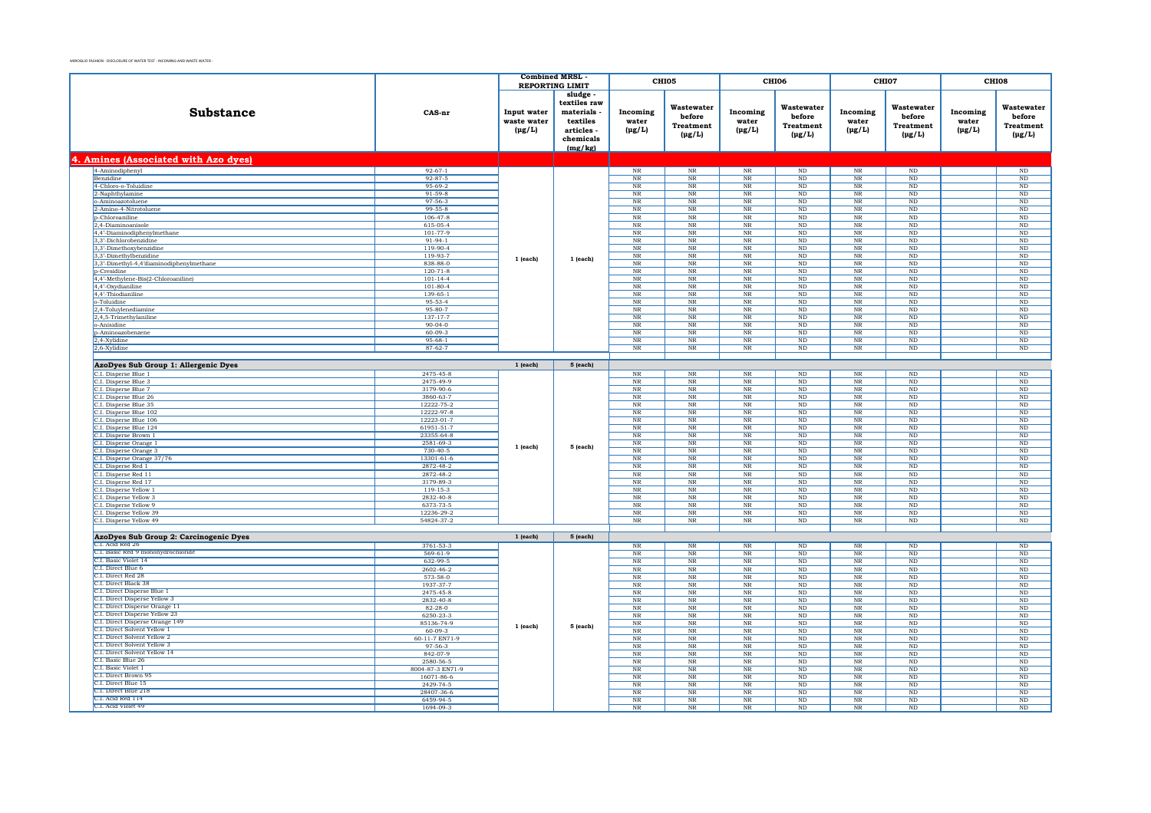|                                                              |                                | <b>Combined MRSL</b>                      |                                                                                       |                                  | CHI05                                                   | <b>CHI06</b>                        |                                                         | CHI07                            |                                                         | CHI08                            |                                                  |          |                |          |    |
|--------------------------------------------------------------|--------------------------------|-------------------------------------------|---------------------------------------------------------------------------------------|----------------------------------|---------------------------------------------------------|-------------------------------------|---------------------------------------------------------|----------------------------------|---------------------------------------------------------|----------------------------------|--------------------------------------------------|----------|----------------|----------|----|
|                                                              |                                | <b>REPORTING LIMIT</b>                    |                                                                                       |                                  |                                                         |                                     |                                                         |                                  |                                                         |                                  |                                                  |          |                |          |    |
| Substance                                                    | CAS-nr                         | Input water<br>waste water<br>$(\mu g/L)$ | sludge<br>textiles raw<br>materials<br>textiles<br>articles -<br>chemicals<br>(mg/kg) | Incoming<br>water<br>$(\mu g/L)$ | Wastewater<br>before<br><b>Treatment</b><br>$(\mu g/L)$ | Incoming<br>water<br>$(\mu g/L)$    | Wastewater<br>before<br><b>Treatment</b><br>$(\mu g/L)$ | Incoming<br>water<br>$(\mu g/L)$ | Wastewater<br>before<br><b>Treatment</b><br>$(\mu g/L)$ | Incoming<br>water<br>$(\mu g/L)$ | Wastewater<br>before<br>Treatment<br>$(\mu g/L)$ |          |                |          |    |
| 4. Amines (Associated with Azo dyes)                         |                                |                                           |                                                                                       |                                  |                                                         |                                     |                                                         |                                  |                                                         |                                  |                                                  |          |                |          |    |
| 4-Aminodiphenyl                                              | $92 - 67 - 1$                  |                                           |                                                                                       | $\rm NR$                         | $_{\rm NR}$                                             | $_{\rm NR}$                         | $\rm ND$                                                | $_{\rm NR}$                      | $\rm ND$                                                |                                  | $\rm ND$                                         |          |                |          |    |
| Benzidine                                                    | $92 - 87 - 5$                  |                                           |                                                                                       | $_{\rm NR}$                      | $_{\rm NR}$                                             | $_{\rm NR}$                         | ND                                                      | $_{\rm NR}$                      | ND                                                      |                                  | ND                                               |          |                |          |    |
| 4-Chloro-o-Toluidine                                         | 95-69-2                        |                                           |                                                                                       | $\rm NR$                         | $_{\rm NR}$                                             | $\rm NR$                            | $_{\rm ND}$                                             | $_{\rm NR}$                      | $_{\rm ND}$                                             |                                  | $\rm ND$                                         |          |                |          |    |
| 2-Naphthylamine                                              | $91 - 59 - 8$                  |                                           |                                                                                       | NR                               | <b>NR</b>                                               | NR                                  | ND                                                      | NR                               | ND                                                      |                                  | ND                                               |          |                |          |    |
| o-Aminoazotoluene                                            | $97 - 56 - 3$                  |                                           |                                                                                       | $\rm NR$                         | $_{\rm NR}$                                             | $_{\rm NR}$                         | $\rm ND$                                                | $_{\rm NR}$                      | $\rm ND$                                                |                                  | $\rm ND$                                         |          |                |          |    |
| 2-Amino-4-Nitrotoluene                                       | $99 - 55 - 8$                  |                                           |                                                                                       | <b>NR</b>                        | <b>NR</b>                                               | <b>NR</b>                           | ND                                                      | NR                               | ND                                                      |                                  | ND                                               |          |                |          |    |
| p-Chloroaniline                                              | $106 - 47 - 8$                 |                                           |                                                                                       | NR                               | $_{\rm NR}$                                             | $_{\rm NR}$                         | ND                                                      | $_{\rm NR}$                      | ND                                                      |                                  | $\overline{\text{ND}}$                           |          |                |          |    |
| 2,4-Diaminoanisole<br>4,4'-Diaminodiphenylmethane            | 615-05-4<br>101-77-9           |                                           |                                                                                       | NR<br>NR                         | NR<br>$_{\rm NR}$                                       | NR<br>NR                            | ND<br>ND                                                | NR<br>$_{\rm NR}$                | ND<br>ND                                                |                                  | ND<br>ND                                         |          |                |          |    |
| 3,3'-Dichlorobenzidine                                       | $91 - 94 - 1$                  |                                           |                                                                                       | $_{\rm NR}$                      | $_{\rm NR}$                                             | $\rm{NR}$                           | $\rm ND$                                                | $_{\rm NR}$                      | $\rm ND$                                                |                                  | $\rm ND$                                         |          |                |          |    |
| 3.3'-Dimethoxybenzidine                                      | $119-90-4$                     |                                           |                                                                                       | $_{\rm NR}$                      | NR                                                      | NR                                  | ND                                                      | NR                               | ND                                                      |                                  | ND                                               |          |                |          |    |
| 3,3'-Dimethylbenzidine                                       | 119-93-7                       |                                           |                                                                                       | $\overline{\text{NR}}$           | $\rm NR$                                                | $\overline{\text{NR}}$              | $\rm ND$                                                | $_{\rm NR}$                      | $\rm ND$                                                |                                  | $\rm ND$                                         |          |                |          |    |
| 3,3'-Dimethyl-4,4'diaminodiphenylmethane                     | 838-88-0                       | $1$ (each)                                | 1 (each)                                                                              | $\rm NR$                         | $_{\rm NR}$                                             | $\rm{NR}$                           | $_{\rm ND}$                                             | $_{\rm NR}$                      | $\rm ND$                                                |                                  | $\mathbf{ND}$                                    |          |                |          |    |
| <b>p-Cresidine</b>                                           | $120 - 71 - 8$                 |                                           |                                                                                       | <b>NR</b>                        | $_{\rm NR}$                                             | <b>NR</b>                           | N <sub>D</sub>                                          | NR                               | $\rm ND$                                                |                                  | $\rm ND$                                         |          |                |          |    |
| 4,4'-Methylene-Bis(2-Chloroaniline)                          | $101 - 14 - 4$                 |                                           |                                                                                       | $_{\rm NR}$                      | $\rm NR$                                                | $\rm{NR}$                           | $\rm ND$                                                | $_{\rm NR}$                      | $\rm ND$                                                |                                  | $_{\rm ND}$                                      |          |                |          |    |
| 4,4'-Oxydianiline                                            | $101 - 80 - 4$                 |                                           |                                                                                       | $\rm NR$                         | <b>NR</b>                                               | NR                                  | ND.                                                     | <b>NR</b>                        | ND.                                                     |                                  | <b>ND</b>                                        |          |                |          |    |
| 4,4'-Thiodianiline                                           | 139-65-1                       |                                           |                                                                                       | $\rm NR$                         | $_{\rm NR}$                                             | $\rm{NR}$                           | $_{\rm ND}$                                             | $_{\rm NR}$                      | $\rm ND$                                                |                                  | ND                                               |          |                |          |    |
| o-Toluidine                                                  | $95 - 53 - 4$                  |                                           |                                                                                       | $\rm NR$                         | $_{\rm NR}$                                             | $\rm NR$                            | $_{\rm ND}$                                             | NR                               | $\rm ND$                                                |                                  | $_{\rm ND}$                                      |          |                |          |    |
| 2,4-Toluylenediamine                                         | $95 - 80 - 7$                  |                                           |                                                                                       | NR                               | $_{\rm NR}$                                             | $\overline{\text{NR}}$              | ND                                                      | $_{\rm NR}$                      | ND                                                      |                                  | $\overline{\text{ND}}$                           |          |                |          |    |
| 2,4,5-Trimethylaniline                                       | 137-17-7                       |                                           |                                                                                       | $_{\rm NR}$                      | $_{\rm NR}$                                             | $\rm{NR}$                           | $\rm ND$                                                | $_{\rm NR}$                      | $\rm ND$                                                |                                  | $\rm ND$                                         |          |                |          |    |
| o-Anisidine                                                  | $90 - 04 - 0$                  |                                           |                                                                                       | $_{\rm NR}$                      | N <sub>R</sub>                                          | $_{\rm NR}$                         | ND                                                      | $N_{R}$                          | ND                                                      |                                  | ND                                               |          |                |          |    |
| p-Aminoazobenzene                                            | $60 - 09 - 3$<br>$95 - 68 - 1$ |                                           |                                                                                       | $\overline{\text{NR}}$<br>NR     | $\ensuremath{\text{NR}}\xspace$                         | $\overline{\text{NR}}$<br>NR        | $\rm ND$                                                | $\overline{\text{NR}}$<br>NR     | $\rm ND$                                                |                                  | $\rm ND$                                         |          |                |          |    |
| 2,4-Xylidine<br>2,6-Xylidine                                 | $87 - 62 - 7$                  |                                           |                                                                                       | NR                               | NR<br>$_{\rm NR}$                                       | $_{\rm NR}$                         | $_{\rm ND}$<br>ND                                       | $_{\rm NR}$                      | ND<br>ND                                                |                                  | ND<br>ND                                         |          |                |          |    |
|                                                              |                                |                                           |                                                                                       |                                  |                                                         |                                     |                                                         |                                  |                                                         |                                  |                                                  |          |                |          |    |
| AzoDyes Sub Group 1: Allergenic Dyes                         |                                | $1$ (each)                                | 5 (each)                                                                              |                                  |                                                         |                                     |                                                         |                                  |                                                         |                                  |                                                  |          |                |          |    |
| C.I. Disperse Blue 1                                         | 2475-45-8                      |                                           |                                                                                       | $_{\rm NR}$                      | $_{\rm NR}$                                             | $_{\rm NR}$                         | $\rm ND$                                                | $_{\rm NR}$                      | $\rm ND$                                                |                                  | $\overline{\text{ND}}$                           |          |                |          |    |
| C.I. Disperse Blue 3                                         | 2475-49-9                      |                                           |                                                                                       | $\rm NR$                         | $_{\rm NR}$                                             | $_{\rm NR}$                         | $_{\rm ND}$                                             | $_{\rm NR}$                      | $_{\rm ND}$                                             |                                  | $\rm ND$                                         |          |                |          |    |
| C.I. Disperse Blue 7                                         | 3179-90-6                      |                                           |                                                                                       | NR                               | NR                                                      | <b>NR</b>                           | ND                                                      | NR                               | ND                                                      |                                  | ND                                               |          |                |          |    |
| C.I. Disperse Blue 26                                        | 3860-63-7                      |                                           |                                                                                       | $_{\rm NR}$                      | $_{\rm NR}$                                             | $_{\rm NR}$                         | $\rm ND$                                                | $_{\rm NR}$                      | $_{\rm ND}$                                             |                                  | $\rm ND$                                         |          |                |          |    |
| C.I. Disperse Blue 35                                        | 12222-75-2                     |                                           |                                                                                       | $\rm NR$                         | <b>NR</b>                                               | <b>NR</b>                           | <b>ND</b>                                               | NR                               | $_{\rm ND}$                                             |                                  | $\rm ND$                                         |          |                |          |    |
| C.I. Disperse Blue 102                                       | 12222-97-8                     |                                           |                                                                                       | $_{\rm NR}$                      | $_{\rm NR}$                                             | $_{\rm NR}$                         | $_{\rm ND}$                                             | $_{\rm NR}$                      | $\rm ND$                                                |                                  | $\rm ND$                                         |          |                |          |    |
| C.I. Disperse Blue 106                                       | 12223-01-7                     |                                           |                                                                                       | NR                               | NR                                                      | NR                                  | ND                                                      | NR                               | ND                                                      |                                  | ND                                               |          |                |          |    |
| C.I. Disperse Blue 124                                       | 61951-51-7                     |                                           |                                                                                       | $_{\rm NR}$                      | $_{\rm NR}$                                             | $\rm NR$                            | ND                                                      | <b>NR</b>                        | $_{\rm ND}$                                             |                                  | $\rm ND$                                         |          |                |          |    |
| C.I. Disperse Brown 1                                        | 23355-64-8                     | $1$ (each)                                |                                                                                       | $_{\rm NR}$                      | $\rm NR$                                                | $\rm NR$                            | $\rm ND$                                                | $_{\rm NR}$                      | $_{\rm ND}$                                             |                                  | $\rm ND$                                         |          |                |          |    |
| C.I. Disperse Orange 1                                       | 2581-69-3                      |                                           | 5 (each)                                                                              | NR                               | NR                                                      | NR                                  | ND                                                      | NR                               | ND                                                      |                                  | ND                                               |          |                |          |    |
| C.I. Disperse Orange 3                                       | $730 - 40 - 5$                 |                                           |                                                                                       | $\rm NR$                         | $_{\rm NR}$                                             | $\rm NR$                            | $\rm ND$                                                | $_{\rm NR}$                      | $_{\rm ND}$                                             |                                  | $\rm ND$                                         |          |                |          |    |
| C.I. Disperse Orange 37/76                                   | 13301-61-6                     |                                           |                                                                                       | $\rm NR$                         | $_{\rm NR}$                                             | $_{\rm NR}$                         | $_{\rm ND}$                                             | $_{\rm NR}$                      | $_{\rm ND}$                                             |                                  | $\rm ND$                                         |          |                |          |    |
| C.I. Disperse Red 1<br>C.I. Disperse Red 11                  | 2872-48-2<br>2872-48-2         |                                           |                                                                                       | NR<br>$\overline{\text{NR}}$     | NR<br>$\rm NR$                                          | <b>NR</b><br>$\overline{\text{NR}}$ | ND<br>$\rm ND$                                          | NR<br>$_{\rm NR}$                | ND<br>$\rm ND$                                          |                                  | ND<br>$\rm ND$                                   |          |                |          |    |
| C.I. Disperse Red 17                                         | 3179-89-3                      |                                           |                                                                                       |                                  |                                                         |                                     |                                                         | <b>NR</b>                        | <b>NR</b>                                               | NR                               | N <sub>D</sub>                                   | NR       | ND.            |          | ND |
| C.I. Disperse Yellow 1                                       | 119-15-3                       |                                           |                                                                                       |                                  |                                                         |                                     | $\rm NR$                                                | $_{\rm NR}$                      | $\rm{NR}$                                               | $\rm ND$                         | $_{\rm NR}$                                      | $\rm ND$ |                | ND       |    |
| C.I. Disperse Yellow 3                                       | 2832-40-8                      |                                           |                                                                                       | $_{\rm NR}$                      | $_{\rm NR}$                                             | $\rm{NR}$                           | $_{\rm ND}$                                             | $_{\rm NR}$                      | $_{\rm ND}$                                             |                                  | $_{\rm ND}$                                      |          |                |          |    |
| C.I. Disperse Yellow 9                                       | 6373-73-5                      |                                           |                                                                                       | NR                               | NR                                                      | NR                                  | ND                                                      | NR                               | ND                                                      |                                  | ND                                               |          |                |          |    |
| C.I. Disperse Yellow 39                                      | 12236-29-2                     |                                           |                                                                                       | NR                               | $_{\rm NR}$                                             | $\rm{NR}$                           | $\rm ND$                                                | $_{\rm NR}$                      | $_{\rm ND}$                                             |                                  | $\rm ND$                                         |          |                |          |    |
| C.I. Disperse Yellow 49                                      | 54824-37-2                     |                                           |                                                                                       | NR                               | $_{\rm NR}$                                             | N <sub>R</sub>                      | ND                                                      | $N_{R}$                          | ND                                                      |                                  | <b>ND</b>                                        |          |                |          |    |
|                                                              |                                |                                           |                                                                                       |                                  |                                                         |                                     |                                                         |                                  |                                                         |                                  |                                                  |          |                |          |    |
| AzoDyes Sub Group 2: Carcinogenic Dyes                       |                                | $1$ (each)                                | 5 (each)                                                                              |                                  |                                                         |                                     |                                                         |                                  |                                                         |                                  |                                                  |          |                |          |    |
| C.I. Acid Red 26                                             | 3761-53-3                      |                                           |                                                                                       | NR                               | $_{\rm NR}$                                             | NR                                  | ND                                                      | <b>NR</b>                        | $\rm ND$                                                |                                  | ND                                               |          |                |          |    |
| C.I. Basic Red 9 monohydrochloride                           | $569 - 61 - 9$                 |                                           |                                                                                       | $\overline{\text{NR}}$           | $\rm NR$                                                | $\ensuremath{\text{NR}}\xspace$     | $\rm ND$                                                | $\overline{\text{NR}}$           | $\rm ND$                                                |                                  | $\rm ND$                                         |          |                |          |    |
| C.I. Basic Violet 14                                         | 632-99-5                       |                                           |                                                                                       | <b>NR</b>                        | <b>NR</b>                                               | NR                                  | $\rm ND$                                                | NR                               | <b>ND</b>                                               |                                  | ND                                               |          |                |          |    |
| C.I. Direct Blue 6                                           | 2602-46-2                      |                                           |                                                                                       | $\rm NR$                         | $_{\rm NR}$                                             | $_{\rm NR}$                         | $_{\rm ND}$                                             | $_{\rm NR}$                      | $\rm ND$                                                |                                  | $\rm ND$                                         |          |                |          |    |
| C.I. Direct Red 28                                           | 573-58-0                       |                                           |                                                                                       | $_{\rm NR}$                      | $_{\rm NR}$                                             | $\rm NR$                            | $_{\rm ND}$                                             | $_{\rm NR}$                      | $_{\rm ND}$                                             |                                  | $\rm ND$                                         |          |                |          |    |
| C.I. Direct Black 38                                         | 1937-37-7                      |                                           |                                                                                       | $_{\rm NR}$                      | <b>NR</b>                                               | <b>NR</b>                           | $_{\rm ND}$                                             | <b>NR</b>                        | <b>ND</b>                                               |                                  | $\rm ND$                                         |          |                |          |    |
| C.I. Direct Disperse Blue 1<br>C.I. Direct Disperse Yellow 3 | 2475-45-8                      |                                           |                                                                                       | $_{\rm NR}$                      | $_{\rm NR}$                                             | $_{\rm NR}$                         | $_{\rm ND}$                                             | $_{\rm NR}$                      | $\rm ND$                                                |                                  | $\rm ND$                                         |          |                |          |    |
| C.I. Direct Disperse Orange 11                               | 2832-40-8<br>$82 - 28 - 0$     |                                           |                                                                                       | $_{\rm NR}$<br>NR                | $_{\rm NR}$<br><b>NR</b>                                | $_{\rm NR}$<br><b>NR</b>            | $_{\rm ND}$<br><b>ND</b>                                | $_{\rm NR}$<br>NR                | $_{\rm ND}$<br>ND                                       |                                  | $\rm ND$<br>ND                                   |          |                |          |    |
| C.I. Direct Disperse Yellow 23                               | 6250-23-3                      |                                           |                                                                                       | $_{\rm NR}$                      | $_{\rm NR}$                                             | $_{\rm NR}$                         | $\rm ND$                                                | $_{\rm NR}$                      | $_{\rm ND}$                                             |                                  | $\rm ND$                                         |          |                |          |    |
| C.I. Direct Disperse Orange 149                              | 85136-74-9                     |                                           |                                                                                       | NR                               | <b>NR</b>                                               | <b>NR</b>                           | ND                                                      | NR                               | ND                                                      |                                  | <b>ND</b>                                        |          |                |          |    |
| C.I. Direct Solvent Yellow 1                                 | $60 - 09 - 3$                  | 1 (each)                                  | 5 (each)                                                                              | $_{\rm NR}$                      | $_{\rm NR}$                                             | $\ensuremath{\text{NR}}\xspace$     | $\rm ND$                                                | $\rm NR$                         | $\rm ND$                                                |                                  | $\rm ND$                                         |          |                |          |    |
| C.I. Direct Solvent Yellow 2                                 | 60-11-7 EN71-9                 |                                           |                                                                                       | NR                               | NR                                                      | NR                                  | <b>ND</b>                                               | NR                               | ND                                                      |                                  | ND                                               |          |                |          |    |
| C.I. Direct Solvent Yellow 3                                 | 97-56-3                        |                                           |                                                                                       | NR                               | $_{\rm NR}$                                             | NR                                  | ND                                                      | $_{\rm NR}$                      | ND                                                      |                                  | $\overline{\text{ND}}$                           |          |                |          |    |
| C.I. Direct Solvent Yellow 14                                | 842-07-9                       |                                           |                                                                                       | $\rm NR$                         | $_{\rm NR}$                                             | $\rm NR$                            | $_{\rm ND}$                                             | $\rm NR$                         | $_{\rm ND}$                                             |                                  | $\rm ND$                                         |          |                |          |    |
| C.I. Basic Blue 26                                           | 2580-56-5                      |                                           |                                                                                       | <b>NR</b>                        | <b>NR</b>                                               | <b>NR</b>                           | N <sub>D</sub>                                          | <b>NR</b>                        | ND.                                                     |                                  | ND.                                              |          |                |          |    |
| C.I. Basic Violet 1                                          | 8004-87-3 EN71-9               |                                           |                                                                                       | $\overline{\text{NR}}$           | $\rm NR$                                                | NR                                  | $\rm ND$                                                | $\overline{\text{NR}}$           | $\rm ND$                                                |                                  | $\rm ND$                                         |          |                |          |    |
| C.I. Direct Brown 95                                         | 16071-86-6                     |                                           |                                                                                       | NR                               | NR                                                      | NR                                  | ND.                                                     | NR                               | $_{\rm ND}$                                             |                                  | ND                                               |          |                |          |    |
| C.I. Direct Blue 15<br>C.I. Direct Blue 218                  | 2429-74-5                      |                                           |                                                                                       |                                  |                                                         |                                     | $\rm NR$                                                | $_{\rm NR}$                      | $_{\rm NR}$                                             | $\rm ND$                         | $_{\rm NR}$                                      | ND       |                | $\rm ND$ |    |
| C.L. Acid Red 114                                            | 28407-36-6<br>6459-94-5        |                                           |                                                                                       |                                  |                                                         | $\rm NR$<br>NR                      | $_{\rm NR}$<br><b>NR</b>                                | $\rm NR$<br>NR                   | $_{\rm ND}$<br>ND                                       | $_{\rm NR}$<br><b>NR</b>         | $_{\rm ND}$<br>ND                                |          | $\rm ND$<br>ND |          |    |
| C.I. Acid Violet 49                                          | 1694-09-3                      |                                           |                                                                                       | $_{\rm NR}$                      | $_{\rm NR}$                                             | $_{\rm NR}$                         | $_{\rm ND}$                                             | $_{\rm NR}$                      | $\rm ND$                                                |                                  | $\rm ND$                                         |          |                |          |    |
|                                                              |                                |                                           |                                                                                       |                                  |                                                         |                                     |                                                         |                                  |                                                         |                                  |                                                  |          |                |          |    |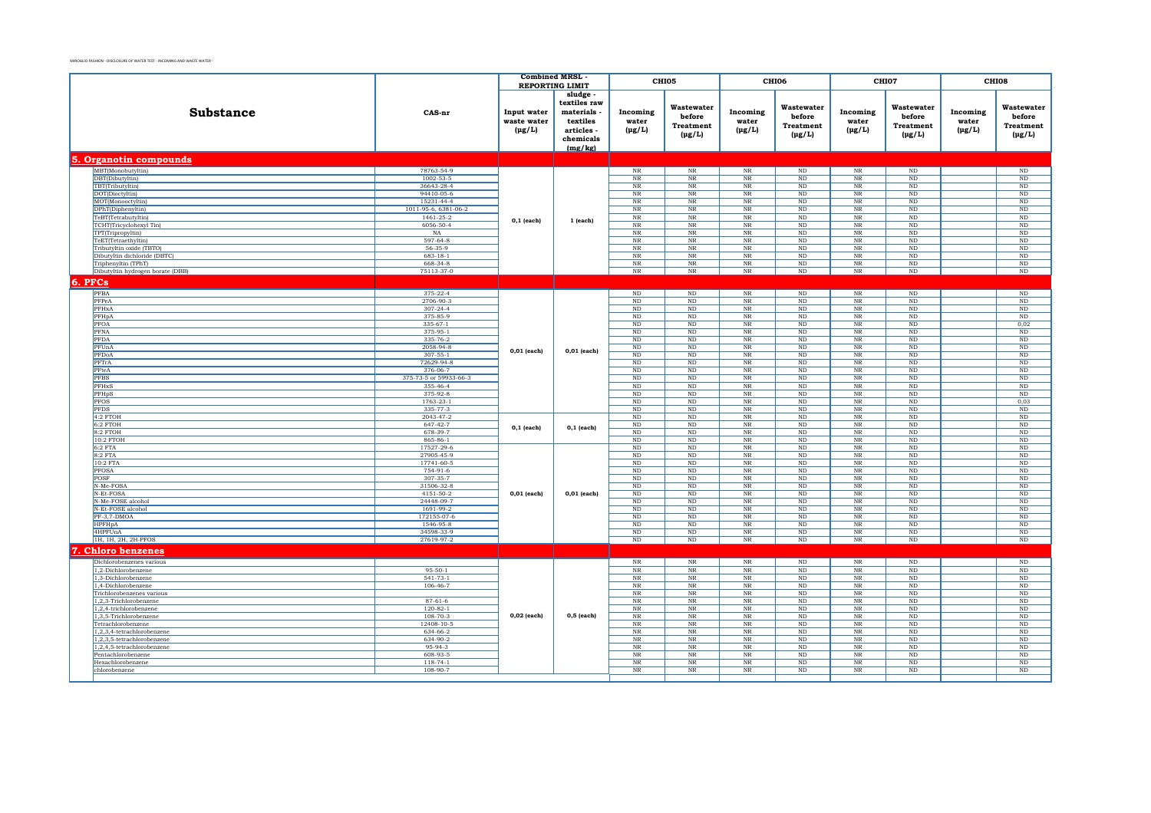|                                                 |                                    |                                           | <b>Combined MRSL</b><br><b>REPORTING LIMIT</b>                                      |                                  | CHI05                                                   | CHI06                                 |                                                         | CHI07                                 |                                                  | CHI08                            |                                                         |
|-------------------------------------------------|------------------------------------|-------------------------------------------|-------------------------------------------------------------------------------------|----------------------------------|---------------------------------------------------------|---------------------------------------|---------------------------------------------------------|---------------------------------------|--------------------------------------------------|----------------------------------|---------------------------------------------------------|
| Substance                                       | CAS-nr                             | Input water<br>waste water<br>$(\mu g/L)$ | sludge<br>textiles raw<br>materials<br>textiles<br>articles<br>chemicals<br>(mg/kg) | Incoming<br>water<br>$(\mu g/L)$ | Wastewater<br>before<br><b>Treatment</b><br>$(\mu g/L)$ | Incoming<br>water<br>$(\mu g/L)$      | Wastewater<br>before<br><b>Treatment</b><br>$(\mu g/L)$ | Incoming<br>water<br>$(\mu g/L)$      | Wastewater<br>before<br>Treatment<br>$(\mu g/L)$ | Incoming<br>water<br>$(\mu g/L)$ | Wastewater<br>before<br><b>Treatment</b><br>$(\mu g/L)$ |
| 5. Organotin compounds                          |                                    |                                           |                                                                                     |                                  |                                                         |                                       |                                                         |                                       |                                                  |                                  |                                                         |
| MBT(Monobutyltin)                               | 78763-54-9                         |                                           |                                                                                     | $_{\rm NR}$                      | NR                                                      | NR                                    | $\rm ND$                                                | NR                                    | ND                                               |                                  | $\mathbf{ND}$                                           |
| DBT(Dibutyltin)                                 | $1002 - 53 - 5$                    |                                           |                                                                                     | $\rm NR$                         | $_{\rm NR}$                                             | NR                                    | $\rm ND$                                                | $\overline{\text{NR}}$                | $\rm ND$                                         |                                  | $\overline{\text{ND}}$                                  |
| TBT(Tributyltin)                                | 36643-28-4                         |                                           |                                                                                     | $_{\rm NR}$                      | $_{\rm NR}$                                             | $_{\rm NR}$                           | $_{\rm ND}$                                             | $\rm NR$                              | $_{\rm ND}$                                      |                                  | $\rm ND$                                                |
| DOT(Dioctyltin)                                 | 94410-05-6                         |                                           |                                                                                     | NR                               | NR                                                      | $_{\rm NR}$                           | ND                                                      | NR                                    | ND                                               |                                  | ND                                                      |
| MOT(Monooctyltin)                               | 15231-44-4                         |                                           |                                                                                     | $_{\rm NR}$                      | $_{\rm NR}$                                             | $_{\rm NR}$                           | $\rm ND$                                                | $\rm NR$                              | ND                                               |                                  | $\rm ND$                                                |
| DPhT(Diphenyltin)                               | 1011-95-6, 6381-06-2               |                                           |                                                                                     | NR                               | NR                                                      | NR                                    | ND                                                      | NR                                    | ND                                               |                                  | ND                                                      |
| TeBT(Tetrabutyltin)                             | 1461-25-2                          | $0,1$ (each)                              | 1 (each)                                                                            | $_{\rm NR}$                      | $_{\rm NR}$                                             | $\overline{\text{NR}}$                | ND                                                      | $\overline{\text{NR}}$                | ND                                               |                                  | ND                                                      |
| TCHT(Tricyclohexyl Tin)                         | 6056-50-4                          |                                           |                                                                                     | $_{\rm NR}$                      | $_{\rm NR}$                                             | $_{\rm NR}$                           | $_{\rm ND}$                                             | $\rm NR$                              | $_{\rm ND}$                                      |                                  | $_{\rm ND}$                                             |
| TPT(Tripropyltin)                               | NA<br>597-64-8                     |                                           |                                                                                     | NR<br>$_{\rm NR}$                | $_{\rm NR}$<br>$_{\rm NR}$                              | $_{\rm NR}$<br>$_{\rm NR}$            | ND<br>$\rm ND$                                          | NR                                    | ND<br>$\rm ND$                                   |                                  | ND                                                      |
| TeET(Tetraethyltin)<br>Tributyltin oxide (TBTO) | $56 - 35 - 9$                      |                                           |                                                                                     | NR                               | NR                                                      | NR                                    | ND                                                      | $\rm NR$<br>$\overline{\text{NR}}$    | ND                                               |                                  | $\rm ND$<br>$\overline{\text{ND}}$                      |
| Dibutyltin dichloride (DBTC)                    | $683 - 18 - 1$                     |                                           |                                                                                     | $_{\rm NR}$                      | $_{\rm NR}$                                             | $_{\rm NR}$                           | $\rm ND$                                                | $_{\rm NR}$                           | $\rm ND$                                         |                                  | $\rm ND$                                                |
| Triphenyltin (TPhT)                             | 668-34-8                           |                                           |                                                                                     | $_{\rm NR}$                      | $_{\rm NR}$                                             | $\rm{NR}$                             | $\rm ND$                                                | $_{\rm NR}$                           | $\rm ND$                                         |                                  | $\rm ND$                                                |
| Dibutyltin hydrogen borate (DBB)                | 75113-37-0                         |                                           |                                                                                     | $_{\rm NR}$                      | $\rm NR$                                                | $\rm{NR}$                             | $\rm ND$                                                | $_{\rm NR}$                           | $\rm ND$                                         |                                  | ND                                                      |
|                                                 |                                    |                                           |                                                                                     |                                  |                                                         |                                       |                                                         |                                       |                                                  |                                  |                                                         |
| 6. PFCs                                         |                                    |                                           |                                                                                     |                                  |                                                         |                                       |                                                         |                                       |                                                  |                                  |                                                         |
| PFBA                                            | 375-22-4                           |                                           |                                                                                     | $\rm ND$                         | $\rm ND$                                                | $\rm NR$                              | $\rm ND$                                                | $\rm NR$                              | $\rm ND$                                         |                                  | $\rm ND$                                                |
| PFPeA                                           | 2706-90-3                          |                                           |                                                                                     | $_{\rm ND}$                      | $_{\rm ND}$                                             | $\rm NR$                              | $_{\rm ND}$                                             | $_{\rm NR}$                           | $_{\rm ND}$                                      |                                  | $\rm ND$                                                |
| PFHxA                                           | $307 - 24 - 4$                     |                                           |                                                                                     | $\rm ND$                         | $\rm ND$                                                | $_{\rm NR}$                           | ND                                                      | $\rm{NR}$                             | ND                                               |                                  | $\rm ND$                                                |
| PFHpA                                           | 375-85-9                           |                                           |                                                                                     | ND                               | ND                                                      | NR                                    | <b>ND</b>                                               | NR                                    | ND                                               |                                  | ND                                                      |
| PFOA                                            | $335 - 67 - 1$                     |                                           |                                                                                     | $\overline{\text{ND}}$           | ND                                                      | NR                                    | ND                                                      | $\overline{\text{NR}}$                | ND                                               |                                  | 0,02                                                    |
| PFNA                                            | 375-95-1                           |                                           |                                                                                     | $\rm ND$                         | $\rm ND$                                                | $_{\rm NR}$                           | $\rm ND$                                                | $_{\rm NR}$                           | $\rm ND$                                         |                                  | $\rm ND$                                                |
| PFDA                                            | 335-76-2<br>2058-94-8              |                                           |                                                                                     | ND                               | ND                                                      | $\rm NR$                              | ND                                                      | $_{\rm NR}$                           | ND                                               |                                  | $\rm ND$                                                |
| PFUnA<br>PFDoA                                  | $307 - 55 - 1$                     | 0,01 (each)                               | $0,01$ (each)                                                                       | $\rm ND$<br>ND                   | $\rm ND$<br>ND                                          | $_{\rm NR}$<br>NR                     | ND<br><b>ND</b>                                         | $\overline{\text{NR}}$<br>NR          | ND<br>ND                                         |                                  | $\rm ND$<br>ND                                          |
| PFTrA                                           | 72629-94-8                         |                                           |                                                                                     | $\overline{\text{ND}}$           | ND                                                      | NR                                    | ND                                                      | $\overline{\text{NR}}$                | ND                                               |                                  | ND                                                      |
| PFteA                                           | 376-06-7                           |                                           |                                                                                     | $\rm ND$                         | $\rm ND$                                                | $_{\rm NR}$                           | $\rm ND$                                                | $\rm NR$                              | $\rm ND$                                         |                                  | $\rm ND$                                                |
|                                                 |                                    |                                           |                                                                                     |                                  |                                                         |                                       |                                                         |                                       |                                                  |                                  |                                                         |
| <b>PFBS</b><br>PFHxS                            | 375-73-5 or 59933-66-3<br>355-46-4 |                                           |                                                                                     | $_{\rm ND}$<br>ND                | $_{\rm ND}$<br>ND                                       | $_{\rm NR}$<br>$_{\rm NR}$            | $_{\rm ND}$<br>ND                                       | $\rm NR$<br>NR                        | $_{\rm ND}$<br>ND                                |                                  | $_{\rm ND}$<br>ND                                       |
| PFHpS                                           | 375-92-8                           |                                           |                                                                                     | $_{\rm ND}$                      | ND                                                      | $_{\rm NR}$                           | $\rm ND$                                                | $_{\rm NR}$                           | $\rm ND$                                         |                                  | $\rm ND$                                                |
| <b>PFOS</b>                                     | 1763-23-1                          |                                           |                                                                                     | ND                               | ND                                                      | NR                                    | ND                                                      | NR                                    | ND                                               |                                  | 0.03                                                    |
| <b>PFDS</b>                                     | 335-77-3                           |                                           |                                                                                     | ND                               | $\rm ND$                                                | NR                                    | $\rm ND$                                                | $\overline{\text{NR}}$                | ND                                               |                                  | $\overline{\text{ND}}$                                  |
| 4:2 FTOH                                        | 2043-47-2                          |                                           |                                                                                     | $_{\rm ND}$                      | $\rm ND$                                                | $_{\rm NR}$                           | $\rm ND$                                                | $_{\rm NR}$                           | $\rm ND$                                         |                                  | $\rm ND$                                                |
| 6:2 FTOH                                        | 647-42-7                           |                                           |                                                                                     | $\rm ND$                         | ND                                                      | NR                                    | ND                                                      | $_{\rm NR}$                           | ND                                               |                                  | ND                                                      |
| $8:2$ FTOH                                      | 678-39-7                           | $0,1$ (each)                              | 0,1 (each)                                                                          | $\rm ND$                         | $\rm ND$                                                | $_{\rm NR}$                           | ND                                                      | $_{\rm NR}$                           | ND                                               |                                  | $\overline{\mathrm{ND}}$                                |
| 10:2 FTOH                                       | 865-86-1                           |                                           |                                                                                     | ND                               | ND                                                      | NR                                    | ND                                                      | NR                                    | ND                                               |                                  | ND                                                      |
| 6:2 FTA                                         | 17527-29-6                         |                                           |                                                                                     | $\overline{\text{ND}}$           | ND                                                      | $\overline{\text{NR}}$                | ND                                                      | $\overline{\text{NR}}$                | ND                                               |                                  | $\overline{\mathrm{ND}}$                                |
| 8:2 FTA                                         | 27905-45-9                         |                                           |                                                                                     | $_{\rm ND}$                      | $\rm ND$                                                | $\rm NR$                              | $\rm ND$                                                | $_{\rm NR}$                           | $_{\rm ND}$                                      |                                  | $\rm ND$                                                |
| 10:2 FTA                                        | 17741-60-5                         |                                           |                                                                                     | $_{\rm ND}$                      | ND                                                      | $\rm NR$                              | ND                                                      | $_{\rm NR}$                           | ND                                               |                                  | $\rm ND$                                                |
| <b>PFOSA</b>                                    | 754-91-6                           |                                           |                                                                                     | $_{\rm ND}$                      | $\rm ND$                                                | $_{\rm NR}$                           | $\rm ND$                                                | $_{\rm NR}$                           | $\rm ND$                                         |                                  | $\rm ND$                                                |
| POSF                                            | 307-35-7                           |                                           |                                                                                     | ND                               | ND                                                      | NR                                    | <b>ND</b>                                               | NR                                    | ND                                               |                                  | ND                                                      |
| N-Me-FOSA                                       | 31506-32-8                         |                                           |                                                                                     | ND                               | ND                                                      | NR                                    | ND                                                      | $\overline{\text{NR}}$                | ND                                               |                                  | $\overline{\text{ND}}$                                  |
| N-Et-FOSA                                       | 4151-50-2                          | 0,01 (each)                               | $0,01$ (each)                                                                       | $\rm ND$                         | $\rm ND$                                                | $_{\rm NR}$                           | $\rm ND$                                                | $_{\rm NR}$                           | $\rm ND$                                         |                                  | $\rm ND$                                                |
| N-Me-FOSE alcohol                               | 24448-09-7                         |                                           |                                                                                     | ND                               | ND                                                      | $\rm NR$                              | ND                                                      | $_{\rm NR}$                           | $_{\rm ND}$                                      |                                  | $\rm ND$                                                |
| N-Et-FOSE alcohol                               | 1691-99-2                          |                                           |                                                                                     | $\rm ND$                         | $\rm ND$                                                | $\overline{\text{NR}}$                | ND                                                      | $\overline{\text{NR}}$                | ND                                               |                                  | $\rm ND$                                                |
| PF-3.7-DMOA<br><b>HPFHpA</b>                    | 172155-07-6<br>1546-95-8           |                                           |                                                                                     | ND<br>ND                         | ND<br>ND                                                | NR<br>NR                              | <b>ND</b><br>ND                                         | NR<br>$\overline{\text{NR}}$          | ND<br>ND                                         |                                  | ND<br>ND                                                |
| 4HPFUnA                                         | 34598-33-9                         |                                           |                                                                                     | $\rm ND$                         | $\rm ND$                                                | $\rm{NR}$                             | $\rm ND$                                                | $_{\rm NR}$                           | $\rm ND$                                         |                                  | $\rm ND$                                                |
| 1H, 1H, 2H, 2H-PFOS                             | 27619-97-2                         |                                           |                                                                                     | $_{\rm ND}$                      | $_{\rm ND}$                                             | $\rm{NR}$                             | ND                                                      | $_{\rm NR}$                           | ND                                               |                                  | $\rm ND$                                                |
|                                                 |                                    |                                           |                                                                                     |                                  |                                                         |                                       |                                                         |                                       |                                                  |                                  |                                                         |
| <b>Chloro benzenes</b>                          |                                    |                                           |                                                                                     |                                  |                                                         |                                       |                                                         |                                       |                                                  |                                  |                                                         |
| Dichlorobenzenes various                        |                                    |                                           |                                                                                     | $_{\rm NR}$                      | $_{\rm NR}$                                             | $_{\rm NR}$                           | $\rm ND$                                                | $\rm NR$                              | $\rm ND$                                         |                                  | $\rm ND$                                                |
| 1,2-Dichlorobenzene<br>1.3-Dichlorobenzene      | $95 - 50 - 1$<br>$541 - 73 - 1$    |                                           |                                                                                     | $_{\rm NR}$                      | $_{\rm NR}$                                             | $_{\rm NR}$                           | $\rm ND$                                                | $\rm{NR}$                             | ND<br>ND                                         |                                  | $\overline{\mathrm{ND}}$                                |
| 1,4-Dichlorobenzene                             | $106 - 46 - 7$                     |                                           |                                                                                     | $_{\rm NR}$<br>$_{\rm NR}$       | $_{\rm NR}$<br>$_{\rm NR}$                              | $_{\rm NR}$<br>$\overline{\text{NR}}$ | ND<br>ND                                                | $_{\rm NR}$<br>$\overline{\text{NR}}$ | ND                                               |                                  | $\overline{\mathrm{ND}}$<br>ND                          |
| Trichlorobenzenes various                       |                                    |                                           |                                                                                     | $_{\rm NR}$                      | $_{\rm NR}$                                             | $_{\rm NR}$                           | $_{\rm ND}$                                             | $\rm NR$                              | $_{\rm ND}$                                      |                                  | $\rm ND$                                                |
| 1,2,3-Trichlorobenzene                          | $87 - 61 - 6$                      |                                           |                                                                                     | $_{\rm NR}$                      | $_{\rm NR}$                                             | $_{\rm NR}$                           | $\rm ND$                                                | $_{\rm NR}$                           | $\rm ND$                                         |                                  | $\rm ND$                                                |
| $1,2,4$ -trichlorobenzene                       | $120 - 82 - 1$                     |                                           |                                                                                     | $_{\rm NR}$                      | $_{\rm NR}$                                             | $_{\rm NR}$                           | $_{\rm ND}$                                             | $_{\rm NR}$                           | $_{\rm ND}$                                      |                                  | $\rm ND$                                                |
| 1,3,5-Trichlorobenzene                          | $108 - 70 - 3$                     | $0,02$ (each)                             | 0,5 (each)                                                                          | NR                               | NR                                                      | NR                                    | ND                                                      | NR                                    | ND                                               |                                  | ND                                                      |
| Tetrachlorobenzene                              | 12408-10-5                         |                                           |                                                                                     | $_{\rm NR}$                      | $_{\rm NR}$                                             | NR                                    | $\rm ND$                                                | $\overline{\text{NR}}$                | $\rm ND$                                         |                                  | ND                                                      |
| 1,2,3,4-tetrachlorobenzene                      | 634-66-2                           |                                           |                                                                                     | $_{\rm NR}$                      | $_{\rm NR}$                                             | $\rm{NR}$                             | $_{\rm ND}$                                             | $\rm NR$                              | $_{\rm ND}$                                      |                                  | $_{\rm ND}$                                             |
| 1,2,3,5-tetrachlorobenzene                      | 634-90-2                           |                                           |                                                                                     | NR                               | $_{\rm NR}$                                             | $_{\rm NR}$                           | ND                                                      | NR                                    | ND                                               |                                  | ND                                                      |
| 1,2,4,5-tetrachlorobenzene                      | $95-94-3$                          |                                           |                                                                                     | $_{\rm NR}$                      | $_{\rm NR}$                                             | $_{\rm NR}$                           | $\rm ND$                                                | $\rm NR$                              | ND                                               |                                  | $\rm ND$                                                |
| Pentachlorobenzene                              | 608-93-5                           |                                           |                                                                                     | $_{\rm NR}$                      | $_{\rm NR}$                                             | $\rm NR$                              | $\rm ND$                                                | $\rm NR$                              | $\rm ND$                                         |                                  | $_{\rm ND}$                                             |
| Hexachlorobenzene                               | $118 - 74 - 1$                     |                                           |                                                                                     | $_{\rm NR}$                      | $_{\rm NR}$                                             | $_{\rm NR}$                           | $\rm ND$                                                | $\rm NR$                              | $\rm ND$                                         |                                  | $_{\rm ND}$                                             |
| chlorobenzene                                   | 108-90-7                           |                                           |                                                                                     | $_{\rm NR}$                      | $_{\rm NR}$                                             | $_{\rm NR}$                           | $\rm ND$                                                | $_{\rm NR}$                           | $\rm ND$                                         |                                  | $\rm ND$                                                |
|                                                 |                                    |                                           |                                                                                     |                                  |                                                         |                                       |                                                         |                                       |                                                  |                                  |                                                         |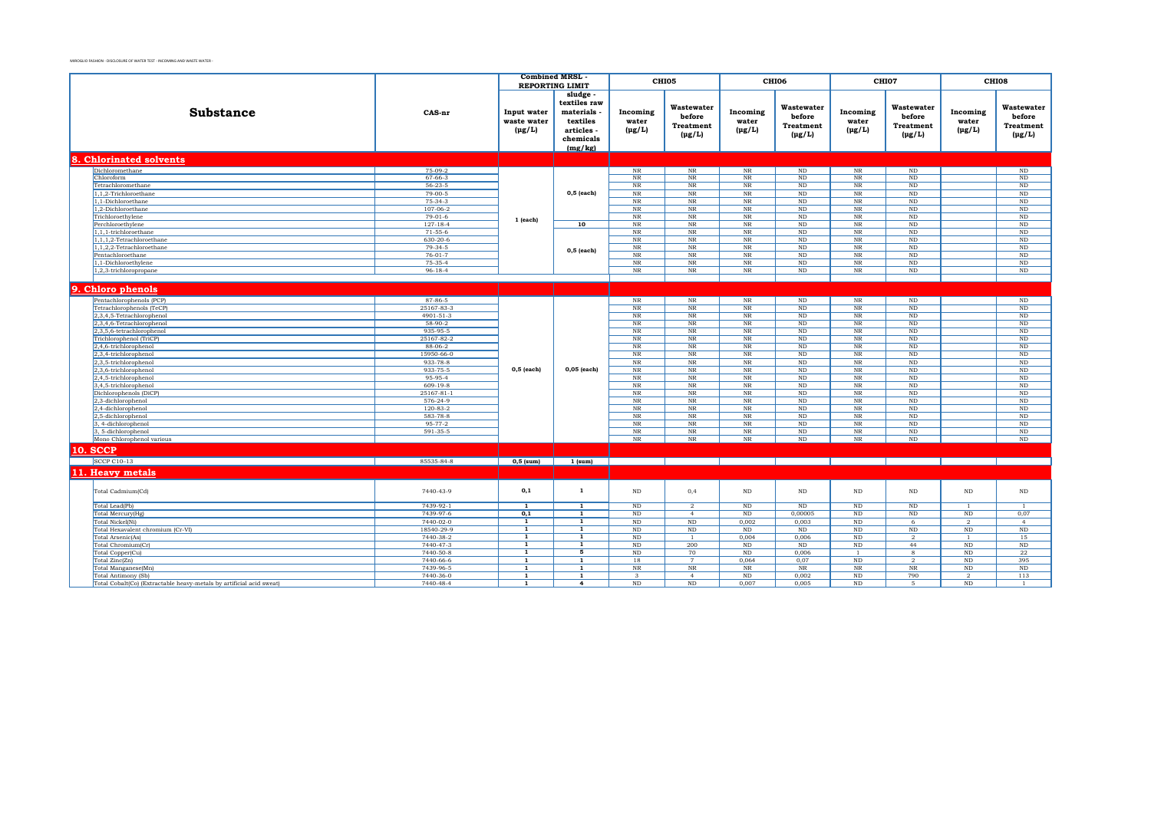|                                                                      |                        | <b>Combined MRSL</b><br><b>REPORTING LIMIT</b> |                                                                                     | CHI05                                  |                                                         | CHI06                            |                                                         | CHI07                              |                                                             | CHI08                            |                                                  |
|----------------------------------------------------------------------|------------------------|------------------------------------------------|-------------------------------------------------------------------------------------|----------------------------------------|---------------------------------------------------------|----------------------------------|---------------------------------------------------------|------------------------------------|-------------------------------------------------------------|----------------------------------|--------------------------------------------------|
| <b>Substance</b>                                                     | CAS-nr                 | Input water<br>waste water<br>$(\mu g/L)$      | sludge<br>textiles raw<br>materials<br>textiles<br>articles<br>chemicals<br>(mg/kg) | Incoming<br>water<br>$(\mu g/L)$       | Wastewater<br>before<br><b>Treatment</b><br>$(\mu g/L)$ | Incoming<br>water<br>$(\mu g/L)$ | Wastewater<br>before<br><b>Treatment</b><br>$(\mu g/L)$ | Incoming<br>water<br>$(\mu g/L)$   | Wastewater<br>before<br><b>Treatment</b><br>$(\text{pg/L})$ | Incoming<br>water<br>$(\mu g/L)$ | Wastewater<br>before<br>Treatment<br>$(\mu g/L)$ |
| 8. Chlorinated solvents                                              |                        |                                                |                                                                                     |                                        |                                                         |                                  |                                                         |                                    |                                                             |                                  |                                                  |
| Dichloromethane                                                      | 75-09-2                |                                                |                                                                                     | $_{\rm NR}$                            | NR                                                      | $_{\rm NR}$                      | $\rm ND$                                                | $_{\rm NR}$                        | ND                                                          |                                  | $\mathop{\rm ND}\nolimits$                       |
| Chloroform                                                           | $67 - 66 - 3$          |                                                |                                                                                     | $_{\rm NR}$                            | $_{\rm NR}$                                             | $_{\rm NR}$                      | $\rm ND$                                                | $_{\rm NR}$                        | ND                                                          |                                  | $\rm ND$                                         |
| Tetrachloromethane                                                   | $56 - 23 - 5$          |                                                |                                                                                     | $_{\rm NR}$                            | $_{\rm NR}$                                             | N <sub>R</sub>                   | <b>ND</b>                                               | $_{\rm NR}$                        | ND                                                          |                                  | ND                                               |
| 1,1,2-Trichloroethane                                                | $79-00-5$              |                                                | $0,5$ (each)                                                                        | $_{\rm NR}$                            | $_{\rm NR}$                                             | N <sub>R</sub>                   | $\rm ND$                                                | $_{\rm NR}$                        | ND                                                          |                                  | $\overline{\mathrm{ND}}$                         |
| 1.1-Dichloroethane                                                   | $75-34-3$              |                                                |                                                                                     | $_{\rm NR}$                            | NR                                                      | $_{\rm NR}$                      | <b>ND</b>                                               | $_{\rm NR}$                        | ND                                                          |                                  | $\rm ND$                                         |
| 1,2-Dichloroethane                                                   | $107 - 06 - 2$         |                                                |                                                                                     | $_{\rm NR}$                            | $_{\rm NR}$                                             | $_{\rm NR}$                      | $\rm ND$                                                | $_{\rm NR}$                        | $\rm ND$                                                    |                                  | $\rm ND$                                         |
| Trichloroethylene                                                    | $79-01-6$              | 1 (each)                                       |                                                                                     | NR                                     | NR                                                      | $_{\rm NR}$                      | <b>ND</b>                                               | NR                                 | ND                                                          |                                  | $\rm ND$                                         |
| Perchloroethylene                                                    | $127 - 18 - 4$         |                                                | 10                                                                                  | $_{\rm NR}$                            | $_{\rm NR}$                                             | <b>NR</b>                        | ND                                                      | $\overline{\text{NR}}$             | ND                                                          |                                  | ND                                               |
| 1.1.1-trichloroethane                                                | $71 - 55 - 6$          |                                                |                                                                                     | NR                                     | NR                                                      | <b>NR</b>                        | <b>ND</b>                                               | NR                                 | ND                                                          |                                  | ND                                               |
| $1,1,1,2$ -Tetrachloroethane                                         | 630-20-6               |                                                |                                                                                     | $_{\rm NR}$                            | $_{\rm NR}$                                             | NR                               | ND                                                      | $\overline{\text{NR}}$             | ND                                                          |                                  | ND                                               |
| 1,1,2,2-Tetrachloroethane                                            | $79-34-5$              |                                                | $0,5$ (each)                                                                        | $_{\rm NR}$                            | $_{\rm NR}$                                             | $\rm{NR}$                        | ND                                                      | NR                                 | ND                                                          |                                  | ND                                               |
| Pentachloroethane                                                    | $76 - 01 - 7$          |                                                |                                                                                     | $\overline{\text{NR}}$                 | $_{\rm NR}$                                             | NR                               | $\rm ND$                                                | $\rm NR$                           | ND                                                          |                                  | ND                                               |
| 1,1-Dichloroethylene                                                 | 75-35-4                |                                                |                                                                                     | $_{\rm NR}$                            | $_{\rm NR}$                                             | $_{\rm NR}$                      | $\rm ND$                                                | $_{\rm NR}$                        | ND                                                          |                                  | ND                                               |
| 1.2.3-trichloropropane                                               | $96 - 18 - 4$          |                                                |                                                                                     | NR                                     | NR                                                      | NR                               | ND                                                      | $_{\rm NR}$                        | ND                                                          |                                  | ND                                               |
|                                                                      |                        |                                                |                                                                                     |                                        |                                                         |                                  |                                                         |                                    |                                                             |                                  |                                                  |
| 9. Chloro phenols                                                    |                        |                                                |                                                                                     |                                        |                                                         |                                  |                                                         |                                    |                                                             |                                  |                                                  |
| Pentachlorophenols (PCP)                                             | 87-86-5                |                                                |                                                                                     | NR                                     | $_{\rm NR}$                                             | NR                               | ND                                                      | $_{\rm NR}$                        | $\rm ND$                                                    |                                  | $\rm ND$                                         |
| Tetrachlorophenols (TeCP)                                            | 25167-83-3             |                                                |                                                                                     | $_{\rm NR}$                            | $_{\rm NR}$                                             | $_{\rm NR}$                      | $\rm ND$                                                | $_{\rm NR}$                        | ND                                                          |                                  | $\rm ND$                                         |
| 2,3,4,5-Tetrachlorophenol                                            | 4901-51-3              |                                                |                                                                                     | $_{\rm NR}$                            | $\rm{NR}$                                               | $_{\rm NR}$                      | ND                                                      | $\overline{\text{NR}}$             | ND                                                          |                                  | ND                                               |
| 2,3,4,6-Tetrachlorophenol                                            | $58-90-2$              |                                                |                                                                                     | NR                                     | NR                                                      | <b>NR</b>                        | <b>ND</b>                                               | NR                                 | ND                                                          |                                  | ND                                               |
| 2,3,5,6-tetrachlorophenol                                            | 935-95-5               |                                                |                                                                                     | $_{\rm NR}$                            | $_{\rm NR}$                                             | N <sub>R</sub>                   | ND                                                      | $\overline{\text{NR}}$             | ND                                                          |                                  | $\overline{\text{ND}}$                           |
| Trichlorophenol (TriCP)                                              | 25167-82-2             |                                                |                                                                                     | NR                                     | NR                                                      | <b>NR</b>                        | <b>ND</b>                                               | NR                                 | ND                                                          |                                  | ND                                               |
| 2,4,6-trichlorophenol                                                | 88-06-2                |                                                |                                                                                     | $_{\rm NR}$                            | $_{\rm NR}$                                             | $_{\rm NR}$                      | $\rm ND$                                                | $_{\rm NR}$                        | $\rm ND$                                                    |                                  | $\rm ND$                                         |
| 2,3,4-trichlorophenol                                                | 15950-66-0             |                                                |                                                                                     | $_{\rm NR}$                            | $_{\rm NR}$                                             | $_{\rm NR}$                      | $\rm ND$                                                | NR                                 | ND                                                          |                                  | $\rm ND$                                         |
| 2,3,5-trichlorophenol                                                | 933-78-8               |                                                |                                                                                     | NR                                     | $_{\rm NR}$                                             | N <sub>R</sub>                   | ND                                                      | $_{\rm NR}$                        | ND                                                          |                                  | ND                                               |
| 2,3,6-trichlorophenol                                                | 933-75-5               | $0,5$ (each)                                   | $0,05$ (each)                                                                       | NR                                     | NR                                                      | NR                               | ND                                                      | NR                                 | ND                                                          |                                  | ND                                               |
| 2,4,5-trichlorophenol                                                | 95-95-4                |                                                |                                                                                     | NR                                     | NR                                                      | <b>NR</b>                        | <b>ND</b>                                               | NR                                 | ND                                                          |                                  | ND                                               |
| 3,4,5-trichlorophenol                                                | $609-19-8$             |                                                |                                                                                     | $_{\rm NR}$                            | $_{\rm NR}$                                             | NR                               | ND                                                      | $_{\rm NR}$                        | $\rm ND$                                                    |                                  | ND                                               |
| Dichlorophenols (DiCP)                                               | 25167-81-1             |                                                |                                                                                     | NR                                     | NR                                                      | <b>NR</b>                        | <b>ND</b>                                               | NR                                 | ND                                                          |                                  | ND                                               |
| 2,3-dichlorophenol                                                   | 576-24-9               |                                                |                                                                                     | $_{\rm NR}$                            | $_{\rm NR}$                                             | NR                               | ND                                                      | $\overline{\text{NR}}$             | ND                                                          |                                  | ND                                               |
| 2,4-dichlorophenol                                                   | $120 - 83 - 2$         |                                                |                                                                                     | NR                                     | NR                                                      | <b>NR</b>                        | <b>ND</b>                                               | NR                                 | ND                                                          |                                  | ND                                               |
| 2,5-dichlorophenol                                                   | 583-78-8               |                                                |                                                                                     | $_{\rm NR}$                            | $_{\rm NR}$                                             | $\rm{NR}$                        | $\rm ND$                                                | $_{\rm NR}$                        | $\rm ND$                                                    |                                  | $\rm ND$                                         |
| 3, 4-dichlorophenol                                                  | 95-77-2                |                                                |                                                                                     | NR                                     | NR                                                      | <b>NR</b>                        | <b>ND</b>                                               | NR                                 | ND                                                          |                                  | ND                                               |
| 3, 5-dichlorophenol                                                  | 591-35-5               |                                                |                                                                                     | $_{\rm NR}$                            | $_{\rm NR}$                                             | $_{\rm NR}$                      | $\rm ND$                                                | $\rm NR$                           | $\rm ND$                                                    |                                  | $_{\rm ND}$                                      |
| Mono Chlorophenol various                                            |                        |                                                |                                                                                     | NR                                     | NR                                                      | NR                               | ND                                                      | NR                                 | ND                                                          |                                  | ND                                               |
| <b>10. SCCP</b>                                                      |                        |                                                |                                                                                     |                                        |                                                         |                                  |                                                         |                                    |                                                             |                                  |                                                  |
| <b>SCCP C10-13</b>                                                   | 85535-84-8             | $0,5$ (sum)                                    | $1$ (sum)                                                                           |                                        |                                                         |                                  |                                                         |                                    |                                                             |                                  |                                                  |
|                                                                      |                        |                                                |                                                                                     |                                        |                                                         |                                  |                                                         |                                    |                                                             |                                  |                                                  |
| 11. Heavy metals                                                     |                        |                                                |                                                                                     |                                        |                                                         |                                  |                                                         |                                    |                                                             |                                  |                                                  |
| Total Cadmium(Cd)                                                    | 7440-43-9              | 0,1                                            | $\mathbf{1}$                                                                        | ND                                     | 0,4                                                     | $\rm ND$                         | $\rm ND$                                                | ND                                 | $\rm ND$                                                    | $_{\rm ND}$                      | $\rm ND$                                         |
| Total Lead(Pb)                                                       | 7439-92-1              | $\overline{1}$                                 | $\overline{1}$                                                                      | $\rm ND$                               | $\overline{2}$                                          | $\rm ND$                         | $\rm ND$                                                | $\rm ND$                           | $\rm ND$                                                    | $\overline{1}$                   |                                                  |
| Total Mercury(Hg)                                                    | 7439-97-6              | 0,1                                            | 1                                                                                   | $_{\rm ND}$                            | $\overline{4}$                                          | $_{\rm ND}$                      | 0,00005                                                 | $\rm ND$                           | $\rm ND$                                                    | $_{\rm ND}$                      | 0,07                                             |
| Total Nickel(Ni)                                                     | 7440-02-0              | 1                                              | 1                                                                                   | $\rm ND$                               | ND                                                      | 0,002                            | 0,003                                                   | ND                                 | 6                                                           | $\overline{2}$                   | $\overline{4}$                                   |
| Total Hexavalent chromium (Cr-VI)                                    | 18540-29-9             | $\overline{1}$                                 | $\overline{1}$                                                                      | $\rm ND$                               | ND                                                      | $\rm ND$                         | $\rm ND$                                                | $\rm ND$                           | ND                                                          | ND                               | $\rm ND$                                         |
| Total Arsenic(As)                                                    | 7440-38-2              | $\overline{1}$                                 | $\overline{1}$                                                                      | $\rm ND$                               | $\overline{1}$                                          | 0,004                            | 0,006                                                   | $\rm ND$                           | $\overline{2}$                                              | -1                               | 15                                               |
| Total Chromium(Cr)                                                   | 7440-47-3              | $\mathbf{1}$<br>$\overline{1}$                 | 1<br>$\overline{5}$                                                                 | $\rm ND$                               | 200                                                     | $\rm ND$                         | <b>ND</b>                                               | $\rm ND$                           | 44                                                          | $\rm ND$                         | ND                                               |
| Total Copper(Cu)                                                     | 7440-50-8              |                                                |                                                                                     | $\overline{\text{ND}}$                 | 70                                                      | ND                               | 0,006                                                   | -1                                 | 8                                                           | ND                               | 22                                               |
| Total Zinc(Zn)                                                       | 7440-66-6<br>7439-96-5 | $\mathbf{1}$<br>$\overline{1}$                 | $\mathbf{1}$<br>$\overline{1}$                                                      | 18                                     | $7\phantom{.0}$                                         | 0.064                            | 0.07                                                    | ND                                 | $\overline{2}$                                              | ND                               | 395                                              |
| Total Manganese(Mn)<br><b>Total Antimony (Sb)</b>                    | 7440-36-0              | $\mathbf{1}$                                   | $\mathbf{1}$                                                                        | $_{\rm NR}$<br>$\overline{\mathbf{3}}$ | $_{\rm NR}$<br>$\overline{4}$                           | N <sub>R</sub><br>$\rm ND$       | NR<br>0,002                                             | $\overline{\text{NR}}$<br>$\rm ND$ | $_{\rm NR}$<br>790                                          | ND<br>$\overline{2}$             | ND<br>113                                        |
| Total Cobalt(Co) (Extractable heavy-metals by artificial acid sweat) | 7440-48-4              | $\mathbf{1}$                                   | 4                                                                                   | $\rm ND$                               | ND                                                      | 0.007                            | 0.005                                                   | $\rm ND$                           | 5                                                           | ND                               | $\overline{1}$                                   |
|                                                                      |                        |                                                |                                                                                     |                                        |                                                         |                                  |                                                         |                                    |                                                             |                                  |                                                  |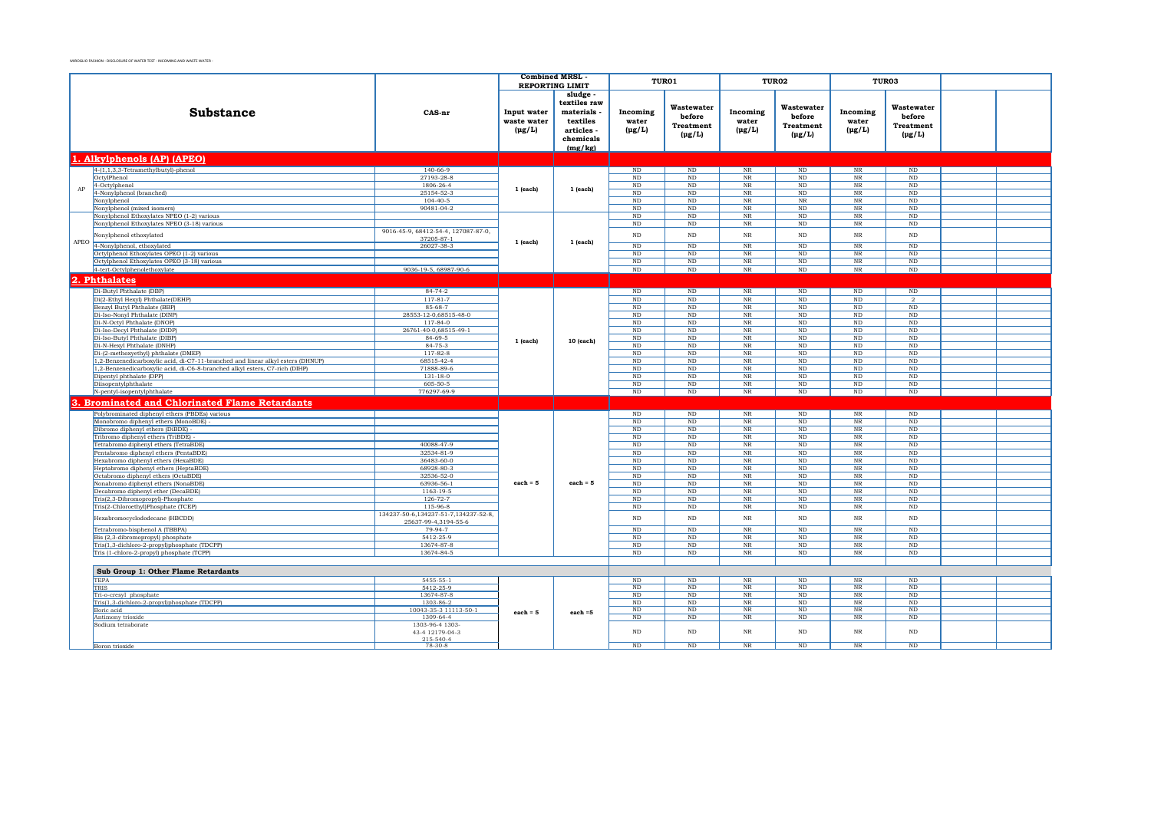|            |                                                                                           |                                        | <b>Combined MRSL</b> |                        |                 | TUR01                   |                                                  | TUR02                        | TUR03                                            |                      |  |
|------------|-------------------------------------------------------------------------------------------|----------------------------------------|----------------------|------------------------|-----------------|-------------------------|--------------------------------------------------|------------------------------|--------------------------------------------------|----------------------|--|
|            |                                                                                           |                                        |                      | <b>REPORTING LIMIT</b> |                 |                         |                                                  |                              |                                                  |                      |  |
|            |                                                                                           |                                        |                      | sludge -               |                 |                         |                                                  |                              |                                                  |                      |  |
|            |                                                                                           |                                        |                      | textiles raw           |                 | Wastewater              |                                                  | Wastewater                   |                                                  | Wastewater           |  |
|            | <b>Substance</b>                                                                          | CAS-nr                                 | Input water          | materials              | Incoming        | before                  | Incoming                                         | before                       | Incoming                                         | before               |  |
|            |                                                                                           |                                        | waste water          | textiles               | water           | <b>Treatment</b>        | water                                            | <b>Treatment</b>             | water                                            | <b>Treatment</b>     |  |
|            |                                                                                           |                                        | $(\mu g/L)$          | articles -             | $(\mu g/L)$     | $(\mu g/L)$             | $(\mu g/L)$                                      |                              | $(\mu g/L)$                                      | $(\mu g/L)$          |  |
|            |                                                                                           |                                        |                      | chemicals              |                 |                         |                                                  | $(\mu g/L)$                  |                                                  |                      |  |
|            |                                                                                           |                                        |                      | (mg/kg)                |                 |                         |                                                  |                              |                                                  |                      |  |
|            | . Alkylphenols (AP) (APEO)                                                                |                                        |                      |                        |                 |                         |                                                  |                              |                                                  |                      |  |
|            | $4-(1,1,3,3-Tetramethylbutyl)-phenol$                                                     | $140 - 66 - 9$                         |                      |                        | ND              | ND                      | $\rm{NR}$                                        | ND                           | NR                                               | ND                   |  |
|            | OctvlPhenol                                                                               | 27193-28-8                             |                      |                        | ND              | ND                      | NR                                               | ND                           | $\overline{\text{NR}}$                           | ND                   |  |
| ${\rm AP}$ | 4-Octylphenol                                                                             | 1806-26-4                              | 1 (each)             | 1 (each)               | $\rm ND$        | ND                      | NR                                               | ND                           | NR                                               | ND                   |  |
|            | 4-Nonylphenol (branched)                                                                  | 25154-52-3                             |                      |                        | <b>ND</b>       | ND                      | NR                                               | ND                           | NR                                               | ND                   |  |
|            | Nonylphenol<br>Nonylphenol (mixed isomers)                                                | $104 - 40 - 5$<br>90481-04-2           |                      |                        | ND<br><b>ND</b> | ND<br>ND                | NR<br>NR                                         | NR<br>ND                     | NR<br>NR                                         | ND<br>ND             |  |
|            | Nonvlphenol Ethoxylates NPEO (1-2) various                                                |                                        |                      |                        | <b>ND</b>       | ND                      | NR                                               | ND                           | NR                                               | ND                   |  |
|            | Nonylphenol Ethoxylates NPEO (3-18) various                                               |                                        |                      |                        | $\rm ND$        | $\rm ND$                | $_{\rm NR}$                                      | $\rm ND$                     | $_{\rm NR}$                                      | $\rm ND$             |  |
|            | Nonylphenol ethoxylated                                                                   | 9016-45-9, 68412-54-4, 127087-87-0,    |                      |                        | $\rm ND$        | $\rm ND$                | $_{\rm NR}$                                      | $\rm ND$                     | $_{\rm NR}$                                      | $_{\rm ND}$          |  |
|            |                                                                                           | 37205-87-1                             | 1 (each)             | 1 (each)               |                 |                         |                                                  |                              |                                                  |                      |  |
|            | APEO 4-Nonylphenol, ethoxylated                                                           | 26027-38-3                             |                      |                        | $\rm ND$        | $\rm ND$                | $\overline{\text{NR}}$                           | $\rm ND$                     | $_{\rm NR}$                                      | $\rm ND$             |  |
|            | Octylphenol Ethoxylates OPEO (1-2) various<br>Octylphenol Ethoxylates OPEO (3-18) various |                                        |                      |                        | ND<br>ND        | ND<br>$\rm ND$          | $_{\rm NR}$<br>$_{\rm NR}$                       | ND<br>ND                     | $_{\rm NR}$<br>$_{\rm NR}$                       | ND<br>$\rm ND$       |  |
|            | 4-tert-Octylphenolethoxylate                                                              | 9036-19-5, 68987-90-6                  |                      |                        | $\rm ND$        | $\rm ND$                | $_{\rm NR}$                                      | ND                           | $_{\rm NR}$                                      | ND                   |  |
| 12.        | <b>Phthalates</b>                                                                         |                                        |                      |                        |                 |                         |                                                  |                              |                                                  |                      |  |
|            |                                                                                           |                                        |                      |                        |                 |                         |                                                  |                              |                                                  |                      |  |
|            | Di-Butyl Phthalate (DBP)<br>Di(2-Ethyl Hexyl) Phthalate(DEHP)                             | $84 - 74 - 2$<br>$117 - 81 - 7$        |                      |                        | ND<br>ND        | ND<br>$\rm ND$          | $_{\rm NR}$<br>$\rm NR$                          | ND<br>ND                     | ND<br>$\rm ND$                                   | ND<br>$\overline{2}$ |  |
|            | Benzyl Butyl Phthalate (BBP)                                                              | 85-68-7                                |                      |                        | ND              | ND                      | NR                                               | ND                           | ND                                               | ND                   |  |
|            | Di-Iso-Nonyl Phthalate (DINP)                                                             | 28553-12-0.68515-48-0                  |                      |                        | ND              | ND                      | NR                                               | ND                           | ND                                               | ND                   |  |
|            | Di-N-Octyl Phthalate (DNOP)                                                               | $117 - 84 - 0$                         |                      |                        | ND              | ND                      | NR                                               | ND                           | ND                                               | ND                   |  |
|            | Di-Iso-Decyl Phthalate (DIDP)                                                             | 26761-40-0,68515-49-1                  |                      |                        | ND              | ND                      | NR                                               | ND                           | ND                                               | ND                   |  |
|            | Di-Iso-Butyl Phthalate (DIBP)<br>Di-N-Hexvl Phthalate (DNHP)                              | $84 - 69 - 5$<br>$84 - 75 - 3$         | 1 (each)             | 10 (each)              | ND<br>ND        | ND<br>ND                | NR<br>NR                                         | ND<br>ND                     | ND<br>ND                                         | ND<br>ND             |  |
|            | Di-(2-methoxyethyl) phthalate (DMEP)                                                      | $117 - 82 - 8$                         |                      |                        | ND              | ND                      | $_{\rm NR}$                                      | ND                           | ND                                               | ND                   |  |
|            | 1,2-Benzenedicarboxylic acid, di-C7-11-branched and linear alkyl esters (DHNUP)           | 68515-42-4                             |                      |                        | ND              | $\overline{\text{ND}}$  | $_{\rm NR}$                                      | ND                           | ND                                               | ND                   |  |
|            | 1,2-Benzenedicarboxylic acid, di-C6-8-branched alkyl esters, C7-rich (DIHP)               | 71888-89-6                             |                      |                        | ND              | $\overline{\text{ND}}$  | $\overline{\text{NR}}$                           | ND                           | ND                                               | ND                   |  |
|            | Dipentyl phthalate (DPP)                                                                  | $131 - 18 - 0$                         |                      |                        | $\rm ND$        | $\rm ND$                | $\rm{NR}$                                        | ND                           | $\rm ND$                                         | $\rm ND$             |  |
|            | Diisopentylphthalate                                                                      | 605-50-5                               |                      |                        | $\rm ND$        | $\rm ND$                | $\rm{NR}$                                        | ND                           | $\rm ND$                                         | $\rm ND$             |  |
|            | N-pentyl-isopentylphthalate                                                               | 776297-69-9                            |                      |                        | $\rm ND$        | $\rm ND$                | $\rm{NR}$                                        | $\rm ND$                     | $\rm ND$                                         | $\rm ND$             |  |
|            | <b>Brominated and Chlorinated Flame Retardants</b>                                        |                                        |                      |                        |                 |                         |                                                  |                              |                                                  |                      |  |
|            | Polybrominated diphenyl ethers (PBDEs) various                                            |                                        |                      |                        | $\rm ND$        | $\rm ND$                | $\rm{NR}$                                        | $\mathbf{ND}$                | $\overline{\text{NR}}$                           | $\rm ND$             |  |
|            | Monobromo diphenyl ethers (MonoBDE)                                                       |                                        |                      |                        | $_{\rm ND}$     | $\rm ND$                | $\overline{\text{NR}}$                           | $\mathbf{ND}$                | $\overline{\text{NR}}$                           | ND                   |  |
|            | Dibromo diphenyl ethers (DiBDE) -<br>Tribromo diphenyl ethers (TriBDE)                    |                                        |                      |                        | ND<br>$\rm ND$  | $\rm ND$<br>$_{\rm ND}$ | $\overline{\text{NR}}$<br>$\overline{\text{NR}}$ | $\overline{\text{ND}}$<br>ND | $\overline{\text{NR}}$<br>$\overline{\text{NR}}$ | ND<br>$_{\rm ND}$    |  |
|            | Tetrabromo diphenyl ethers (TetraBDE)                                                     | 40088-47-9                             |                      |                        | ND              | $\rm ND$                | $\overline{\text{NR}}$                           | ND                           | $\overline{\text{NR}}$                           | ND                   |  |
|            | Pentabromo diphenyl ethers (PentaBDE)                                                     | 32534-81-9                             |                      |                        | $\rm ND$        | ND                      | $\overline{\text{NR}}$                           | ND                           | NR                                               | ND                   |  |
|            | Hexabromo diphenyl ethers (HexaBDE)                                                       | 36483-60-0                             |                      |                        | ND              | ND                      | $\overline{\text{NR}}$                           | ND                           | $\overline{\text{NR}}$                           | ND                   |  |
|            | Heptabromo diphenyl ethers (HeptaBDE)                                                     | 68928-80-3                             |                      |                        | ND              | ND                      | $\overline{\text{NR}}$                           | ND                           | NR                                               | ND                   |  |
|            | Octabromo diphenyl ethers (OctaBDE)                                                       | 32536-52-0<br>63936-56-1               | $each = 5$           | $each = 5$             | ND<br>ND        | ND<br>ND                | NR<br>$\overline{\text{NR}}$                     | ND<br>ND                     | NR<br>$\overline{\text{NR}}$                     | ND<br>ND             |  |
|            | Nonabromo diphenyl ethers (NonaBDE)<br>Decabromo diphenyl ether (DecaBDE)                 | 1163-19-5                              |                      |                        | ND              | ND                      | $\overline{\text{NR}}$                           | ND                           | $\overline{\text{NR}}$                           | ND                   |  |
|            | Tris(2,3-Dibromopropyl)-Phosphate                                                         | $126 - 72 - 7$                         |                      |                        | ND              | ND                      | $\overline{\text{NR}}$                           | ND                           | $\overline{\text{NR}}$                           | ND                   |  |
|            | Tris(2-Chloroethyl)Phosphate (TCEP)                                                       | 115-96-8                               |                      |                        | ND              | $\rm ND$                | $_{\rm NR}$                                      | $\rm ND$                     | $_{\rm NR}$                                      | $\rm ND$             |  |
|            | Hexabromocyclododecane (HBCDD)                                                            | 134237-50-6, 134237-51-7, 134237-52-8, |                      |                        | $_{\rm ND}$     | $\rm ND$                | $\rm NR$                                         | $\rm ND$                     | $_{\rm NR}$                                      | $_{\rm ND}$          |  |
|            | Tetrabromo-bisphenol A (TBBPA)                                                            | 25637-99-4.3194-55-6<br>79-94-7        |                      |                        | ND              | ND                      | $_{\rm NR}$                                      | ND                           | NR                                               | ND                   |  |
|            | Bis (2,3-dibromopropyl) phosphate                                                         | 5412-25-9                              |                      |                        | <b>ND</b>       | ND                      | NR                                               | ND                           | NR                                               | ND                   |  |
|            | Tris(1,3-dichloro-2-propyl)phosphate (TDCPP)                                              | 13674-87-8                             |                      |                        | ND              | ND                      | NR                                               | ND                           | $\overline{\text{NR}}$                           | ND                   |  |
|            | Tris (1-chloro-2-propyl) phosphate (TCPP)                                                 | 13674-84-5                             |                      |                        | ND              | ND                      | $_{\rm NR}$                                      | ND                           | $_{\rm NR}$                                      | ND                   |  |
|            |                                                                                           |                                        |                      |                        |                 |                         |                                                  |                              |                                                  |                      |  |
|            | Sub Group 1: Other Flame Retardants                                                       |                                        |                      |                        |                 |                         |                                                  |                              |                                                  |                      |  |
|            | <b>TEPA</b>                                                                               | 5455-55-1                              |                      |                        | ND              | ND                      | NR                                               | ND                           | NR                                               | ND                   |  |
|            | TRIS                                                                                      | 5412-25-9                              |                      |                        | $\rm ND$        | $\rm ND$                | $_{\rm NR}$                                      | ND                           | $_{\rm NR}$                                      | $\rm ND$             |  |
|            | Tri-o-cresyl phosphate<br>Tris(1,3-dichloro-2-propyl)phosphate (TDCPP)                    | 13674-87-8<br>1303-86-2                |                      |                        | ND<br>$\rm ND$  | ND<br>$\rm ND$          | $\overline{\text{NR}}$<br>$_{\rm NR}$            | ND<br>ND                     | $\overline{\text{NR}}$<br>$_{\rm NR}$            | ND<br>$\rm ND$       |  |
|            | Boric acid                                                                                | 10043-35-3 11113-50-1                  | $each = 5$           | each $=5$              | ND              | ND                      | $\overline{\text{NR}}$                           | ND                           | $_{\rm NR}$                                      | ND                   |  |
|            | Antimony trioxide                                                                         | 1309-64-4                              |                      |                        | ND              | ND                      | $_{\rm NR}$                                      | ND                           | NR                                               | ND                   |  |
|            | Sodium tetraborate                                                                        | 1303-96-4 1303-                        |                      |                        |                 |                         |                                                  |                              |                                                  |                      |  |
|            |                                                                                           | 43-4 12179-04-3<br>215-540-4           |                      |                        | $\rm ND$        | $\rm ND$                | $_{\rm NR}$                                      | ND                           | $_{\rm NR}$                                      | $_{\rm ND}$          |  |
|            | Boron trioxide                                                                            | $78-30-8$                              |                      |                        | ND              | ND                      | NR                                               | ND                           | $\overline{\text{NR}}$                           | ND                   |  |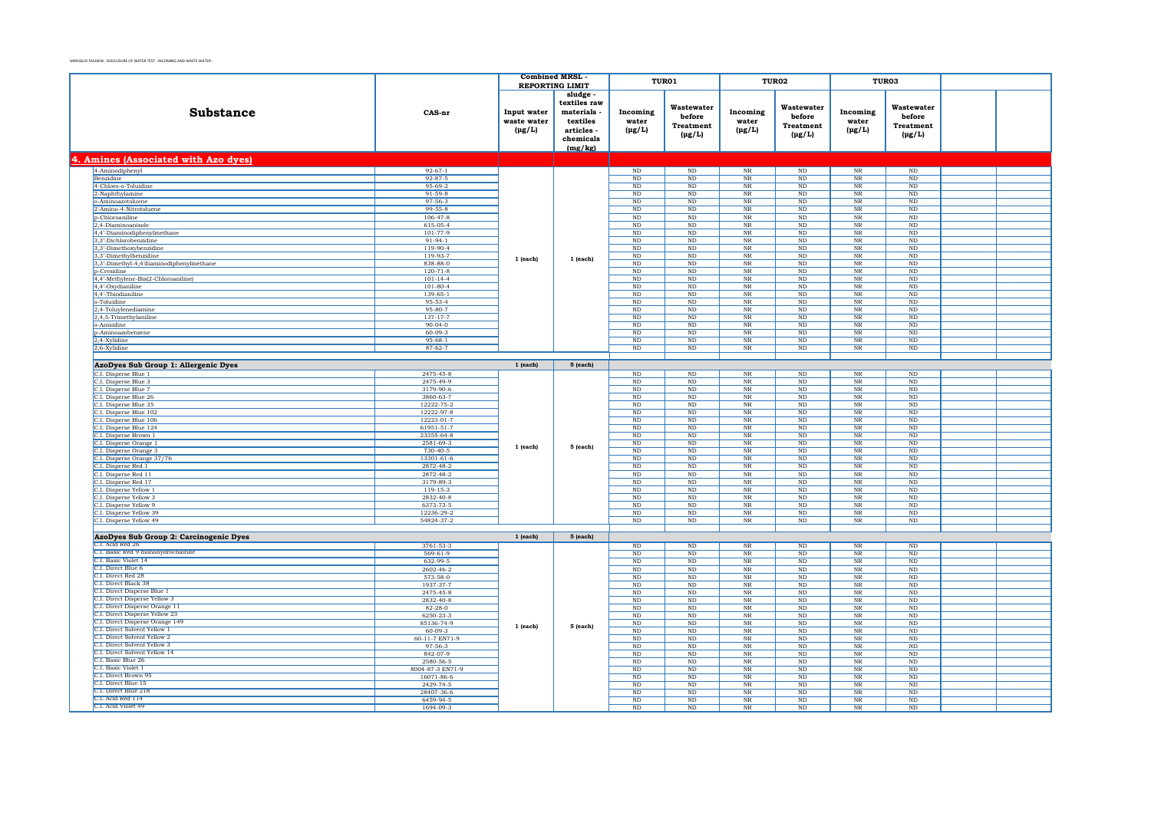|                                                              |                                 | <b>Combined MRSL</b>                      |                                                                                     |                                  | TUR01                                                   |                                       | TUR02                                            | TUR03                            |                                                  |                |                   |                    |  |
|--------------------------------------------------------------|---------------------------------|-------------------------------------------|-------------------------------------------------------------------------------------|----------------------------------|---------------------------------------------------------|---------------------------------------|--------------------------------------------------|----------------------------------|--------------------------------------------------|----------------|-------------------|--------------------|--|
|                                                              |                                 | <b>REPORTING LIMIT</b>                    |                                                                                     |                                  |                                                         |                                       |                                                  |                                  |                                                  |                |                   |                    |  |
| <b>Substance</b>                                             | CAS-nr                          | Input water<br>waste water<br>$(\mu g/L)$ | sludge<br>textiles raw<br>materials<br>textiles<br>articles<br>chemicals<br>(mg/kg) | Incoming<br>water<br>$(\mu g/L)$ | Wastewater<br>before<br><b>Treatment</b><br>$(\mu g/L)$ | Incoming<br>water<br>$(\text{pg/L})$  | Wastewater<br>before<br>Treatment<br>$(\mu g/L)$ | Incoming<br>water<br>$(\mu g/L)$ | Wastewater<br>before<br>Treatment<br>$(\mu g/L)$ |                |                   |                    |  |
| 4. Amines (Associated with Azo dyes)                         |                                 |                                           |                                                                                     |                                  |                                                         |                                       |                                                  |                                  |                                                  |                |                   |                    |  |
| 4-Aminodiphenyl                                              | $92 - 67 - 1$                   |                                           |                                                                                     | $\rm ND$                         | $_{\rm ND}$                                             | $_{\rm NR}$                           | $\rm ND$                                         | $\rm NR$                         | $\rm ND$                                         |                |                   |                    |  |
| <b>Benzidine</b>                                             | $92 - 87 - 5$                   |                                           |                                                                                     | ND                               | ND                                                      | NR                                    | ND                                               | NR                               | ND                                               |                |                   |                    |  |
| 4-Chloro-o-Toluidine                                         | 95-69-2                         |                                           |                                                                                     | ND                               | $_{\rm ND}$                                             | $\rm{NR}$                             | $\rm ND$                                         | $\rm{NR}$                        | $\mathbf{ND}$                                    |                |                   |                    |  |
| 2-Naphthylamine                                              | $91 - 59 - 8$                   |                                           |                                                                                     | $_{\rm ND}$                      | <b>ND</b>                                               | $_{\rm NR}$                           | <b>ND</b>                                        | $_{\rm NR}$                      | ND                                               |                |                   |                    |  |
| o-Aminoazotoluene                                            | $97 - 56 - 3$                   |                                           |                                                                                     | $_{\rm ND}$                      | $\rm ND$                                                | $\rm{NR}$                             | $\rm ND$                                         | $_{\rm NR}$                      | $\rm ND$                                         |                |                   |                    |  |
| 2-Amino-4-Nitrotoluene<br>p-Chloroaniline                    | $99 - 55 - 8$<br>$106 - 47 - 8$ |                                           |                                                                                     | ND<br>ND                         | ND<br>ND                                                | $_{\rm NR}$<br>NR                     | $_{\rm ND}$<br><b>ND</b>                         | NR<br>$_{\rm NR}$                | ND<br>ND                                         |                |                   |                    |  |
| 2,4-Diaminoanisole                                           | 615-05-4                        |                                           |                                                                                     | $\rm ND$                         | ND                                                      | $\rm{NR}$                             | $\rm ND$                                         | $_{\rm NR}$                      | $\rm ND$                                         |                |                   |                    |  |
| 4,4'-Diaminodiphenylmethane                                  | $101 - 77 - 9$                  |                                           |                                                                                     | ND.                              | ND.                                                     | <b>NR</b>                             | N <sub>D</sub>                                   | <b>NR</b>                        | ND.                                              |                |                   |                    |  |
| 3,3'-Dichlorobenzidine                                       | $91-94-1$                       |                                           |                                                                                     | $\rm ND$                         | $_{\rm ND}$                                             | $\overline{\text{NR}}$                | ND                                               | $_{\rm NR}$                      | $\mathbf{ND}$                                    |                |                   |                    |  |
| 3,3'-Dimethoxybenzidine                                      | 119-90-4                        |                                           |                                                                                     | ND                               | <b>ND</b>                                               | $\rm NR$                              | <b>ND</b>                                        | $_{\rm NR}$                      | <b>ND</b>                                        |                |                   |                    |  |
| 3,3'-Dimethylbenzidine                                       | 119-93-7                        | $1$ (each)                                | 1 (each)                                                                            | $_{\rm ND}$                      | $\rm ND$                                                | $\rm{NR}$                             | $\rm ND$                                         | $_{\rm NR}$                      | $\rm ND$                                         |                |                   |                    |  |
| 3,3'-Dimethyl-4,4'diaminodiphenylmethane                     | 838-88-0<br>$120 - 71 - 8$      |                                           |                                                                                     | $\rm ND$<br>$\rm ND$             | $_{\rm ND}$<br>ND                                       | $\rm{NR}$<br>$\rm NR$                 | $\rm ND$<br>$\rm ND$                             | $\rm NR$<br>$_{\rm NR}$          | $\rm ND$<br>$\mathbf{ND}$                        |                |                   |                    |  |
| p-Cresidine<br>4,4'-Methylene-Bis(2-Chloroaniline)           | $101 - 14 - 4$                  |                                           |                                                                                     | $_{\rm ND}$                      | ND                                                      | $\rm{NR}$                             | $\rm ND$                                         | $_{\rm NR}$                      | $\rm ND$                                         |                |                   |                    |  |
| 4,4'-Oxydianiline                                            | $101 - 80 - 4$                  |                                           |                                                                                     | $_{\rm ND}$                      | $_{\rm ND}$                                             | $\rm{NR}$                             | $\rm ND$                                         | $_{\rm NR}$                      | $_{\rm ND}$                                      |                |                   |                    |  |
| 4.4'-Thiodianiline                                           | $139 - 65 - 1$                  |                                           |                                                                                     | $\rm ND$                         | $\rm ND$                                                | $\rm{NR}$                             | $\rm ND$                                         | $_{\rm NR}$                      | $\rm ND$                                         |                |                   |                    |  |
| o-Toluidine                                                  | 95-53-4                         |                                           |                                                                                     | $\rm ND$                         | ND                                                      | $\rm{NR}$                             | $\rm ND$                                         | $_{\rm NR}$                      | $\rm ND$                                         |                |                   |                    |  |
| 2.4-Toluvlenediamine                                         | $95 - 80 - 7$                   |                                           |                                                                                     | <b>ND</b>                        | ND                                                      | $\overline{\text{NR}}$                | <b>ND</b>                                        | <b>NR</b>                        | ND.                                              |                |                   |                    |  |
| 2,4,5-Trimethylaniline                                       | $137 - 17 - 7$                  |                                           |                                                                                     | $\rm ND$                         | $_{\rm ND}$                                             | $\overline{\text{NR}}$                | $\rm ND$                                         | $\overline{\text{NR}}$           | $\rm ND$                                         |                |                   |                    |  |
| o-Anisidine<br>p-Aminoazobenzene                             | $90-04-0$<br>$60 - 09 - 3$      |                                           |                                                                                     | ND<br>ND                         | ND<br>ND                                                | $_{\rm NR}$<br>$\overline{\text{NR}}$ | <b>ND</b><br>ND                                  | NR<br>$_{\rm NR}$                | ND<br>ND                                         |                |                   |                    |  |
| 2,4-Xylidine                                                 | $95 - 68 - 1$                   |                                           |                                                                                     | $_{\rm ND}$                      | $_{\rm ND}$                                             | $\rm{NR}$                             | $\rm ND$                                         | $_{\rm NR}$                      | $\rm ND$                                         |                |                   |                    |  |
| 2.6-Xvlidine                                                 | $87 - 62 - 7$                   |                                           |                                                                                     | ND                               | ND                                                      | NR                                    | ND                                               | NR                               | ND                                               |                |                   |                    |  |
|                                                              |                                 |                                           |                                                                                     |                                  |                                                         |                                       |                                                  |                                  |                                                  |                |                   |                    |  |
| AzoDyes Sub Group 1: Allergenic Dyes                         |                                 | $1$ (each)                                | $5$ (each)                                                                          |                                  |                                                         |                                       |                                                  |                                  |                                                  |                |                   |                    |  |
| C.I. Disperse Blue 1                                         | 2475-45-8                       |                                           |                                                                                     | ND                               | ND                                                      | NR                                    | ND                                               | $_{\rm NR}$                      | ND                                               |                |                   |                    |  |
| C.I. Disperse Blue 3                                         | 2475-49-9                       |                                           |                                                                                     | $_{\rm ND}$                      | ND                                                      | $_{\rm NR}$                           | $\rm ND$                                         | $_{\rm NR}$                      | $\rm ND$                                         |                |                   |                    |  |
| C.I. Disperse Blue 7                                         | 3179-90-6                       |                                           |                                                                                     | ND                               | ND                                                      | N <sub>R</sub>                        | ND                                               | N <sub>R</sub>                   | ND                                               |                |                   |                    |  |
| C.I. Disperse Blue 26<br>C.I. Disperse Blue 35               | 3860-63-7<br>12222-75-2         |                                           |                                                                                     | ND<br>ND                         | $_{\rm ND}$<br><b>ND</b>                                | $\overline{\text{NR}}$<br>$_{\rm NR}$ | $\rm ND$<br><b>ND</b>                            | $_{\rm NR}$<br>NR                | $\mathbf{ND}$<br><b>ND</b>                       |                |                   |                    |  |
| C.I. Disperse Blue 102                                       | 12222-97-8                      |                                           |                                                                                     | ND                               | ND                                                      | $\overline{\text{NR}}$                | ND                                               | $_{\rm NR}$                      | ND                                               |                |                   |                    |  |
| C.I. Disperse Blue 106                                       | 12223-01-7                      |                                           |                                                                                     | $_{\rm ND}$                      | $_{\rm ND}$                                             | $\rm{NR}$                             | $\rm ND$                                         | $_{\rm NR}$                      | $_{\rm ND}$                                      |                |                   |                    |  |
| C.I. Disperse Blue 124                                       | 61951-51-7                      |                                           |                                                                                     | $_{\rm ND}$                      | $_{\rm ND}$                                             | $\rm{NR}$                             | $\rm ND$                                         | $_{\rm NR}$                      | $_{\rm ND}$                                      |                |                   |                    |  |
| C.I. Disperse Brown 1                                        | 23355-64-8                      | 1 (each)                                  |                                                                                     | ND                               | ND                                                      | $\rm{NR}$                             | $\rm ND$                                         | $_{\rm NR}$                      | $\rm ND$                                         |                |                   |                    |  |
| C.I. Disperse Orange 1                                       | 2581-69-3                       |                                           | 5 (each)                                                                            | $_{\rm ND}$                      | $_{\rm ND}$                                             | $\rm{NR}$                             | $\rm ND$                                         | $_{\rm NR}$                      | $_{\rm ND}$                                      |                |                   |                    |  |
| C.I. Disperse Orange 3                                       | $730 - 40 - 5$                  |                                           |                                                                                     | ND.                              | ND.                                                     | <b>NR</b>                             | ND                                               | $_{\rm NR}$                      | ND.                                              |                |                   |                    |  |
| C.I. Disperse Orange 37/76<br>C.I. Disperse Red 1            | 13301-61-6<br>2872-48-2         |                                           |                                                                                     | $_{\rm ND}$<br>ND                | ND<br>ND                                                | $\rm{NR}$<br>$\overline{\text{NR}}$   | $\rm ND$<br>ND                                   | $_{\rm NR}$<br><b>NR</b>         | $\rm ND$<br>ND.                                  |                |                   |                    |  |
| C.I. Disperse Red 11                                         | 2872-48-2                       |                                           |                                                                                     | ND                               | $_{\rm ND}$                                             | $\overline{\text{NR}}$                | $\rm ND$                                         | $_{\rm NR}$                      | $\mathbf{ND}$                                    |                |                   |                    |  |
| C.I. Disperse Red 17                                         | 3179-89-3                       |                                           |                                                                                     |                                  | ND                                                      | ND                                    | $\rm{NR}$                                        | $_{\rm ND}$                      | NR                                               | ND             |                   |                    |  |
| C.I. Disperse Yellow 1                                       | $119 - 15 - 3$                  |                                           |                                                                                     | ND                               | ND                                                      | $\overline{\text{NR}}$                | ND                                               | $_{\rm NR}$                      | ND                                               |                |                   |                    |  |
| C.I. Disperse Yellow 3                                       | 2832-40-8                       |                                           |                                                                                     | $_{\rm ND}$                      | $_{\rm ND}$                                             | $\rm{NR}$                             | $\rm ND$                                         | $_{\rm NR}$                      | $_{\rm ND}$                                      |                |                   |                    |  |
| C.I. Disperse Yellow 9                                       | 6373-73-5                       |                                           |                                                                                     | ND                               | ND                                                      | NR                                    | ND                                               | NR                               | ND                                               |                |                   |                    |  |
| C.I. Disperse Yellow 39                                      | 12236-29-2<br>54824-37-2        |                                           |                                                                                     | $\rm ND$                         | $_{\rm ND}$                                             | $\overline{\text{NR}}$                | ND                                               | $\rm{NR}$                        | $\mathbf{ND}$                                    |                |                   |                    |  |
| C.I. Disperse Yellow 49                                      |                                 |                                           |                                                                                     | $_{\rm ND}$                      | $_{\rm ND}$                                             | $\rm{NR}$                             | $\rm ND$                                         | $_{\rm NR}$                      | $_{\rm ND}$                                      |                |                   |                    |  |
| AzoDyes Sub Group 2: Carcinogenic Dyes                       |                                 | $1$ (each)                                | $5$ (each)                                                                          |                                  |                                                         |                                       |                                                  |                                  |                                                  |                |                   |                    |  |
| C.I. Acid Red 26                                             | 3761-53-3                       |                                           |                                                                                     | ND                               | $\overline{\text{ND}}$                                  | NR                                    | ND                                               | $_{\rm NR}$                      | ND                                               |                |                   |                    |  |
| C.I. Basic Red 9 monohydrochloride                           | $569 - 61 - 9$                  |                                           |                                                                                     | ND                               | $_{\rm ND}$                                             | $\rm{NR}$                             | $\rm ND$                                         | $_{\rm NR}$                      | $_{\rm ND}$                                      |                |                   |                    |  |
| C.I. Basic Violet 14                                         | 632-99-5                        |                                           |                                                                                     | ND                               | ND                                                      | NR                                    | <b>ND</b>                                        | NR                               | <b>ND</b>                                        |                |                   |                    |  |
| C.I. Direct Blue 6                                           | 2602-46-2                       |                                           |                                                                                     | ND                               | ND                                                      | $\overline{\text{NR}}$                | ND                                               | $_{\rm NR}$                      | ND                                               |                |                   |                    |  |
| C.L. Direct Red 28<br>C.I. Direct Black 38                   | 573-58-0                        |                                           |                                                                                     | $_{\rm ND}$                      | $_{\rm ND}$                                             | $\rm NR$                              | $\rm ND$                                         | $_{\rm NR}$                      | $_{\rm ND}$                                      |                |                   |                    |  |
| C.I. Direct Disperse Blue 1                                  | 1937-37-7<br>2475-45-8          |                                           |                                                                                     | $_{\rm ND}$<br>$\rm ND$          | ND<br>$\rm ND$                                          | $_{\rm NR}$<br>$_{\rm NR}$            | $_{\rm ND}$<br>$\rm ND$                          | NR<br>$_{\rm NR}$                | ND<br>$\rm ND$                                   |                |                   |                    |  |
| C.I. Direct Disperse Yellow 3                                | 2832-40-8                       |                                           |                                                                                     | $_{\rm ND}$                      | $_{\rm ND}$                                             | $_{\rm NR}$                           | $\rm ND$                                         | $\rm NR$                         | $_{\rm ND}$                                      |                |                   |                    |  |
| C.I. Direct Disperse Orange 11                               | $82 - 28 - 0$                   |                                           |                                                                                     | ND                               | ND.                                                     | <b>NR</b>                             | ND                                               | $_{\rm NR}$                      | ND                                               |                |                   |                    |  |
| C.I. Direct Disperse Yellow 23                               | 6250-23-3                       |                                           |                                                                                     | $\rm ND$                         | $_{\rm ND}$                                             | $\rm{NR}$                             | ND                                               | $_{\rm NR}$                      | $\mathbf{ND}$                                    |                |                   |                    |  |
| C.I. Direct Disperse Orange 149                              | 85136-74-9                      | 1 (each)                                  | 5 (each)                                                                            | $_{\rm ND}$                      | <b>ND</b>                                               | $_{\rm NR}$                           | <b>ND</b>                                        | $_{\rm NR}$                      | <b>ND</b>                                        |                |                   |                    |  |
| C.I. Direct Solvent Yellow 1<br>C.I. Direct Solvent Yellow 2 | 60-09-3                         |                                           |                                                                                     | $_{\rm ND}$                      | $\rm ND$                                                | $_{\rm NR}$                           | ND                                               | $_{\rm NR}$                      | $\rm ND$                                         |                |                   |                    |  |
| C.I. Direct Solvent Yellow 3                                 | 60-11-7 EN71-9<br>97-56-3       |                                           |                                                                                     | ND<br>ND                         | ND<br>ND                                                | NR<br>$\overline{\text{NR}}$          | $_{\rm ND}$<br>ND                                | NR<br>$_{\rm NR}$                | ND<br>ND                                         |                |                   |                    |  |
| C.I. Direct Solvent Yellow 14                                | 842-07-9                        |                                           |                                                                                     | $\rm ND$                         | ND                                                      | $_{\rm NR}$                           | $\rm ND$                                         | $_{\rm NR}$                      | $\rm ND$                                         |                |                   |                    |  |
| C.I. Basic Blue 26                                           | 2580-56-5                       |                                           |                                                                                     | N <sub>D</sub>                   | ND.                                                     | <b>NR</b>                             | N <sub>D</sub>                                   | <b>NR</b>                        | ND.                                              |                |                   |                    |  |
| C.I. Basic Violet 1                                          | 8004-87-3 EN71-9                |                                           |                                                                                     | $_{\rm ND}$                      | $_{\rm ND}$                                             | $\rm{NR}$                             | ND                                               | $\overline{\text{NR}}$           | $\mathbf{ND}$                                    |                |                   |                    |  |
| C.I. Direct Brown 95                                         | 16071-86-6                      |                                           |                                                                                     | ND                               | <b>ND</b>                                               | $_{\rm NR}$                           | <b>ND</b>                                        | $_{\rm NR}$                      | <b>ND</b>                                        |                |                   |                    |  |
| C.I. Direct Blue 15                                          | 2429-74-5                       |                                           |                                                                                     | ND                               | $\rm ND$                                                | $_{\rm NR}$                           | $\rm ND$                                         | $_{\rm NR}$                      | $\rm ND$                                         |                |                   |                    |  |
| C.I. Direct Blue 218<br>C.L. Acid Red 114                    | 28407-36-6<br>6459-94-5         |                                           |                                                                                     |                                  |                                                         |                                       | $_{\rm ND}$<br>N <sub>D</sub>                    | $_{\rm ND}$<br>N <sub>D</sub>    | $\rm NR$<br>NR                                   | $\rm ND$<br>ND | $_{\rm NR}$<br>NR | $_{\rm ND}$<br>ND. |  |
| C.I. Acid Violet 49                                          | 1694-09-3                       |                                           |                                                                                     | ND                               | $\rm ND$                                                | $_{\rm NR}$                           | $\rm ND$                                         | $_{\rm NR}$                      | $\rm ND$                                         |                |                   |                    |  |
|                                                              |                                 |                                           |                                                                                     |                                  |                                                         |                                       |                                                  |                                  |                                                  |                |                   |                    |  |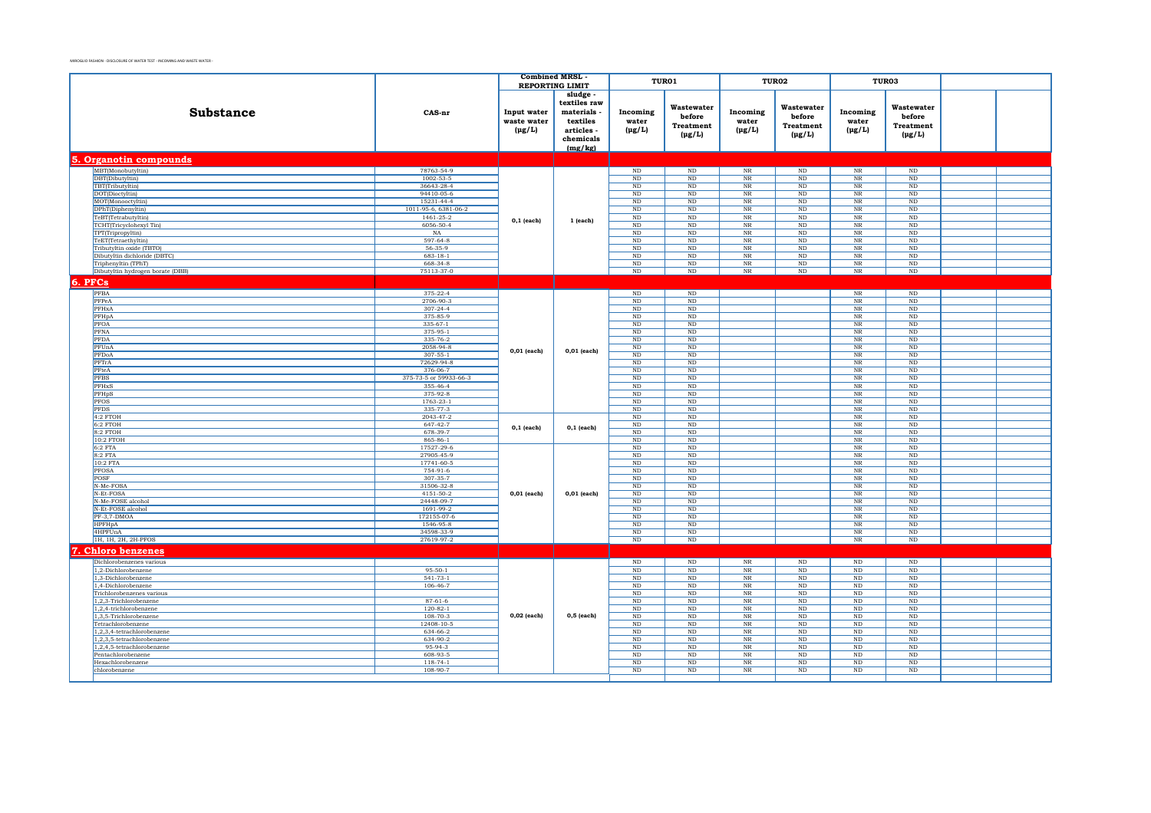|                                                     |                          |                                           | <b>Combined MRSL</b>                                                                    |                                  | TUR01                                                   | TUR02                            |                                                         | TUR03                            |                                                  |             |  |
|-----------------------------------------------------|--------------------------|-------------------------------------------|-----------------------------------------------------------------------------------------|----------------------------------|---------------------------------------------------------|----------------------------------|---------------------------------------------------------|----------------------------------|--------------------------------------------------|-------------|--|
|                                                     |                          |                                           | <b>REPORTING LIMIT</b>                                                                  |                                  |                                                         |                                  |                                                         |                                  |                                                  |             |  |
| <b>Substance</b>                                    | CAS-nr                   | Input water<br>waste water<br>$(\mu g/L)$ | sludge -<br>textiles raw<br>materials<br>textiles<br>articles -<br>chemicals<br>(mg/kg) | Incoming<br>water<br>$(\mu g/L)$ | Wastewater<br>before<br><b>Treatment</b><br>$(\mu g/L)$ | Incoming<br>water<br>$(\mu g/L)$ | Wastewater<br>before<br><b>Treatment</b><br>$(\mu g/L)$ | Incoming<br>water<br>$(\mu g/L)$ | Wastewater<br>before<br>Treatment<br>$(\mu g/L)$ |             |  |
| 5. Organotin compounds                              |                          |                                           |                                                                                         |                                  |                                                         |                                  |                                                         |                                  |                                                  |             |  |
| MBT(Monobutyltin)                                   | 78763-54-9               |                                           |                                                                                         | $\rm ND$                         | ND                                                      | $\overline{\text{NR}}$           | $\mathop{\rm ND}\nolimits$                              | $\overline{\text{NR}}$           | ND                                               |             |  |
| DBT(Dibutyltin)                                     | 1002-53-5                |                                           |                                                                                         | ND                               | ND                                                      | $_{\rm NR}$                      | ND                                                      | $\overline{\text{NR}}$           | ND                                               |             |  |
| TBT(Tributyltin)                                    | 36643-28-4               |                                           |                                                                                         | ND                               | ND                                                      | $\overline{\text{NR}}$           | ND                                                      | $\overline{\text{NR}}$           | ND                                               |             |  |
| DOT(Dioctyltin)                                     | 94410-05-6<br>15231-44-4 |                                           |                                                                                         | ND<br>ND                         | $_{\rm ND}$<br>ND                                       | $\rm NR$<br>$_{\rm NR}$          | $\rm ND$<br>ND                                          | $_{\rm NR}$<br>NR                | $\rm ND$<br>ND                                   |             |  |
| MOT(Monooctyltin)<br>DPhT(Diphenyltin)              | 1011-95-6, 6381-06-2     |                                           |                                                                                         | $\rm ND$                         | $\rm ND$                                                | $\overline{\text{NR}}$           | ND                                                      | NR                               | <b>ND</b>                                        |             |  |
| TeBT(Tetrabutyltin)                                 | $1461 - 25 - 2$          |                                           |                                                                                         | ND                               | ND                                                      | $N_{R}$                          | ND                                                      | $\overline{\text{NR}}$           | ND                                               |             |  |
| TCHT(Tricyclohexyl Tin)                             | 6056-50-4                | $0,1$ (each)                              | 1 (each)                                                                                | ND                               | ND                                                      | $\overline{\text{NR}}$           | ND                                                      | $\overline{\text{NR}}$           | ND                                               |             |  |
| TPT(Tripropyltin)                                   | NA                       |                                           |                                                                                         | $_{\rm ND}$                      | $_{\rm ND}$                                             | $_{\rm NR}$                      | ND                                                      | $_{\rm NR}$                      | ND                                               |             |  |
| TeET(Tetraethyltin)                                 | $597 - 64 - 8$           |                                           |                                                                                         | ND                               | ND                                                      | $_{\rm NR}$                      | ND                                                      | $_{\rm NR}$                      | ND                                               |             |  |
| Tributyltin oxide (TBTO)                            | 56-35-9                  |                                           |                                                                                         | $_{\rm ND}$                      | $\rm ND$                                                | $\rm NR$                         | $_{\rm ND}$                                             | $_{\rm NR}$                      | ND                                               |             |  |
| Dibutyltin dichloride (DBTC)                        | $683 - 18 - 1$           |                                           |                                                                                         | ND                               | ND                                                      | NR                               | ND                                                      | NR                               | ND                                               |             |  |
| Triphenyltin (TPhT)                                 | 668-34-8                 |                                           |                                                                                         | ND                               | ND                                                      | NR                               | ND                                                      | $_{\rm NR}$                      | ND                                               |             |  |
| Dibutyltin hydrogen borate (DBB)                    | 75113-37-0               |                                           |                                                                                         | $\rm ND$                         | $\rm ND$                                                | $_{\rm NR}$                      | $\rm ND$                                                | $_{\rm NR}$                      | $\rm ND$                                         |             |  |
| 6. PFCs                                             |                          |                                           |                                                                                         |                                  |                                                         |                                  |                                                         |                                  |                                                  |             |  |
| PFBA                                                | $375 - 22 - 4$           |                                           |                                                                                         | $\rm ND$                         | $\rm ND$                                                |                                  |                                                         | $\overline{\text{NR}}$           | $_{\rm ND}$                                      |             |  |
| PFPeA                                               | 2706-90-3                |                                           |                                                                                         | ND                               | ND                                                      |                                  |                                                         | $_{\rm NR}$                      | ND                                               |             |  |
| PFHxA                                               | $307 - 24 - 4$           |                                           |                                                                                         | ND                               | ND                                                      |                                  |                                                         | $\overline{\text{NR}}$           | ND                                               |             |  |
| PFHpA                                               | 375-85-9                 |                                           |                                                                                         | ND                               | ND                                                      |                                  |                                                         | NR                               | ND                                               |             |  |
| PFOA                                                | $335 - 67 - 1$           |                                           |                                                                                         | ND                               | ND                                                      |                                  |                                                         | $\overline{\text{NR}}$           | ND                                               |             |  |
| PFNA<br>PFDA                                        | 375-95-1                 |                                           |                                                                                         | ND                               | $_{\rm ND}$                                             |                                  |                                                         | $_{\rm NR}$                      | $\rm ND$                                         |             |  |
| PFUnA                                               | 335-76-2<br>2058-94-8    |                                           |                                                                                         | ND<br>$\mathbf{ND}$              | ND<br>$\rm ND$                                          |                                  |                                                         | NR<br>$\overline{\text{NR}}$     | ND<br>ND                                         |             |  |
| PFDoA                                               | $307 - 55 - 1$           | $0,01$ (each)                             | $0,01$ (each)                                                                           | ND                               | ND                                                      |                                  |                                                         | $\overline{\text{NR}}$           | ND                                               |             |  |
| PFTrA                                               | 72629-94-8               |                                           |                                                                                         | ND                               | ND                                                      |                                  |                                                         | $\overline{\text{NR}}$           | ND                                               |             |  |
| PFteA                                               | 376-06-7                 |                                           |                                                                                         | $\rm ND$                         | $\rm ND$                                                |                                  |                                                         | $\rm NR$                         | $\rm ND$                                         |             |  |
| <b>PFBS</b>                                         | 375-73-5 or 59933-66-3   |                                           |                                                                                         | $_{\rm ND}$                      | $_{\rm ND}$                                             |                                  |                                                         | $\rm NR$                         | $_{\rm ND}$                                      |             |  |
| PFHxS                                               | 355-46-4                 |                                           |                                                                                         | ND                               | ND                                                      |                                  |                                                         | $\rm NR$                         | ND                                               |             |  |
| PFHpS                                               | 375-92-8                 |                                           |                                                                                         | $_{\rm ND}$                      | $\rm ND$                                                |                                  |                                                         | $\rm NR$                         | $\rm ND$                                         |             |  |
| <b>PFOS</b>                                         | 1763-23-1                |                                           |                                                                                         | ND                               | ND                                                      |                                  |                                                         | NR                               | ND                                               |             |  |
| <b>PFDS</b>                                         | 335-77-3                 |                                           |                                                                                         | ND                               | ND                                                      |                                  |                                                         | $\overline{\text{NR}}$           | ND                                               |             |  |
| 4:2 FTOH                                            | 2043-47-2                | $0,1$ (each)                              |                                                                                         | $_{\rm ND}$                      | $\rm ND$                                                |                                  |                                                         | $_{\rm NR}$                      | $\rm ND$                                         |             |  |
| 6:2 FTOH<br>$8:2$ FTOH                              | 647-42-7<br>678-39-7     |                                           | $0,1$ (each)                                                                            | $_{\rm ND}$<br>ND                | $\rm ND$<br>ND                                          |                                  |                                                         | $_{\rm NR}$<br>$_{\rm NR}$       | ND<br>ND                                         |             |  |
| 10:2 FTOH                                           | 865-86-1                 |                                           |                                                                                         | ND                               | ND                                                      |                                  |                                                         | $\overline{\text{NR}}$           | ND                                               |             |  |
| 6:2 FTA                                             | 17527-29-6               |                                           |                                                                                         | $\rm ND$                         | $\rm ND$                                                |                                  |                                                         | $_{\rm NR}$                      | $\rm ND$                                         |             |  |
| 8:2 FTA                                             | 27905-45-9               |                                           |                                                                                         | $\rm ND$                         | $\rm ND$                                                |                                  |                                                         | $_{\rm NR}$                      | $_{\rm ND}$                                      |             |  |
| 10:2 FTA                                            | 17741-60-5               |                                           |                                                                                         |                                  | $_{\rm ND}$                                             | $\rm ND$                         |                                                         |                                  | $\overline{\text{NR}}$                           | $_{\rm ND}$ |  |
| <b>PFOSA</b>                                        | 754-91-6                 |                                           |                                                                                         | ND                               | ND                                                      |                                  |                                                         | $\overline{\text{NR}}$           | ND                                               |             |  |
| POSF                                                | 307-35-7                 |                                           |                                                                                         | $\rm ND$                         | ND                                                      |                                  |                                                         | $\overline{\text{NR}}$           | ND                                               |             |  |
| N-Me-FOSA                                           | 31506-32-8               |                                           |                                                                                         | $_{\rm ND}$                      | $_{\rm ND}$                                             |                                  |                                                         | $\rm NR$                         | $_{\rm ND}$                                      |             |  |
| N-Et-FOSA                                           | 4151-50-2<br>24448-09-7  | 0,01 (each)                               | $0,01$ (each)                                                                           | ND                               | ND<br>ND                                                |                                  |                                                         | NR                               | ND                                               |             |  |
| N-Me-FOSE alcohol<br>N-Et-FOSE alcohol              | 1691-99-2                |                                           |                                                                                         | $_{\rm ND}$<br>ND                | ND                                                      |                                  |                                                         | $\overline{\text{NR}}$<br>NR     | ND<br>ND                                         |             |  |
| PF-3,7-DMOA                                         | 172155-07-6              |                                           |                                                                                         | ND                               | ND                                                      |                                  |                                                         | $\overline{\text{NR}}$           | ND                                               |             |  |
| <b>HPFHpA</b>                                       | 1546-95-8                |                                           |                                                                                         | $_{\rm ND}$                      | $_{\rm ND}$                                             |                                  |                                                         | $_{\rm NR}$                      | $_{\rm ND}$                                      |             |  |
| 4HPFUnA                                             | 34598-33-9               |                                           |                                                                                         | ND                               | ND                                                      |                                  |                                                         | $_{\rm NR}$                      | ND                                               |             |  |
| 1H, 1H, 2H, 2H-PFOS                                 | 27619-97-2               |                                           |                                                                                         | $\rm ND$                         | ND                                                      |                                  |                                                         | $_{\rm NR}$                      | ND                                               |             |  |
| <b>Chloro benzenes</b>                              |                          |                                           |                                                                                         |                                  |                                                         |                                  |                                                         |                                  |                                                  |             |  |
| Dichlorobenzenes various                            |                          |                                           |                                                                                         | $\rm ND$                         | $_{\rm ND}$                                             | $_{\rm NR}$                      | $\rm ND$                                                | $\rm ND$                         | $\rm ND$                                         |             |  |
| 1,2-Dichlorobenzene                                 | $95 - 50 - 1$            |                                           |                                                                                         | ND                               | ND                                                      | $_{\rm NR}$                      | ND                                                      | ND                               | ND                                               |             |  |
| 1,3-Dichlorobenzene                                 | $541 - 73 - 1$           |                                           |                                                                                         | ND                               | ND                                                      | $_{\rm NR}$                      | ND                                                      | ND                               | ND                                               |             |  |
| 1,4-Dichlorobenzene                                 | $106 - 46 - 7$           |                                           |                                                                                         | $\rm ND$                         | $\rm ND$                                                | $_{\rm NR}$                      | ND                                                      | ND                               | $\rm ND$                                         |             |  |
| Trichlorobenzenes various                           |                          |                                           |                                                                                         | $\rm ND$                         | $\rm ND$                                                | $_{\rm NR}$                      | ND                                                      | $\rm ND$                         | ND                                               |             |  |
| 1,2,3-Trichlorobenzene                              | $87 - 61 - 6$            |                                           |                                                                                         | $_{\rm ND}$                      | $_{\rm ND}$                                             | $_{\rm NR}$                      | $\rm ND$                                                | $\rm ND$                         | $_{\rm ND}$                                      |             |  |
| $1,2,4$ -trichlorobenzene                           | $120 - 82 - 1$           |                                           |                                                                                         | $\rm ND$                         | ND                                                      | $_{\rm NR}$                      | ND                                                      | ND                               | ND                                               |             |  |
| 1,3,5-Trichlorobenzene                              | $108 - 70 - 3$           | $0,02$ (each)                             | $0,5$ (each)                                                                            | $\rm ND$                         | ND                                                      | $\overline{\text{NR}}$           | ND                                                      | ND                               | ND                                               |             |  |
| Tetrachlorobenzene<br>$1,2,3,4$ -tetrachlorobenzene | 12408-10-5<br>634-66-2   |                                           |                                                                                         | $_{\rm ND}$<br>ND                | $_{\rm ND}$<br>ND                                       | $\rm NR$<br>NR                   | $\rm ND$<br>ND                                          | $_{\rm ND}$<br>ND                | $_{\rm ND}$<br>ND                                |             |  |
| 1,2,3,5-tetrachlorobenzene                          | 634-90-2                 |                                           |                                                                                         | $_{\rm ND}$                      | $\rm ND$                                                | $\rm{NR}$                        | ND                                                      | $\rm ND$                         | ND                                               |             |  |
| 1.2.4.5-tetrachlorobenzene                          | 95-94-3                  |                                           |                                                                                         | ND                               | ND                                                      | NR                               | ND                                                      | ND                               | ND                                               |             |  |
| Pentachlorobenzene                                  | 608-93-5                 |                                           |                                                                                         | ND                               | ND                                                      | $_{\rm NR}$                      | $\rm ND$                                                | $\rm ND$                         | <b>ND</b>                                        |             |  |
| Hexachlorobenzene                                   | $118 - 74 - 1$           |                                           |                                                                                         | $\rm ND$                         | $\rm ND$                                                | $_{\rm NR}$                      | $\rm ND$                                                | $\rm ND$                         | $\rm ND$                                         |             |  |
| chlorobenzene                                       | 108-90-7                 |                                           |                                                                                         | $_{\rm ND}$                      | $\rm ND$                                                | $_{\rm NR}$                      | $\rm ND$                                                | $_{\rm ND}$                      | $_{\rm ND}$                                      |             |  |
|                                                     |                          |                                           |                                                                                         |                                  |                                                         |                                  |                                                         |                                  |                                                  |             |  |